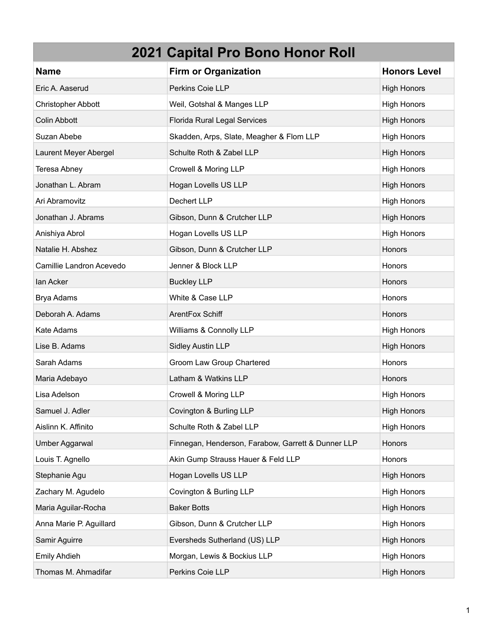| <b>Name</b>               | <b>Firm or Organization</b>                        | <b>Honors Level</b> |
|---------------------------|----------------------------------------------------|---------------------|
| Eric A. Aaserud           | Perkins Coie LLP                                   | <b>High Honors</b>  |
| <b>Christopher Abbott</b> | Weil, Gotshal & Manges LLP                         | <b>High Honors</b>  |
| <b>Colin Abbott</b>       | Florida Rural Legal Services                       | <b>High Honors</b>  |
| Suzan Abebe               | Skadden, Arps, Slate, Meagher & Flom LLP           | <b>High Honors</b>  |
| Laurent Meyer Abergel     | Schulte Roth & Zabel LLP                           | <b>High Honors</b>  |
| Teresa Abney              | Crowell & Moring LLP                               | <b>High Honors</b>  |
| Jonathan L. Abram         | Hogan Lovells US LLP                               | <b>High Honors</b>  |
| Ari Abramovitz            | Dechert LLP                                        | <b>High Honors</b>  |
| Jonathan J. Abrams        | Gibson, Dunn & Crutcher LLP                        | <b>High Honors</b>  |
| Anishiya Abrol            | Hogan Lovells US LLP                               | <b>High Honors</b>  |
| Natalie H. Abshez         | Gibson, Dunn & Crutcher LLP                        | Honors              |
| Camillie Landron Acevedo  | Jenner & Block LLP                                 | Honors              |
| lan Acker                 | <b>Buckley LLP</b>                                 | Honors              |
| Brya Adams                | White & Case LLP                                   | Honors              |
| Deborah A. Adams          | ArentFox Schiff                                    | Honors              |
| Kate Adams                | Williams & Connolly LLP                            | <b>High Honors</b>  |
| Lise B. Adams             | <b>Sidley Austin LLP</b>                           | <b>High Honors</b>  |
| Sarah Adams               | Groom Law Group Chartered                          | Honors              |
| Maria Adebayo             | Latham & Watkins LLP                               | <b>Honors</b>       |
| Lisa Adelson              | Crowell & Moring LLP                               | <b>High Honors</b>  |
| Samuel J. Adler           | Covington & Burling LLP                            | <b>High Honors</b>  |
| Aislinn K. Affinito       | Schulte Roth & Zabel LLP                           | <b>High Honors</b>  |
| Umber Aggarwal            | Finnegan, Henderson, Farabow, Garrett & Dunner LLP | Honors              |
| Louis T. Agnello          | Akin Gump Strauss Hauer & Feld LLP                 | Honors              |
| Stephanie Agu             | Hogan Lovells US LLP                               | <b>High Honors</b>  |
| Zachary M. Agudelo        | Covington & Burling LLP                            | <b>High Honors</b>  |
| Maria Aguilar-Rocha       | <b>Baker Botts</b>                                 | <b>High Honors</b>  |
| Anna Marie P. Aguillard   | Gibson, Dunn & Crutcher LLP                        | <b>High Honors</b>  |
| Samir Aguirre             | Eversheds Sutherland (US) LLP                      | <b>High Honors</b>  |
| <b>Emily Ahdieh</b>       | Morgan, Lewis & Bockius LLP                        | <b>High Honors</b>  |
| Thomas M. Ahmadifar       | Perkins Coie LLP                                   | <b>High Honors</b>  |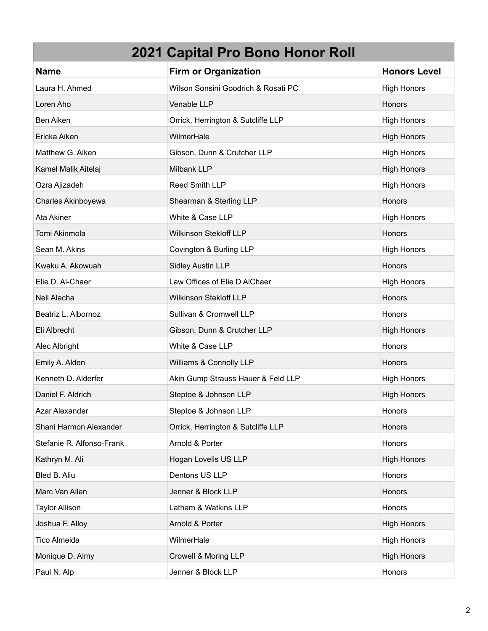| <b>Name</b>               | <b>Firm or Organization</b>         | <b>Honors Level</b> |
|---------------------------|-------------------------------------|---------------------|
| Laura H. Ahmed            | Wilson Sonsini Goodrich & Rosati PC | <b>High Honors</b>  |
| Loren Aho                 | Venable LLP                         | Honors              |
| Ben Aiken                 | Orrick, Herrington & Sutcliffe LLP  | <b>High Honors</b>  |
| Ericka Aiken              | WilmerHale                          | <b>High Honors</b>  |
| Matthew G. Aiken          | Gibson, Dunn & Crutcher LLP         | <b>High Honors</b>  |
| Kamel Malik Aitelaj       | <b>Milbank LLP</b>                  | <b>High Honors</b>  |
| Ozra Ajizadeh             | Reed Smith LLP                      | <b>High Honors</b>  |
| Charles Akinboyewa        | Shearman & Sterling LLP             | Honors              |
| Ata Akiner                | White & Case LLP                    | <b>High Honors</b>  |
| Tomi Akinmola             | <b>Wilkinson Stekloff LLP</b>       | Honors              |
| Sean M. Akins             | Covington & Burling LLP             | <b>High Honors</b>  |
| Kwaku A. Akowuah          | <b>Sidley Austin LLP</b>            | Honors              |
| Elie D. Al-Chaer          | Law Offices of Elie D AlChaer       | <b>High Honors</b>  |
| Neil Alacha               | <b>Wilkinson Stekloff LLP</b>       | Honors              |
| Beatriz L. Albornoz       | Sullivan & Cromwell LLP             | Honors              |
| Eli Albrecht              | Gibson, Dunn & Crutcher LLP         | <b>High Honors</b>  |
| Alec Albright             | White & Case LLP                    | Honors              |
| Emily A. Alden            | Williams & Connolly LLP             | Honors              |
| Kenneth D. Alderfer       | Akin Gump Strauss Hauer & Feld LLP  | <b>High Honors</b>  |
| Daniel F. Aldrich         | Steptoe & Johnson LLP               | <b>High Honors</b>  |
| Azar Alexander            | Steptoe & Johnson LLP               | Honors              |
| Shani Harmon Alexander    | Orrick, Herrington & Sutcliffe LLP  | Honors              |
| Stefanie R. Alfonso-Frank | Arnold & Porter                     | Honors              |
| Kathryn M. Ali            | Hogan Lovells US LLP                | <b>High Honors</b>  |
| Bled B. Aliu              | Dentons US LLP                      | Honors              |
| Marc Van Allen            | Jenner & Block LLP                  | Honors              |
| <b>Taylor Allison</b>     | Latham & Watkins LLP                | Honors              |
| Joshua F. Alloy           | Arnold & Porter                     | <b>High Honors</b>  |
| Tico Almeida              | WilmerHale                          | <b>High Honors</b>  |
| Monique D. Almy           | Crowell & Moring LLP                | <b>High Honors</b>  |
| Paul N. Alp               | Jenner & Block LLP                  | Honors              |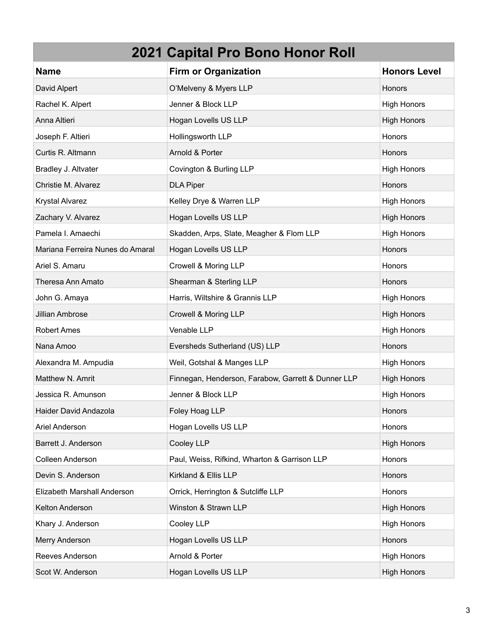| 2021 Capital Pro Bono Honor Roll |                                                    |                     |
|----------------------------------|----------------------------------------------------|---------------------|
| <b>Name</b>                      | <b>Firm or Organization</b>                        | <b>Honors Level</b> |
| David Alpert                     | O'Melveny & Myers LLP                              | Honors              |
| Rachel K. Alpert                 | Jenner & Block LLP                                 | <b>High Honors</b>  |
| Anna Altieri                     | Hogan Lovells US LLP                               | <b>High Honors</b>  |
| Joseph F. Altieri                | Hollingsworth LLP                                  | Honors              |
| Curtis R. Altmann                | Arnold & Porter                                    | <b>Honors</b>       |
| Bradley J. Altvater              | Covington & Burling LLP                            | <b>High Honors</b>  |
| Christie M. Alvarez              | <b>DLA Piper</b>                                   | Honors              |
| <b>Krystal Alvarez</b>           | Kelley Drye & Warren LLP                           | <b>High Honors</b>  |
| Zachary V. Alvarez               | Hogan Lovells US LLP                               | <b>High Honors</b>  |
| Pamela I. Amaechi                | Skadden, Arps, Slate, Meagher & Flom LLP           | <b>High Honors</b>  |
| Mariana Ferreira Nunes do Amaral | Hogan Lovells US LLP                               | <b>Honors</b>       |
| Ariel S. Amaru                   | Crowell & Moring LLP                               | <b>Honors</b>       |
| Theresa Ann Amato                | Shearman & Sterling LLP                            | Honors              |
| John G. Amaya                    | Harris, Wiltshire & Grannis LLP                    | <b>High Honors</b>  |
| Jillian Ambrose                  | Crowell & Moring LLP                               | <b>High Honors</b>  |
| <b>Robert Ames</b>               | Venable LLP                                        | <b>High Honors</b>  |
| Nana Amoo                        | Eversheds Sutherland (US) LLP                      | <b>Honors</b>       |
| Alexandra M. Ampudia             | Weil, Gotshal & Manges LLP                         | <b>High Honors</b>  |
| Matthew N. Amrit                 | Finnegan, Henderson, Farabow, Garrett & Dunner LLP | <b>High Honors</b>  |
| Jessica R. Amunson               | Jenner & Block LLP                                 | <b>High Honors</b>  |
| Haider David Andazola            | Foley Hoag LLP                                     | Honors              |
| Ariel Anderson                   | Hogan Lovells US LLP                               | Honors              |
| Barrett J. Anderson              | Cooley LLP                                         | <b>High Honors</b>  |
| Colleen Anderson                 | Paul, Weiss, Rifkind, Wharton & Garrison LLP       | Honors              |
| Devin S. Anderson                | Kirkland & Ellis LLP                               | Honors              |
| Elizabeth Marshall Anderson      | Orrick, Herrington & Sutcliffe LLP                 | Honors              |
| Kelton Anderson                  | Winston & Strawn LLP                               | <b>High Honors</b>  |
| Khary J. Anderson                | Cooley LLP                                         | <b>High Honors</b>  |
| Merry Anderson                   | Hogan Lovells US LLP                               | Honors              |
| Reeves Anderson                  | Arnold & Porter                                    | <b>High Honors</b>  |
| Scot W. Anderson                 | Hogan Lovells US LLP                               | <b>High Honors</b>  |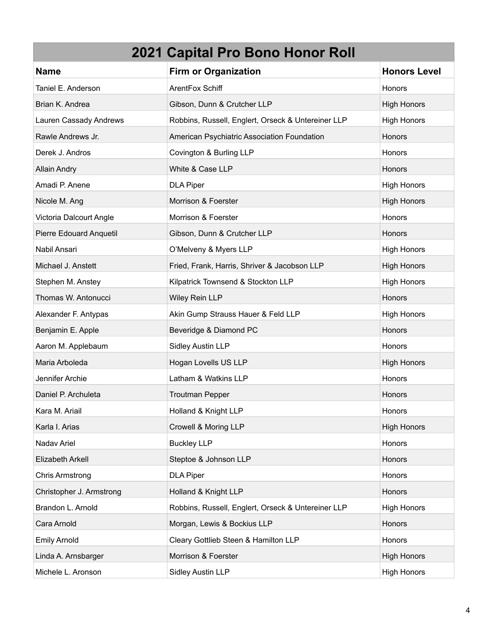| <b>Name</b>              | <b>Firm or Organization</b>                        | <b>Honors Level</b> |
|--------------------------|----------------------------------------------------|---------------------|
| Taniel E. Anderson       | ArentFox Schiff                                    | Honors              |
| Brian K. Andrea          | Gibson, Dunn & Crutcher LLP                        | <b>High Honors</b>  |
| Lauren Cassady Andrews   | Robbins, Russell, Englert, Orseck & Untereiner LLP | <b>High Honors</b>  |
| Rawle Andrews Jr.        | American Psychiatric Association Foundation        | Honors              |
| Derek J. Andros          | Covington & Burling LLP                            | Honors              |
| <b>Allain Andry</b>      | White & Case LLP                                   | <b>Honors</b>       |
| Amadi P. Anene           | <b>DLA Piper</b>                                   | <b>High Honors</b>  |
| Nicole M. Ang            | Morrison & Foerster                                | <b>High Honors</b>  |
| Victoria Dalcourt Angle  | Morrison & Foerster                                | Honors              |
| Pierre Edouard Anquetil  | Gibson, Dunn & Crutcher LLP                        | Honors              |
| Nabil Ansari             | O'Melveny & Myers LLP                              | <b>High Honors</b>  |
| Michael J. Anstett       | Fried, Frank, Harris, Shriver & Jacobson LLP       | <b>High Honors</b>  |
| Stephen M. Anstey        | Kilpatrick Townsend & Stockton LLP                 | <b>High Honors</b>  |
| Thomas W. Antonucci      | Wiley Rein LLP                                     | Honors              |
| Alexander F. Antypas     | Akin Gump Strauss Hauer & Feld LLP                 | <b>High Honors</b>  |
| Benjamin E. Apple        | Beveridge & Diamond PC                             | Honors              |
| Aaron M. Applebaum       | <b>Sidley Austin LLP</b>                           | Honors              |
| Maria Arboleda           | Hogan Lovells US LLP                               | <b>High Honors</b>  |
| Jennifer Archie          | Latham & Watkins LLP                               | Honors              |
| Daniel P. Archuleta      | <b>Troutman Pepper</b>                             | Honors              |
| Kara M. Ariail           | Holland & Knight LLP                               | Honors              |
| Karla I. Arias           | Crowell & Moring LLP                               | <b>High Honors</b>  |
| Nadav Ariel              | <b>Buckley LLP</b>                                 | Honors              |
| Elizabeth Arkell         | Steptoe & Johnson LLP                              | Honors              |
| <b>Chris Armstrong</b>   | <b>DLA Piper</b>                                   | Honors              |
| Christopher J. Armstrong | Holland & Knight LLP                               | Honors              |
| Brandon L. Arnold        | Robbins, Russell, Englert, Orseck & Untereiner LLP | <b>High Honors</b>  |
| Cara Arnold              | Morgan, Lewis & Bockius LLP                        | Honors              |
| <b>Emily Arnold</b>      | Cleary Gottlieb Steen & Hamilton LLP               | Honors              |
| Linda A. Arnsbarger      | Morrison & Foerster                                | <b>High Honors</b>  |
| Michele L. Aronson       | Sidley Austin LLP                                  | <b>High Honors</b>  |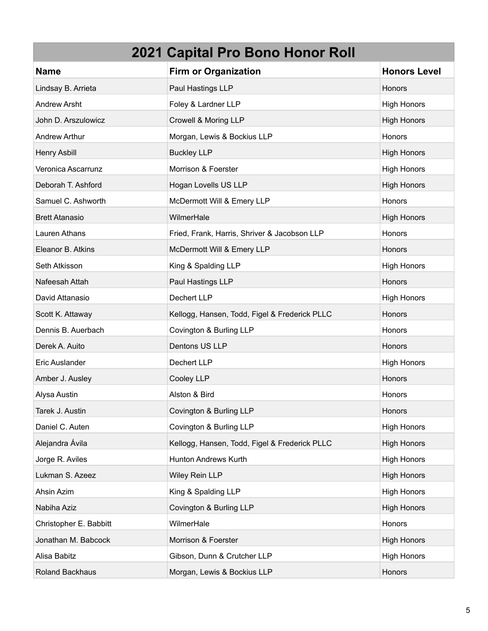| <b>Name</b>            | <b>Firm or Organization</b>                   | <b>Honors Level</b> |
|------------------------|-----------------------------------------------|---------------------|
| Lindsay B. Arrieta     | Paul Hastings LLP                             | Honors              |
| <b>Andrew Arsht</b>    | Foley & Lardner LLP                           | <b>High Honors</b>  |
| John D. Arszulowicz    | Crowell & Moring LLP                          | <b>High Honors</b>  |
| <b>Andrew Arthur</b>   | Morgan, Lewis & Bockius LLP                   | Honors              |
| Henry Asbill           | <b>Buckley LLP</b>                            | <b>High Honors</b>  |
| Veronica Ascarrunz     | Morrison & Foerster                           | <b>High Honors</b>  |
| Deborah T. Ashford     | Hogan Lovells US LLP                          | <b>High Honors</b>  |
| Samuel C. Ashworth     | McDermott Will & Emery LLP                    | Honors              |
| <b>Brett Atanasio</b>  | WilmerHale                                    | <b>High Honors</b>  |
| Lauren Athans          | Fried, Frank, Harris, Shriver & Jacobson LLP  | Honors              |
| Eleanor B. Atkins      | McDermott Will & Emery LLP                    | Honors              |
| Seth Atkisson          | King & Spalding LLP                           | <b>High Honors</b>  |
| Nafeesah Attah         | Paul Hastings LLP                             | Honors              |
| David Attanasio        | Dechert LLP                                   | <b>High Honors</b>  |
| Scott K. Attaway       | Kellogg, Hansen, Todd, Figel & Frederick PLLC | Honors              |
| Dennis B. Auerbach     | Covington & Burling LLP                       | Honors              |
| Derek A. Auito         | Dentons US LLP                                | Honors              |
| Eric Auslander         | Dechert LLP                                   | <b>High Honors</b>  |
| Amber J. Ausley        | Cooley LLP                                    | Honors              |
| Alysa Austin           | Alston & Bird                                 | Honors              |
| Tarek J. Austin        | Covington & Burling LLP                       | Honors              |
| Daniel C. Auten        | Covington & Burling LLP                       | <b>High Honors</b>  |
| Alejandra Ávila        | Kellogg, Hansen, Todd, Figel & Frederick PLLC | <b>High Honors</b>  |
| Jorge R. Aviles        | Hunton Andrews Kurth                          | High Honors         |
| Lukman S. Azeez        | Wiley Rein LLP                                | <b>High Honors</b>  |
| Ahsin Azim             | King & Spalding LLP                           | <b>High Honors</b>  |
| Nabiha Aziz            | Covington & Burling LLP                       | <b>High Honors</b>  |
| Christopher E. Babbitt | WilmerHale                                    | Honors              |
| Jonathan M. Babcock    | Morrison & Foerster                           | <b>High Honors</b>  |
| Alisa Babitz           | Gibson, Dunn & Crutcher LLP                   | <b>High Honors</b>  |
| Roland Backhaus        | Morgan, Lewis & Bockius LLP                   | Honors              |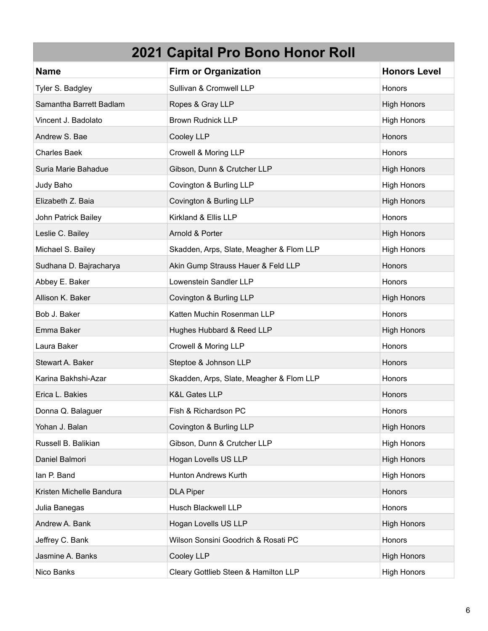#### **2021 Capital Pro Bono Honor Roll Name Firm or Organization Honors Level Honors Level** Tyler S. Badgley **Sullivan & Cromwell LLP Sullivan & Cromwell LLP Honors** Samantha Barrett Badlam **Ropes & Gray LLP** Honors High Honors High Honors High Honors Vincent J. Badolato **Brown Rudnick LLP Brown Rudnick LLP High Honors** High Honors Andrew S. Bae Cooley LLP Honors Andrew S. Bae Honors Andrew S. Bae Honors Andrew S. Bae Honors Andrew S. Bae Honors Charles Baek **Crowell & Moring LLP Crowell A** Moring LLP Suria Marie Bahadue **Gibson, Dunn & Crutcher LLP High Honors** High Honors Judy Baho **Covington & Burling LLP Covington & Burling LLP High Honors** Elizabeth Z. Baia **Covington & Burling LLP Covington & Burling LLP High Honors** John Patrick Bailey **Kirkland & Ellis LLP Honors** Honors Honors Honors Honors **Honors** Leslie C. Bailey **Arnold & Porter High Honors** High Honors High Honors High Honors High Honors High Honors High Honors Michael S. Bailey **Skadden, Arps, Slate, Meagher & Flom LLP** High Honors Sudhana D. Bajracharya **Akin Gump Strauss Hauer & Feld LLP** Honors Honors Abbey E. Baker **Lowenstein Sandler LLP Honors** Honors Allison K. Baker Covington & Burling LLP High Honors High Honors Bob J. Baker Nuchin Rosenman LLP Honors Honors Honors Honors Honors Honors Honors Honors Honors Honors Honors Ho Emma Baker **Hughes Hubbard & Reed LLP High Honors** High Honors Laura Baker **Crowell & Moring LLP COLLEGE ASSESS** Stewart A. Baker Steptoe & Johnson LLP **Steptoe & Stephend Honors** Honors Karina Bakhshi-Azar **Skadden, Arps, Slate, Meagher & Flom LLP** Honors Erica L. Bakies **K&L Gates LLP** Honors Honors Honors Honors **Honors** Honors **Honors** Donna Q. Balaguer **Fish & Richardson PC Fish & Richardson PC Honors Honors** Yohan J. Balan **Covington & Burling LLP Covington & Burling LLP High Honors** Russell B. Balikian **Gibson, Dunn & Crutcher LLP Gibson, Dunn & Crutcher LLP** High Honors Daniel Balmori **Hogan Lovells US LLP** Homors High Honors High Honors High Honors High Honors High Honors High Honors Ian P. Band **Hunton Andrews Kurth** Hunton Andrews Kurth Hunton Andrews Kurth Hunton Andrews Kurth Hunton Honors

| <b>DLA Piper</b>                     | Honors             |
|--------------------------------------|--------------------|
| Husch Blackwell LLP                  | <b>Honors</b>      |
| Hogan Lovells US LLP                 | <b>High Honors</b> |
| Wilson Sonsini Goodrich & Rosati PC  | <b>Honors</b>      |
| Cooley LLP                           | <b>High Honors</b> |
| Cleary Gottlieb Steen & Hamilton LLP | <b>High Honors</b> |
|                                      |                    |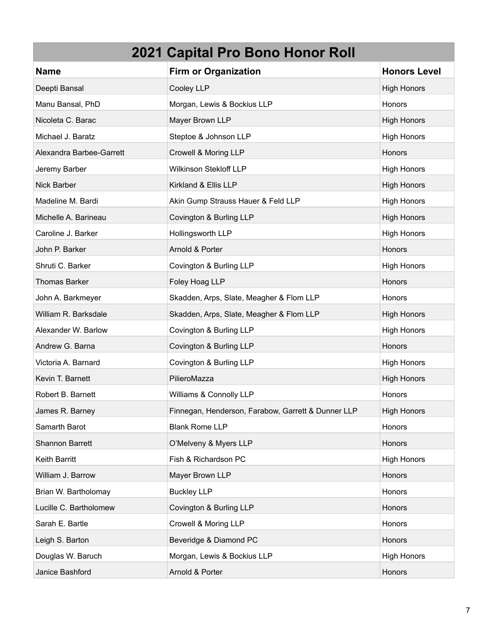| <b>Name</b>              | <b>Firm or Organization</b>                        | <b>Honors Level</b> |
|--------------------------|----------------------------------------------------|---------------------|
| Deepti Bansal            | Cooley LLP                                         | <b>High Honors</b>  |
| Manu Bansal, PhD         | Morgan, Lewis & Bockius LLP                        | Honors              |
| Nicoleta C. Barac        | Mayer Brown LLP                                    | <b>High Honors</b>  |
| Michael J. Baratz        | Steptoe & Johnson LLP                              | <b>High Honors</b>  |
| Alexandra Barbee-Garrett | Crowell & Moring LLP                               | Honors              |
| Jeremy Barber            | Wilkinson Stekloff LLP                             | <b>High Honors</b>  |
| Nick Barber              | Kirkland & Ellis LLP                               | <b>High Honors</b>  |
| Madeline M. Bardi        | Akin Gump Strauss Hauer & Feld LLP                 | <b>High Honors</b>  |
| Michelle A. Barineau     | Covington & Burling LLP                            | <b>High Honors</b>  |
| Caroline J. Barker       | Hollingsworth LLP                                  | <b>High Honors</b>  |
| John P. Barker           | Arnold & Porter                                    | Honors              |
| Shruti C. Barker         | Covington & Burling LLP                            | <b>High Honors</b>  |
| <b>Thomas Barker</b>     | Foley Hoag LLP                                     | Honors              |
| John A. Barkmeyer        | Skadden, Arps, Slate, Meagher & Flom LLP           | Honors              |
| William R. Barksdale     | Skadden, Arps, Slate, Meagher & Flom LLP           | <b>High Honors</b>  |
| Alexander W. Barlow      | Covington & Burling LLP                            | <b>High Honors</b>  |
| Andrew G. Barna          | Covington & Burling LLP                            | Honors              |
| Victoria A. Barnard      | Covington & Burling LLP                            | <b>High Honors</b>  |
| Kevin T. Barnett         | PilieroMazza                                       | <b>High Honors</b>  |
| Robert B. Barnett        | Williams & Connolly LLP                            | Honors              |
| James R. Barney          | Finnegan, Henderson, Farabow, Garrett & Dunner LLP | <b>High Honors</b>  |
| Samarth Barot            | <b>Blank Rome LLP</b>                              | Honors              |
| <b>Shannon Barrett</b>   | O'Melveny & Myers LLP                              | Honors              |
| Keith Barritt            | Fish & Richardson PC                               | <b>High Honors</b>  |
| William J. Barrow        | Mayer Brown LLP                                    | Honors              |
| Brian W. Bartholomay     | <b>Buckley LLP</b>                                 | Honors              |
| Lucille C. Bartholomew   | Covington & Burling LLP                            | Honors              |
| Sarah E. Bartle          | Crowell & Moring LLP                               | Honors              |
| Leigh S. Barton          | Beveridge & Diamond PC                             | Honors              |
| Douglas W. Baruch        | Morgan, Lewis & Bockius LLP                        | <b>High Honors</b>  |
| Janice Bashford          | Arnold & Porter                                    | Honors              |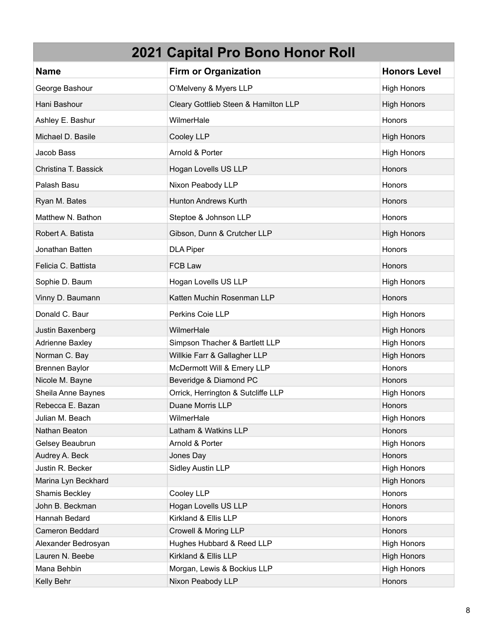| <b>Name</b>          | <b>Firm or Organization</b>          | <b>Honors Level</b> |
|----------------------|--------------------------------------|---------------------|
| George Bashour       | O'Melveny & Myers LLP                | <b>High Honors</b>  |
| Hani Bashour         | Cleary Gottlieb Steen & Hamilton LLP | <b>High Honors</b>  |
| Ashley E. Bashur     | WilmerHale                           | Honors              |
| Michael D. Basile    | Cooley LLP                           | <b>High Honors</b>  |
| Jacob Bass           | Arnold & Porter                      | <b>High Honors</b>  |
| Christina T. Bassick | Hogan Lovells US LLP                 | Honors              |
| Palash Basu          | Nixon Peabody LLP                    | Honors              |
| Ryan M. Bates        | <b>Hunton Andrews Kurth</b>          | Honors              |
| Matthew N. Bathon    | Steptoe & Johnson LLP                | Honors              |
| Robert A. Batista    | Gibson, Dunn & Crutcher LLP          | <b>High Honors</b>  |
| Jonathan Batten      | <b>DLA Piper</b>                     | Honors              |
| Felicia C. Battista  | FCB Law                              | Honors              |
| Sophie D. Baum       | Hogan Lovells US LLP                 | <b>High Honors</b>  |
| Vinny D. Baumann     | Katten Muchin Rosenman LLP           | Honors              |
| Donald C. Baur       | Perkins Coie LLP                     | <b>High Honors</b>  |
| Justin Baxenberg     | WilmerHale                           | <b>High Honors</b>  |
| Adrienne Baxley      | Simpson Thacher & Bartlett LLP       | <b>High Honors</b>  |
| Norman C. Bay        | Willkie Farr & Gallagher LLP         | <b>High Honors</b>  |
| Brennen Baylor       | McDermott Will & Emery LLP           | Honors              |
| Nicole M. Bayne      | Beveridge & Diamond PC               | Honors              |
| Sheila Anne Baynes   | Orrick, Herrington & Sutcliffe LLP   | <b>High Honors</b>  |
| Rebecca E. Bazan     | Duane Morris LLP                     | Honors              |
| Julian M. Beach      | WilmerHale                           | <b>High Honors</b>  |
| Nathan Beaton        | Latham & Watkins LLP                 | Honors              |
| Gelsey Beaubrun      | Arnold & Porter                      | <b>High Honors</b>  |
| Audrey A. Beck       | Jones Day                            | Honors              |
| Justin R. Becker     | Sidley Austin LLP                    | <b>High Honors</b>  |
| Marina Lyn Beckhard  |                                      | <b>High Honors</b>  |
| Shamis Beckley       | Cooley LLP                           | Honors              |
| John B. Beckman      | Hogan Lovells US LLP                 | Honors              |
| Hannah Bedard        | Kirkland & Ellis LLP                 | <b>Honors</b>       |
| Cameron Beddard      | Crowell & Moring LLP                 | Honors              |
| Alexander Bedrosyan  | Hughes Hubbard & Reed LLP            | <b>High Honors</b>  |
| Lauren N. Beebe      | Kirkland & Ellis LLP                 | High Honors         |
| Mana Behbin          | Morgan, Lewis & Bockius LLP          | <b>High Honors</b>  |
| Kelly Behr           | Nixon Peabody LLP                    | Honors              |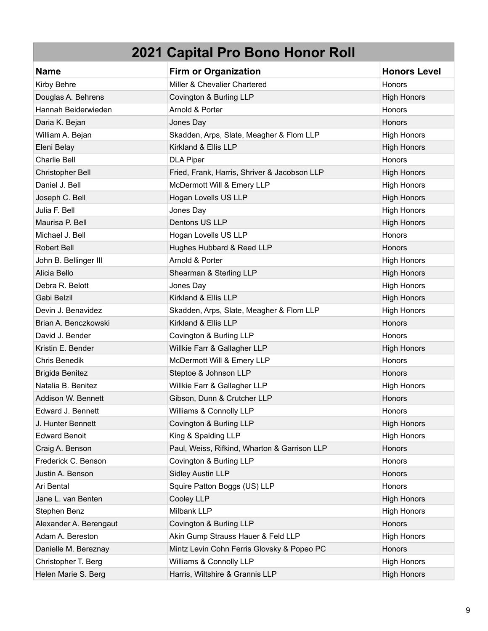| <b>Name</b>             | <b>Firm or Organization</b>                  | <b>Honors Level</b> |
|-------------------------|----------------------------------------------|---------------------|
| Kirby Behre             | Miller & Chevalier Chartered                 | Honors              |
| Douglas A. Behrens      | Covington & Burling LLP                      | <b>High Honors</b>  |
| Hannah Beiderwieden     | Arnold & Porter                              | Honors              |
| Daria K. Bejan          | Jones Day                                    | Honors              |
| William A. Bejan        | Skadden, Arps, Slate, Meagher & Flom LLP     | <b>High Honors</b>  |
| Eleni Belay             | Kirkland & Ellis LLP                         | <b>High Honors</b>  |
| <b>Charlie Bell</b>     | <b>DLA Piper</b>                             | Honors              |
| <b>Christopher Bell</b> | Fried, Frank, Harris, Shriver & Jacobson LLP | <b>High Honors</b>  |
| Daniel J. Bell          | McDermott Will & Emery LLP                   | <b>High Honors</b>  |
| Joseph C. Bell          | Hogan Lovells US LLP                         | <b>High Honors</b>  |
| Julia F. Bell           | Jones Day                                    | <b>High Honors</b>  |
| Maurisa P. Bell         | Dentons US LLP                               | <b>High Honors</b>  |
| Michael J. Bell         | Hogan Lovells US LLP                         | Honors              |
| <b>Robert Bell</b>      | Hughes Hubbard & Reed LLP                    | <b>Honors</b>       |
| John B. Bellinger III   | Arnold & Porter                              | <b>High Honors</b>  |
| Alicia Bello            | Shearman & Sterling LLP                      | <b>High Honors</b>  |
| Debra R. Belott         | Jones Day                                    | <b>High Honors</b>  |
| Gabi Belzil             | Kirkland & Ellis LLP                         | <b>High Honors</b>  |
| Devin J. Benavidez      | Skadden, Arps, Slate, Meagher & Flom LLP     | <b>High Honors</b>  |
| Brian A. Benczkowski    | Kirkland & Ellis LLP                         | Honors              |
| David J. Bender         | Covington & Burling LLP                      | Honors              |
| Kristin E. Bender       | Willkie Farr & Gallagher LLP                 | <b>High Honors</b>  |
| Chris Benedik           | McDermott Will & Emery LLP                   | Honors              |
| <b>Brigida Benitez</b>  | Steptoe & Johnson LLP                        | <b>Honors</b>       |
| Natalia B. Benitez      | Willkie Farr & Gallagher LLP                 | <b>High Honors</b>  |
| Addison W. Bennett      | Gibson, Dunn & Crutcher LLP                  | <b>Honors</b>       |
| Edward J. Bennett       | Williams & Connolly LLP                      | Honors              |
| J. Hunter Bennett       | Covington & Burling LLP                      | <b>High Honors</b>  |
| <b>Edward Benoit</b>    | King & Spalding LLP                          | <b>High Honors</b>  |
| Craig A. Benson         | Paul, Weiss, Rifkind, Wharton & Garrison LLP | Honors              |
| Frederick C. Benson     | Covington & Burling LLP                      | Honors              |
| Justin A. Benson        | <b>Sidley Austin LLP</b>                     | Honors              |
| Ari Bental              | Squire Patton Boggs (US) LLP                 | Honors              |
| Jane L. van Benten      | Cooley LLP                                   | <b>High Honors</b>  |
| Stephen Benz            | Milbank LLP                                  | <b>High Honors</b>  |
| Alexander A. Berengaut  | Covington & Burling LLP                      | Honors              |
| Adam A. Bereston        | Akin Gump Strauss Hauer & Feld LLP           | High Honors         |
| Danielle M. Bereznay    | Mintz Levin Cohn Ferris Glovsky & Popeo PC   | Honors              |
| Christopher T. Berg     | Williams & Connolly LLP                      | <b>High Honors</b>  |
| Helen Marie S. Berg     | Harris, Wiltshire & Grannis LLP              | <b>High Honors</b>  |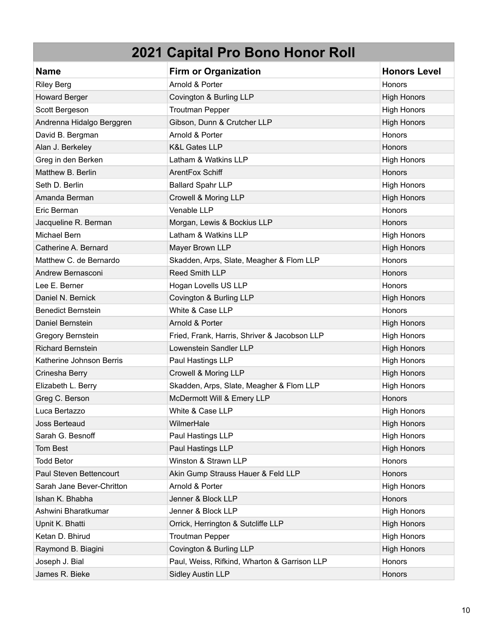| <b>Name</b>               | <b>Firm or Organization</b>                  | <b>Honors Level</b> |
|---------------------------|----------------------------------------------|---------------------|
| <b>Riley Berg</b>         | Arnold & Porter                              | <b>Honors</b>       |
| <b>Howard Berger</b>      | Covington & Burling LLP                      | <b>High Honors</b>  |
| Scott Bergeson            | <b>Troutman Pepper</b>                       | <b>High Honors</b>  |
| Andrenna Hidalgo Berggren | Gibson, Dunn & Crutcher LLP                  | <b>High Honors</b>  |
| David B. Bergman          | Arnold & Porter                              | Honors              |
| Alan J. Berkeley          | <b>K&amp;L Gates LLP</b>                     | Honors              |
| Greg in den Berken        | Latham & Watkins LLP                         | <b>High Honors</b>  |
| Matthew B. Berlin         | ArentFox Schiff                              | <b>Honors</b>       |
| Seth D. Berlin            | <b>Ballard Spahr LLP</b>                     | <b>High Honors</b>  |
| Amanda Berman             | Crowell & Moring LLP                         | <b>High Honors</b>  |
| Eric Berman               | Venable LLP                                  | Honors              |
| Jacqueline R. Berman      | Morgan, Lewis & Bockius LLP                  | Honors              |
| Michael Bern              | Latham & Watkins LLP                         | <b>High Honors</b>  |
| Catherine A. Bernard      | Mayer Brown LLP                              | <b>High Honors</b>  |
| Matthew C. de Bernardo    | Skadden, Arps, Slate, Meagher & Flom LLP     | <b>Honors</b>       |
| Andrew Bernasconi         | <b>Reed Smith LLP</b>                        | <b>Honors</b>       |
| Lee E. Berner             | Hogan Lovells US LLP                         | Honors              |
| Daniel N. Bernick         | Covington & Burling LLP                      | <b>High Honors</b>  |
| <b>Benedict Bernstein</b> | White & Case LLP                             | Honors              |
| Daniel Bernstein          | Arnold & Porter                              | <b>High Honors</b>  |
| Gregory Bernstein         | Fried, Frank, Harris, Shriver & Jacobson LLP | <b>High Honors</b>  |
| <b>Richard Bernstein</b>  | Lowenstein Sandler LLP                       | <b>High Honors</b>  |
| Katherine Johnson Berris  | Paul Hastings LLP                            | <b>High Honors</b>  |
| Crinesha Berry            | Crowell & Moring LLP                         | <b>High Honors</b>  |
| Elizabeth L. Berry        | Skadden, Arps, Slate, Meagher & Flom LLP     | <b>High Honors</b>  |
| Greg C. Berson            | McDermott Will & Emery LLP                   | Honors              |
| Luca Bertazzo             | White & Case LLP                             | <b>High Honors</b>  |
| Joss Berteaud             | WilmerHale                                   | <b>High Honors</b>  |
| Sarah G. Besnoff          | Paul Hastings LLP                            | <b>High Honors</b>  |
| Tom Best                  | Paul Hastings LLP                            | <b>High Honors</b>  |
| <b>Todd Betor</b>         | Winston & Strawn LLP                         | Honors              |
| Paul Steven Bettencourt   | Akin Gump Strauss Hauer & Feld LLP           | Honors              |
| Sarah Jane Bever-Chritton | Arnold & Porter                              | <b>High Honors</b>  |
| Ishan K. Bhabha           | Jenner & Block LLP                           | Honors              |
| Ashwini Bharatkumar       | Jenner & Block LLP                           | <b>High Honors</b>  |
| Upnit K. Bhatti           | Orrick, Herrington & Sutcliffe LLP           | <b>High Honors</b>  |
| Ketan D. Bhirud           | <b>Troutman Pepper</b>                       | <b>High Honors</b>  |
| Raymond B. Biagini        | Covington & Burling LLP                      | <b>High Honors</b>  |
| Joseph J. Bial            | Paul, Weiss, Rifkind, Wharton & Garrison LLP | Honors              |
| James R. Bieke            | <b>Sidley Austin LLP</b>                     | Honors              |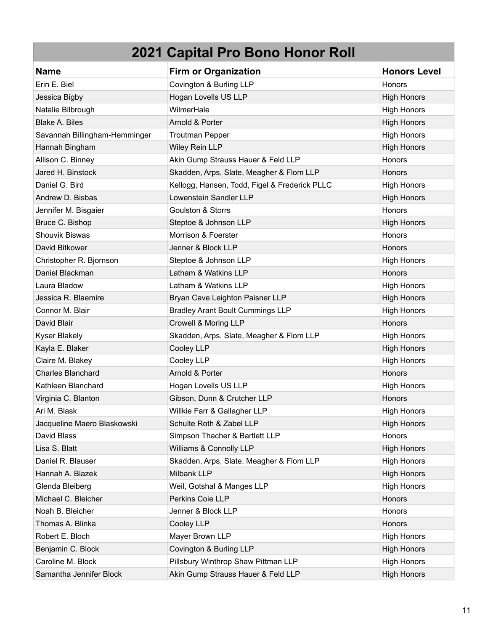| <b>Name</b>                   | <b>Firm or Organization</b>                   | <b>Honors Level</b> |
|-------------------------------|-----------------------------------------------|---------------------|
| Erin E. Biel                  | Covington & Burling LLP                       | Honors              |
| Jessica Bigby                 | Hogan Lovells US LLP                          | <b>High Honors</b>  |
| Natalie Bilbrough             | WilmerHale                                    | <b>High Honors</b>  |
| <b>Blake A. Biles</b>         | Arnold & Porter                               | <b>High Honors</b>  |
| Savannah Billingham-Hemminger | <b>Troutman Pepper</b>                        | <b>High Honors</b>  |
| Hannah Bingham                | Wiley Rein LLP                                | <b>High Honors</b>  |
| Allison C. Binney             | Akin Gump Strauss Hauer & Feld LLP            | <b>Honors</b>       |
| Jared H. Binstock             | Skadden, Arps, Slate, Meagher & Flom LLP      | <b>Honors</b>       |
| Daniel G. Bird                | Kellogg, Hansen, Todd, Figel & Frederick PLLC | <b>High Honors</b>  |
| Andrew D. Bisbas              | Lowenstein Sandler LLP                        | <b>High Honors</b>  |
| Jennifer M. Bisgaier          | <b>Goulston &amp; Storrs</b>                  | Honors              |
| Bruce C. Bishop               | Steptoe & Johnson LLP                         | <b>High Honors</b>  |
| <b>Shouvik Biswas</b>         | Morrison & Foerster                           | Honors              |
| David Bitkower                | Jenner & Block LLP                            | <b>Honors</b>       |
| Christopher R. Bjornson       | Steptoe & Johnson LLP                         | <b>High Honors</b>  |
| Daniel Blackman               | Latham & Watkins LLP                          | Honors              |
| Laura Bladow                  | Latham & Watkins LLP                          | <b>High Honors</b>  |
| Jessica R. Blaemire           | Bryan Cave Leighton Paisner LLP               | <b>High Honors</b>  |
| Connor M. Blair               | <b>Bradley Arant Boult Cummings LLP</b>       | <b>High Honors</b>  |
| David Blair                   | Crowell & Moring LLP                          | <b>Honors</b>       |
| <b>Kyser Blakely</b>          | Skadden, Arps, Slate, Meagher & Flom LLP      | <b>High Honors</b>  |
| Kayla E. Blaker               | Cooley LLP                                    | <b>High Honors</b>  |
| Claire M. Blakey              | Cooley LLP                                    | <b>High Honors</b>  |
| <b>Charles Blanchard</b>      | Arnold & Porter                               | Honors              |
| Kathleen Blanchard            | Hogan Lovells US LLP                          | <b>High Honors</b>  |
| Virginia C. Blanton           | Gibson, Dunn & Crutcher LLP                   | Honors              |
| Ari M. Blask                  | Willkie Farr & Gallagher LLP                  | <b>High Honors</b>  |
| Jacqueline Maero Blaskowski   | Schulte Roth & Zabel LLP                      | <b>High Honors</b>  |
| David Blass                   | Simpson Thacher & Bartlett LLP                | Honors              |
| Lisa S. Blatt                 | Williams & Connolly LLP                       | High Honors         |
| Daniel R. Blauser             | Skadden, Arps, Slate, Meagher & Flom LLP      | <b>High Honors</b>  |
| Hannah A. Blazek              | Milbank LLP                                   | <b>High Honors</b>  |
| Glenda Bleiberg               | Weil, Gotshal & Manges LLP                    | <b>High Honors</b>  |
| Michael C. Bleicher           | Perkins Coie LLP                              | Honors              |
| Noah B. Bleicher              | Jenner & Block LLP                            | Honors              |
| Thomas A. Blinka              | Cooley LLP                                    | Honors              |
| Robert E. Bloch               | Mayer Brown LLP                               | <b>High Honors</b>  |
| Benjamin C. Block             | Covington & Burling LLP                       | <b>High Honors</b>  |
| Caroline M. Block             | Pillsbury Winthrop Shaw Pittman LLP           | <b>High Honors</b>  |
| Samantha Jennifer Block       | Akin Gump Strauss Hauer & Feld LLP            | <b>High Honors</b>  |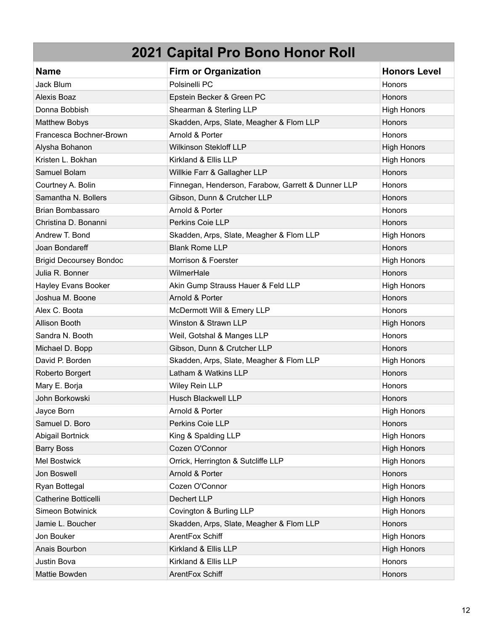| <b>Name</b>                    | <b>Firm or Organization</b>                        | <b>Honors Level</b> |
|--------------------------------|----------------------------------------------------|---------------------|
| Jack Blum                      | Polsinelli PC                                      | Honors              |
| <b>Alexis Boaz</b>             | Epstein Becker & Green PC                          | <b>Honors</b>       |
| Donna Bobbish                  | Shearman & Sterling LLP                            | <b>High Honors</b>  |
| <b>Matthew Bobys</b>           | Skadden, Arps, Slate, Meagher & Flom LLP           | Honors              |
| Francesca Bochner-Brown        | Arnold & Porter                                    | Honors              |
| Alysha Bohanon                 | <b>Wilkinson Stekloff LLP</b>                      | <b>High Honors</b>  |
| Kristen L. Bokhan              | Kirkland & Ellis LLP                               | <b>High Honors</b>  |
| Samuel Bolam                   | Willkie Farr & Gallagher LLP                       | <b>Honors</b>       |
| Courtney A. Bolin              | Finnegan, Henderson, Farabow, Garrett & Dunner LLP | Honors              |
| Samantha N. Bollers            | Gibson, Dunn & Crutcher LLP                        | <b>Honors</b>       |
| <b>Brian Bombassaro</b>        | Arnold & Porter                                    | Honors              |
| Christina D. Bonanni           | Perkins Coie LLP                                   | Honors              |
| Andrew T. Bond                 | Skadden, Arps, Slate, Meagher & Flom LLP           | <b>High Honors</b>  |
| Joan Bondareff                 | <b>Blank Rome LLP</b>                              | Honors              |
| <b>Brigid Decoursey Bondoc</b> | Morrison & Foerster                                | <b>High Honors</b>  |
| Julia R. Bonner                | WilmerHale                                         | Honors              |
| Hayley Evans Booker            | Akin Gump Strauss Hauer & Feld LLP                 | <b>High Honors</b>  |
| Joshua M. Boone                | Arnold & Porter                                    | <b>Honors</b>       |
| Alex C. Boota                  | McDermott Will & Emery LLP                         | Honors              |
| <b>Allison Booth</b>           | Winston & Strawn LLP                               | <b>High Honors</b>  |
| Sandra N. Booth                | Weil, Gotshal & Manges LLP                         | Honors              |
| Michael D. Bopp                | Gibson, Dunn & Crutcher LLP                        | Honors              |
| David P. Borden                | Skadden, Arps, Slate, Meagher & Flom LLP           | <b>High Honors</b>  |
| Roberto Borgert                | Latham & Watkins LLP                               | Honors              |
| Mary E. Borja                  | Wiley Rein LLP                                     | Honors              |
| John Borkowski                 | <b>Husch Blackwell LLP</b>                         | <b>Honors</b>       |
| Jayce Born                     | Arnold & Porter                                    | <b>High Honors</b>  |
| Samuel D. Boro                 | Perkins Coie LLP                                   | Honors              |
| <b>Abigail Bortnick</b>        | King & Spalding LLP                                | <b>High Honors</b>  |
| <b>Barry Boss</b>              | Cozen O'Connor                                     | <b>High Honors</b>  |
| Mel Bostwick                   | Orrick, Herrington & Sutcliffe LLP                 | <b>High Honors</b>  |
| Jon Boswell                    | Arnold & Porter                                    | Honors              |
| Ryan Bottegal                  | Cozen O'Connor                                     | <b>High Honors</b>  |
| Catherine Botticelli           | Dechert LLP                                        | <b>High Honors</b>  |
| Simeon Botwinick               | Covington & Burling LLP                            | <b>High Honors</b>  |
| Jamie L. Boucher               | Skadden, Arps, Slate, Meagher & Flom LLP           | Honors              |
| Jon Bouker                     | ArentFox Schiff                                    | <b>High Honors</b>  |
| Anais Bourbon                  | Kirkland & Ellis LLP                               | <b>High Honors</b>  |
| Justin Bova                    | Kirkland & Ellis LLP                               | Honors              |
| Mattie Bowden                  | ArentFox Schiff                                    | Honors              |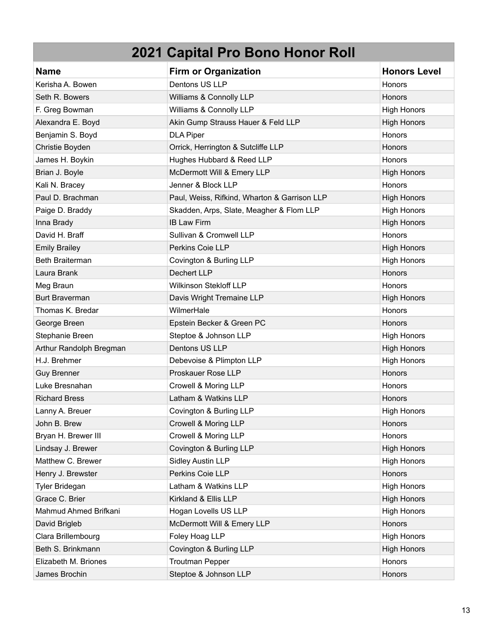| <b>Name</b>             | <b>Firm or Organization</b>                  | <b>Honors Level</b> |
|-------------------------|----------------------------------------------|---------------------|
| Kerisha A. Bowen        | Dentons US LLP                               | <b>Honors</b>       |
| Seth R. Bowers          | Williams & Connolly LLP                      | Honors              |
| F. Greg Bowman          | Williams & Connolly LLP                      | <b>High Honors</b>  |
| Alexandra E. Boyd       | Akin Gump Strauss Hauer & Feld LLP           | <b>High Honors</b>  |
| Benjamin S. Boyd        | <b>DLA Piper</b>                             | Honors              |
| Christie Boyden         | Orrick, Herrington & Sutcliffe LLP           | Honors              |
| James H. Boykin         | Hughes Hubbard & Reed LLP                    | <b>Honors</b>       |
| Brian J. Boyle          | McDermott Will & Emery LLP                   | <b>High Honors</b>  |
| Kali N. Bracey          | Jenner & Block LLP                           | Honors              |
| Paul D. Brachman        | Paul, Weiss, Rifkind, Wharton & Garrison LLP | <b>High Honors</b>  |
| Paige D. Braddy         | Skadden, Arps, Slate, Meagher & Flom LLP     | <b>High Honors</b>  |
| Inna Brady              | <b>IB Law Firm</b>                           | <b>High Honors</b>  |
| David H. Braff          | Sullivan & Cromwell LLP                      | Honors              |
| <b>Emily Brailey</b>    | Perkins Coie LLP                             | <b>High Honors</b>  |
| Beth Braiterman         | Covington & Burling LLP                      | <b>High Honors</b>  |
| Laura Brank             | <b>Dechert LLP</b>                           | Honors              |
| Meg Braun               | <b>Wilkinson Stekloff LLP</b>                | <b>Honors</b>       |
| <b>Burt Braverman</b>   | Davis Wright Tremaine LLP                    | <b>High Honors</b>  |
| Thomas K. Bredar        | WilmerHale                                   | Honors              |
| George Breen            | Epstein Becker & Green PC                    | Honors              |
| Stephanie Breen         | Steptoe & Johnson LLP                        | <b>High Honors</b>  |
| Arthur Randolph Bregman | Dentons US LLP                               | <b>High Honors</b>  |
| H.J. Brehmer            | Debevoise & Plimpton LLP                     | <b>High Honors</b>  |
| <b>Guy Brenner</b>      | Proskauer Rose LLP                           | Honors              |
| Luke Bresnahan          | Crowell & Moring LLP                         | <b>Honors</b>       |
| <b>Richard Bress</b>    | Latham & Watkins LLP                         | Honors              |
| Lanny A. Breuer         | Covington & Burling LLP                      | <b>High Honors</b>  |
| John B. Brew            | Crowell & Moring LLP                         | Honors              |
| Bryan H. Brewer III     | Crowell & Moring LLP                         | Honors              |
| Lindsay J. Brewer       | Covington & Burling LLP                      | <b>High Honors</b>  |
| Matthew C. Brewer       | <b>Sidley Austin LLP</b>                     | High Honors         |
| Henry J. Brewster       | Perkins Coie LLP                             | Honors              |
| <b>Tyler Bridegan</b>   | Latham & Watkins LLP                         | <b>High Honors</b>  |
| Grace C. Brier          | Kirkland & Ellis LLP                         | <b>High Honors</b>  |
| Mahmud Ahmed Brifkani   | Hogan Lovells US LLP                         | <b>High Honors</b>  |
| David Brigleb           | McDermott Will & Emery LLP                   | Honors              |
| Clara Brillembourg      | Foley Hoag LLP                               | <b>High Honors</b>  |
| Beth S. Brinkmann       | Covington & Burling LLP                      | <b>High Honors</b>  |
| Elizabeth M. Briones    | <b>Troutman Pepper</b>                       | Honors              |
| James Brochin           | Steptoe & Johnson LLP                        | Honors              |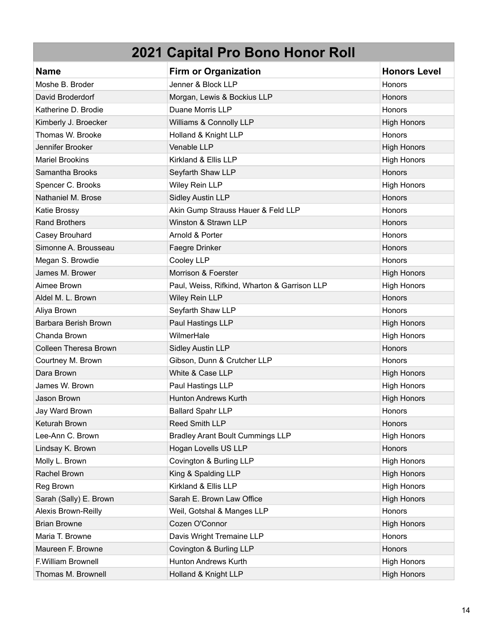| <b>Name</b>            | <b>Firm or Organization</b>                  | <b>Honors Level</b> |
|------------------------|----------------------------------------------|---------------------|
| Moshe B. Broder        | Jenner & Block LLP                           | <b>Honors</b>       |
| David Broderdorf       | Morgan, Lewis & Bockius LLP                  | Honors              |
| Katherine D. Brodie    | Duane Morris LLP                             | Honors              |
| Kimberly J. Broecker   | Williams & Connolly LLP                      | <b>High Honors</b>  |
| Thomas W. Brooke       | Holland & Knight LLP                         | Honors              |
| Jennifer Brooker       | Venable LLP                                  | <b>High Honors</b>  |
| <b>Mariel Brookins</b> | Kirkland & Ellis LLP                         | <b>High Honors</b>  |
| Samantha Brooks        | Seyfarth Shaw LLP                            | Honors              |
| Spencer C. Brooks      | Wiley Rein LLP                               | <b>High Honors</b>  |
| Nathaniel M. Brose     | <b>Sidley Austin LLP</b>                     | Honors              |
| Katie Brossy           | Akin Gump Strauss Hauer & Feld LLP           | <b>Honors</b>       |
| <b>Rand Brothers</b>   | Winston & Strawn LLP                         | Honors              |
| Casey Brouhard         | Arnold & Porter                              | Honors              |
| Simonne A. Brousseau   | Faegre Drinker                               | Honors              |
| Megan S. Browdie       | Cooley LLP                                   | Honors              |
| James M. Brower        | Morrison & Foerster                          | <b>High Honors</b>  |
| Aimee Brown            | Paul, Weiss, Rifkind, Wharton & Garrison LLP | <b>High Honors</b>  |
| Aldel M. L. Brown      | Wiley Rein LLP                               | Honors              |
| Aliya Brown            | Seyfarth Shaw LLP                            | Honors              |
| Barbara Berish Brown   | Paul Hastings LLP                            | <b>High Honors</b>  |
| Chanda Brown           | WilmerHale                                   | <b>High Honors</b>  |
| Colleen Theresa Brown  | <b>Sidley Austin LLP</b>                     | Honors              |
| Courtney M. Brown      | Gibson, Dunn & Crutcher LLP                  | <b>Honors</b>       |
| Dara Brown             | White & Case LLP                             | <b>High Honors</b>  |
| James W. Brown         | Paul Hastings LLP                            | <b>High Honors</b>  |
| Jason Brown            | <b>Hunton Andrews Kurth</b>                  | <b>High Honors</b>  |
| Jay Ward Brown         | <b>Ballard Spahr LLP</b>                     | Honors              |
| Keturah Brown          | <b>Reed Smith LLP</b>                        | <b>Honors</b>       |
| Lee-Ann C. Brown       | <b>Bradley Arant Boult Cummings LLP</b>      | <b>High Honors</b>  |
| Lindsay K. Brown       | Hogan Lovells US LLP                         | Honors              |
| Molly L. Brown         | Covington & Burling LLP                      | <b>High Honors</b>  |
| Rachel Brown           | King & Spalding LLP                          | <b>High Honors</b>  |
| Reg Brown              | Kirkland & Ellis LLP                         | <b>High Honors</b>  |
| Sarah (Sally) E. Brown | Sarah E. Brown Law Office                    | <b>High Honors</b>  |
| Alexis Brown-Reilly    | Weil, Gotshal & Manges LLP                   | Honors              |
| <b>Brian Browne</b>    | Cozen O'Connor                               | <b>High Honors</b>  |
| Maria T. Browne        | Davis Wright Tremaine LLP                    | Honors              |
| Maureen F. Browne      | Covington & Burling LLP                      | Honors              |
| F.William Brownell     | Hunton Andrews Kurth                         | <b>High Honors</b>  |
| Thomas M. Brownell     | Holland & Knight LLP                         | <b>High Honors</b>  |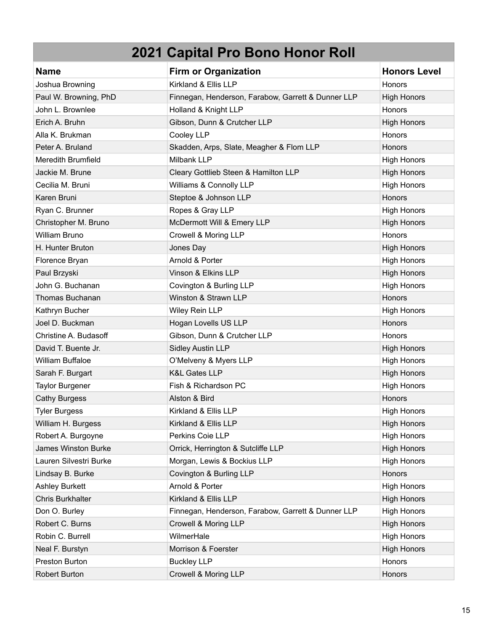| <b>Name</b>               | <b>Firm or Organization</b>                        | <b>Honors Level</b> |
|---------------------------|----------------------------------------------------|---------------------|
| Joshua Browning           | Kirkland & Ellis LLP                               | Honors              |
| Paul W. Browning, PhD     | Finnegan, Henderson, Farabow, Garrett & Dunner LLP | <b>High Honors</b>  |
| John L. Brownlee          | Holland & Knight LLP                               | <b>Honors</b>       |
| Erich A. Bruhn            | Gibson, Dunn & Crutcher LLP                        | <b>High Honors</b>  |
| Alla K. Brukman           | Cooley LLP                                         | Honors              |
| Peter A. Bruland          | Skadden, Arps, Slate, Meagher & Flom LLP           | Honors              |
| <b>Meredith Brumfield</b> | Milbank LLP                                        | <b>High Honors</b>  |
| Jackie M. Brune           | Cleary Gottlieb Steen & Hamilton LLP               | <b>High Honors</b>  |
| Cecilia M. Bruni          | Williams & Connolly LLP                            | <b>High Honors</b>  |
| Karen Bruni               | Steptoe & Johnson LLP                              | Honors              |
| Ryan C. Brunner           | Ropes & Gray LLP                                   | <b>High Honors</b>  |
| Christopher M. Bruno      | McDermott Will & Emery LLP                         | <b>High Honors</b>  |
| <b>William Bruno</b>      | Crowell & Moring LLP                               | Honors              |
| H. Hunter Bruton          | Jones Day                                          | <b>High Honors</b>  |
| Florence Bryan            | Arnold & Porter                                    | <b>High Honors</b>  |
| Paul Brzyski              | Vinson & Elkins LLP                                | <b>High Honors</b>  |
| John G. Buchanan          | Covington & Burling LLP                            | <b>High Honors</b>  |
| Thomas Buchanan           | Winston & Strawn LLP                               | Honors              |
| Kathryn Bucher            | Wiley Rein LLP                                     | <b>High Honors</b>  |
| Joel D. Buckman           | Hogan Lovells US LLP                               | Honors              |
| Christine A. Budasoff     | Gibson, Dunn & Crutcher LLP                        | Honors              |
| David T. Buente Jr.       | <b>Sidley Austin LLP</b>                           | <b>High Honors</b>  |
| <b>William Buffaloe</b>   | O'Melveny & Myers LLP                              | <b>High Honors</b>  |
| Sarah F. Burgart          | <b>K&amp;L Gates LLP</b>                           | <b>High Honors</b>  |
| <b>Taylor Burgener</b>    | Fish & Richardson PC                               | <b>High Honors</b>  |
| <b>Cathy Burgess</b>      | Alston & Bird                                      | Honors              |
| <b>Tyler Burgess</b>      | Kirkland & Ellis LLP                               | <b>High Honors</b>  |
| William H. Burgess        | Kirkland & Ellis LLP                               | <b>High Honors</b>  |
| Robert A. Burgoyne        | Perkins Coie LLP                                   | <b>High Honors</b>  |
| James Winston Burke       | Orrick, Herrington & Sutcliffe LLP                 | <b>High Honors</b>  |
| Lauren Silvestri Burke    | Morgan, Lewis & Bockius LLP                        | <b>High Honors</b>  |
| Lindsay B. Burke          | Covington & Burling LLP                            | Honors              |
| <b>Ashley Burkett</b>     | Arnold & Porter                                    | <b>High Honors</b>  |
| Chris Burkhalter          | Kirkland & Ellis LLP                               | <b>High Honors</b>  |
| Don O. Burley             | Finnegan, Henderson, Farabow, Garrett & Dunner LLP | <b>High Honors</b>  |
| Robert C. Burns           | Crowell & Moring LLP                               | <b>High Honors</b>  |
| Robin C. Burrell          | WilmerHale                                         | <b>High Honors</b>  |
| Neal F. Burstyn           | Morrison & Foerster                                | <b>High Honors</b>  |
| Preston Burton            | <b>Buckley LLP</b>                                 | Honors              |
| <b>Robert Burton</b>      | Crowell & Moring LLP                               | Honors              |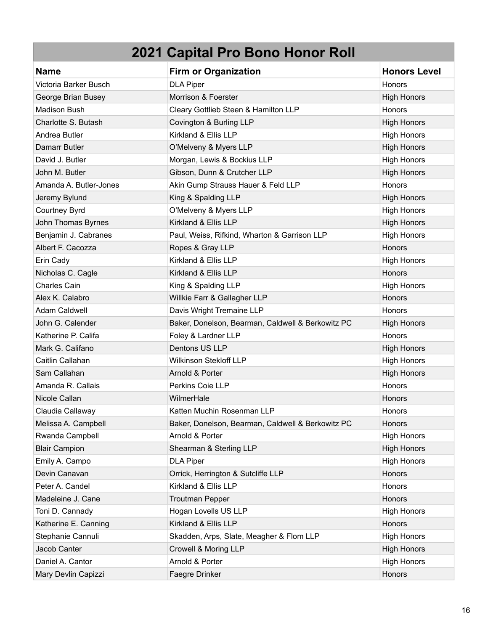| <b>Name</b>            | <b>Firm or Organization</b>                       | <b>Honors Level</b> |
|------------------------|---------------------------------------------------|---------------------|
| Victoria Barker Busch  | <b>DLA Piper</b>                                  | Honors              |
| George Brian Busey     | Morrison & Foerster                               | <b>High Honors</b>  |
| <b>Madison Bush</b>    | Cleary Gottlieb Steen & Hamilton LLP              | Honors              |
| Charlotte S. Butash    | Covington & Burling LLP                           | <b>High Honors</b>  |
| Andrea Butler          | Kirkland & Ellis LLP                              | <b>High Honors</b>  |
| Damarr Butler          | O'Melveny & Myers LLP                             | <b>High Honors</b>  |
| David J. Butler        | Morgan, Lewis & Bockius LLP                       | <b>High Honors</b>  |
| John M. Butler         | Gibson, Dunn & Crutcher LLP                       | <b>High Honors</b>  |
| Amanda A. Butler-Jones | Akin Gump Strauss Hauer & Feld LLP                | Honors              |
| Jeremy Bylund          | King & Spalding LLP                               | <b>High Honors</b>  |
| Courtney Byrd          | O'Melveny & Myers LLP                             | <b>High Honors</b>  |
| John Thomas Byrnes     | Kirkland & Ellis LLP                              | <b>High Honors</b>  |
| Benjamin J. Cabranes   | Paul, Weiss, Rifkind, Wharton & Garrison LLP      | <b>High Honors</b>  |
| Albert F. Cacozza      | Ropes & Gray LLP                                  | Honors              |
| Erin Cady              | Kirkland & Ellis LLP                              | <b>High Honors</b>  |
| Nicholas C. Cagle      | Kirkland & Ellis LLP                              | Honors              |
| <b>Charles Cain</b>    | King & Spalding LLP                               | <b>High Honors</b>  |
| Alex K. Calabro        | Willkie Farr & Gallagher LLP                      | Honors              |
| <b>Adam Caldwell</b>   | Davis Wright Tremaine LLP                         | Honors              |
| John G. Calender       | Baker, Donelson, Bearman, Caldwell & Berkowitz PC | <b>High Honors</b>  |
| Katherine P. Califa    | Foley & Lardner LLP                               | Honors              |
| Mark G. Califano       | Dentons US LLP                                    | <b>High Honors</b>  |
| Caitlin Callahan       | <b>Wilkinson Stekloff LLP</b>                     | <b>High Honors</b>  |
| Sam Callahan           | Arnold & Porter                                   | <b>High Honors</b>  |
| Amanda R. Callais      | Perkins Coie LLP                                  | Honors              |
| Nicole Callan          | WilmerHale                                        | Honors              |
| Claudia Callaway       | Katten Muchin Rosenman LLP                        | Honors              |
| Melissa A. Campbell    | Baker, Donelson, Bearman, Caldwell & Berkowitz PC | Honors              |
| Rwanda Campbell        | Arnold & Porter                                   | <b>High Honors</b>  |
| <b>Blair Campion</b>   | Shearman & Sterling LLP                           | <b>High Honors</b>  |
| Emily A. Campo         | <b>DLA Piper</b>                                  | <b>High Honors</b>  |
| Devin Canavan          | Orrick, Herrington & Sutcliffe LLP                | Honors              |
| Peter A. Candel        | Kirkland & Ellis LLP                              | Honors              |
| Madeleine J. Cane      | <b>Troutman Pepper</b>                            | Honors              |
| Toni D. Cannady        | Hogan Lovells US LLP                              | <b>High Honors</b>  |
| Katherine E. Canning   | Kirkland & Ellis LLP                              | Honors              |
| Stephanie Cannuli      | Skadden, Arps, Slate, Meagher & Flom LLP          | <b>High Honors</b>  |
| Jacob Canter           | Crowell & Moring LLP                              | <b>High Honors</b>  |
| Daniel A. Cantor       | Arnold & Porter                                   | <b>High Honors</b>  |
| Mary Devlin Capizzi    | Faegre Drinker                                    | Honors              |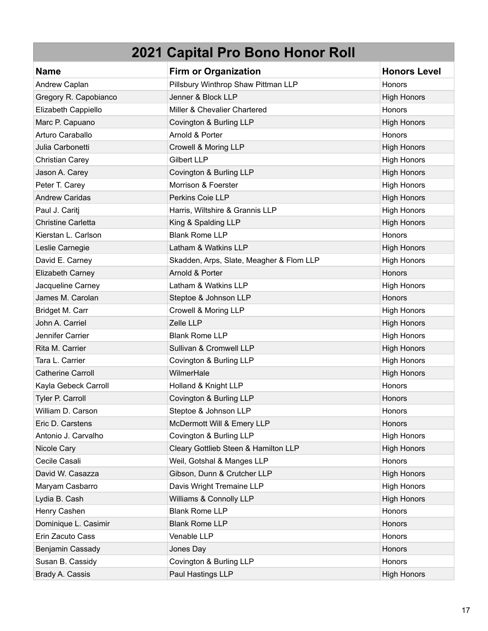| <b>Name</b>               | <b>Firm or Organization</b>              | <b>Honors Level</b> |
|---------------------------|------------------------------------------|---------------------|
| Andrew Caplan             | Pillsbury Winthrop Shaw Pittman LLP      | <b>Honors</b>       |
| Gregory R. Capobianco     | Jenner & Block LLP                       | <b>High Honors</b>  |
| Elizabeth Cappiello       | Miller & Chevalier Chartered             | Honors              |
| Marc P. Capuano           | Covington & Burling LLP                  | <b>High Honors</b>  |
| Arturo Caraballo          | Arnold & Porter                          | Honors              |
| Julia Carbonetti          | Crowell & Moring LLP                     | <b>High Honors</b>  |
| <b>Christian Carey</b>    | <b>Gilbert LLP</b>                       | <b>High Honors</b>  |
| Jason A. Carey            | Covington & Burling LLP                  | <b>High Honors</b>  |
| Peter T. Carey            | Morrison & Foerster                      | <b>High Honors</b>  |
| <b>Andrew Caridas</b>     | Perkins Coie LLP                         | <b>High Honors</b>  |
| Paul J. Caritj            | Harris, Wiltshire & Grannis LLP          | <b>High Honors</b>  |
| <b>Christine Carletta</b> | King & Spalding LLP                      | <b>High Honors</b>  |
| Kierstan L. Carlson       | <b>Blank Rome LLP</b>                    | Honors              |
| Leslie Carnegie           | Latham & Watkins LLP                     | <b>High Honors</b>  |
| David E. Carney           | Skadden, Arps, Slate, Meagher & Flom LLP | <b>High Honors</b>  |
| Elizabeth Carney          | Arnold & Porter                          | Honors              |
| Jacqueline Carney         | Latham & Watkins LLP                     | <b>High Honors</b>  |
| James M. Carolan          | Steptoe & Johnson LLP                    | Honors              |
| Bridget M. Carr           | Crowell & Moring LLP                     | <b>High Honors</b>  |
| John A. Carriel           | Zelle LLP                                | <b>High Honors</b>  |
| Jennifer Carrier          | <b>Blank Rome LLP</b>                    | <b>High Honors</b>  |
| Rita M. Carrier           | Sullivan & Cromwell LLP                  | <b>High Honors</b>  |
| Tara L. Carrier           | Covington & Burling LLP                  | <b>High Honors</b>  |
| <b>Catherine Carroll</b>  | WilmerHale                               | <b>High Honors</b>  |
| Kayla Gebeck Carroll      | Holland & Knight LLP                     | Honors              |
| Tyler P. Carroll          | Covington & Burling LLP                  | Honors              |
| William D. Carson         | Steptoe & Johnson LLP                    | Honors              |
| Eric D. Carstens          | McDermott Will & Emery LLP               | Honors              |
| Antonio J. Carvalho       | Covington & Burling LLP                  | <b>High Honors</b>  |
| Nicole Cary               | Cleary Gottlieb Steen & Hamilton LLP     | <b>High Honors</b>  |
| Cecile Casali             | Weil, Gotshal & Manges LLP               | Honors              |
| David W. Casazza          | Gibson, Dunn & Crutcher LLP              | <b>High Honors</b>  |
| Maryam Casbarro           | Davis Wright Tremaine LLP                | <b>High Honors</b>  |
| Lydia B. Cash             | Williams & Connolly LLP                  | <b>High Honors</b>  |
| Henry Cashen              | <b>Blank Rome LLP</b>                    | Honors              |
| Dominique L. Casimir      | <b>Blank Rome LLP</b>                    | Honors              |
| Erin Zacuto Cass          | Venable LLP                              | Honors              |
| Benjamin Cassady          | Jones Day                                | Honors              |
| Susan B. Cassidy          | Covington & Burling LLP                  | Honors              |
| Brady A. Cassis           | Paul Hastings LLP                        | <b>High Honors</b>  |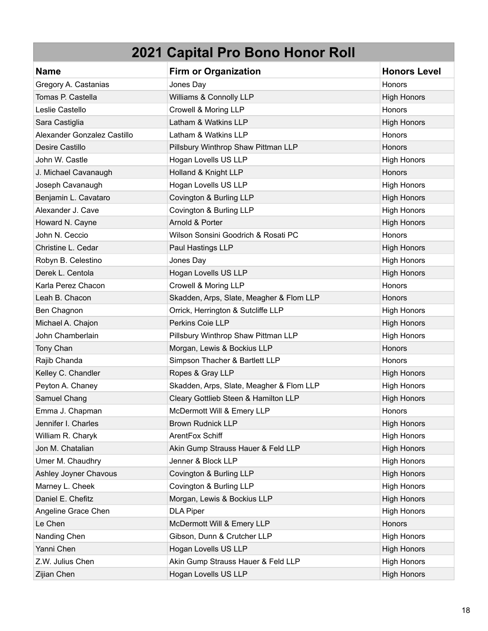| <b>Name</b>                 | <b>Firm or Organization</b>              | <b>Honors Level</b> |
|-----------------------------|------------------------------------------|---------------------|
| Gregory A. Castanias        | Jones Day                                | Honors              |
| Tomas P. Castella           | Williams & Connolly LLP                  | <b>High Honors</b>  |
| Leslie Castello             | Crowell & Moring LLP                     | Honors              |
| Sara Castiglia              | Latham & Watkins LLP                     | <b>High Honors</b>  |
| Alexander Gonzalez Castillo | Latham & Watkins LLP                     | Honors              |
| Desire Castillo             | Pillsbury Winthrop Shaw Pittman LLP      | Honors              |
| John W. Castle              | Hogan Lovells US LLP                     | <b>High Honors</b>  |
| J. Michael Cavanaugh        | Holland & Knight LLP                     | <b>Honors</b>       |
| Joseph Cavanaugh            | Hogan Lovells US LLP                     | <b>High Honors</b>  |
| Benjamin L. Cavataro        | Covington & Burling LLP                  | <b>High Honors</b>  |
| Alexander J. Cave           | Covington & Burling LLP                  | <b>High Honors</b>  |
| Howard N. Cayne             | Arnold & Porter                          | <b>High Honors</b>  |
| John N. Ceccio              | Wilson Sonsini Goodrich & Rosati PC      | Honors              |
| Christine L. Cedar          | Paul Hastings LLP                        | <b>High Honors</b>  |
| Robyn B. Celestino          | Jones Day                                | <b>High Honors</b>  |
| Derek L. Centola            | Hogan Lovells US LLP                     | <b>High Honors</b>  |
| Karla Perez Chacon          | Crowell & Moring LLP                     | Honors              |
| Leah B. Chacon              | Skadden, Arps, Slate, Meagher & Flom LLP | Honors              |
| Ben Chagnon                 | Orrick, Herrington & Sutcliffe LLP       | <b>High Honors</b>  |
| Michael A. Chajon           | Perkins Coie LLP                         | <b>High Honors</b>  |
| John Chamberlain            | Pillsbury Winthrop Shaw Pittman LLP      | <b>High Honors</b>  |
| Tony Chan                   | Morgan, Lewis & Bockius LLP              | Honors              |
| Rajib Chanda                | Simpson Thacher & Bartlett LLP           | <b>Honors</b>       |
| Kelley C. Chandler          | Ropes & Gray LLP                         | <b>High Honors</b>  |
| Peyton A. Chaney            | Skadden, Arps, Slate, Meagher & Flom LLP | <b>High Honors</b>  |
| Samuel Chang                | Cleary Gottlieb Steen & Hamilton LLP     | <b>High Honors</b>  |
| Emma J. Chapman             | McDermott Will & Emery LLP               | Honors              |
| Jennifer I. Charles         | <b>Brown Rudnick LLP</b>                 | <b>High Honors</b>  |
| William R. Charyk           | ArentFox Schiff                          | <b>High Honors</b>  |
| Jon M. Chatalian            | Akin Gump Strauss Hauer & Feld LLP       | <b>High Honors</b>  |
| Umer M. Chaudhry            | Jenner & Block LLP                       | <b>High Honors</b>  |
| Ashley Joyner Chavous       | Covington & Burling LLP                  | <b>High Honors</b>  |
| Marney L. Cheek             | Covington & Burling LLP                  | <b>High Honors</b>  |
| Daniel E. Chefitz           | Morgan, Lewis & Bockius LLP              | <b>High Honors</b>  |
| Angeline Grace Chen         | <b>DLA Piper</b>                         | <b>High Honors</b>  |
| Le Chen                     | McDermott Will & Emery LLP               | Honors              |
| Nanding Chen                | Gibson, Dunn & Crutcher LLP              | <b>High Honors</b>  |
| Yanni Chen                  | Hogan Lovells US LLP                     | <b>High Honors</b>  |
| Z.W. Julius Chen            | Akin Gump Strauss Hauer & Feld LLP       | <b>High Honors</b>  |
| Zijian Chen                 | Hogan Lovells US LLP                     | <b>High Honors</b>  |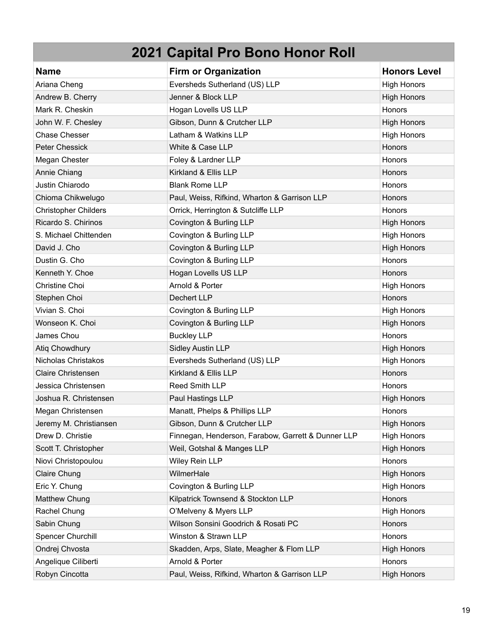| <b>Name</b>                 | <b>Firm or Organization</b>                        | <b>Honors Level</b> |
|-----------------------------|----------------------------------------------------|---------------------|
| Ariana Cheng                | Eversheds Sutherland (US) LLP                      | <b>High Honors</b>  |
| Andrew B. Cherry            | Jenner & Block LLP                                 | <b>High Honors</b>  |
| Mark R. Cheskin             | Hogan Lovells US LLP                               | Honors              |
| John W. F. Chesley          | Gibson, Dunn & Crutcher LLP                        | <b>High Honors</b>  |
| <b>Chase Chesser</b>        | Latham & Watkins LLP                               | <b>High Honors</b>  |
| <b>Peter Chessick</b>       | White & Case LLP                                   | Honors              |
| Megan Chester               | Foley & Lardner LLP                                | <b>Honors</b>       |
| Annie Chiang                | Kirkland & Ellis LLP                               | Honors              |
| Justin Chiarodo             | <b>Blank Rome LLP</b>                              | Honors              |
| Chioma Chikwelugo           | Paul, Weiss, Rifkind, Wharton & Garrison LLP       | Honors              |
| <b>Christopher Childers</b> | Orrick, Herrington & Sutcliffe LLP                 | Honors              |
| Ricardo S. Chirinos         | Covington & Burling LLP                            | <b>High Honors</b>  |
| S. Michael Chittenden       | Covington & Burling LLP                            | <b>High Honors</b>  |
| David J. Cho                | Covington & Burling LLP                            | <b>High Honors</b>  |
| Dustin G. Cho               | Covington & Burling LLP                            | Honors              |
| Kenneth Y. Choe             | Hogan Lovells US LLP                               | Honors              |
| Christine Choi              | Arnold & Porter                                    | <b>High Honors</b>  |
| Stephen Choi                | Dechert LLP                                        | Honors              |
| Vivian S. Choi              | Covington & Burling LLP                            | <b>High Honors</b>  |
| Wonseon K. Choi             | Covington & Burling LLP                            | <b>High Honors</b>  |
| James Chou                  | <b>Buckley LLP</b>                                 | Honors              |
| Atiq Chowdhury              | <b>Sidley Austin LLP</b>                           | <b>High Honors</b>  |
| Nicholas Christakos         | Eversheds Sutherland (US) LLP                      | <b>High Honors</b>  |
| <b>Claire Christensen</b>   | Kirkland & Ellis LLP                               | Honors              |
| Jessica Christensen         | Reed Smith LLP                                     | Honors              |
| Joshua R. Christensen       | Paul Hastings LLP                                  | <b>High Honors</b>  |
| Megan Christensen           | Manatt, Phelps & Phillips LLP                      | Honors              |
| Jeremy M. Christiansen      | Gibson, Dunn & Crutcher LLP                        | <b>High Honors</b>  |
| Drew D. Christie            | Finnegan, Henderson, Farabow, Garrett & Dunner LLP | <b>High Honors</b>  |
| Scott T. Christopher        | Weil, Gotshal & Manges LLP                         | <b>High Honors</b>  |
| Niovi Christopoulou         | Wiley Rein LLP                                     | Honors              |
| <b>Claire Chung</b>         | WilmerHale                                         | <b>High Honors</b>  |
| Eric Y. Chung               | Covington & Burling LLP                            | <b>High Honors</b>  |
| Matthew Chung               | Kilpatrick Townsend & Stockton LLP                 | Honors              |
| Rachel Chung                | O'Melveny & Myers LLP                              | <b>High Honors</b>  |
| Sabin Chung                 | Wilson Sonsini Goodrich & Rosati PC                | <b>Honors</b>       |
| Spencer Churchill           | Winston & Strawn LLP                               | Honors              |
| Ondrej Chvosta              | Skadden, Arps, Slate, Meagher & Flom LLP           | <b>High Honors</b>  |
| Angelique Ciliberti         | Arnold & Porter                                    | Honors              |
| Robyn Cincotta              | Paul, Weiss, Rifkind, Wharton & Garrison LLP       | <b>High Honors</b>  |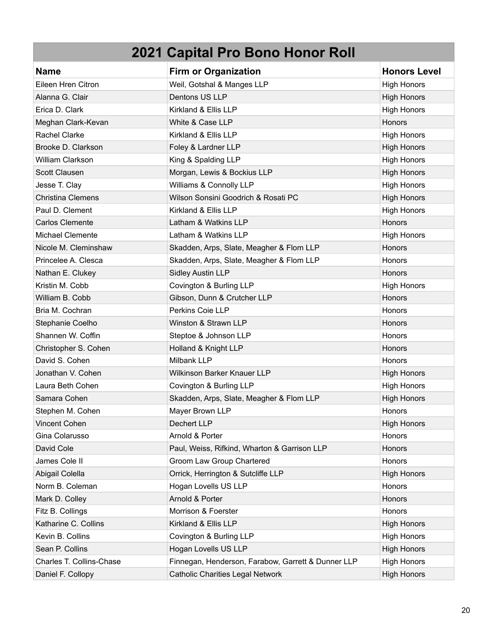| <b>Name</b>              | <b>Firm or Organization</b>                        | <b>Honors Level</b> |
|--------------------------|----------------------------------------------------|---------------------|
| Eileen Hren Citron       | Weil, Gotshal & Manges LLP                         | <b>High Honors</b>  |
| Alanna G. Clair          | Dentons US LLP                                     | <b>High Honors</b>  |
| Erica D. Clark           | Kirkland & Ellis LLP                               | <b>High Honors</b>  |
| Meghan Clark-Kevan       | White & Case LLP                                   | Honors              |
| <b>Rachel Clarke</b>     | Kirkland & Ellis LLP                               | <b>High Honors</b>  |
| Brooke D. Clarkson       | Foley & Lardner LLP                                | <b>High Honors</b>  |
| <b>William Clarkson</b>  | King & Spalding LLP                                | <b>High Honors</b>  |
| Scott Clausen            | Morgan, Lewis & Bockius LLP                        | <b>High Honors</b>  |
| Jesse T. Clay            | Williams & Connolly LLP                            | <b>High Honors</b>  |
| <b>Christina Clemens</b> | Wilson Sonsini Goodrich & Rosati PC                | <b>High Honors</b>  |
| Paul D. Clement          | Kirkland & Ellis LLP                               | <b>High Honors</b>  |
| <b>Carlos Clemente</b>   | Latham & Watkins LLP                               | Honors              |
| Michael Clemente         | Latham & Watkins LLP                               | <b>High Honors</b>  |
| Nicole M. Cleminshaw     | Skadden, Arps, Slate, Meagher & Flom LLP           | Honors              |
| Princelee A. Clesca      | Skadden, Arps, Slate, Meagher & Flom LLP           | Honors              |
| Nathan E. Clukey         | <b>Sidley Austin LLP</b>                           | Honors              |
| Kristin M. Cobb          | Covington & Burling LLP                            | <b>High Honors</b>  |
| William B. Cobb          | Gibson, Dunn & Crutcher LLP                        | Honors              |
| Bria M. Cochran          | Perkins Coie LLP                                   | Honors              |
| Stephanie Coelho         | Winston & Strawn LLP                               | Honors              |
| Shannen W. Coffin        | Steptoe & Johnson LLP                              | Honors              |
| Christopher S. Cohen     | Holland & Knight LLP                               | Honors              |
| David S. Cohen           | Milbank LLP                                        | Honors              |
| Jonathan V. Cohen        | Wilkinson Barker Knauer LLP                        | <b>High Honors</b>  |
| Laura Beth Cohen         | Covington & Burling LLP                            | <b>High Honors</b>  |
| Samara Cohen             | Skadden, Arps, Slate, Meagher & Flom LLP           | <b>High Honors</b>  |
| Stephen M. Cohen         | Mayer Brown LLP                                    | Honors              |
| Vincent Cohen            | Dechert LLP                                        | <b>High Honors</b>  |
| Gina Colarusso           | Arnold & Porter                                    | Honors              |
| David Cole               | Paul, Weiss, Rifkind, Wharton & Garrison LLP       | Honors              |
| James Cole II            | Groom Law Group Chartered                          | Honors              |
| Abigail Colella          | Orrick, Herrington & Sutcliffe LLP                 | <b>High Honors</b>  |
| Norm B. Coleman          | Hogan Lovells US LLP                               | Honors              |
| Mark D. Colley           | Arnold & Porter                                    | Honors              |
| Fitz B. Collings         | Morrison & Foerster                                | Honors              |
| Katharine C. Collins     | Kirkland & Ellis LLP                               | <b>High Honors</b>  |
| Kevin B. Collins         | Covington & Burling LLP                            | <b>High Honors</b>  |
| Sean P. Collins          | Hogan Lovells US LLP                               | <b>High Honors</b>  |
| Charles T. Collins-Chase | Finnegan, Henderson, Farabow, Garrett & Dunner LLP | <b>High Honors</b>  |
| Daniel F. Collopy        | <b>Catholic Charities Legal Network</b>            | <b>High Honors</b>  |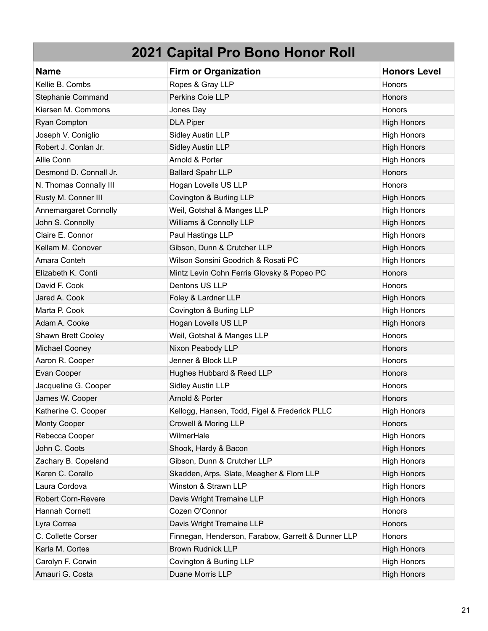| <b>Name</b>               | <b>Firm or Organization</b>                        | <b>Honors Level</b> |
|---------------------------|----------------------------------------------------|---------------------|
| Kellie B. Combs           | Ropes & Gray LLP                                   | Honors              |
| Stephanie Command         | Perkins Coie LLP                                   | Honors              |
| Kiersen M. Commons        | Jones Day                                          | Honors              |
| Ryan Compton              | <b>DLA Piper</b>                                   | <b>High Honors</b>  |
| Joseph V. Coniglio        | <b>Sidley Austin LLP</b>                           | <b>High Honors</b>  |
| Robert J. Conlan Jr.      | <b>Sidley Austin LLP</b>                           | <b>High Honors</b>  |
| Allie Conn                | Arnold & Porter                                    | <b>High Honors</b>  |
| Desmond D. Connall Jr.    | <b>Ballard Spahr LLP</b>                           | Honors              |
| N. Thomas Connally III    | Hogan Lovells US LLP                               | Honors              |
| Rusty M. Conner III       | Covington & Burling LLP                            | <b>High Honors</b>  |
| Annemargaret Connolly     | Weil, Gotshal & Manges LLP                         | <b>High Honors</b>  |
| John S. Connolly          | Williams & Connolly LLP                            | <b>High Honors</b>  |
| Claire E. Connor          | Paul Hastings LLP                                  | <b>High Honors</b>  |
| Kellam M. Conover         | Gibson, Dunn & Crutcher LLP                        | <b>High Honors</b>  |
| Amara Conteh              | Wilson Sonsini Goodrich & Rosati PC                | <b>High Honors</b>  |
| Elizabeth K. Conti        | Mintz Levin Cohn Ferris Glovsky & Popeo PC         | Honors              |
| David F. Cook             | Dentons US LLP                                     | <b>Honors</b>       |
| Jared A. Cook             | Foley & Lardner LLP                                | <b>High Honors</b>  |
| Marta P. Cook             | Covington & Burling LLP                            | <b>High Honors</b>  |
| Adam A. Cooke             | Hogan Lovells US LLP                               | <b>High Honors</b>  |
| Shawn Brett Cooley        | Weil, Gotshal & Manges LLP                         | Honors              |
| Michael Cooney            | Nixon Peabody LLP                                  | Honors              |
| Aaron R. Cooper           | Jenner & Block LLP                                 | Honors              |
| Evan Cooper               | Hughes Hubbard & Reed LLP                          | Honors              |
| Jacqueline G. Cooper      | <b>Sidley Austin LLP</b>                           | <b>Honors</b>       |
| James W. Cooper           | Arnold & Porter                                    | Honors              |
| Katherine C. Cooper       | Kellogg, Hansen, Todd, Figel & Frederick PLLC      | <b>High Honors</b>  |
| <b>Monty Cooper</b>       | Crowell & Moring LLP                               | Honors              |
| Rebecca Cooper            | WilmerHale                                         | <b>High Honors</b>  |
| John C. Coots             | Shook, Hardy & Bacon                               | <b>High Honors</b>  |
| Zachary B. Copeland       | Gibson, Dunn & Crutcher LLP                        | <b>High Honors</b>  |
| Karen C. Corallo          | Skadden, Arps, Slate, Meagher & Flom LLP           | <b>High Honors</b>  |
| Laura Cordova             | Winston & Strawn LLP                               | <b>High Honors</b>  |
| <b>Robert Corn-Revere</b> | Davis Wright Tremaine LLP                          | <b>High Honors</b>  |
| Hannah Cornett            | Cozen O'Connor                                     | Honors              |
| Lyra Correa               | Davis Wright Tremaine LLP                          | Honors              |
| C. Collette Corser        | Finnegan, Henderson, Farabow, Garrett & Dunner LLP | Honors              |
| Karla M. Cortes           | <b>Brown Rudnick LLP</b>                           | <b>High Honors</b>  |
| Carolyn F. Corwin         | Covington & Burling LLP                            | <b>High Honors</b>  |
| Amauri G. Costa           | Duane Morris LLP                                   | <b>High Honors</b>  |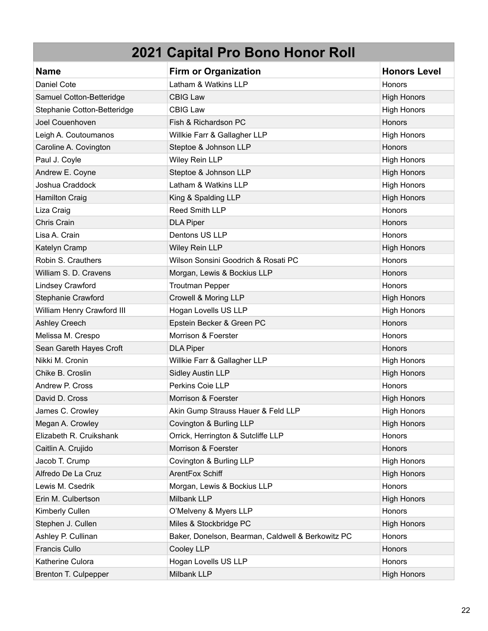| <b>Name</b>                 | <b>Firm or Organization</b>                       | <b>Honors Level</b> |
|-----------------------------|---------------------------------------------------|---------------------|
| Daniel Cote                 | Latham & Watkins LLP                              | Honors              |
| Samuel Cotton-Betteridge    | <b>CBIG Law</b>                                   | <b>High Honors</b>  |
| Stephanie Cotton-Betteridge | <b>CBIG Law</b>                                   | <b>High Honors</b>  |
| Joel Couenhoven             | Fish & Richardson PC                              | Honors              |
| Leigh A. Coutoumanos        | Willkie Farr & Gallagher LLP                      | <b>High Honors</b>  |
| Caroline A. Covington       | Steptoe & Johnson LLP                             | <b>Honors</b>       |
| Paul J. Coyle               | Wiley Rein LLP                                    | <b>High Honors</b>  |
| Andrew E. Coyne             | Steptoe & Johnson LLP                             | <b>High Honors</b>  |
| Joshua Craddock             | Latham & Watkins LLP                              | <b>High Honors</b>  |
| <b>Hamilton Craig</b>       | King & Spalding LLP                               | <b>High Honors</b>  |
| Liza Craig                  | Reed Smith LLP                                    | Honors              |
| Chris Crain                 | <b>DLA Piper</b>                                  | Honors              |
| Lisa A. Crain               | Dentons US LLP                                    | Honors              |
| Katelyn Cramp               | Wiley Rein LLP                                    | <b>High Honors</b>  |
| Robin S. Crauthers          | Wilson Sonsini Goodrich & Rosati PC               | <b>Honors</b>       |
| William S. D. Cravens       | Morgan, Lewis & Bockius LLP                       | Honors              |
| <b>Lindsey Crawford</b>     | <b>Troutman Pepper</b>                            | Honors              |
| Stephanie Crawford          | Crowell & Moring LLP                              | <b>High Honors</b>  |
| William Henry Crawford III  | Hogan Lovells US LLP                              | <b>High Honors</b>  |
| Ashley Creech               | Epstein Becker & Green PC                         | Honors              |
| Melissa M. Crespo           | Morrison & Foerster                               | Honors              |
| Sean Gareth Hayes Croft     | <b>DLA Piper</b>                                  | Honors              |
| Nikki M. Cronin             | Willkie Farr & Gallagher LLP                      | <b>High Honors</b>  |
| Chike B. Croslin            | <b>Sidley Austin LLP</b>                          | <b>High Honors</b>  |
| Andrew P. Cross             | Perkins Coie LLP                                  | Honors              |
| David D. Cross              | Morrison & Foerster                               | <b>High Honors</b>  |
| James C. Crowley            | Akin Gump Strauss Hauer & Feld LLP                | <b>High Honors</b>  |
| Megan A. Crowley            | Covington & Burling LLP                           | <b>High Honors</b>  |
| Elizabeth R. Cruikshank     | Orrick, Herrington & Sutcliffe LLP                | Honors              |
| Caitlin A. Crujido          | Morrison & Foerster                               | Honors              |
| Jacob T. Crump              | Covington & Burling LLP                           | <b>High Honors</b>  |
| Alfredo De La Cruz          | ArentFox Schiff                                   | <b>High Honors</b>  |
| Lewis M. Csedrik            | Morgan, Lewis & Bockius LLP                       | Honors              |
| Erin M. Culbertson          | Milbank LLP                                       | <b>High Honors</b>  |
| Kimberly Cullen             | O'Melveny & Myers LLP                             | Honors              |
| Stephen J. Cullen           | Miles & Stockbridge PC                            | <b>High Honors</b>  |
| Ashley P. Cullinan          | Baker, Donelson, Bearman, Caldwell & Berkowitz PC | Honors              |
| Francis Cullo               | Cooley LLP                                        | Honors              |
| Katherine Culora            | Hogan Lovells US LLP                              | Honors              |
| Brenton T. Culpepper        | Milbank LLP                                       | <b>High Honors</b>  |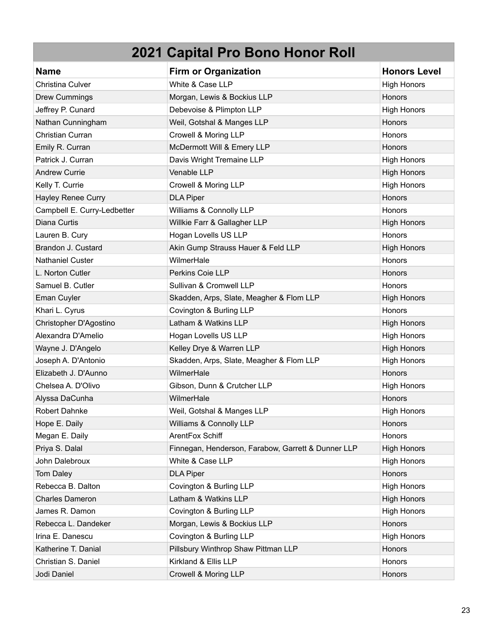| <b>Name</b>                 | <b>Firm or Organization</b>                        | <b>Honors Level</b> |
|-----------------------------|----------------------------------------------------|---------------------|
| Christina Culver            | White & Case LLP                                   | <b>High Honors</b>  |
| <b>Drew Cummings</b>        | Morgan, Lewis & Bockius LLP                        | Honors              |
| Jeffrey P. Cunard           | Debevoise & Plimpton LLP                           | <b>High Honors</b>  |
| Nathan Cunningham           | Weil, Gotshal & Manges LLP                         | Honors              |
| Christian Curran            | Crowell & Moring LLP                               | Honors              |
| Emily R. Curran             | McDermott Will & Emery LLP                         | Honors              |
| Patrick J. Curran           | Davis Wright Tremaine LLP                          | <b>High Honors</b>  |
| <b>Andrew Currie</b>        | Venable LLP                                        | <b>High Honors</b>  |
| Kelly T. Currie             | Crowell & Moring LLP                               | <b>High Honors</b>  |
| Hayley Renee Curry          | <b>DLA Piper</b>                                   | Honors              |
| Campbell E. Curry-Ledbetter | Williams & Connolly LLP                            | Honors              |
| Diana Curtis                | Willkie Farr & Gallagher LLP                       | <b>High Honors</b>  |
| Lauren B. Cury              | Hogan Lovells US LLP                               | Honors              |
| Brandon J. Custard          | Akin Gump Strauss Hauer & Feld LLP                 | <b>High Honors</b>  |
| <b>Nathaniel Custer</b>     | WilmerHale                                         | <b>Honors</b>       |
| L. Norton Cutler            | Perkins Coie LLP                                   | <b>Honors</b>       |
| Samuel B. Cutler            | Sullivan & Cromwell LLP                            | Honors              |
| Eman Cuyler                 | Skadden, Arps, Slate, Meagher & Flom LLP           | <b>High Honors</b>  |
| Khari L. Cyrus              | Covington & Burling LLP                            | Honors              |
| Christopher D'Agostino      | Latham & Watkins LLP                               | <b>High Honors</b>  |
| Alexandra D'Amelio          | Hogan Lovells US LLP                               | <b>High Honors</b>  |
| Wayne J. D'Angelo           | Kelley Drye & Warren LLP                           | <b>High Honors</b>  |
| Joseph A. D'Antonio         | Skadden, Arps, Slate, Meagher & Flom LLP           | <b>High Honors</b>  |
| Elizabeth J. D'Aunno        | WilmerHale                                         | Honors              |
| Chelsea A. D'Olivo          | Gibson, Dunn & Crutcher LLP                        | <b>High Honors</b>  |
| Alyssa DaCunha              | WilmerHale                                         | <b>Honors</b>       |
| <b>Robert Dahnke</b>        | Weil, Gotshal & Manges LLP                         | <b>High Honors</b>  |
| Hope E. Daily               | Williams & Connolly LLP                            | Honors              |
| Megan E. Daily              | ArentFox Schiff                                    | Honors              |
| Priya S. Dalal              | Finnegan, Henderson, Farabow, Garrett & Dunner LLP | <b>High Honors</b>  |
| John Dalebroux              | White & Case LLP                                   | <b>High Honors</b>  |
| Tom Daley                   | <b>DLA Piper</b>                                   | Honors              |
| Rebecca B. Dalton           | Covington & Burling LLP                            | <b>High Honors</b>  |
| <b>Charles Dameron</b>      | Latham & Watkins LLP                               | <b>High Honors</b>  |
| James R. Damon              | Covington & Burling LLP                            | <b>High Honors</b>  |
| Rebecca L. Dandeker         | Morgan, Lewis & Bockius LLP                        | Honors              |
| Irina E. Danescu            | Covington & Burling LLP                            | <b>High Honors</b>  |
| Katherine T. Danial         | Pillsbury Winthrop Shaw Pittman LLP                | Honors              |
| Christian S. Daniel         | Kirkland & Ellis LLP                               | Honors              |
| Jodi Daniel                 | Crowell & Moring LLP                               | Honors              |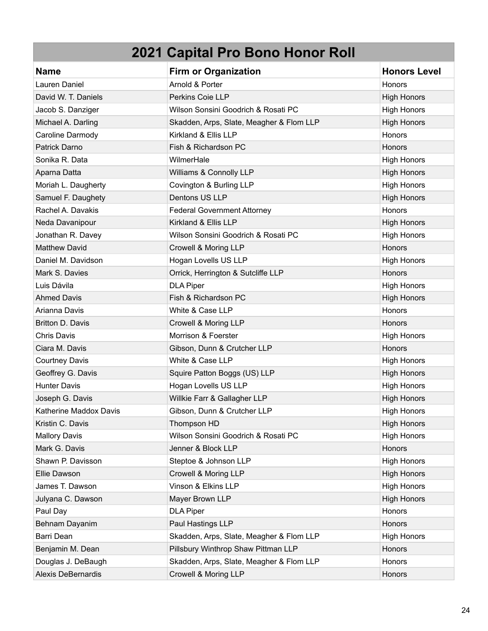| <b>Name</b>            | <b>Firm or Organization</b>              | <b>Honors Level</b> |
|------------------------|------------------------------------------|---------------------|
| Lauren Daniel          | Arnold & Porter                          | Honors              |
| David W. T. Daniels    | <b>Perkins Coie LLP</b>                  | <b>High Honors</b>  |
| Jacob S. Danziger      | Wilson Sonsini Goodrich & Rosati PC      | <b>High Honors</b>  |
| Michael A. Darling     | Skadden, Arps, Slate, Meagher & Flom LLP | <b>High Honors</b>  |
| Caroline Darmody       | Kirkland & Ellis LLP                     | Honors              |
| Patrick Darno          | Fish & Richardson PC                     | Honors              |
| Sonika R. Data         | WilmerHale                               | <b>High Honors</b>  |
| Aparna Datta           | Williams & Connolly LLP                  | <b>High Honors</b>  |
| Moriah L. Daugherty    | Covington & Burling LLP                  | <b>High Honors</b>  |
| Samuel F. Daughety     | Dentons US LLP                           | <b>High Honors</b>  |
| Rachel A. Davakis      | <b>Federal Government Attorney</b>       | Honors              |
| Neda Davanipour        | Kirkland & Ellis LLP                     | <b>High Honors</b>  |
| Jonathan R. Davey      | Wilson Sonsini Goodrich & Rosati PC      | <b>High Honors</b>  |
| <b>Matthew David</b>   | Crowell & Moring LLP                     | Honors              |
| Daniel M. Davidson     | Hogan Lovells US LLP                     | <b>High Honors</b>  |
| Mark S. Davies         | Orrick, Herrington & Sutcliffe LLP       | Honors              |
| Luis Dávila            | <b>DLA Piper</b>                         | <b>High Honors</b>  |
| <b>Ahmed Davis</b>     | Fish & Richardson PC                     | <b>High Honors</b>  |
| Arianna Davis          | White & Case LLP                         | Honors              |
| Britton D. Davis       | Crowell & Moring LLP                     | Honors              |
| <b>Chris Davis</b>     | Morrison & Foerster                      | <b>High Honors</b>  |
| Ciara M. Davis         | Gibson, Dunn & Crutcher LLP              | Honors              |
| <b>Courtney Davis</b>  | White & Case LLP                         | <b>High Honors</b>  |
| Geoffrey G. Davis      | Squire Patton Boggs (US) LLP             | <b>High Honors</b>  |
| <b>Hunter Davis</b>    | Hogan Lovells US LLP                     | <b>High Honors</b>  |
| Joseph G. Davis        | Willkie Farr & Gallagher LLP             | <b>High Honors</b>  |
| Katherine Maddox Davis | Gibson, Dunn & Crutcher LLP              | <b>High Honors</b>  |
| Kristin C. Davis       | Thompson HD                              | <b>High Honors</b>  |
| <b>Mallory Davis</b>   | Wilson Sonsini Goodrich & Rosati PC      | <b>High Honors</b>  |
| Mark G. Davis          | Jenner & Block LLP                       | Honors              |
| Shawn P. Davisson      | Steptoe & Johnson LLP                    | <b>High Honors</b>  |
| Ellie Dawson           | Crowell & Moring LLP                     | <b>High Honors</b>  |
| James T. Dawson        | Vinson & Elkins LLP                      | <b>High Honors</b>  |
| Julyana C. Dawson      | Mayer Brown LLP                          | <b>High Honors</b>  |
| Paul Day               | <b>DLA Piper</b>                         | Honors              |
| Behnam Dayanim         | Paul Hastings LLP                        | Honors              |
| Barri Dean             | Skadden, Arps, Slate, Meagher & Flom LLP | <b>High Honors</b>  |
| Benjamin M. Dean       | Pillsbury Winthrop Shaw Pittman LLP      | Honors              |
| Douglas J. DeBaugh     | Skadden, Arps, Slate, Meagher & Flom LLP | Honors              |
| Alexis DeBernardis     | Crowell & Moring LLP                     | Honors              |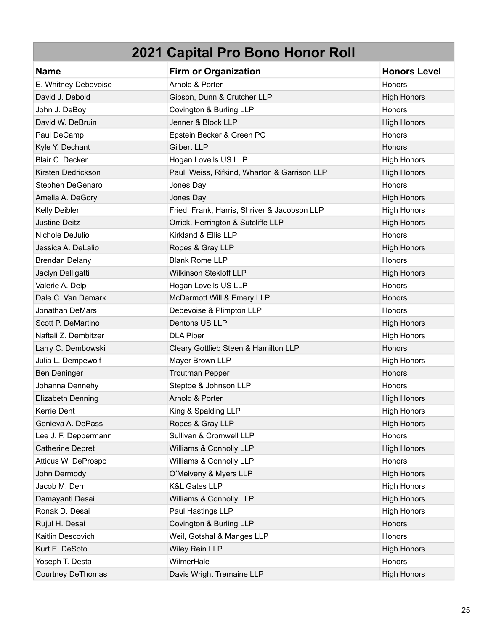| <b>Name</b>              | <b>Firm or Organization</b>                  | <b>Honors Level</b> |
|--------------------------|----------------------------------------------|---------------------|
| E. Whitney Debevoise     | Arnold & Porter                              | Honors              |
| David J. Debold          | Gibson, Dunn & Crutcher LLP                  | <b>High Honors</b>  |
| John J. DeBoy            | Covington & Burling LLP                      | <b>Honors</b>       |
| David W. DeBruin         | Jenner & Block LLP                           | <b>High Honors</b>  |
| Paul DeCamp              | Epstein Becker & Green PC                    | Honors              |
| Kyle Y. Dechant          | <b>Gilbert LLP</b>                           | Honors              |
| <b>Blair C. Decker</b>   | Hogan Lovells US LLP                         | <b>High Honors</b>  |
| Kirsten Dedrickson       | Paul, Weiss, Rifkind, Wharton & Garrison LLP | <b>High Honors</b>  |
| Stephen DeGenaro         | Jones Day                                    | Honors              |
| Amelia A. DeGory         | Jones Day                                    | <b>High Honors</b>  |
| Kelly Deibler            | Fried, Frank, Harris, Shriver & Jacobson LLP | <b>High Honors</b>  |
| <b>Justine Deitz</b>     | Orrick, Herrington & Sutcliffe LLP           | <b>High Honors</b>  |
| Nichole DeJulio          | Kirkland & Ellis LLP                         | Honors              |
| Jessica A. DeLalio       | Ropes & Gray LLP                             | <b>High Honors</b>  |
| <b>Brendan Delany</b>    | <b>Blank Rome LLP</b>                        | Honors              |
| Jaclyn Delligatti        | <b>Wilkinson Stekloff LLP</b>                | <b>High Honors</b>  |
| Valerie A. Delp          | Hogan Lovells US LLP                         | Honors              |
| Dale C. Van Demark       | McDermott Will & Emery LLP                   | Honors              |
| <b>Jonathan DeMars</b>   | Debevoise & Plimpton LLP                     | Honors              |
| Scott P. DeMartino       | Dentons US LLP                               | <b>High Honors</b>  |
| Naftali Z. Dembitzer     | <b>DLA Piper</b>                             | <b>High Honors</b>  |
| Larry C. Dembowski       | Cleary Gottlieb Steen & Hamilton LLP         | Honors              |
| Julia L. Dempewolf       | Mayer Brown LLP                              | <b>High Honors</b>  |
| Ben Deninger             | <b>Troutman Pepper</b>                       | Honors              |
| Johanna Dennehy          | Steptoe & Johnson LLP                        | Honors              |
| Elizabeth Denning        | Arnold & Porter                              | <b>High Honors</b>  |
| Kerrie Dent              | King & Spalding LLP                          | <b>High Honors</b>  |
| Genieva A. DePass        | Ropes & Gray LLP                             | <b>High Honors</b>  |
| Lee J. F. Deppermann     | Sullivan & Cromwell LLP                      | Honors              |
| <b>Catherine Depret</b>  | Williams & Connolly LLP                      | <b>High Honors</b>  |
| Atticus W. DeProspo      | Williams & Connolly LLP                      | Honors              |
| John Dermody             | O'Melveny & Myers LLP                        | <b>High Honors</b>  |
| Jacob M. Derr            | <b>K&amp;L Gates LLP</b>                     | <b>High Honors</b>  |
| Damayanti Desai          | Williams & Connolly LLP                      | <b>High Honors</b>  |
| Ronak D. Desai           | Paul Hastings LLP                            | <b>High Honors</b>  |
| Rujul H. Desai           | Covington & Burling LLP                      | Honors              |
| Kaitlin Descovich        | Weil, Gotshal & Manges LLP                   | Honors              |
| Kurt E. DeSoto           | Wiley Rein LLP                               | <b>High Honors</b>  |
| Yoseph T. Desta          | WilmerHale                                   | Honors              |
| <b>Courtney DeThomas</b> | Davis Wright Tremaine LLP                    | <b>High Honors</b>  |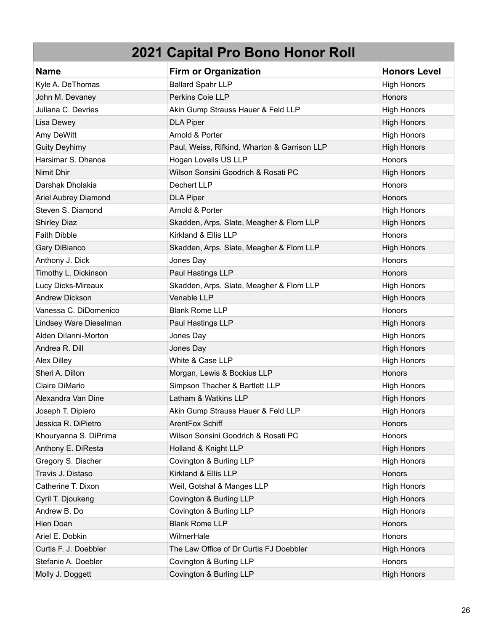| <b>Name</b>            | <b>Firm or Organization</b>                  | <b>Honors Level</b> |
|------------------------|----------------------------------------------|---------------------|
| Kyle A. DeThomas       | <b>Ballard Spahr LLP</b>                     | <b>High Honors</b>  |
| John M. Devaney        | Perkins Coie LLP                             | Honors              |
| Juliana C. Devries     | Akin Gump Strauss Hauer & Feld LLP           | <b>High Honors</b>  |
| Lisa Dewey             | <b>DLA Piper</b>                             | <b>High Honors</b>  |
| Amy DeWitt             | Arnold & Porter                              | <b>High Honors</b>  |
| <b>Guity Deyhimy</b>   | Paul, Weiss, Rifkind, Wharton & Garrison LLP | <b>High Honors</b>  |
| Harsimar S. Dhanoa     | Hogan Lovells US LLP                         | Honors              |
| Nimit Dhir             | Wilson Sonsini Goodrich & Rosati PC          | <b>High Honors</b>  |
| Darshak Dholakia       | Dechert LLP                                  | <b>Honors</b>       |
| Ariel Aubrey Diamond   | <b>DLA Piper</b>                             | Honors              |
| Steven S. Diamond      | Arnold & Porter                              | <b>High Honors</b>  |
| <b>Shirley Diaz</b>    | Skadden, Arps, Slate, Meagher & Flom LLP     | <b>High Honors</b>  |
| <b>Faith Dibble</b>    | Kirkland & Ellis LLP                         | Honors              |
| Gary DiBianco          | Skadden, Arps, Slate, Meagher & Flom LLP     | <b>High Honors</b>  |
| Anthony J. Dick        | Jones Day                                    | Honors              |
| Timothy L. Dickinson   | Paul Hastings LLP                            | Honors              |
| Lucy Dicks-Mireaux     | Skadden, Arps, Slate, Meagher & Flom LLP     | <b>High Honors</b>  |
| <b>Andrew Dickson</b>  | Venable LLP                                  | <b>High Honors</b>  |
| Vanessa C. DiDomenico  | <b>Blank Rome LLP</b>                        | Honors              |
| Lindsey Ware Dieselman | Paul Hastings LLP                            | <b>High Honors</b>  |
| Alden Dilanni-Morton   | Jones Day                                    | <b>High Honors</b>  |
| Andrea R. Dill         | Jones Day                                    | <b>High Honors</b>  |
| <b>Alex Dilley</b>     | White & Case LLP                             | <b>High Honors</b>  |
| Sheri A. Dillon        | Morgan, Lewis & Bockius LLP                  | <b>Honors</b>       |
| Claire DiMario         | Simpson Thacher & Bartlett LLP               | <b>High Honors</b>  |
| Alexandra Van Dine     | Latham & Watkins LLP                         | <b>High Honors</b>  |
| Joseph T. Dipiero      | Akin Gump Strauss Hauer & Feld LLP           | <b>High Honors</b>  |
| Jessica R. DiPietro    | ArentFox Schiff                              | <b>Honors</b>       |
| Khouryanna S. DiPrima  | Wilson Sonsini Goodrich & Rosati PC          | Honors              |
| Anthony E. DiResta     | Holland & Knight LLP                         | <b>High Honors</b>  |
| Gregory S. Discher     | Covington & Burling LLP                      | <b>High Honors</b>  |
| Travis J. Distaso      | Kirkland & Ellis LLP                         | Honors              |
| Catherine T. Dixon     | Weil, Gotshal & Manges LLP                   | <b>High Honors</b>  |
| Cyril T. Djoukeng      | Covington & Burling LLP                      | <b>High Honors</b>  |
| Andrew B. Do           | Covington & Burling LLP                      | <b>High Honors</b>  |
| Hien Doan              | <b>Blank Rome LLP</b>                        | Honors              |
| Ariel E. Dobkin        | WilmerHale                                   | Honors              |
| Curtis F. J. Doebbler  | The Law Office of Dr Curtis FJ Doebbler      | <b>High Honors</b>  |
| Stefanie A. Doebler    | Covington & Burling LLP                      | Honors              |
| Molly J. Doggett       | Covington & Burling LLP                      | <b>High Honors</b>  |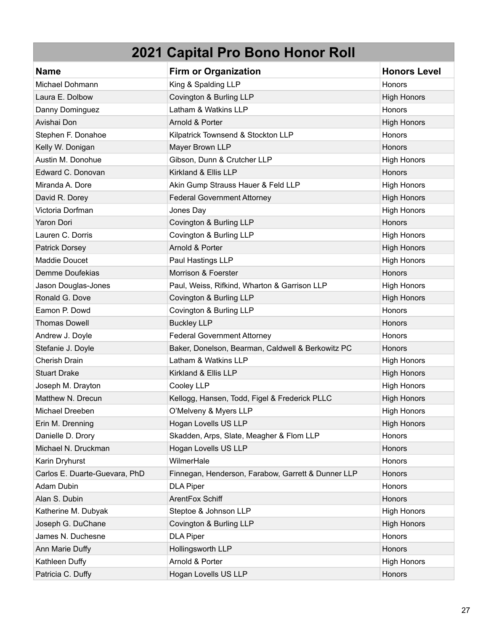| <b>Name</b>                   | <b>Firm or Organization</b>                        | <b>Honors Level</b> |
|-------------------------------|----------------------------------------------------|---------------------|
| Michael Dohmann               | King & Spalding LLP                                | Honors              |
| Laura E. Dolbow               | Covington & Burling LLP                            | <b>High Honors</b>  |
| Danny Dominguez               | Latham & Watkins LLP                               | Honors              |
| Avishai Don                   | Arnold & Porter                                    | <b>High Honors</b>  |
| Stephen F. Donahoe            | Kilpatrick Townsend & Stockton LLP                 | Honors              |
| Kelly W. Donigan              | Mayer Brown LLP                                    | Honors              |
| Austin M. Donohue             | Gibson, Dunn & Crutcher LLP                        | <b>High Honors</b>  |
| Edward C. Donovan             | Kirkland & Ellis LLP                               | Honors              |
| Miranda A. Dore               | Akin Gump Strauss Hauer & Feld LLP                 | <b>High Honors</b>  |
| David R. Dorey                | <b>Federal Government Attorney</b>                 | <b>High Honors</b>  |
| Victoria Dorfman              | Jones Day                                          | <b>High Honors</b>  |
| Yaron Dori                    | Covington & Burling LLP                            | Honors              |
| Lauren C. Dorris              | Covington & Burling LLP                            | <b>High Honors</b>  |
| <b>Patrick Dorsey</b>         | Arnold & Porter                                    | <b>High Honors</b>  |
| Maddie Doucet                 | Paul Hastings LLP                                  | <b>High Honors</b>  |
| Demme Doufekias               | Morrison & Foerster                                | Honors              |
| Jason Douglas-Jones           | Paul, Weiss, Rifkind, Wharton & Garrison LLP       | <b>High Honors</b>  |
| Ronald G. Dove                | Covington & Burling LLP                            | <b>High Honors</b>  |
| Eamon P. Dowd                 | Covington & Burling LLP                            | Honors              |
| <b>Thomas Dowell</b>          | <b>Buckley LLP</b>                                 | Honors              |
| Andrew J. Doyle               | <b>Federal Government Attorney</b>                 | Honors              |
| Stefanie J. Doyle             | Baker, Donelson, Bearman, Caldwell & Berkowitz PC  | Honors              |
| <b>Cherish Drain</b>          | Latham & Watkins LLP                               | <b>High Honors</b>  |
| <b>Stuart Drake</b>           | Kirkland & Ellis LLP                               | <b>High Honors</b>  |
| Joseph M. Drayton             | Cooley LLP                                         | <b>High Honors</b>  |
| Matthew N. Drecun             | Kellogg, Hansen, Todd, Figel & Frederick PLLC      | <b>High Honors</b>  |
| Michael Dreeben               | O'Melveny & Myers LLP                              | <b>High Honors</b>  |
| Erin M. Drenning              | Hogan Lovells US LLP                               | <b>High Honors</b>  |
| Danielle D. Drory             | Skadden, Arps, Slate, Meagher & Flom LLP           | Honors              |
| Michael N. Druckman           | Hogan Lovells US LLP                               | Honors              |
| Karin Dryhurst                | WilmerHale                                         | Honors              |
| Carlos E. Duarte-Guevara, PhD | Finnegan, Henderson, Farabow, Garrett & Dunner LLP | Honors              |
| Adam Dubin                    | <b>DLA Piper</b>                                   | Honors              |
| Alan S. Dubin                 | ArentFox Schiff                                    | Honors              |
| Katherine M. Dubyak           | Steptoe & Johnson LLP                              | <b>High Honors</b>  |
| Joseph G. DuChane             | Covington & Burling LLP                            | <b>High Honors</b>  |
| James N. Duchesne             | <b>DLA Piper</b>                                   | Honors              |
| Ann Marie Duffy               | Hollingsworth LLP                                  | Honors              |
| Kathleen Duffy                | Arnold & Porter                                    | <b>High Honors</b>  |
| Patricia C. Duffy             | Hogan Lovells US LLP                               | Honors              |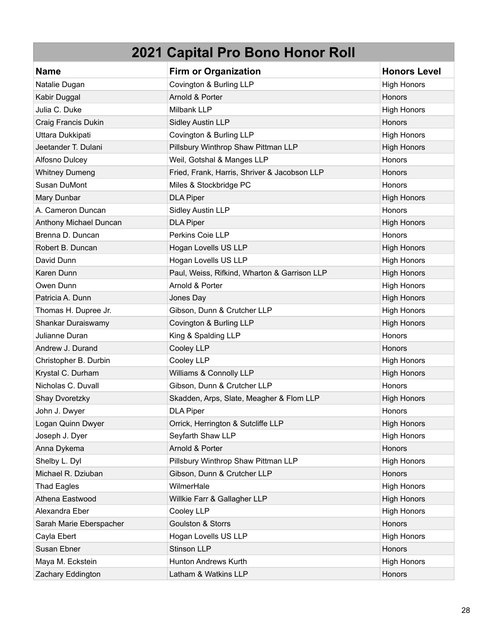| <b>Name</b>             | <b>Firm or Organization</b>                  | <b>Honors Level</b> |
|-------------------------|----------------------------------------------|---------------------|
| Natalie Dugan           | Covington & Burling LLP                      | <b>High Honors</b>  |
| Kabir Duggal            | Arnold & Porter                              | Honors              |
| Julia C. Duke           | Milbank LLP                                  | <b>High Honors</b>  |
| Craig Francis Dukin     | <b>Sidley Austin LLP</b>                     | Honors              |
| Uttara Dukkipati        | Covington & Burling LLP                      | <b>High Honors</b>  |
| Jeetander T. Dulani     | Pillsbury Winthrop Shaw Pittman LLP          | <b>High Honors</b>  |
| Alfosno Dulcey          | Weil, Gotshal & Manges LLP                   | Honors              |
| <b>Whitney Dumeng</b>   | Fried, Frank, Harris, Shriver & Jacobson LLP | Honors              |
| Susan DuMont            | Miles & Stockbridge PC                       | Honors              |
| Mary Dunbar             | <b>DLA Piper</b>                             | <b>High Honors</b>  |
| A. Cameron Duncan       | Sidley Austin LLP                            | Honors              |
| Anthony Michael Duncan  | <b>DLA Piper</b>                             | <b>High Honors</b>  |
| Brenna D. Duncan        | Perkins Coie LLP                             | Honors              |
| Robert B. Duncan        | Hogan Lovells US LLP                         | <b>High Honors</b>  |
| David Dunn              | Hogan Lovells US LLP                         | <b>High Honors</b>  |
| Karen Dunn              | Paul, Weiss, Rifkind, Wharton & Garrison LLP | <b>High Honors</b>  |
| Owen Dunn               | Arnold & Porter                              | <b>High Honors</b>  |
| Patricia A. Dunn        | Jones Day                                    | <b>High Honors</b>  |
| Thomas H. Dupree Jr.    | Gibson, Dunn & Crutcher LLP                  | High Honors         |
| Shankar Duraiswamy      | Covington & Burling LLP                      | <b>High Honors</b>  |
| Julianne Duran          | King & Spalding LLP                          | Honors              |
| Andrew J. Durand        | Cooley LLP                                   | Honors              |
| Christopher B. Durbin   | Cooley LLP                                   | <b>High Honors</b>  |
| Krystal C. Durham       | Williams & Connolly LLP                      | <b>High Honors</b>  |
| Nicholas C. Duvall      | Gibson, Dunn & Crutcher LLP                  | Honors              |
| Shay Dvoretzky          | Skadden, Arps, Slate, Meagher & Flom LLP     | <b>High Honors</b>  |
| John J. Dwyer           | <b>DLA Piper</b>                             | Honors              |
| Logan Quinn Dwyer       | Orrick, Herrington & Sutcliffe LLP           | <b>High Honors</b>  |
| Joseph J. Dyer          | Seyfarth Shaw LLP                            | <b>High Honors</b>  |
| Anna Dykema             | Arnold & Porter                              | Honors              |
| Shelby L. Dyl           | Pillsbury Winthrop Shaw Pittman LLP          | <b>High Honors</b>  |
| Michael R. Dziuban      | Gibson, Dunn & Crutcher LLP                  | Honors              |
| <b>Thad Eagles</b>      | WilmerHale                                   | <b>High Honors</b>  |
| Athena Eastwood         | Willkie Farr & Gallagher LLP                 | <b>High Honors</b>  |
| Alexandra Eber          | Cooley LLP                                   | <b>High Honors</b>  |
| Sarah Marie Eberspacher | <b>Goulston &amp; Storrs</b>                 | Honors              |
| Cayla Ebert             | Hogan Lovells US LLP                         | <b>High Honors</b>  |
| Susan Ebner             | Stinson LLP                                  | Honors              |
| Maya M. Eckstein        | Hunton Andrews Kurth                         | <b>High Honors</b>  |
| Zachary Eddington       | Latham & Watkins LLP                         | Honors              |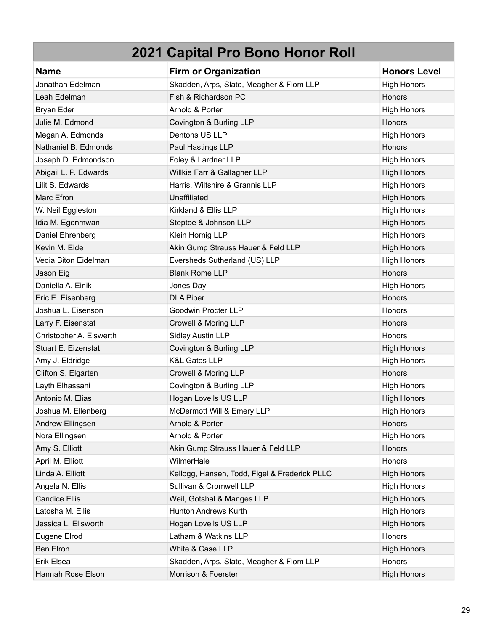| <b>Name</b>             | <b>Firm or Organization</b>                   | <b>Honors Level</b> |
|-------------------------|-----------------------------------------------|---------------------|
| Jonathan Edelman        | Skadden, Arps, Slate, Meagher & Flom LLP      | <b>High Honors</b>  |
| Leah Edelman            | Fish & Richardson PC                          | Honors              |
| Bryan Eder              | Arnold & Porter                               | <b>High Honors</b>  |
| Julie M. Edmond         | Covington & Burling LLP                       | Honors              |
| Megan A. Edmonds        | Dentons US LLP                                | <b>High Honors</b>  |
| Nathaniel B. Edmonds    | Paul Hastings LLP                             | Honors              |
| Joseph D. Edmondson     | Foley & Lardner LLP                           | <b>High Honors</b>  |
| Abigail L. P. Edwards   | Willkie Farr & Gallagher LLP                  | <b>High Honors</b>  |
| Lilit S. Edwards        | Harris, Wiltshire & Grannis LLP               | <b>High Honors</b>  |
| Marc Efron              | Unaffiliated                                  | <b>High Honors</b>  |
| W. Neil Eggleston       | Kirkland & Ellis LLP                          | <b>High Honors</b>  |
| Idia M. Egonmwan        | Steptoe & Johnson LLP                         | <b>High Honors</b>  |
| Daniel Ehrenberg        | Klein Hornig LLP                              | High Honors         |
| Kevin M. Eide           | Akin Gump Strauss Hauer & Feld LLP            | <b>High Honors</b>  |
| Vedia Biton Eidelman    | Eversheds Sutherland (US) LLP                 | <b>High Honors</b>  |
| Jason Eig               | <b>Blank Rome LLP</b>                         | Honors              |
| Daniella A. Einik       | Jones Day                                     | <b>High Honors</b>  |
| Eric E. Eisenberg       | <b>DLA Piper</b>                              | Honors              |
| Joshua L. Eisenson      | Goodwin Procter LLP                           | <b>Honors</b>       |
| Larry F. Eisenstat      | Crowell & Moring LLP                          | Honors              |
| Christopher A. Eiswerth | <b>Sidley Austin LLP</b>                      | <b>Honors</b>       |
| Stuart E. Eizenstat     | Covington & Burling LLP                       | <b>High Honors</b>  |
| Amy J. Eldridge         | <b>K&amp;L Gates LLP</b>                      | <b>High Honors</b>  |
| Clifton S. Elgarten     | Crowell & Moring LLP                          | <b>Honors</b>       |
| Layth Elhassani         | Covington & Burling LLP                       | <b>High Honors</b>  |
| Antonio M. Elias        | Hogan Lovells US LLP                          | <b>High Honors</b>  |
| Joshua M. Ellenberg     | McDermott Will & Emery LLP                    | <b>High Honors</b>  |
| Andrew Ellingsen        | Arnold & Porter                               | <b>Honors</b>       |
| Nora Ellingsen          | Arnold & Porter                               | <b>High Honors</b>  |
| Amy S. Elliott          | Akin Gump Strauss Hauer & Feld LLP            | Honors              |
| April M. Elliott        | WilmerHale                                    | Honors              |
| Linda A. Elliott        | Kellogg, Hansen, Todd, Figel & Frederick PLLC | <b>High Honors</b>  |
| Angela N. Ellis         | Sullivan & Cromwell LLP                       | <b>High Honors</b>  |
| <b>Candice Ellis</b>    | Weil, Gotshal & Manges LLP                    | <b>High Honors</b>  |
| Latosha M. Ellis        | Hunton Andrews Kurth                          | <b>High Honors</b>  |
| Jessica L. Ellsworth    | Hogan Lovells US LLP                          | <b>High Honors</b>  |
| Eugene Elrod            | Latham & Watkins LLP                          | Honors              |
| <b>Ben Elron</b>        | White & Case LLP                              | <b>High Honors</b>  |
| Erik Elsea              | Skadden, Arps, Slate, Meagher & Flom LLP      | Honors              |
| Hannah Rose Elson       | Morrison & Foerster                           | <b>High Honors</b>  |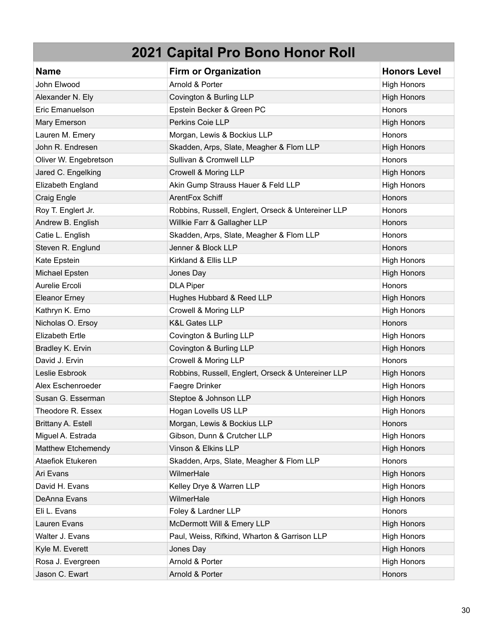| <b>Name</b>            | <b>Firm or Organization</b>                        | <b>Honors Level</b> |
|------------------------|----------------------------------------------------|---------------------|
| John Elwood            | Arnold & Porter                                    | <b>High Honors</b>  |
| Alexander N. Ely       | Covington & Burling LLP                            | <b>High Honors</b>  |
| Eric Emanuelson        | Epstein Becker & Green PC                          | Honors              |
| Mary Emerson           | Perkins Coie LLP                                   | <b>High Honors</b>  |
| Lauren M. Emery        | Morgan, Lewis & Bockius LLP                        | Honors              |
| John R. Endresen       | Skadden, Arps, Slate, Meagher & Flom LLP           | <b>High Honors</b>  |
| Oliver W. Engebretson  | Sullivan & Cromwell LLP                            | Honors              |
| Jared C. Engelking     | Crowell & Moring LLP                               | <b>High Honors</b>  |
| Elizabeth England      | Akin Gump Strauss Hauer & Feld LLP                 | <b>High Honors</b>  |
| Craig Engle            | ArentFox Schiff                                    | Honors              |
| Roy T. Englert Jr.     | Robbins, Russell, Englert, Orseck & Untereiner LLP | Honors              |
| Andrew B. English      | Willkie Farr & Gallagher LLP                       | <b>Honors</b>       |
| Catie L. English       | Skadden, Arps, Slate, Meagher & Flom LLP           | Honors              |
| Steven R. Englund      | Jenner & Block LLP                                 | <b>Honors</b>       |
| Kate Epstein           | Kirkland & Ellis LLP                               | <b>High Honors</b>  |
| Michael Epsten         | Jones Day                                          | <b>High Honors</b>  |
| Aurelie Ercoli         | <b>DLA Piper</b>                                   | Honors              |
| <b>Eleanor Erney</b>   | Hughes Hubbard & Reed LLP                          | <b>High Honors</b>  |
| Kathryn K. Erno        | Crowell & Moring LLP                               | <b>High Honors</b>  |
| Nicholas O. Ersoy      | <b>K&amp;L Gates LLP</b>                           | <b>Honors</b>       |
| <b>Elizabeth Ertle</b> | Covington & Burling LLP                            | <b>High Honors</b>  |
| Bradley K. Ervin       | Covington & Burling LLP                            | <b>High Honors</b>  |
| David J. Ervin         | Crowell & Moring LLP                               | Honors              |
| Leslie Esbrook         | Robbins, Russell, Englert, Orseck & Untereiner LLP | <b>High Honors</b>  |
| Alex Eschenroeder      | Faegre Drinker                                     | <b>High Honors</b>  |
| Susan G. Esserman      | Steptoe & Johnson LLP                              | <b>High Honors</b>  |
| Theodore R. Essex      | Hogan Lovells US LLP                               | <b>High Honors</b>  |
| Brittany A. Estell     | Morgan, Lewis & Bockius LLP                        | Honors              |
| Miguel A. Estrada      | Gibson, Dunn & Crutcher LLP                        | <b>High Honors</b>  |
| Matthew Etchemendy     | Vinson & Elkins LLP                                | <b>High Honors</b>  |
| Ataefiok Etukeren      | Skadden, Arps, Slate, Meagher & Flom LLP           | Honors              |
| Ari Evans              | WilmerHale                                         | <b>High Honors</b>  |
| David H. Evans         | Kelley Drye & Warren LLP                           | <b>High Honors</b>  |
| DeAnna Evans           | WilmerHale                                         | <b>High Honors</b>  |
| Eli L. Evans           | Foley & Lardner LLP                                | Honors              |
| Lauren Evans           | McDermott Will & Emery LLP                         | <b>High Honors</b>  |
| Walter J. Evans        | Paul, Weiss, Rifkind, Wharton & Garrison LLP       | <b>High Honors</b>  |
| Kyle M. Everett        | Jones Day                                          | <b>High Honors</b>  |
| Rosa J. Evergreen      | Arnold & Porter                                    | <b>High Honors</b>  |
| Jason C. Ewart         | Arnold & Porter                                    | Honors              |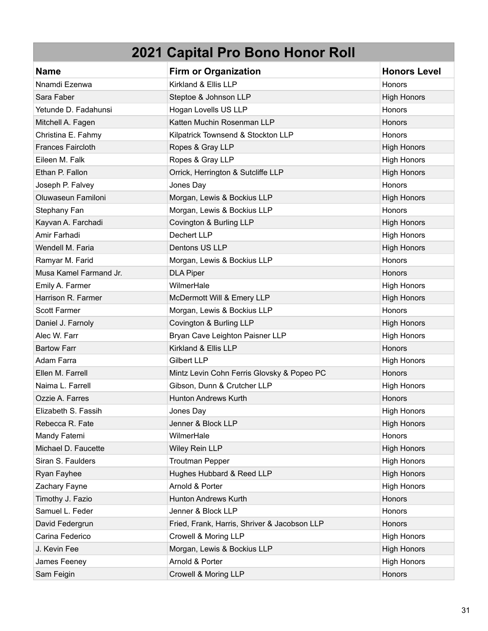| <b>Name</b>              | <b>Firm or Organization</b>                  | <b>Honors Level</b> |
|--------------------------|----------------------------------------------|---------------------|
| Nnamdi Ezenwa            | Kirkland & Ellis LLP                         | <b>Honors</b>       |
| Sara Faber               | Steptoe & Johnson LLP                        | <b>High Honors</b>  |
| Yetunde D. Fadahunsi     | Hogan Lovells US LLP                         | Honors              |
| Mitchell A. Fagen        | Katten Muchin Rosenman LLP                   | Honors              |
| Christina E. Fahmy       | Kilpatrick Townsend & Stockton LLP           | Honors              |
| <b>Frances Faircloth</b> | Ropes & Gray LLP                             | <b>High Honors</b>  |
| Eileen M. Falk           | Ropes & Gray LLP                             | <b>High Honors</b>  |
| Ethan P. Fallon          | Orrick, Herrington & Sutcliffe LLP           | <b>High Honors</b>  |
| Joseph P. Falvey         | Jones Day                                    | Honors              |
| Oluwaseun Familoni       | Morgan, Lewis & Bockius LLP                  | <b>High Honors</b>  |
| Stephany Fan             | Morgan, Lewis & Bockius LLP                  | Honors              |
| Kayvan A. Farchadi       | Covington & Burling LLP                      | <b>High Honors</b>  |
| Amir Farhadi             | <b>Dechert LLP</b>                           | <b>High Honors</b>  |
| Wendell M. Faria         | Dentons US LLP                               | <b>High Honors</b>  |
| Ramyar M. Farid          | Morgan, Lewis & Bockius LLP                  | Honors              |
| Musa Kamel Farmand Jr.   | <b>DLA Piper</b>                             | Honors              |
| Emily A. Farmer          | WilmerHale                                   | <b>High Honors</b>  |
| Harrison R. Farmer       | McDermott Will & Emery LLP                   | <b>High Honors</b>  |
| <b>Scott Farmer</b>      | Morgan, Lewis & Bockius LLP                  | Honors              |
| Daniel J. Farnoly        | Covington & Burling LLP                      | <b>High Honors</b>  |
| Alec W. Farr             | Bryan Cave Leighton Paisner LLP              | <b>High Honors</b>  |
| <b>Bartow Farr</b>       | Kirkland & Ellis LLP                         | Honors              |
| Adam Farra               | <b>Gilbert LLP</b>                           | <b>High Honors</b>  |
| Ellen M. Farrell         | Mintz Levin Cohn Ferris Glovsky & Popeo PC   | Honors              |
| Naima L. Farrell         | Gibson, Dunn & Crutcher LLP                  | <b>High Honors</b>  |
| Ozzie A. Farres          | <b>Hunton Andrews Kurth</b>                  | <b>Honors</b>       |
| Elizabeth S. Fassih      | Jones Day                                    | <b>High Honors</b>  |
| Rebecca R. Fate          | Jenner & Block LLP                           | <b>High Honors</b>  |
| Mandy Fatemi             | WilmerHale                                   | Honors              |
| Michael D. Faucette      | Wiley Rein LLP                               | <b>High Honors</b>  |
| Siran S. Faulders        | <b>Troutman Pepper</b>                       | <b>High Honors</b>  |
| Ryan Fayhee              | Hughes Hubbard & Reed LLP                    | <b>High Honors</b>  |
| Zachary Fayne            | Arnold & Porter                              | <b>High Honors</b>  |
| Timothy J. Fazio         | <b>Hunton Andrews Kurth</b>                  | Honors              |
| Samuel L. Feder          | Jenner & Block LLP                           | Honors              |
| David Federgrun          | Fried, Frank, Harris, Shriver & Jacobson LLP | Honors              |
| Carina Federico          | Crowell & Moring LLP                         | <b>High Honors</b>  |
| J. Kevin Fee             | Morgan, Lewis & Bockius LLP                  | <b>High Honors</b>  |
| James Feeney             | Arnold & Porter                              | <b>High Honors</b>  |
| Sam Feigin               | Crowell & Moring LLP                         | Honors              |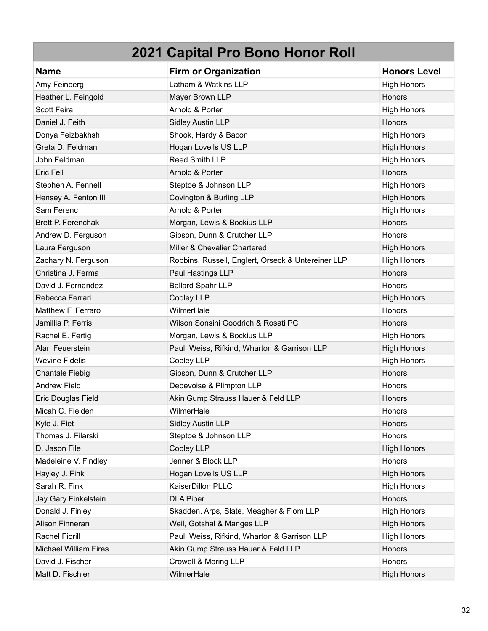| <b>Name</b>                  | <b>Firm or Organization</b>                        | <b>Honors Level</b> |
|------------------------------|----------------------------------------------------|---------------------|
| Amy Feinberg                 | Latham & Watkins LLP                               | <b>High Honors</b>  |
| Heather L. Feingold          | Mayer Brown LLP                                    | Honors              |
| <b>Scott Feira</b>           | Arnold & Porter                                    | <b>High Honors</b>  |
| Daniel J. Feith              | <b>Sidley Austin LLP</b>                           | Honors              |
| Donya Feizbakhsh             | Shook, Hardy & Bacon                               | <b>High Honors</b>  |
| Greta D. Feldman             | Hogan Lovells US LLP                               | <b>High Honors</b>  |
| John Feldman                 | Reed Smith LLP                                     | <b>High Honors</b>  |
| Eric Fell                    | Arnold & Porter                                    | Honors              |
| Stephen A. Fennell           | Steptoe & Johnson LLP                              | <b>High Honors</b>  |
| Hensey A. Fenton III         | Covington & Burling LLP                            | <b>High Honors</b>  |
| Sam Ferenc                   | Arnold & Porter                                    | <b>High Honors</b>  |
| Brett P. Ferenchak           | Morgan, Lewis & Bockius LLP                        | Honors              |
| Andrew D. Ferguson           | Gibson, Dunn & Crutcher LLP                        | Honors              |
| Laura Ferguson               | Miller & Chevalier Chartered                       | <b>High Honors</b>  |
| Zachary N. Ferguson          | Robbins, Russell, Englert, Orseck & Untereiner LLP | <b>High Honors</b>  |
| Christina J. Ferma           | Paul Hastings LLP                                  | Honors              |
| David J. Fernandez           | <b>Ballard Spahr LLP</b>                           | <b>Honors</b>       |
| Rebecca Ferrari              | Cooley LLP                                         | <b>High Honors</b>  |
| Matthew F. Ferraro           | WilmerHale                                         | Honors              |
| Jamillia P. Ferris           | Wilson Sonsini Goodrich & Rosati PC                | Honors              |
| Rachel E. Fertig             | Morgan, Lewis & Bockius LLP                        | <b>High Honors</b>  |
| Alan Feuerstein              | Paul, Weiss, Rifkind, Wharton & Garrison LLP       | <b>High Honors</b>  |
| <b>Wevine Fidelis</b>        | Cooley LLP                                         | <b>High Honors</b>  |
| <b>Chantale Fiebig</b>       | Gibson, Dunn & Crutcher LLP                        | Honors              |
| <b>Andrew Field</b>          | Debevoise & Plimpton LLP                           | Honors              |
| Eric Douglas Field           | Akin Gump Strauss Hauer & Feld LLP                 | Honors              |
| Micah C. Fielden             | WilmerHale                                         | <b>Honors</b>       |
| Kyle J. Fiet                 | <b>Sidley Austin LLP</b>                           | Honors              |
| Thomas J. Filarski           | Steptoe & Johnson LLP                              | Honors              |
| D. Jason File                | Cooley LLP                                         | <b>High Honors</b>  |
| Madeleine V. Findley         | Jenner & Block LLP                                 | Honors              |
| Hayley J. Fink               | Hogan Lovells US LLP                               | <b>High Honors</b>  |
| Sarah R. Fink                | KaiserDillon PLLC                                  | <b>High Honors</b>  |
| Jay Gary Finkelstein         | <b>DLA Piper</b>                                   | Honors              |
| Donald J. Finley             | Skadden, Arps, Slate, Meagher & Flom LLP           | <b>High Honors</b>  |
| Alison Finneran              | Weil, Gotshal & Manges LLP                         | <b>High Honors</b>  |
| <b>Rachel Fiorill</b>        | Paul, Weiss, Rifkind, Wharton & Garrison LLP       | <b>High Honors</b>  |
| <b>Michael William Fires</b> | Akin Gump Strauss Hauer & Feld LLP                 | Honors              |
| David J. Fischer             | Crowell & Moring LLP                               | Honors              |
| Matt D. Fischler             | WilmerHale                                         | <b>High Honors</b>  |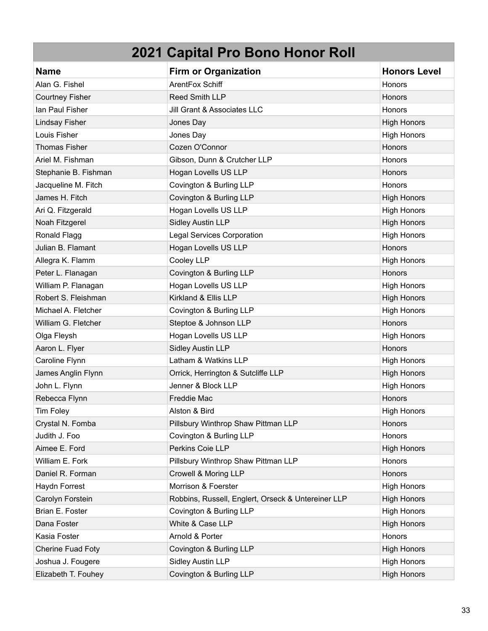| <b>Name</b>              | <b>Firm or Organization</b>                        | <b>Honors Level</b> |
|--------------------------|----------------------------------------------------|---------------------|
| Alan G. Fishel           | ArentFox Schiff                                    | <b>Honors</b>       |
| <b>Courtney Fisher</b>   | Reed Smith LLP                                     | Honors              |
| lan Paul Fisher          | Jill Grant & Associates LLC                        | Honors              |
| <b>Lindsay Fisher</b>    | Jones Day                                          | <b>High Honors</b>  |
| Louis Fisher             | Jones Day                                          | <b>High Honors</b>  |
| <b>Thomas Fisher</b>     | Cozen O'Connor                                     | Honors              |
| Ariel M. Fishman         | Gibson, Dunn & Crutcher LLP                        | Honors              |
| Stephanie B. Fishman     | Hogan Lovells US LLP                               | Honors              |
| Jacqueline M. Fitch      | Covington & Burling LLP                            | Honors              |
| James H. Fitch           | Covington & Burling LLP                            | <b>High Honors</b>  |
| Ari Q. Fitzgerald        | Hogan Lovells US LLP                               | <b>High Honors</b>  |
| Noah Fitzgerel           | <b>Sidley Austin LLP</b>                           | <b>High Honors</b>  |
| Ronald Flagg             | <b>Legal Services Corporation</b>                  | <b>High Honors</b>  |
| Julian B. Flamant        | Hogan Lovells US LLP                               | Honors              |
| Allegra K. Flamm         | Cooley LLP                                         | <b>High Honors</b>  |
| Peter L. Flanagan        | Covington & Burling LLP                            | Honors              |
| William P. Flanagan      | Hogan Lovells US LLP                               | <b>High Honors</b>  |
| Robert S. Fleishman      | Kirkland & Ellis LLP                               | <b>High Honors</b>  |
| Michael A. Fletcher      | Covington & Burling LLP                            | <b>High Honors</b>  |
| William G. Fletcher      | Steptoe & Johnson LLP                              | Honors              |
| Olga Fleysh              | Hogan Lovells US LLP                               | <b>High Honors</b>  |
| Aaron L. Flyer           | <b>Sidley Austin LLP</b>                           | Honors              |
| Caroline Flynn           | Latham & Watkins LLP                               | <b>High Honors</b>  |
| James Anglin Flynn       | Orrick, Herrington & Sutcliffe LLP                 | <b>High Honors</b>  |
| John L. Flynn            | Jenner & Block LLP                                 | <b>High Honors</b>  |
| Rebecca Flynn            | Freddie Mac                                        | Honors              |
| <b>Tim Foley</b>         | Alston & Bird                                      | <b>High Honors</b>  |
| Crystal N. Fomba         | Pillsbury Winthrop Shaw Pittman LLP                | Honors              |
| Judith J. Foo            | Covington & Burling LLP                            | Honors              |
| Aimee E. Ford            | Perkins Coie LLP                                   | <b>High Honors</b>  |
| William E. Fork          | Pillsbury Winthrop Shaw Pittman LLP                | Honors              |
| Daniel R. Forman         | Crowell & Moring LLP                               | Honors              |
| Haydn Forrest            | Morrison & Foerster                                | <b>High Honors</b>  |
| Carolyn Forstein         | Robbins, Russell, Englert, Orseck & Untereiner LLP | <b>High Honors</b>  |
| Brian E. Foster          | Covington & Burling LLP                            | <b>High Honors</b>  |
| Dana Foster              | White & Case LLP                                   | <b>High Honors</b>  |
| Kasia Foster             | Arnold & Porter                                    | Honors              |
| <b>Cherine Fuad Foty</b> | Covington & Burling LLP                            | <b>High Honors</b>  |
| Joshua J. Fougere        | <b>Sidley Austin LLP</b>                           | <b>High Honors</b>  |
| Elizabeth T. Fouhey      | Covington & Burling LLP                            | <b>High Honors</b>  |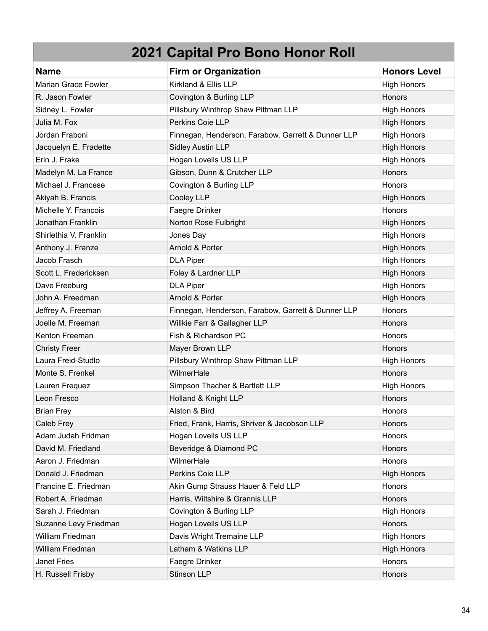| <b>Name</b>                | <b>Firm or Organization</b>                        | <b>Honors Level</b> |
|----------------------------|----------------------------------------------------|---------------------|
| <b>Marian Grace Fowler</b> | Kirkland & Ellis LLP                               | <b>High Honors</b>  |
| R. Jason Fowler            | Covington & Burling LLP                            | Honors              |
| Sidney L. Fowler           | Pillsbury Winthrop Shaw Pittman LLP                | <b>High Honors</b>  |
| Julia M. Fox               | Perkins Coie LLP                                   | <b>High Honors</b>  |
| Jordan Fraboni             | Finnegan, Henderson, Farabow, Garrett & Dunner LLP | <b>High Honors</b>  |
| Jacquelyn E. Fradette      | <b>Sidley Austin LLP</b>                           | <b>High Honors</b>  |
| Erin J. Frake              | Hogan Lovells US LLP                               | <b>High Honors</b>  |
| Madelyn M. La France       | Gibson, Dunn & Crutcher LLP                        | Honors              |
| Michael J. Francese        | Covington & Burling LLP                            | Honors              |
| Akiyah B. Francis          | Cooley LLP                                         | <b>High Honors</b>  |
| Michelle Y. Francois       | Faegre Drinker                                     | Honors              |
| Jonathan Franklin          | Norton Rose Fulbright                              | <b>High Honors</b>  |
| Shirlethia V. Franklin     | Jones Day                                          | <b>High Honors</b>  |
| Anthony J. Franze          | Arnold & Porter                                    | <b>High Honors</b>  |
| Jacob Frasch               | <b>DLA Piper</b>                                   | <b>High Honors</b>  |
| Scott L. Fredericksen      | Foley & Lardner LLP                                | <b>High Honors</b>  |
| Dave Freeburg              | <b>DLA Piper</b>                                   | <b>High Honors</b>  |
| John A. Freedman           | Arnold & Porter                                    | <b>High Honors</b>  |
| Jeffrey A. Freeman         | Finnegan, Henderson, Farabow, Garrett & Dunner LLP | Honors              |
| Joelle M. Freeman          | Willkie Farr & Gallagher LLP                       | <b>Honors</b>       |
| Kenton Freeman             | Fish & Richardson PC                               | Honors              |
| <b>Christy Freer</b>       | Mayer Brown LLP                                    | Honors              |
| Laura Freid-Studlo         | Pillsbury Winthrop Shaw Pittman LLP                | <b>High Honors</b>  |
| Monte S. Frenkel           | WilmerHale                                         | Honors              |
| Lauren Frequez             | Simpson Thacher & Bartlett LLP                     | <b>High Honors</b>  |
| Leon Fresco                | Holland & Knight LLP                               | Honors              |
| <b>Brian Frey</b>          | Alston & Bird                                      | Honors              |
| Caleb Frey                 | Fried, Frank, Harris, Shriver & Jacobson LLP       | <b>Honors</b>       |
| Adam Judah Fridman         | Hogan Lovells US LLP                               | Honors              |
| David M. Friedland         | Beveridge & Diamond PC                             | Honors              |
| Aaron J. Friedman          | WilmerHale                                         | Honors              |
| Donald J. Friedman         | Perkins Coie LLP                                   | <b>High Honors</b>  |
| Francine E. Friedman       | Akin Gump Strauss Hauer & Feld LLP                 | <b>Honors</b>       |
| Robert A. Friedman         | Harris, Wiltshire & Grannis LLP                    | Honors              |
| Sarah J. Friedman          | Covington & Burling LLP                            | <b>High Honors</b>  |
| Suzanne Levy Friedman      | Hogan Lovells US LLP                               | Honors              |
| William Friedman           | Davis Wright Tremaine LLP                          | <b>High Honors</b>  |
| William Friedman           | Latham & Watkins LLP                               | <b>High Honors</b>  |
| <b>Janet Fries</b>         | Faegre Drinker                                     | Honors              |
| H. Russell Frisby          | Stinson LLP                                        | Honors              |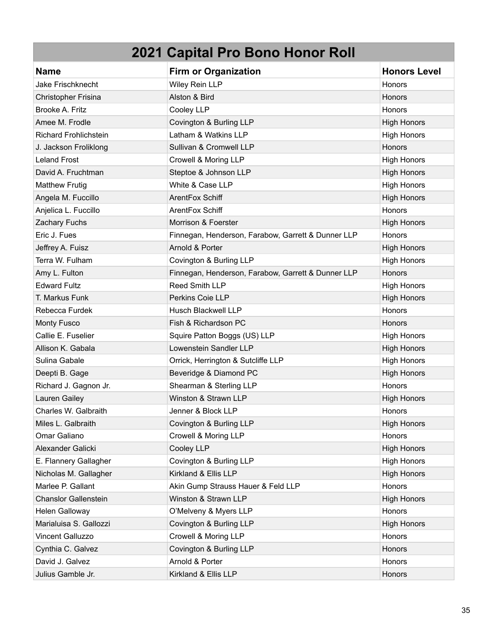| <b>Name</b>                  | <b>Firm or Organization</b>                        | <b>Honors Level</b> |
|------------------------------|----------------------------------------------------|---------------------|
| <b>Jake Frischknecht</b>     | <b>Wiley Rein LLP</b>                              | Honors              |
| <b>Christopher Frisina</b>   | Alston & Bird                                      | <b>Honors</b>       |
| Brooke A. Fritz              | Cooley LLP                                         | Honors              |
| Amee M. Frodle               | Covington & Burling LLP                            | <b>High Honors</b>  |
| <b>Richard Frohlichstein</b> | Latham & Watkins LLP                               | <b>High Honors</b>  |
| J. Jackson Froliklong        | Sullivan & Cromwell LLP                            | Honors              |
| <b>Leland Frost</b>          | Crowell & Moring LLP                               | <b>High Honors</b>  |
| David A. Fruchtman           | Steptoe & Johnson LLP                              | <b>High Honors</b>  |
| <b>Matthew Frutig</b>        | White & Case LLP                                   | <b>High Honors</b>  |
| Angela M. Fuccillo           | ArentFox Schiff                                    | <b>High Honors</b>  |
| Anjelica L. Fuccillo         | ArentFox Schiff                                    | Honors              |
| Zachary Fuchs                | Morrison & Foerster                                | <b>High Honors</b>  |
| Eric J. Fues                 | Finnegan, Henderson, Farabow, Garrett & Dunner LLP | Honors              |
| Jeffrey A. Fuisz             | Arnold & Porter                                    | <b>High Honors</b>  |
| Terra W. Fulham              | Covington & Burling LLP                            | <b>High Honors</b>  |
| Amy L. Fulton                | Finnegan, Henderson, Farabow, Garrett & Dunner LLP | Honors              |
| <b>Edward Fultz</b>          | Reed Smith LLP                                     | <b>High Honors</b>  |
| T. Markus Funk               | Perkins Coie LLP                                   | <b>High Honors</b>  |
| Rebecca Furdek               | <b>Husch Blackwell LLP</b>                         | Honors              |
| <b>Monty Fusco</b>           | Fish & Richardson PC                               | Honors              |
| Callie E. Fuselier           | Squire Patton Boggs (US) LLP                       | <b>High Honors</b>  |
| Allison K. Gabala            | Lowenstein Sandler LLP                             | <b>High Honors</b>  |
| Sulina Gabale                | Orrick, Herrington & Sutcliffe LLP                 | <b>High Honors</b>  |
| Deepti B. Gage               | Beveridge & Diamond PC                             | <b>High Honors</b>  |
| Richard J. Gagnon Jr.        | Shearman & Sterling LLP                            | Honors              |
| Lauren Gailey                | Winston & Strawn LLP                               | <b>High Honors</b>  |
| Charles W. Galbraith         | Jenner & Block LLP                                 | Honors              |
| Miles L. Galbraith           | Covington & Burling LLP                            | <b>High Honors</b>  |
| Omar Galiano                 | Crowell & Moring LLP                               | Honors              |
| Alexander Galicki            | Cooley LLP                                         | <b>High Honors</b>  |
| E. Flannery Gallagher        | Covington & Burling LLP                            | <b>High Honors</b>  |
| Nicholas M. Gallagher        | Kirkland & Ellis LLP                               | <b>High Honors</b>  |
| Marlee P. Gallant            | Akin Gump Strauss Hauer & Feld LLP                 | Honors              |
| <b>Chanslor Gallenstein</b>  | Winston & Strawn LLP                               | <b>High Honors</b>  |
| Helen Galloway               | O'Melveny & Myers LLP                              | Honors              |
| Marialuisa S. Gallozzi       | Covington & Burling LLP                            | <b>High Honors</b>  |
| <b>Vincent Galluzzo</b>      | Crowell & Moring LLP                               | Honors              |
| Cynthia C. Galvez            | Covington & Burling LLP                            | Honors              |
| David J. Galvez              | Arnold & Porter                                    | Honors              |
| Julius Gamble Jr.            | Kirkland & Ellis LLP                               | Honors              |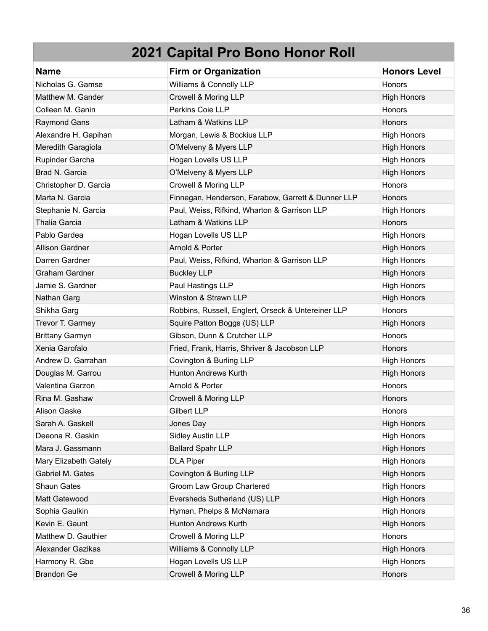| <b>Name</b>              | <b>Firm or Organization</b>                        | <b>Honors Level</b> |
|--------------------------|----------------------------------------------------|---------------------|
| Nicholas G. Gamse        | Williams & Connolly LLP                            | Honors              |
| Matthew M. Gander        | Crowell & Moring LLP                               | <b>High Honors</b>  |
| Colleen M. Ganin         | Perkins Coie LLP                                   | Honors              |
| <b>Raymond Gans</b>      | Latham & Watkins LLP                               | Honors              |
| Alexandre H. Gapihan     | Morgan, Lewis & Bockius LLP                        | <b>High Honors</b>  |
| Meredith Garagiola       | O'Melveny & Myers LLP                              | <b>High Honors</b>  |
| Rupinder Garcha          | Hogan Lovells US LLP                               | <b>High Honors</b>  |
| Brad N. Garcia           | O'Melveny & Myers LLP                              | <b>High Honors</b>  |
| Christopher D. Garcia    | Crowell & Moring LLP                               | Honors              |
| Marta N. Garcia          | Finnegan, Henderson, Farabow, Garrett & Dunner LLP | <b>Honors</b>       |
| Stephanie N. Garcia      | Paul, Weiss, Rifkind, Wharton & Garrison LLP       | <b>High Honors</b>  |
| <b>Thalia Garcia</b>     | Latham & Watkins LLP                               | Honors              |
| Pablo Gardea             | Hogan Lovells US LLP                               | <b>High Honors</b>  |
| <b>Allison Gardner</b>   | Arnold & Porter                                    | <b>High Honors</b>  |
| Darren Gardner           | Paul, Weiss, Rifkind, Wharton & Garrison LLP       | <b>High Honors</b>  |
| <b>Graham Gardner</b>    | <b>Buckley LLP</b>                                 | <b>High Honors</b>  |
| Jamie S. Gardner         | Paul Hastings LLP                                  | <b>High Honors</b>  |
| Nathan Garg              | Winston & Strawn LLP                               | <b>High Honors</b>  |
| Shikha Garg              | Robbins, Russell, Englert, Orseck & Untereiner LLP | Honors              |
| Trevor T. Garmey         | Squire Patton Boggs (US) LLP                       | <b>High Honors</b>  |
| <b>Brittany Garmyn</b>   | Gibson, Dunn & Crutcher LLP                        | Honors              |
| Xenia Garofalo           | Fried, Frank, Harris, Shriver & Jacobson LLP       | Honors              |
| Andrew D. Garrahan       | Covington & Burling LLP                            | <b>High Honors</b>  |
| Douglas M. Garrou        | <b>Hunton Andrews Kurth</b>                        | <b>High Honors</b>  |
| Valentina Garzon         | Arnold & Porter                                    | Honors              |
| Rina M. Gashaw           | Crowell & Moring LLP                               | Honors              |
| <b>Alison Gaske</b>      | <b>Gilbert LLP</b>                                 | Honors              |
| Sarah A. Gaskell         | Jones Day                                          | <b>High Honors</b>  |
| Deeona R. Gaskin         | Sidley Austin LLP                                  | <b>High Honors</b>  |
| Mara J. Gassmann         | <b>Ballard Spahr LLP</b>                           | <b>High Honors</b>  |
| Mary Elizabeth Gately    | <b>DLA Piper</b>                                   | <b>High Honors</b>  |
| Gabriel M. Gates         | Covington & Burling LLP                            | <b>High Honors</b>  |
| <b>Shaun Gates</b>       | Groom Law Group Chartered                          | <b>High Honors</b>  |
| Matt Gatewood            | Eversheds Sutherland (US) LLP                      | <b>High Honors</b>  |
| Sophia Gaulkin           | Hyman, Phelps & McNamara                           | <b>High Honors</b>  |
| Kevin E. Gaunt           | Hunton Andrews Kurth                               | <b>High Honors</b>  |
| Matthew D. Gauthier      | Crowell & Moring LLP                               | Honors              |
| <b>Alexander Gazikas</b> | Williams & Connolly LLP                            | <b>High Honors</b>  |
| Harmony R. Gbe           | Hogan Lovells US LLP                               | <b>High Honors</b>  |
| <b>Brandon Ge</b>        | Crowell & Moring LLP                               | Honors              |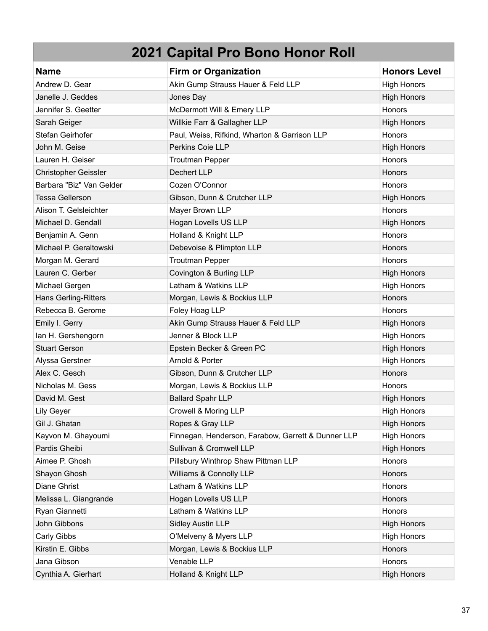| <b>Name</b>              | <b>Firm or Organization</b>                        | <b>Honors Level</b> |
|--------------------------|----------------------------------------------------|---------------------|
| Andrew D. Gear           | Akin Gump Strauss Hauer & Feld LLP                 | <b>High Honors</b>  |
| Janelle J. Geddes        | Jones Day                                          | <b>High Honors</b>  |
| Jennifer S. Geetter      | McDermott Will & Emery LLP                         | Honors              |
| Sarah Geiger             | Willkie Farr & Gallagher LLP                       | <b>High Honors</b>  |
| Stefan Geirhofer         | Paul, Weiss, Rifkind, Wharton & Garrison LLP       | Honors              |
| John M. Geise            | Perkins Coie LLP                                   | <b>High Honors</b>  |
| Lauren H. Geiser         | <b>Troutman Pepper</b>                             | Honors              |
| Christopher Geissler     | Dechert LLP                                        | Honors              |
| Barbara "Biz" Van Gelder | Cozen O'Connor                                     | Honors              |
| <b>Tessa Gellerson</b>   | Gibson, Dunn & Crutcher LLP                        | <b>High Honors</b>  |
| Alison T. Gelsleichter   | Mayer Brown LLP                                    | Honors              |
| Michael D. Gendall       | Hogan Lovells US LLP                               | <b>High Honors</b>  |
| Benjamin A. Genn         | Holland & Knight LLP                               | Honors              |
| Michael P. Geraltowski   | Debevoise & Plimpton LLP                           | Honors              |
| Morgan M. Gerard         | <b>Troutman Pepper</b>                             | Honors              |
| Lauren C. Gerber         | Covington & Burling LLP                            | <b>High Honors</b>  |
| Michael Gergen           | Latham & Watkins LLP                               | <b>High Honors</b>  |
| Hans Gerling-Ritters     | Morgan, Lewis & Bockius LLP                        | Honors              |
| Rebecca B. Gerome        | Foley Hoag LLP                                     | Honors              |
| Emily I. Gerry           | Akin Gump Strauss Hauer & Feld LLP                 | <b>High Honors</b>  |
| lan H. Gershengorn       | Jenner & Block LLP                                 | <b>High Honors</b>  |
| <b>Stuart Gerson</b>     | Epstein Becker & Green PC                          | <b>High Honors</b>  |
| Alyssa Gerstner          | Arnold & Porter                                    | <b>High Honors</b>  |
| Alex C. Gesch            | Gibson, Dunn & Crutcher LLP                        | <b>Honors</b>       |
| Nicholas M. Gess         | Morgan, Lewis & Bockius LLP                        | Honors              |
| David M. Gest            | <b>Ballard Spahr LLP</b>                           | <b>High Honors</b>  |
| <b>Lily Geyer</b>        | Crowell & Moring LLP                               | <b>High Honors</b>  |
| Gil J. Ghatan            | Ropes & Gray LLP                                   | <b>High Honors</b>  |
| Kayvon M. Ghayoumi       | Finnegan, Henderson, Farabow, Garrett & Dunner LLP | <b>High Honors</b>  |
| Pardis Gheibi            | Sullivan & Cromwell LLP                            | <b>High Honors</b>  |
| Aimee P. Ghosh           | Pillsbury Winthrop Shaw Pittman LLP                | Honors              |
| Shayon Ghosh             | Williams & Connolly LLP                            | Honors              |
| Diane Ghrist             | Latham & Watkins LLP                               | Honors              |
| Melissa L. Giangrande    | Hogan Lovells US LLP                               | Honors              |
| Ryan Giannetti           | Latham & Watkins LLP                               | Honors              |
| John Gibbons             | <b>Sidley Austin LLP</b>                           | <b>High Honors</b>  |
| Carly Gibbs              | O'Melveny & Myers LLP                              | <b>High Honors</b>  |
| Kirstin E. Gibbs         | Morgan, Lewis & Bockius LLP                        | Honors              |
| Jana Gibson              | Venable LLP                                        | Honors              |
| Cynthia A. Gierhart      | Holland & Knight LLP                               | <b>High Honors</b>  |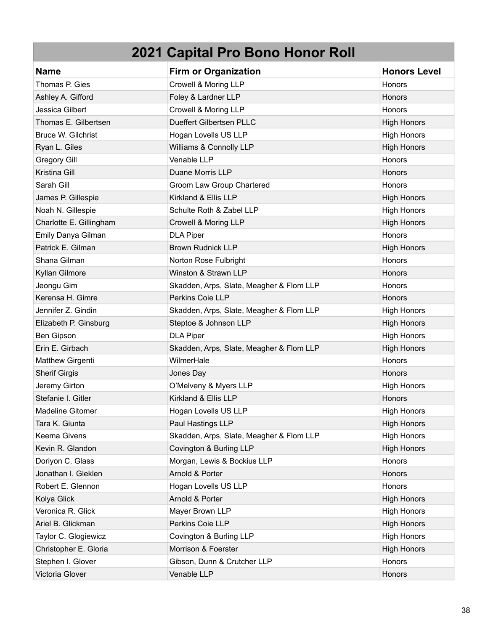| <b>Name</b>               | <b>Firm or Organization</b>              | <b>Honors Level</b> |
|---------------------------|------------------------------------------|---------------------|
| Thomas P. Gies            | Crowell & Moring LLP                     | Honors              |
| Ashley A. Gifford         | Foley & Lardner LLP                      | Honors              |
| Jessica Gilbert           | Crowell & Moring LLP                     | Honors              |
| Thomas E. Gilbertsen      | Dueffert Gilbertsen PLLC                 | <b>High Honors</b>  |
| <b>Bruce W. Gilchrist</b> | Hogan Lovells US LLP                     | <b>High Honors</b>  |
| Ryan L. Giles             | Williams & Connolly LLP                  | <b>High Honors</b>  |
| <b>Gregory Gill</b>       | Venable LLP                              | Honors              |
| Kristina Gill             | Duane Morris LLP                         | Honors              |
| Sarah Gill                | Groom Law Group Chartered                | Honors              |
| James P. Gillespie        | Kirkland & Ellis LLP                     | <b>High Honors</b>  |
| Noah N. Gillespie         | Schulte Roth & Zabel LLP                 | <b>High Honors</b>  |
| Charlotte E. Gillingham   | Crowell & Moring LLP                     | <b>High Honors</b>  |
| Emily Danya Gilman        | <b>DLA Piper</b>                         | Honors              |
| Patrick E. Gilman         | <b>Brown Rudnick LLP</b>                 | <b>High Honors</b>  |
| Shana Gilman              | Norton Rose Fulbright                    | Honors              |
| Kyllan Gilmore            | Winston & Strawn LLP                     | Honors              |
| Jeongu Gim                | Skadden, Arps, Slate, Meagher & Flom LLP | Honors              |
| Kerensa H. Gimre          | Perkins Coie LLP                         | Honors              |
| Jennifer Z. Gindin        | Skadden, Arps, Slate, Meagher & Flom LLP | <b>High Honors</b>  |
| Elizabeth P. Ginsburg     | Steptoe & Johnson LLP                    | <b>High Honors</b>  |
| Ben Gipson                | <b>DLA Piper</b>                         | <b>High Honors</b>  |
| Erin E. Girbach           | Skadden, Arps, Slate, Meagher & Flom LLP | <b>High Honors</b>  |
| <b>Matthew Girgenti</b>   | WilmerHale                               | Honors              |
| <b>Sherif Girgis</b>      | Jones Day                                | Honors              |
| Jeremy Girton             | O'Melveny & Myers LLP                    | <b>High Honors</b>  |
| Stefanie I. Gitler        | Kirkland & Ellis LLP                     | <b>Honors</b>       |
| <b>Madeline Gitomer</b>   | Hogan Lovells US LLP                     | <b>High Honors</b>  |
| Tara K. Giunta            | Paul Hastings LLP                        | <b>High Honors</b>  |
| Keema Givens              | Skadden, Arps, Slate, Meagher & Flom LLP | <b>High Honors</b>  |
| Kevin R. Glandon          | Covington & Burling LLP                  | <b>High Honors</b>  |
| Doriyon C. Glass          | Morgan, Lewis & Bockius LLP              | Honors              |
| Jonathan I. Gleklen       | Arnold & Porter                          | Honors              |
| Robert E. Glennon         | Hogan Lovells US LLP                     | Honors              |
| Kolya Glick               | Arnold & Porter                          | <b>High Honors</b>  |
| Veronica R. Glick         | Mayer Brown LLP                          | <b>High Honors</b>  |
| Ariel B. Glickman         | Perkins Coie LLP                         | <b>High Honors</b>  |
| Taylor C. Glogiewicz      | Covington & Burling LLP                  | <b>High Honors</b>  |
| Christopher E. Gloria     | Morrison & Foerster                      | <b>High Honors</b>  |
| Stephen I. Glover         | Gibson, Dunn & Crutcher LLP              | Honors              |
| Victoria Glover           | Venable LLP                              | Honors              |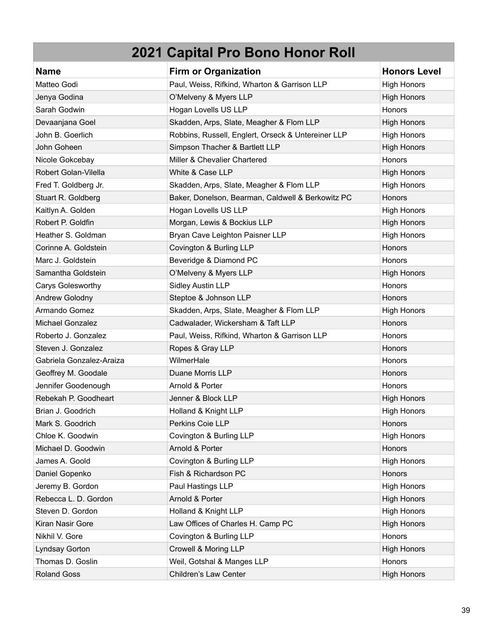| <b>Name</b>              | <b>Firm or Organization</b>                        | <b>Honors Level</b> |
|--------------------------|----------------------------------------------------|---------------------|
| Matteo Godi              | Paul, Weiss, Rifkind, Wharton & Garrison LLP       | <b>High Honors</b>  |
| Jenya Godina             | O'Melveny & Myers LLP                              | <b>High Honors</b>  |
| Sarah Godwin             | Hogan Lovells US LLP                               | Honors              |
| Devaanjana Goel          | Skadden, Arps, Slate, Meagher & Flom LLP           | <b>High Honors</b>  |
| John B. Goerlich         | Robbins, Russell, Englert, Orseck & Untereiner LLP | <b>High Honors</b>  |
| John Goheen              | Simpson Thacher & Bartlett LLP                     | <b>High Honors</b>  |
| Nicole Gokcebay          | Miller & Chevalier Chartered                       | Honors              |
| Robert Golan-Vilella     | White & Case LLP                                   | <b>High Honors</b>  |
| Fred T. Goldberg Jr.     | Skadden, Arps, Slate, Meagher & Flom LLP           | <b>High Honors</b>  |
| Stuart R. Goldberg       | Baker, Donelson, Bearman, Caldwell & Berkowitz PC  | Honors              |
| Kaitlyn A. Golden        | Hogan Lovells US LLP                               | <b>High Honors</b>  |
| Robert P. Goldfin        | Morgan, Lewis & Bockius LLP                        | <b>High Honors</b>  |
| Heather S. Goldman       | Bryan Cave Leighton Paisner LLP                    | <b>High Honors</b>  |
| Corinne A. Goldstein     | Covington & Burling LLP                            | Honors              |
| Marc J. Goldstein        | Beveridge & Diamond PC                             | Honors              |
| Samantha Goldstein       | O'Melveny & Myers LLP                              | <b>High Honors</b>  |
| Carys Golesworthy        | <b>Sidley Austin LLP</b>                           | Honors              |
| <b>Andrew Golodny</b>    | Steptoe & Johnson LLP                              | Honors              |
| Armando Gomez            | Skadden, Arps, Slate, Meagher & Flom LLP           | <b>High Honors</b>  |
| Michael Gonzalez         | Cadwalader, Wickersham & Taft LLP                  | Honors              |
| Roberto J. Gonzalez      | Paul, Weiss, Rifkind, Wharton & Garrison LLP       | <b>Honors</b>       |
| Steven J. Gonzalez       | Ropes & Gray LLP                                   | Honors              |
| Gabriela Gonzalez-Araiza | WilmerHale                                         | Honors              |
| Geoffrey M. Goodale      | Duane Morris LLP                                   | Honors              |
| Jennifer Goodenough      | Arnold & Porter                                    | Honors              |
| Rebekah P. Goodheart     | Jenner & Block LLP                                 | <b>High Honors</b>  |
| Brian J. Goodrich        | Holland & Knight LLP                               | <b>High Honors</b>  |
| Mark S. Goodrich         | Perkins Coie LLP                                   | <b>Honors</b>       |
| Chloe K. Goodwin         | Covington & Burling LLP                            | <b>High Honors</b>  |
| Michael D. Goodwin       | Arnold & Porter                                    | Honors              |
| James A. Goold           | Covington & Burling LLP                            | <b>High Honors</b>  |
| Daniel Gopenko           | Fish & Richardson PC                               | Honors              |
| Jeremy B. Gordon         | Paul Hastings LLP                                  | <b>High Honors</b>  |
| Rebecca L. D. Gordon     | Arnold & Porter                                    | <b>High Honors</b>  |
| Steven D. Gordon         | Holland & Knight LLP                               | <b>High Honors</b>  |
| Kiran Nasir Gore         | Law Offices of Charles H. Camp PC                  | <b>High Honors</b>  |
| Nikhil V. Gore           | Covington & Burling LLP                            | Honors              |
| Lyndsay Gorton           | Crowell & Moring LLP                               | <b>High Honors</b>  |
| Thomas D. Goslin         | Weil, Gotshal & Manges LLP                         | Honors              |
| <b>Roland Goss</b>       | Children's Law Center                              | <b>High Honors</b>  |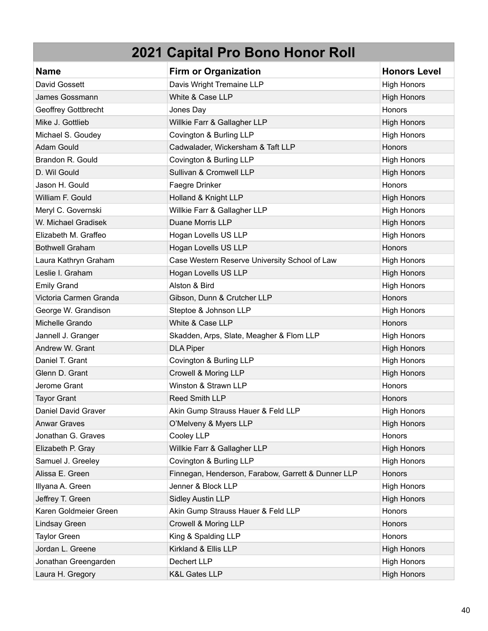| <b>Name</b>            | <b>Firm or Organization</b>                        | <b>Honors Level</b> |
|------------------------|----------------------------------------------------|---------------------|
| David Gossett          | Davis Wright Tremaine LLP                          | <b>High Honors</b>  |
| James Gossmann         | White & Case LLP                                   | <b>High Honors</b>  |
| Geoffrey Gottbrecht    | Jones Day                                          | Honors              |
| Mike J. Gottlieb       | Willkie Farr & Gallagher LLP                       | <b>High Honors</b>  |
| Michael S. Goudey      | Covington & Burling LLP                            | <b>High Honors</b>  |
| Adam Gould             | Cadwalader, Wickersham & Taft LLP                  | Honors              |
| Brandon R. Gould       | Covington & Burling LLP                            | <b>High Honors</b>  |
| D. Wil Gould           | Sullivan & Cromwell LLP                            | <b>High Honors</b>  |
| Jason H. Gould         | Faegre Drinker                                     | Honors              |
| William F. Gould       | Holland & Knight LLP                               | <b>High Honors</b>  |
| Meryl C. Governski     | Willkie Farr & Gallagher LLP                       | <b>High Honors</b>  |
| W. Michael Gradisek    | Duane Morris LLP                                   | <b>High Honors</b>  |
| Elizabeth M. Graffeo   | Hogan Lovells US LLP                               | <b>High Honors</b>  |
| <b>Bothwell Graham</b> | Hogan Lovells US LLP                               | Honors              |
| Laura Kathryn Graham   | Case Western Reserve University School of Law      | <b>High Honors</b>  |
| Leslie I. Graham       | Hogan Lovells US LLP                               | <b>High Honors</b>  |
| <b>Emily Grand</b>     | Alston & Bird                                      | <b>High Honors</b>  |
| Victoria Carmen Granda | Gibson, Dunn & Crutcher LLP                        | Honors              |
| George W. Grandison    | Steptoe & Johnson LLP                              | <b>High Honors</b>  |
| Michelle Grando        | White & Case LLP                                   | Honors              |
| Jannell J. Granger     | Skadden, Arps, Slate, Meagher & Flom LLP           | <b>High Honors</b>  |
| Andrew W. Grant        | <b>DLA Piper</b>                                   | <b>High Honors</b>  |
| Daniel T. Grant        | Covington & Burling LLP                            | <b>High Honors</b>  |
| Glenn D. Grant         | Crowell & Moring LLP                               | <b>High Honors</b>  |
| Jerome Grant           | Winston & Strawn LLP                               | Honors              |
| <b>Tayor Grant</b>     | Reed Smith LLP                                     | Honors              |
| Daniel David Graver    | Akin Gump Strauss Hauer & Feld LLP                 | <b>High Honors</b>  |
| <b>Anwar Graves</b>    | O'Melveny & Myers LLP                              | <b>High Honors</b>  |
| Jonathan G. Graves     | Cooley LLP                                         | Honors              |
| Elizabeth P. Gray      | Willkie Farr & Gallagher LLP                       | <b>High Honors</b>  |
| Samuel J. Greeley      | Covington & Burling LLP                            | <b>High Honors</b>  |
| Alissa E. Green        | Finnegan, Henderson, Farabow, Garrett & Dunner LLP | Honors              |
| Illyana A. Green       | Jenner & Block LLP                                 | <b>High Honors</b>  |
| Jeffrey T. Green       | <b>Sidley Austin LLP</b>                           | <b>High Honors</b>  |
| Karen Goldmeier Green  | Akin Gump Strauss Hauer & Feld LLP                 | Honors              |
| Lindsay Green          | Crowell & Moring LLP                               | Honors              |
| <b>Taylor Green</b>    | King & Spalding LLP                                | Honors              |
| Jordan L. Greene       | Kirkland & Ellis LLP                               | <b>High Honors</b>  |
| Jonathan Greengarden   | Dechert LLP                                        | <b>High Honors</b>  |
| Laura H. Gregory       | <b>K&amp;L Gates LLP</b>                           | <b>High Honors</b>  |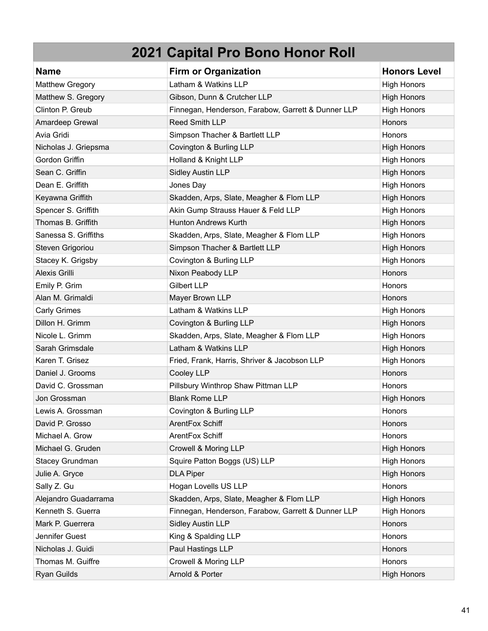| <b>Name</b>            | <b>Firm or Organization</b>                        | <b>Honors Level</b> |
|------------------------|----------------------------------------------------|---------------------|
| <b>Matthew Gregory</b> | Latham & Watkins LLP                               | <b>High Honors</b>  |
| Matthew S. Gregory     | Gibson, Dunn & Crutcher LLP                        | <b>High Honors</b>  |
| Clinton P. Greub       | Finnegan, Henderson, Farabow, Garrett & Dunner LLP | <b>High Honors</b>  |
| Amardeep Grewal        | <b>Reed Smith LLP</b>                              | Honors              |
| Avia Gridi             | Simpson Thacher & Bartlett LLP                     | Honors              |
| Nicholas J. Griepsma   | Covington & Burling LLP                            | <b>High Honors</b>  |
| Gordon Griffin         | Holland & Knight LLP                               | <b>High Honors</b>  |
| Sean C. Griffin        | <b>Sidley Austin LLP</b>                           | <b>High Honors</b>  |
| Dean E. Griffith       | Jones Day                                          | <b>High Honors</b>  |
| Keyawna Griffith       | Skadden, Arps, Slate, Meagher & Flom LLP           | <b>High Honors</b>  |
| Spencer S. Griffith    | Akin Gump Strauss Hauer & Feld LLP                 | <b>High Honors</b>  |
| Thomas B. Griffith     | <b>Hunton Andrews Kurth</b>                        | <b>High Honors</b>  |
| Sanessa S. Griffiths   | Skadden, Arps, Slate, Meagher & Flom LLP           | <b>High Honors</b>  |
| Steven Grigoriou       | Simpson Thacher & Bartlett LLP                     | <b>High Honors</b>  |
| Stacey K. Grigsby      | Covington & Burling LLP                            | <b>High Honors</b>  |
| Alexis Grilli          | Nixon Peabody LLP                                  | Honors              |
| Emily P. Grim          | <b>Gilbert LLP</b>                                 | <b>Honors</b>       |
| Alan M. Grimaldi       | Mayer Brown LLP                                    | Honors              |
| <b>Carly Grimes</b>    | Latham & Watkins LLP                               | <b>High Honors</b>  |
| Dillon H. Grimm        | Covington & Burling LLP                            | <b>High Honors</b>  |
| Nicole L. Grimm        | Skadden, Arps, Slate, Meagher & Flom LLP           | <b>High Honors</b>  |
| Sarah Grimsdale        | Latham & Watkins LLP                               | <b>High Honors</b>  |
| Karen T. Grisez        | Fried, Frank, Harris, Shriver & Jacobson LLP       | <b>High Honors</b>  |
| Daniel J. Grooms       | Cooley LLP                                         | Honors              |
| David C. Grossman      | Pillsbury Winthrop Shaw Pittman LLP                | Honors              |
| Jon Grossman           | <b>Blank Rome LLP</b>                              | <b>High Honors</b>  |
| Lewis A. Grossman      | Covington & Burling LLP                            | Honors              |
| David P. Grosso        | ArentFox Schiff                                    | Honors              |
| Michael A. Grow        | ArentFox Schiff                                    | Honors              |
| Michael G. Gruden      | Crowell & Moring LLP                               | <b>High Honors</b>  |
| Stacey Grundman        | Squire Patton Boggs (US) LLP                       | <b>High Honors</b>  |
| Julie A. Gryce         | <b>DLA Piper</b>                                   | <b>High Honors</b>  |
| Sally Z. Gu            | Hogan Lovells US LLP                               | Honors              |
| Alejandro Guadarrama   | Skadden, Arps, Slate, Meagher & Flom LLP           | <b>High Honors</b>  |
| Kenneth S. Guerra      | Finnegan, Henderson, Farabow, Garrett & Dunner LLP | <b>High Honors</b>  |
| Mark P. Guerrera       | <b>Sidley Austin LLP</b>                           | Honors              |
| Jennifer Guest         | King & Spalding LLP                                | Honors              |
| Nicholas J. Guidi      | Paul Hastings LLP                                  | Honors              |
| Thomas M. Guiffre      | Crowell & Moring LLP                               | Honors              |
| Ryan Guilds            | Arnold & Porter                                    | <b>High Honors</b>  |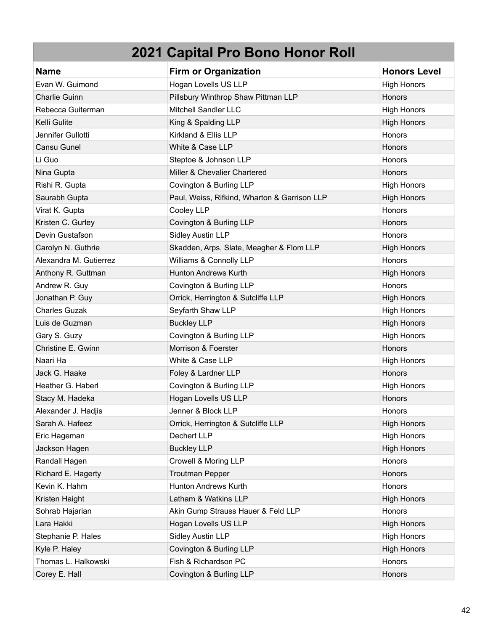| <b>Name</b>            | <b>Firm or Organization</b>                  | <b>Honors Level</b> |
|------------------------|----------------------------------------------|---------------------|
| Evan W. Guimond        | Hogan Lovells US LLP                         | <b>High Honors</b>  |
| Charlie Guinn          | Pillsbury Winthrop Shaw Pittman LLP          | Honors              |
| Rebecca Guiterman      | Mitchell Sandler LLC                         | <b>High Honors</b>  |
| Kelli Gulite           | King & Spalding LLP                          | <b>High Honors</b>  |
| Jennifer Gullotti      | Kirkland & Ellis LLP                         | Honors              |
| Cansu Gunel            | White & Case LLP                             | <b>Honors</b>       |
| Li Guo                 | Steptoe & Johnson LLP                        | Honors              |
| Nina Gupta             | Miller & Chevalier Chartered                 | Honors              |
| Rishi R. Gupta         | Covington & Burling LLP                      | <b>High Honors</b>  |
| Saurabh Gupta          | Paul, Weiss, Rifkind, Wharton & Garrison LLP | <b>High Honors</b>  |
| Virat K. Gupta         | Cooley LLP                                   | Honors              |
| Kristen C. Gurley      | Covington & Burling LLP                      | Honors              |
| Devin Gustafson        | <b>Sidley Austin LLP</b>                     | <b>Honors</b>       |
| Carolyn N. Guthrie     | Skadden, Arps, Slate, Meagher & Flom LLP     | <b>High Honors</b>  |
| Alexandra M. Gutierrez | Williams & Connolly LLP                      | Honors              |
| Anthony R. Guttman     | <b>Hunton Andrews Kurth</b>                  | <b>High Honors</b>  |
| Andrew R. Guy          | Covington & Burling LLP                      | Honors              |
| Jonathan P. Guy        | Orrick, Herrington & Sutcliffe LLP           | <b>High Honors</b>  |
| <b>Charles Guzak</b>   | Seyfarth Shaw LLP                            | <b>High Honors</b>  |
| Luis de Guzman         | <b>Buckley LLP</b>                           | <b>High Honors</b>  |
| Gary S. Guzy           | Covington & Burling LLP                      | <b>High Honors</b>  |
| Christine E. Gwinn     | Morrison & Foerster                          | Honors              |
| Naari Ha               | White & Case LLP                             | <b>High Honors</b>  |
| Jack G. Haake          | Foley & Lardner LLP                          | Honors              |
| Heather G. Haberl      | Covington & Burling LLP                      | <b>High Honors</b>  |
| Stacy M. Hadeka        | Hogan Lovells US LLP                         | Honors              |
| Alexander J. Hadjis    | Jenner & Block LLP                           | Honors              |
| Sarah A. Hafeez        | Orrick, Herrington & Sutcliffe LLP           | <b>High Honors</b>  |
| Eric Hageman           | Dechert LLP                                  | <b>High Honors</b>  |
| Jackson Hagen          | <b>Buckley LLP</b>                           | <b>High Honors</b>  |
| Randall Hagen          | Crowell & Moring LLP                         | Honors              |
| Richard E. Hagerty     | <b>Troutman Pepper</b>                       | Honors              |
| Kevin K. Hahm          | <b>Hunton Andrews Kurth</b>                  | Honors              |
| Kristen Haight         | Latham & Watkins LLP                         | <b>High Honors</b>  |
| Sohrab Hajarian        | Akin Gump Strauss Hauer & Feld LLP           | Honors              |
| Lara Hakki             | Hogan Lovells US LLP                         | <b>High Honors</b>  |
| Stephanie P. Hales     | <b>Sidley Austin LLP</b>                     | <b>High Honors</b>  |
| Kyle P. Haley          | Covington & Burling LLP                      | <b>High Honors</b>  |
| Thomas L. Halkowski    | Fish & Richardson PC                         | Honors              |
| Corey E. Hall          | Covington & Burling LLP                      | Honors              |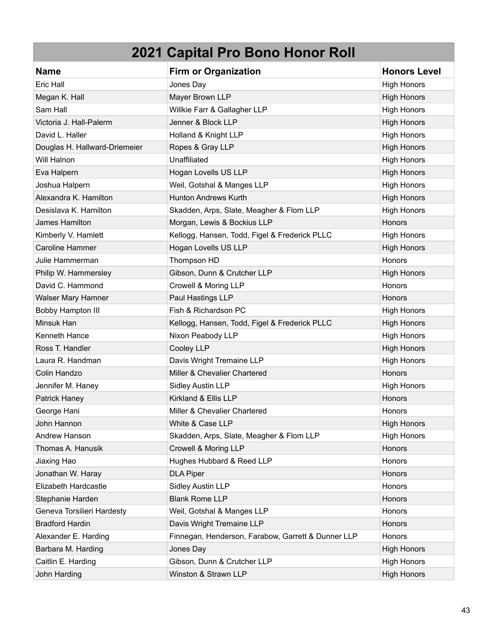| <b>Name</b>                   | <b>Firm or Organization</b>                        | <b>Honors Level</b> |
|-------------------------------|----------------------------------------------------|---------------------|
| Eric Hall                     | Jones Day                                          | <b>High Honors</b>  |
| Megan K. Hall                 | Mayer Brown LLP                                    | <b>High Honors</b>  |
| Sam Hall                      | Willkie Farr & Gallagher LLP                       | <b>High Honors</b>  |
| Victoria J. Hall-Palerm       | Jenner & Block LLP                                 | <b>High Honors</b>  |
| David L. Haller               | Holland & Knight LLP                               | <b>High Honors</b>  |
| Douglas H. Hallward-Driemeier | Ropes & Gray LLP                                   | <b>High Honors</b>  |
| Will Halnon                   | Unaffiliated                                       | <b>High Honors</b>  |
| Eva Halpern                   | Hogan Lovells US LLP                               | <b>High Honors</b>  |
| Joshua Halpern                | Weil, Gotshal & Manges LLP                         | <b>High Honors</b>  |
| Alexandra K. Hamilton         | <b>Hunton Andrews Kurth</b>                        | <b>High Honors</b>  |
| Desislava K. Hamilton         | Skadden, Arps, Slate, Meagher & Flom LLP           | <b>High Honors</b>  |
| James Hamilton                | Morgan, Lewis & Bockius LLP                        | Honors              |
| Kimberly V. Hamlett           | Kellogg, Hansen, Todd, Figel & Frederick PLLC      | <b>High Honors</b>  |
| <b>Caroline Hammer</b>        | Hogan Lovells US LLP                               | <b>High Honors</b>  |
| Julie Hammerman               | Thompson HD                                        | Honors              |
| Philip W. Hammersley          | Gibson, Dunn & Crutcher LLP                        | <b>High Honors</b>  |
| David C. Hammond              | Crowell & Moring LLP                               | Honors              |
| Walser Mary Hamner            | Paul Hastings LLP                                  | Honors              |
| Bobby Hampton III             | Fish & Richardson PC                               | <b>High Honors</b>  |
| Minsuk Han                    | Kellogg, Hansen, Todd, Figel & Frederick PLLC      | <b>High Honors</b>  |
| Kenneth Hance                 | Nixon Peabody LLP                                  | <b>High Honors</b>  |
| Ross T. Handler               | Cooley LLP                                         | <b>High Honors</b>  |
| Laura R. Handman              | Davis Wright Tremaine LLP                          | <b>High Honors</b>  |
| Colin Handzo                  | Miller & Chevalier Chartered                       | Honors              |
| Jennifer M. Haney             | <b>Sidley Austin LLP</b>                           | <b>High Honors</b>  |
| Patrick Haney                 | Kirkland & Ellis LLP                               | Honors              |
| George Hani                   | Miller & Chevalier Chartered                       | Honors              |
| John Hannon                   | White & Case LLP                                   | <b>High Honors</b>  |
| Andrew Hanson                 | Skadden, Arps, Slate, Meagher & Flom LLP           | <b>High Honors</b>  |
| Thomas A. Hanusik             | Crowell & Moring LLP                               | Honors              |
| Jiaxing Hao                   | Hughes Hubbard & Reed LLP                          | Honors              |
| Jonathan W. Haray             | <b>DLA Piper</b>                                   | <b>Honors</b>       |
| Elizabeth Hardcastle          | <b>Sidley Austin LLP</b>                           | Honors              |
| Stephanie Harden              | <b>Blank Rome LLP</b>                              | Honors              |
| Geneva Torsilieri Hardesty    | Weil, Gotshal & Manges LLP                         | Honors              |
| <b>Bradford Hardin</b>        | Davis Wright Tremaine LLP                          | Honors              |
| Alexander E. Harding          | Finnegan, Henderson, Farabow, Garrett & Dunner LLP | Honors              |
| Barbara M. Harding            | Jones Day                                          | <b>High Honors</b>  |
| Caitlin E. Harding            | Gibson, Dunn & Crutcher LLP                        | <b>High Honors</b>  |
| John Harding                  | Winston & Strawn LLP                               | <b>High Honors</b>  |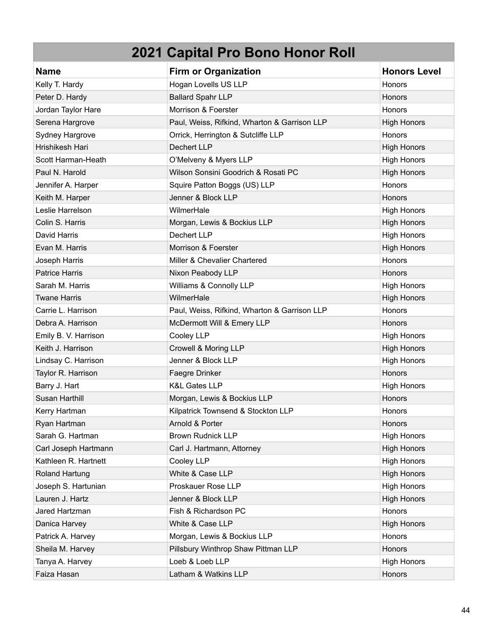| <b>Name</b>           | <b>Firm or Organization</b>                  | <b>Honors Level</b> |
|-----------------------|----------------------------------------------|---------------------|
| Kelly T. Hardy        | Hogan Lovells US LLP                         | Honors              |
| Peter D. Hardy        | <b>Ballard Spahr LLP</b>                     | Honors              |
| Jordan Taylor Hare    | Morrison & Foerster                          | Honors              |
| Serena Hargrove       | Paul, Weiss, Rifkind, Wharton & Garrison LLP | <b>High Honors</b>  |
| Sydney Hargrove       | Orrick, Herrington & Sutcliffe LLP           | Honors              |
| Hrishikesh Hari       | Dechert LLP                                  | <b>High Honors</b>  |
| Scott Harman-Heath    | O'Melveny & Myers LLP                        | <b>High Honors</b>  |
| Paul N. Harold        | Wilson Sonsini Goodrich & Rosati PC          | <b>High Honors</b>  |
| Jennifer A. Harper    | Squire Patton Boggs (US) LLP                 | Honors              |
| Keith M. Harper       | Jenner & Block LLP                           | Honors              |
| Leslie Harrelson      | WilmerHale                                   | <b>High Honors</b>  |
| Colin S. Harris       | Morgan, Lewis & Bockius LLP                  | <b>High Honors</b>  |
| David Harris          | Dechert LLP                                  | <b>High Honors</b>  |
| Evan M. Harris        | Morrison & Foerster                          | <b>High Honors</b>  |
| Joseph Harris         | Miller & Chevalier Chartered                 | Honors              |
| <b>Patrice Harris</b> | Nixon Peabody LLP                            | Honors              |
| Sarah M. Harris       | Williams & Connolly LLP                      | <b>High Honors</b>  |
| <b>Twane Harris</b>   | WilmerHale                                   | <b>High Honors</b>  |
| Carrie L. Harrison    | Paul, Weiss, Rifkind, Wharton & Garrison LLP | Honors              |
| Debra A. Harrison     | McDermott Will & Emery LLP                   | Honors              |
| Emily B. V. Harrison  | Cooley LLP                                   | <b>High Honors</b>  |
| Keith J. Harrison     | Crowell & Moring LLP                         | <b>High Honors</b>  |
| Lindsay C. Harrison   | Jenner & Block LLP                           | <b>High Honors</b>  |
| Taylor R. Harrison    | Faegre Drinker                               | Honors              |
| Barry J. Hart         | K&L Gates LLP                                | <b>High Honors</b>  |
| Susan Harthill        | Morgan, Lewis & Bockius LLP                  | Honors              |
| Kerry Hartman         | Kilpatrick Townsend & Stockton LLP           | Honors              |
| Ryan Hartman          | Arnold & Porter                              | <b>Honors</b>       |
| Sarah G. Hartman      | <b>Brown Rudnick LLP</b>                     | <b>High Honors</b>  |
| Carl Joseph Hartmann  | Carl J. Hartmann, Attorney                   | <b>High Honors</b>  |
| Kathleen R. Hartnett  | Cooley LLP                                   | <b>High Honors</b>  |
| <b>Roland Hartung</b> | White & Case LLP                             | <b>High Honors</b>  |
| Joseph S. Hartunian   | Proskauer Rose LLP                           | <b>High Honors</b>  |
| Lauren J. Hartz       | Jenner & Block LLP                           | <b>High Honors</b>  |
| Jared Hartzman        | Fish & Richardson PC                         | Honors              |
| Danica Harvey         | White & Case LLP                             | <b>High Honors</b>  |
| Patrick A. Harvey     | Morgan, Lewis & Bockius LLP                  | Honors              |
| Sheila M. Harvey      | Pillsbury Winthrop Shaw Pittman LLP          | <b>Honors</b>       |
| Tanya A. Harvey       | Loeb & Loeb LLP                              | <b>High Honors</b>  |
| Faiza Hasan           | Latham & Watkins LLP                         | Honors              |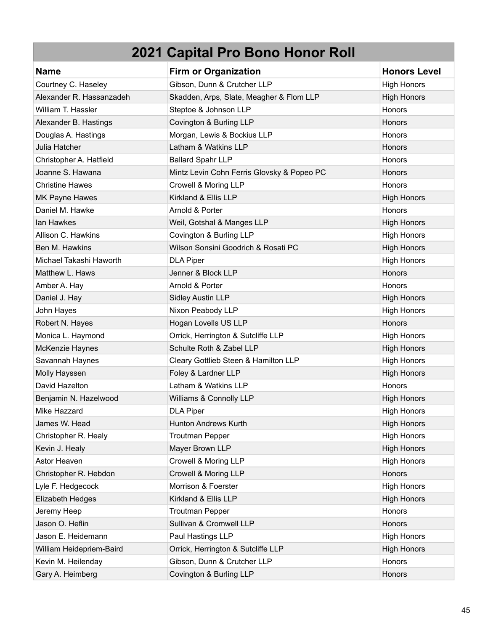| <b>Name</b>              | <b>Firm or Organization</b>                | <b>Honors Level</b> |
|--------------------------|--------------------------------------------|---------------------|
| Courtney C. Haseley      | Gibson, Dunn & Crutcher LLP                | <b>High Honors</b>  |
| Alexander R. Hassanzadeh | Skadden, Arps, Slate, Meagher & Flom LLP   | <b>High Honors</b>  |
| William T. Hassler       | Steptoe & Johnson LLP                      | <b>Honors</b>       |
| Alexander B. Hastings    | Covington & Burling LLP                    | <b>Honors</b>       |
| Douglas A. Hastings      | Morgan, Lewis & Bockius LLP                | <b>Honors</b>       |
| Julia Hatcher            | Latham & Watkins LLP                       | Honors              |
| Christopher A. Hatfield  | <b>Ballard Spahr LLP</b>                   | Honors              |
| Joanne S. Hawana         | Mintz Levin Cohn Ferris Glovsky & Popeo PC | Honors              |
| <b>Christine Hawes</b>   | Crowell & Moring LLP                       | <b>Honors</b>       |
| MK Payne Hawes           | Kirkland & Ellis LLP                       | <b>High Honors</b>  |
| Daniel M. Hawke          | Arnold & Porter                            | Honors              |
| lan Hawkes               | Weil, Gotshal & Manges LLP                 | <b>High Honors</b>  |
| Allison C. Hawkins       | Covington & Burling LLP                    | <b>High Honors</b>  |
| Ben M. Hawkins           | Wilson Sonsini Goodrich & Rosati PC        | <b>High Honors</b>  |
| Michael Takashi Haworth  | <b>DLA Piper</b>                           | <b>High Honors</b>  |
| Matthew L. Haws          | Jenner & Block LLP                         | Honors              |
| Amber A. Hay             | Arnold & Porter                            | <b>Honors</b>       |
| Daniel J. Hay            | <b>Sidley Austin LLP</b>                   | <b>High Honors</b>  |
| John Hayes               | Nixon Peabody LLP                          | <b>High Honors</b>  |
| Robert N. Hayes          | Hogan Lovells US LLP                       | <b>Honors</b>       |
| Monica L. Haymond        | Orrick, Herrington & Sutcliffe LLP         | <b>High Honors</b>  |
| McKenzie Haynes          | Schulte Roth & Zabel LLP                   | <b>High Honors</b>  |
| Savannah Haynes          | Cleary Gottlieb Steen & Hamilton LLP       | <b>High Honors</b>  |
| Molly Hayssen            | Foley & Lardner LLP                        | <b>High Honors</b>  |
| David Hazelton           | Latham & Watkins LLP                       | Honors              |
| Benjamin N. Hazelwood    | Williams & Connolly LLP                    | <b>High Honors</b>  |
| Mike Hazzard             | <b>DLA Piper</b>                           | <b>High Honors</b>  |
| James W. Head            | Hunton Andrews Kurth                       | <b>High Honors</b>  |
| Christopher R. Healy     | <b>Troutman Pepper</b>                     | <b>High Honors</b>  |
| Kevin J. Healy           | Mayer Brown LLP                            | <b>High Honors</b>  |
| Astor Heaven             | Crowell & Moring LLP                       | <b>High Honors</b>  |
| Christopher R. Hebdon    | Crowell & Moring LLP                       | Honors              |
| Lyle F. Hedgecock        | Morrison & Foerster                        | <b>High Honors</b>  |
| Elizabeth Hedges         | Kirkland & Ellis LLP                       | <b>High Honors</b>  |
| Jeremy Heep              | <b>Troutman Pepper</b>                     | Honors              |
| Jason O. Heflin          | Sullivan & Cromwell LLP                    | Honors              |
| Jason E. Heidemann       | Paul Hastings LLP                          | <b>High Honors</b>  |
| William Heidepriem-Baird | Orrick, Herrington & Sutcliffe LLP         | <b>High Honors</b>  |
| Kevin M. Heilenday       | Gibson, Dunn & Crutcher LLP                | Honors              |
| Gary A. Heimberg         | Covington & Burling LLP                    | Honors              |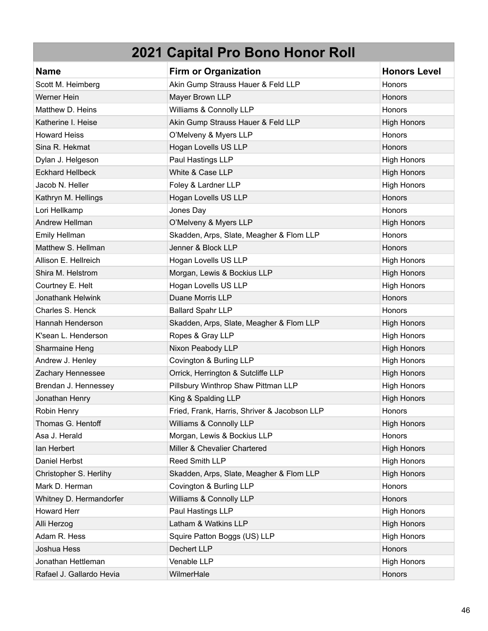| <b>Name</b>              | <b>Firm or Organization</b>                  | <b>Honors Level</b> |
|--------------------------|----------------------------------------------|---------------------|
| Scott M. Heimberg        | Akin Gump Strauss Hauer & Feld LLP           | Honors              |
| Werner Hein              | Mayer Brown LLP                              | <b>Honors</b>       |
| Matthew D. Heins         | Williams & Connolly LLP                      | Honors              |
| Katherine I. Heise       | Akin Gump Strauss Hauer & Feld LLP           | <b>High Honors</b>  |
| <b>Howard Heiss</b>      | O'Melveny & Myers LLP                        | Honors              |
| Sina R. Hekmat           | Hogan Lovells US LLP                         | Honors              |
| Dylan J. Helgeson        | Paul Hastings LLP                            | <b>High Honors</b>  |
| <b>Eckhard Hellbeck</b>  | White & Case LLP                             | <b>High Honors</b>  |
| Jacob N. Heller          | Foley & Lardner LLP                          | <b>High Honors</b>  |
| Kathryn M. Hellings      | Hogan Lovells US LLP                         | Honors              |
| Lori Hellkamp            | Jones Day                                    | Honors              |
| Andrew Hellman           | O'Melveny & Myers LLP                        | <b>High Honors</b>  |
| Emily Hellman            | Skadden, Arps, Slate, Meagher & Flom LLP     | Honors              |
| Matthew S. Hellman       | Jenner & Block LLP                           | <b>Honors</b>       |
| Allison E. Hellreich     | Hogan Lovells US LLP                         | <b>High Honors</b>  |
| Shira M. Helstrom        | Morgan, Lewis & Bockius LLP                  | <b>High Honors</b>  |
| Courtney E. Helt         | Hogan Lovells US LLP                         | <b>High Honors</b>  |
| Jonathank Helwink        | Duane Morris LLP                             | Honors              |
| Charles S. Henck         | <b>Ballard Spahr LLP</b>                     | Honors              |
| Hannah Henderson         | Skadden, Arps, Slate, Meagher & Flom LLP     | <b>High Honors</b>  |
| K'sean L. Henderson      | Ropes & Gray LLP                             | <b>High Honors</b>  |
| Sharmaine Heng           | Nixon Peabody LLP                            | <b>High Honors</b>  |
| Andrew J. Henley         | Covington & Burling LLP                      | <b>High Honors</b>  |
| Zachary Hennessee        | Orrick, Herrington & Sutcliffe LLP           | <b>High Honors</b>  |
| Brendan J. Hennessey     | Pillsbury Winthrop Shaw Pittman LLP          | <b>High Honors</b>  |
| Jonathan Henry           | King & Spalding LLP                          | <b>High Honors</b>  |
| Robin Henry              | Fried, Frank, Harris, Shriver & Jacobson LLP | Honors              |
| Thomas G. Hentoff        | Williams & Connolly LLP                      | <b>High Honors</b>  |
| Asa J. Herald            | Morgan, Lewis & Bockius LLP                  | Honors              |
| lan Herbert              | Miller & Chevalier Chartered                 | <b>High Honors</b>  |
| Daniel Herbst            | Reed Smith LLP                               | <b>High Honors</b>  |
| Christopher S. Herlihy   | Skadden, Arps, Slate, Meagher & Flom LLP     | <b>High Honors</b>  |
| Mark D. Herman           | Covington & Burling LLP                      | Honors              |
| Whitney D. Hermandorfer  | Williams & Connolly LLP                      | Honors              |
| Howard Herr              | Paul Hastings LLP                            | <b>High Honors</b>  |
| Alli Herzog              | Latham & Watkins LLP                         | <b>High Honors</b>  |
| Adam R. Hess             | Squire Patton Boggs (US) LLP                 | <b>High Honors</b>  |
| Joshua Hess              | Dechert LLP                                  | Honors              |
| Jonathan Hettleman       | Venable LLP                                  | <b>High Honors</b>  |
| Rafael J. Gallardo Hevia | WilmerHale                                   | Honors              |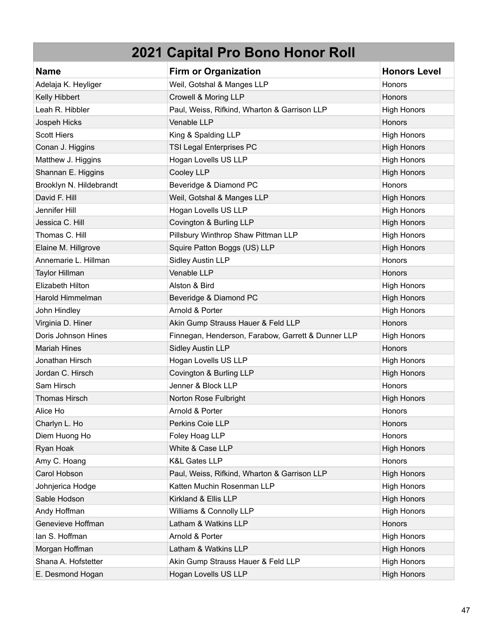| <b>Name</b>             | <b>Firm or Organization</b>                        | <b>Honors Level</b> |
|-------------------------|----------------------------------------------------|---------------------|
| Adelaja K. Heyliger     | Weil, Gotshal & Manges LLP                         | Honors              |
| Kelly Hibbert           | Crowell & Moring LLP                               | Honors              |
| Leah R. Hibbler         | Paul, Weiss, Rifkind, Wharton & Garrison LLP       | <b>High Honors</b>  |
| Jospeh Hicks            | Venable LLP                                        | Honors              |
| <b>Scott Hiers</b>      | King & Spalding LLP                                | <b>High Honors</b>  |
| Conan J. Higgins        | <b>TSI Legal Enterprises PC</b>                    | <b>High Honors</b>  |
| Matthew J. Higgins      | Hogan Lovells US LLP                               | <b>High Honors</b>  |
| Shannan E. Higgins      | Cooley LLP                                         | <b>High Honors</b>  |
| Brooklyn N. Hildebrandt | Beveridge & Diamond PC                             | Honors              |
| David F. Hill           | Weil, Gotshal & Manges LLP                         | <b>High Honors</b>  |
| Jennifer Hill           | Hogan Lovells US LLP                               | <b>High Honors</b>  |
| Jessica C. Hill         | Covington & Burling LLP                            | <b>High Honors</b>  |
| Thomas C. Hill          | Pillsbury Winthrop Shaw Pittman LLP                | <b>High Honors</b>  |
| Elaine M. Hillgrove     | Squire Patton Boggs (US) LLP                       | <b>High Honors</b>  |
| Annemarie L. Hillman    | <b>Sidley Austin LLP</b>                           | Honors              |
| <b>Taylor Hillman</b>   | Venable LLP                                        | Honors              |
| Elizabeth Hilton        | Alston & Bird                                      | <b>High Honors</b>  |
| Harold Himmelman        | Beveridge & Diamond PC                             | <b>High Honors</b>  |
| John Hindley            | Arnold & Porter                                    | <b>High Honors</b>  |
| Virginia D. Hiner       | Akin Gump Strauss Hauer & Feld LLP                 | Honors              |
| Doris Johnson Hines     | Finnegan, Henderson, Farabow, Garrett & Dunner LLP | <b>High Honors</b>  |
| <b>Mariah Hines</b>     | <b>Sidley Austin LLP</b>                           | Honors              |
| Jonathan Hirsch         | Hogan Lovells US LLP                               | <b>High Honors</b>  |
| Jordan C. Hirsch        | Covington & Burling LLP                            | <b>High Honors</b>  |
| Sam Hirsch              | Jenner & Block LLP                                 | Honors              |
| <b>Thomas Hirsch</b>    | Norton Rose Fulbright                              | <b>High Honors</b>  |
| Alice Ho                | Arnold & Porter                                    | Honors              |
| Charlyn L. Ho           | Perkins Coie LLP                                   | <b>Honors</b>       |
| Diem Huong Ho           | Foley Hoag LLP                                     | Honors              |
| Ryan Hoak               | White & Case LLP                                   | <b>High Honors</b>  |
| Amy C. Hoang            | K&L Gates LLP                                      | Honors              |
| Carol Hobson            | Paul, Weiss, Rifkind, Wharton & Garrison LLP       | <b>High Honors</b>  |
| Johnjerica Hodge        | Katten Muchin Rosenman LLP                         | <b>High Honors</b>  |
| Sable Hodson            | Kirkland & Ellis LLP                               | <b>High Honors</b>  |
| Andy Hoffman            | Williams & Connolly LLP                            | <b>High Honors</b>  |
| Genevieve Hoffman       | Latham & Watkins LLP                               | Honors              |
| lan S. Hoffman          | Arnold & Porter                                    | High Honors         |
| Morgan Hoffman          | Latham & Watkins LLP                               | <b>High Honors</b>  |
| Shana A. Hofstetter     | Akin Gump Strauss Hauer & Feld LLP                 | <b>High Honors</b>  |
| E. Desmond Hogan        | Hogan Lovells US LLP                               | <b>High Honors</b>  |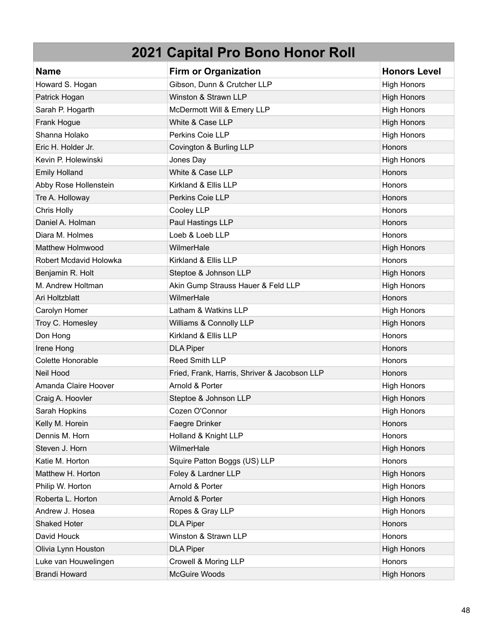| <b>Name</b>            | <b>Firm or Organization</b>                  | <b>Honors Level</b> |
|------------------------|----------------------------------------------|---------------------|
| Howard S. Hogan        | Gibson, Dunn & Crutcher LLP                  | <b>High Honors</b>  |
| Patrick Hogan          | Winston & Strawn LLP                         | <b>High Honors</b>  |
| Sarah P. Hogarth       | McDermott Will & Emery LLP                   | <b>High Honors</b>  |
| Frank Hogue            | White & Case LLP                             | <b>High Honors</b>  |
| Shanna Holako          | Perkins Coie LLP                             | <b>High Honors</b>  |
| Eric H. Holder Jr.     | Covington & Burling LLP                      | Honors              |
| Kevin P. Holewinski    | Jones Day                                    | <b>High Honors</b>  |
| <b>Emily Holland</b>   | White & Case LLP                             | Honors              |
| Abby Rose Hollenstein  | Kirkland & Ellis LLP                         | Honors              |
| Tre A. Holloway        | Perkins Coie LLP                             | Honors              |
| Chris Holly            | Cooley LLP                                   | <b>Honors</b>       |
| Daniel A. Holman       | Paul Hastings LLP                            | Honors              |
| Diara M. Holmes        | Loeb & Loeb LLP                              | Honors              |
| Matthew Holmwood       | WilmerHale                                   | <b>High Honors</b>  |
| Robert Mcdavid Holowka | Kirkland & Ellis LLP                         | Honors              |
| Benjamin R. Holt       | Steptoe & Johnson LLP                        | <b>High Honors</b>  |
| M. Andrew Holtman      | Akin Gump Strauss Hauer & Feld LLP           | <b>High Honors</b>  |
| Ari Holtzblatt         | WilmerHale                                   | Honors              |
| Carolyn Homer          | Latham & Watkins LLP                         | <b>High Honors</b>  |
| Troy C. Homesley       | Williams & Connolly LLP                      | <b>High Honors</b>  |
| Don Hong               | Kirkland & Ellis LLP                         | Honors              |
| Irene Hong             | <b>DLA Piper</b>                             | Honors              |
| Colette Honorable      | Reed Smith LLP                               | <b>Honors</b>       |
| Neil Hood              | Fried, Frank, Harris, Shriver & Jacobson LLP | Honors              |
| Amanda Claire Hoover   | Arnold & Porter                              | <b>High Honors</b>  |
| Craig A. Hoovler       | Steptoe & Johnson LLP                        | <b>High Honors</b>  |
| Sarah Hopkins          | Cozen O'Connor                               | <b>High Honors</b>  |
| Kelly M. Horein        | Faegre Drinker                               | Honors              |
| Dennis M. Horn         | Holland & Knight LLP                         | Honors              |
| Steven J. Horn         | WilmerHale                                   | <b>High Honors</b>  |
| Katie M. Horton        | Squire Patton Boggs (US) LLP                 | Honors              |
| Matthew H. Horton      | Foley & Lardner LLP                          | <b>High Honors</b>  |
| Philip W. Horton       | Arnold & Porter                              | <b>High Honors</b>  |
| Roberta L. Horton      | Arnold & Porter                              | <b>High Honors</b>  |
| Andrew J. Hosea        | Ropes & Gray LLP                             | <b>High Honors</b>  |
| Shaked Hoter           | <b>DLA Piper</b>                             | Honors              |
| David Houck            | Winston & Strawn LLP                         | Honors              |
| Olivia Lynn Houston    | <b>DLA Piper</b>                             | <b>High Honors</b>  |
| Luke van Houwelingen   | Crowell & Moring LLP                         | Honors              |
| <b>Brandi Howard</b>   | McGuire Woods                                | <b>High Honors</b>  |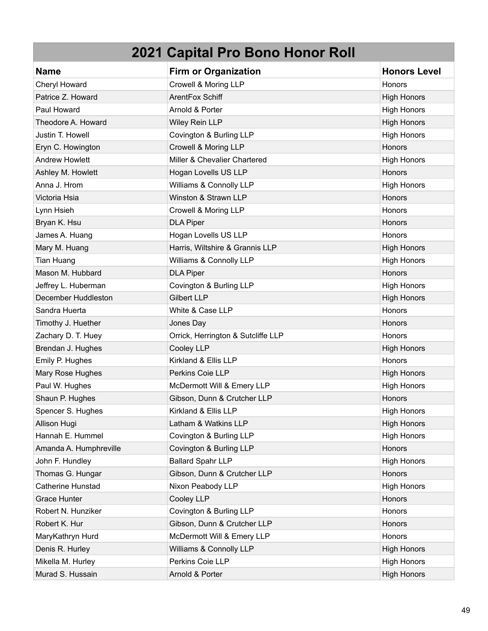| <b>Name</b>            | <b>Firm or Organization</b>        | <b>Honors Level</b> |
|------------------------|------------------------------------|---------------------|
| Cheryl Howard          | Crowell & Moring LLP               | <b>Honors</b>       |
| Patrice Z. Howard      | ArentFox Schiff                    | <b>High Honors</b>  |
| Paul Howard            | Arnold & Porter                    | <b>High Honors</b>  |
| Theodore A. Howard     | Wiley Rein LLP                     | <b>High Honors</b>  |
| Justin T. Howell       | Covington & Burling LLP            | <b>High Honors</b>  |
| Eryn C. Howington      | Crowell & Moring LLP               | Honors              |
| <b>Andrew Howlett</b>  | Miller & Chevalier Chartered       | <b>High Honors</b>  |
| Ashley M. Howlett      | Hogan Lovells US LLP               | Honors              |
| Anna J. Hrom           | Williams & Connolly LLP            | <b>High Honors</b>  |
| Victoria Hsia          | Winston & Strawn LLP               | Honors              |
| Lynn Hsieh             | Crowell & Moring LLP               | Honors              |
| Bryan K. Hsu           | <b>DLA Piper</b>                   | Honors              |
| James A. Huang         | Hogan Lovells US LLP               | Honors              |
| Mary M. Huang          | Harris, Wiltshire & Grannis LLP    | <b>High Honors</b>  |
| Tian Huang             | Williams & Connolly LLP            | <b>High Honors</b>  |
| Mason M. Hubbard       | <b>DLA Piper</b>                   | Honors              |
| Jeffrey L. Huberman    | Covington & Burling LLP            | <b>High Honors</b>  |
| December Huddleston    | <b>Gilbert LLP</b>                 | <b>High Honors</b>  |
| Sandra Huerta          | White & Case LLP                   | Honors              |
| Timothy J. Huether     | Jones Day                          | Honors              |
| Zachary D. T. Huey     | Orrick, Herrington & Sutcliffe LLP | Honors              |
| Brendan J. Hughes      | Cooley LLP                         | <b>High Honors</b>  |
| Emily P. Hughes        | Kirkland & Ellis LLP               | Honors              |
| Mary Rose Hughes       | Perkins Coie LLP                   | <b>High Honors</b>  |
| Paul W. Hughes         | McDermott Will & Emery LLP         | <b>High Honors</b>  |
| Shaun P. Hughes        | Gibson, Dunn & Crutcher LLP        | <b>Honors</b>       |
| Spencer S. Hughes      | Kirkland & Ellis LLP               | <b>High Honors</b>  |
| Allison Hugi           | Latham & Watkins LLP               | <b>High Honors</b>  |
| Hannah E. Hummel       | Covington & Burling LLP            | <b>High Honors</b>  |
| Amanda A. Humphreville | Covington & Burling LLP            | Honors              |
| John F. Hundley        | <b>Ballard Spahr LLP</b>           | <b>High Honors</b>  |
| Thomas G. Hungar       | Gibson, Dunn & Crutcher LLP        | Honors              |
| Catherine Hunstad      | Nixon Peabody LLP                  | <b>High Honors</b>  |
| <b>Grace Hunter</b>    | Cooley LLP                         | Honors              |
| Robert N. Hunziker     | Covington & Burling LLP            | Honors              |
| Robert K. Hur          | Gibson, Dunn & Crutcher LLP        | Honors              |
| MaryKathryn Hurd       | McDermott Will & Emery LLP         | Honors              |
| Denis R. Hurley        | Williams & Connolly LLP            | <b>High Honors</b>  |
| Mikella M. Hurley      | Perkins Coie LLP                   | <b>High Honors</b>  |
| Murad S. Hussain       | Arnold & Porter                    | <b>High Honors</b>  |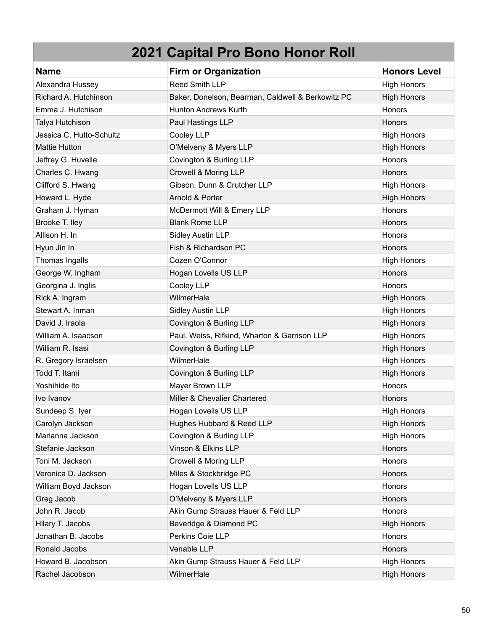| <b>Name</b>              | <b>Firm or Organization</b>                       | <b>Honors Level</b> |
|--------------------------|---------------------------------------------------|---------------------|
| Alexandra Hussey         | Reed Smith LLP                                    | <b>High Honors</b>  |
| Richard A. Hutchinson    | Baker, Donelson, Bearman, Caldwell & Berkowitz PC | <b>High Honors</b>  |
| Emma J. Hutchison        | <b>Hunton Andrews Kurth</b>                       | Honors              |
| Talya Hutchison          | Paul Hastings LLP                                 | Honors              |
| Jessica C. Hutto-Schultz | Cooley LLP                                        | <b>High Honors</b>  |
| <b>Mattie Hutton</b>     | O'Melveny & Myers LLP                             | <b>High Honors</b>  |
| Jeffrey G. Huvelle       | Covington & Burling LLP                           | Honors              |
| Charles C. Hwang         | Crowell & Moring LLP                              | <b>Honors</b>       |
| Clifford S. Hwang        | Gibson, Dunn & Crutcher LLP                       | <b>High Honors</b>  |
| Howard L. Hyde           | Arnold & Porter                                   | <b>High Honors</b>  |
| Graham J. Hyman          | McDermott Will & Emery LLP                        | Honors              |
| Brooke T. Iley           | <b>Blank Rome LLP</b>                             | Honors              |
| Allison H. In            | <b>Sidley Austin LLP</b>                          | Honors              |
| Hyun Jin In              | Fish & Richardson PC                              | Honors              |
| Thomas Ingalls           | Cozen O'Connor                                    | <b>High Honors</b>  |
| George W. Ingham         | Hogan Lovells US LLP                              | Honors              |
| Georgina J. Inglis       | Cooley LLP                                        | Honors              |
| Rick A. Ingram           | WilmerHale                                        | <b>High Honors</b>  |
| Stewart A. Inman         | <b>Sidley Austin LLP</b>                          | <b>High Honors</b>  |
| David J. Iraola          | Covington & Burling LLP                           | <b>High Honors</b>  |
| William A. Isaacson      | Paul, Weiss, Rifkind, Wharton & Garrison LLP      | <b>High Honors</b>  |
| William R. Isasi         | Covington & Burling LLP                           | <b>High Honors</b>  |
| R. Gregory Israelsen     | WilmerHale                                        | <b>High Honors</b>  |
| Todd T. Itami            | Covington & Burling LLP                           | <b>High Honors</b>  |
| Yoshihide Ito            | Mayer Brown LLP                                   | Honors              |
| Ivo Ivanov               | Miller & Chevalier Chartered                      | Honors              |
| Sundeep S. Iyer          | Hogan Lovells US LLP                              | <b>High Honors</b>  |
| Carolyn Jackson          | Hughes Hubbard & Reed LLP                         | <b>High Honors</b>  |
| Marianna Jackson         | Covington & Burling LLP                           | <b>High Honors</b>  |
| Stefanie Jackson         | Vinson & Elkins LLP                               | Honors              |
| Toni M. Jackson          | Crowell & Moring LLP                              | Honors              |
| Veronica D. Jackson      | Miles & Stockbridge PC                            | Honors              |
| William Boyd Jackson     | Hogan Lovells US LLP                              | Honors              |
| Greg Jacob               | O'Melveny & Myers LLP                             | Honors              |
| John R. Jacob            | Akin Gump Strauss Hauer & Feld LLP                | Honors              |
| Hilary T. Jacobs         | Beveridge & Diamond PC                            | <b>High Honors</b>  |
| Jonathan B. Jacobs       | Perkins Coie LLP                                  | Honors              |
| Ronald Jacobs            | Venable LLP                                       | Honors              |
| Howard B. Jacobson       | Akin Gump Strauss Hauer & Feld LLP                | <b>High Honors</b>  |
| Rachel Jacobson          | WilmerHale                                        | <b>High Honors</b>  |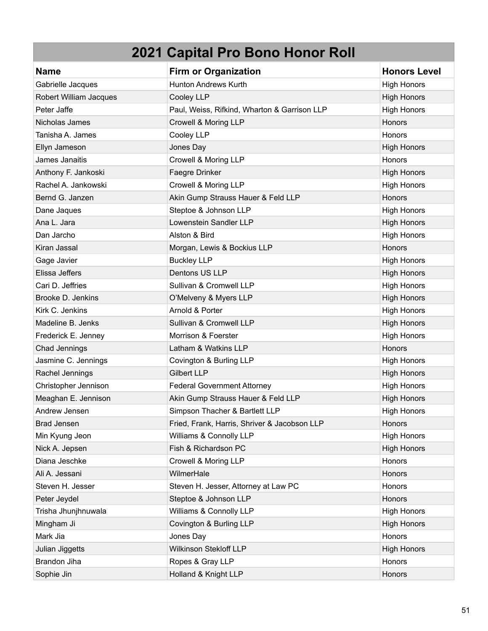| <b>Name</b>            | <b>Firm or Organization</b>                  | <b>Honors Level</b> |
|------------------------|----------------------------------------------|---------------------|
| Gabrielle Jacques      | <b>Hunton Andrews Kurth</b>                  | <b>High Honors</b>  |
| Robert William Jacques | Cooley LLP                                   | <b>High Honors</b>  |
| Peter Jaffe            | Paul, Weiss, Rifkind, Wharton & Garrison LLP | <b>High Honors</b>  |
| Nicholas James         | Crowell & Moring LLP                         | Honors              |
| Tanisha A. James       | Cooley LLP                                   | Honors              |
| Ellyn Jameson          | Jones Day                                    | <b>High Honors</b>  |
| James Janaitis         | Crowell & Moring LLP                         | Honors              |
| Anthony F. Jankoski    | Faegre Drinker                               | <b>High Honors</b>  |
| Rachel A. Jankowski    | Crowell & Moring LLP                         | <b>High Honors</b>  |
| Bernd G. Janzen        | Akin Gump Strauss Hauer & Feld LLP           | Honors              |
| Dane Jaques            | Steptoe & Johnson LLP                        | <b>High Honors</b>  |
| Ana L. Jara            | Lowenstein Sandler LLP                       | <b>High Honors</b>  |
| Dan Jarcho             | Alston & Bird                                | <b>High Honors</b>  |
| Kiran Jassal           | Morgan, Lewis & Bockius LLP                  | Honors              |
| Gage Javier            | <b>Buckley LLP</b>                           | <b>High Honors</b>  |
| Elissa Jeffers         | Dentons US LLP                               | <b>High Honors</b>  |
| Cari D. Jeffries       | Sullivan & Cromwell LLP                      | <b>High Honors</b>  |
| Brooke D. Jenkins      | O'Melveny & Myers LLP                        | <b>High Honors</b>  |
| Kirk C. Jenkins        | Arnold & Porter                              | <b>High Honors</b>  |
| Madeline B. Jenks      | Sullivan & Cromwell LLP                      | <b>High Honors</b>  |
| Frederick E. Jenney    | Morrison & Foerster                          | <b>High Honors</b>  |
| Chad Jennings          | Latham & Watkins LLP                         | Honors              |
| Jasmine C. Jennings    | Covington & Burling LLP                      | <b>High Honors</b>  |
| Rachel Jennings        | <b>Gilbert LLP</b>                           | <b>High Honors</b>  |
| Christopher Jennison   | <b>Federal Government Attorney</b>           | <b>High Honors</b>  |
| Meaghan E. Jennison    | Akin Gump Strauss Hauer & Feld LLP           | <b>High Honors</b>  |
| Andrew Jensen          | Simpson Thacher & Bartlett LLP               | <b>High Honors</b>  |
| <b>Brad Jensen</b>     | Fried, Frank, Harris, Shriver & Jacobson LLP | <b>Honors</b>       |
| Min Kyung Jeon         | Williams & Connolly LLP                      | <b>High Honors</b>  |
| Nick A. Jepsen         | Fish & Richardson PC                         | <b>High Honors</b>  |
| Diana Jeschke          | Crowell & Moring LLP                         | Honors              |
| Ali A. Jessani         | WilmerHale                                   | Honors              |
| Steven H. Jesser       | Steven H. Jesser, Attorney at Law PC         | Honors              |
| Peter Jeydel           | Steptoe & Johnson LLP                        | Honors              |
| Trisha Jhunjhnuwala    | Williams & Connolly LLP                      | <b>High Honors</b>  |
| Mingham Ji             | Covington & Burling LLP                      | <b>High Honors</b>  |
| Mark Jia               | Jones Day                                    | Honors              |
| Julian Jiggetts        | Wilkinson Stekloff LLP                       | <b>High Honors</b>  |
| Brandon Jiha           | Ropes & Gray LLP                             | Honors              |
| Sophie Jin             | Holland & Knight LLP                         | Honors              |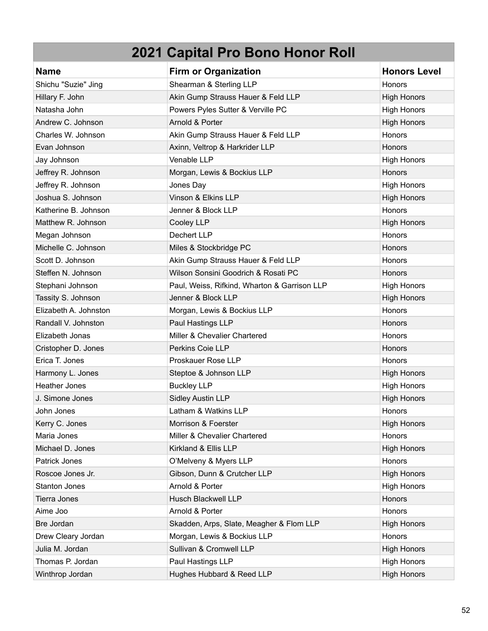| <b>Name</b>           | <b>Firm or Organization</b>                  | <b>Honors Level</b> |
|-----------------------|----------------------------------------------|---------------------|
| Shichu "Suzie" Jing   | Shearman & Sterling LLP                      | <b>Honors</b>       |
| Hillary F. John       | Akin Gump Strauss Hauer & Feld LLP           | <b>High Honors</b>  |
| Natasha John          | Powers Pyles Sutter & Verville PC            | <b>High Honors</b>  |
| Andrew C. Johnson     | Arnold & Porter                              | <b>High Honors</b>  |
| Charles W. Johnson    | Akin Gump Strauss Hauer & Feld LLP           | Honors              |
| Evan Johnson          | Axinn, Veltrop & Harkrider LLP               | Honors              |
| Jay Johnson           | Venable LLP                                  | <b>High Honors</b>  |
| Jeffrey R. Johnson    | Morgan, Lewis & Bockius LLP                  | Honors              |
| Jeffrey R. Johnson    | Jones Day                                    | <b>High Honors</b>  |
| Joshua S. Johnson     | Vinson & Elkins LLP                          | <b>High Honors</b>  |
| Katherine B. Johnson  | Jenner & Block LLP                           | Honors              |
| Matthew R. Johnson    | Cooley LLP                                   | <b>High Honors</b>  |
| Megan Johnson         | Dechert LLP                                  | Honors              |
| Michelle C. Johnson   | Miles & Stockbridge PC                       | Honors              |
| Scott D. Johnson      | Akin Gump Strauss Hauer & Feld LLP           | Honors              |
| Steffen N. Johnson    | Wilson Sonsini Goodrich & Rosati PC          | Honors              |
| Stephani Johnson      | Paul, Weiss, Rifkind, Wharton & Garrison LLP | <b>High Honors</b>  |
| Tassity S. Johnson    | Jenner & Block LLP                           | <b>High Honors</b>  |
| Elizabeth A. Johnston | Morgan, Lewis & Bockius LLP                  | Honors              |
| Randall V. Johnston   | Paul Hastings LLP                            | Honors              |
| Elizabeth Jonas       | Miller & Chevalier Chartered                 | Honors              |
| Cristopher D. Jones   | Perkins Coie LLP                             | Honors              |
| Erica T. Jones        | Proskauer Rose LLP                           | Honors              |
| Harmony L. Jones      | Steptoe & Johnson LLP                        | <b>High Honors</b>  |
| <b>Heather Jones</b>  | <b>Buckley LLP</b>                           | <b>High Honors</b>  |
| J. Simone Jones       | <b>Sidley Austin LLP</b>                     | <b>High Honors</b>  |
| John Jones            | Latham & Watkins LLP                         | Honors              |
| Kerry C. Jones        | Morrison & Foerster                          | <b>High Honors</b>  |
| Maria Jones           | Miller & Chevalier Chartered                 | Honors              |
| Michael D. Jones      | Kirkland & Ellis LLP                         | <b>High Honors</b>  |
| Patrick Jones         | O'Melveny & Myers LLP                        | Honors              |
| Roscoe Jones Jr.      | Gibson, Dunn & Crutcher LLP                  | <b>High Honors</b>  |
| <b>Stanton Jones</b>  | Arnold & Porter                              | <b>High Honors</b>  |
| <b>Tierra Jones</b>   | <b>Husch Blackwell LLP</b>                   | Honors              |
| Aime Joo              | Arnold & Porter                              | Honors              |
| Bre Jordan            | Skadden, Arps, Slate, Meagher & Flom LLP     | <b>High Honors</b>  |
| Drew Cleary Jordan    | Morgan, Lewis & Bockius LLP                  | Honors              |
| Julia M. Jordan       | Sullivan & Cromwell LLP                      | <b>High Honors</b>  |
| Thomas P. Jordan      | Paul Hastings LLP                            | <b>High Honors</b>  |
| Winthrop Jordan       | Hughes Hubbard & Reed LLP                    | <b>High Honors</b>  |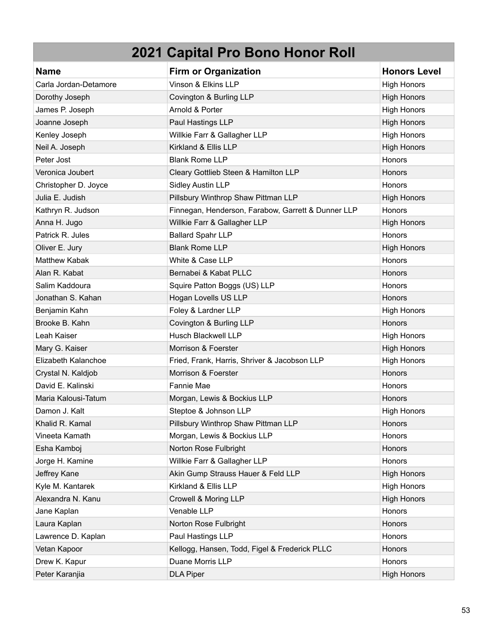| <b>Name</b>           | <b>Firm or Organization</b>                        | <b>Honors Level</b> |
|-----------------------|----------------------------------------------------|---------------------|
| Carla Jordan-Detamore | Vinson & Elkins LLP                                | <b>High Honors</b>  |
| Dorothy Joseph        | Covington & Burling LLP                            | <b>High Honors</b>  |
| James P. Joseph       | Arnold & Porter                                    | <b>High Honors</b>  |
| Joanne Joseph         | Paul Hastings LLP                                  | <b>High Honors</b>  |
| Kenley Joseph         | Willkie Farr & Gallagher LLP                       | <b>High Honors</b>  |
| Neil A. Joseph        | Kirkland & Ellis LLP                               | <b>High Honors</b>  |
| Peter Jost            | <b>Blank Rome LLP</b>                              | Honors              |
| Veronica Joubert      | Cleary Gottlieb Steen & Hamilton LLP               | Honors              |
| Christopher D. Joyce  | <b>Sidley Austin LLP</b>                           | <b>Honors</b>       |
| Julia E. Judish       | Pillsbury Winthrop Shaw Pittman LLP                | <b>High Honors</b>  |
| Kathryn R. Judson     | Finnegan, Henderson, Farabow, Garrett & Dunner LLP | Honors              |
| Anna H. Jugo          | Willkie Farr & Gallagher LLP                       | <b>High Honors</b>  |
| Patrick R. Jules      | <b>Ballard Spahr LLP</b>                           | Honors              |
| Oliver E. Jury        | <b>Blank Rome LLP</b>                              | <b>High Honors</b>  |
| <b>Matthew Kabak</b>  | White & Case LLP                                   | Honors              |
| Alan R. Kabat         | Bernabei & Kabat PLLC                              | Honors              |
| Salim Kaddoura        | Squire Patton Boggs (US) LLP                       | <b>Honors</b>       |
| Jonathan S. Kahan     | Hogan Lovells US LLP                               | Honors              |
| Benjamin Kahn         | Foley & Lardner LLP                                | <b>High Honors</b>  |
| Brooke B. Kahn        | Covington & Burling LLP                            | Honors              |
| Leah Kaiser           | <b>Husch Blackwell LLP</b>                         | <b>High Honors</b>  |
| Mary G. Kaiser        | Morrison & Foerster                                | <b>High Honors</b>  |
| Elizabeth Kalanchoe   | Fried, Frank, Harris, Shriver & Jacobson LLP       | <b>High Honors</b>  |
| Crystal N. Kaldjob    | Morrison & Foerster                                | Honors              |
| David E. Kalinski     | <b>Fannie Mae</b>                                  | <b>Honors</b>       |
| Maria Kalousi-Tatum   | Morgan, Lewis & Bockius LLP                        | Honors              |
| Damon J. Kalt         | Steptoe & Johnson LLP                              | <b>High Honors</b>  |
| Khalid R. Kamal       | Pillsbury Winthrop Shaw Pittman LLP                | <b>Honors</b>       |
| Vineeta Kamath        | Morgan, Lewis & Bockius LLP                        | Honors              |
| Esha Kamboj           | Norton Rose Fulbright                              | Honors              |
| Jorge H. Kamine       | Willkie Farr & Gallagher LLP                       | Honors              |
| Jeffrey Kane          | Akin Gump Strauss Hauer & Feld LLP                 | <b>High Honors</b>  |
| Kyle M. Kantarek      | Kirkland & Ellis LLP                               | <b>High Honors</b>  |
| Alexandra N. Kanu     | Crowell & Moring LLP                               | <b>High Honors</b>  |
| Jane Kaplan           | Venable LLP                                        | Honors              |
| Laura Kaplan          | Norton Rose Fulbright                              | Honors              |
| Lawrence D. Kaplan    | Paul Hastings LLP                                  | Honors              |
| Vetan Kapoor          | Kellogg, Hansen, Todd, Figel & Frederick PLLC      | <b>Honors</b>       |
| Drew K. Kapur         | Duane Morris LLP                                   | Honors              |
| Peter Karanjia        | <b>DLA Piper</b>                                   | <b>High Honors</b>  |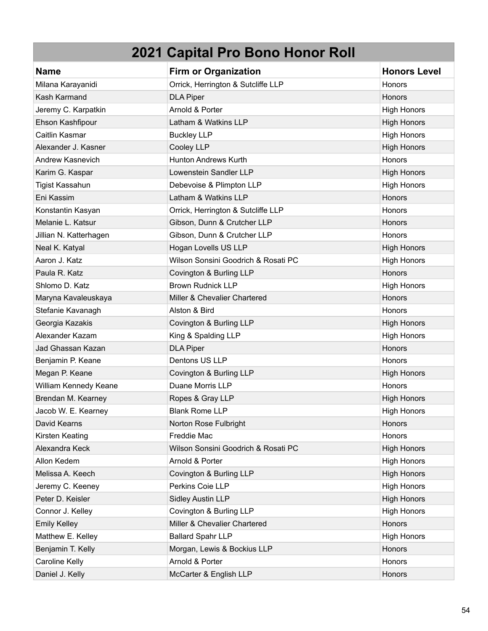| <b>Name</b>             | <b>Firm or Organization</b>         | <b>Honors Level</b> |
|-------------------------|-------------------------------------|---------------------|
| Milana Karayanidi       | Orrick, Herrington & Sutcliffe LLP  | <b>Honors</b>       |
| Kash Karmand            | <b>DLA Piper</b>                    | <b>Honors</b>       |
| Jeremy C. Karpatkin     | Arnold & Porter                     | <b>High Honors</b>  |
| Ehson Kashfipour        | Latham & Watkins LLP                | <b>High Honors</b>  |
| Caitlin Kasmar          | <b>Buckley LLP</b>                  | <b>High Honors</b>  |
| Alexander J. Kasner     | Cooley LLP                          | <b>High Honors</b>  |
| <b>Andrew Kasnevich</b> | Hunton Andrews Kurth                | Honors              |
| Karim G. Kaspar         | Lowenstein Sandler LLP              | <b>High Honors</b>  |
| <b>Tigist Kassahun</b>  | Debevoise & Plimpton LLP            | <b>High Honors</b>  |
| Eni Kassim              | Latham & Watkins LLP                | Honors              |
| Konstantin Kasyan       | Orrick, Herrington & Sutcliffe LLP  | Honors              |
| Melanie L. Katsur       | Gibson, Dunn & Crutcher LLP         | <b>Honors</b>       |
| Jillian N. Katterhagen  | Gibson, Dunn & Crutcher LLP         | Honors              |
| Neal K. Katyal          | Hogan Lovells US LLP                | <b>High Honors</b>  |
| Aaron J. Katz           | Wilson Sonsini Goodrich & Rosati PC | <b>High Honors</b>  |
| Paula R. Katz           | Covington & Burling LLP             | Honors              |
| Shlomo D. Katz          | <b>Brown Rudnick LLP</b>            | <b>High Honors</b>  |
| Maryna Kavaleuskaya     | Miller & Chevalier Chartered        | Honors              |
| Stefanie Kavanagh       | Alston & Bird                       | Honors              |
| Georgia Kazakis         | Covington & Burling LLP             | <b>High Honors</b>  |
| Alexander Kazam         | King & Spalding LLP                 | <b>High Honors</b>  |
| Jad Ghassan Kazan       | <b>DLA Piper</b>                    | Honors              |
| Benjamin P. Keane       | Dentons US LLP                      | Honors              |
| Megan P. Keane          | Covington & Burling LLP             | <b>High Honors</b>  |
| William Kennedy Keane   | Duane Morris LLP                    | Honors              |
| Brendan M. Kearney      | Ropes & Gray LLP                    | <b>High Honors</b>  |
| Jacob W. E. Kearney     | <b>Blank Rome LLP</b>               | <b>High Honors</b>  |
| David Kearns            | Norton Rose Fulbright               | Honors              |
| Kirsten Keating         | Freddie Mac                         | Honors              |
| Alexandra Keck          | Wilson Sonsini Goodrich & Rosati PC | <b>High Honors</b>  |
| Allon Kedem             | Arnold & Porter                     | <b>High Honors</b>  |
| Melissa A. Keech        | Covington & Burling LLP             | <b>High Honors</b>  |
| Jeremy C. Keeney        | Perkins Coie LLP                    | <b>High Honors</b>  |
| Peter D. Keisler        | <b>Sidley Austin LLP</b>            | <b>High Honors</b>  |
| Connor J. Kelley        | Covington & Burling LLP             | <b>High Honors</b>  |
| <b>Emily Kelley</b>     | Miller & Chevalier Chartered        | Honors              |
| Matthew E. Kelley       | <b>Ballard Spahr LLP</b>            | <b>High Honors</b>  |
| Benjamin T. Kelly       | Morgan, Lewis & Bockius LLP         | Honors              |
| Caroline Kelly          | Arnold & Porter                     | Honors              |
| Daniel J. Kelly         | McCarter & English LLP              | Honors              |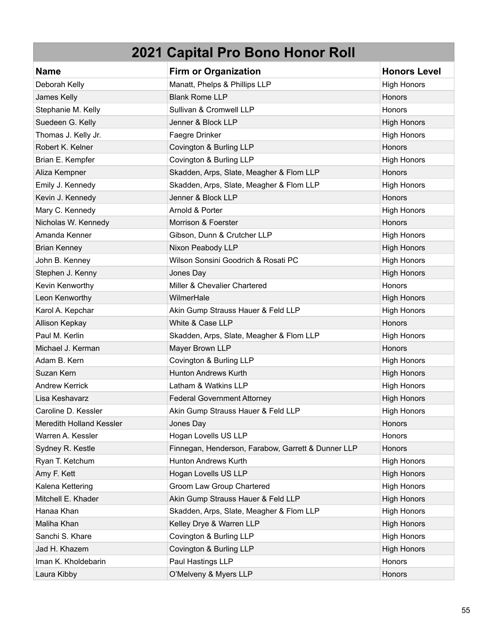| <b>Name</b>              | <b>Firm or Organization</b>                        | <b>Honors Level</b> |
|--------------------------|----------------------------------------------------|---------------------|
| Deborah Kelly            | Manatt, Phelps & Phillips LLP                      | <b>High Honors</b>  |
| James Kelly              | <b>Blank Rome LLP</b>                              | Honors              |
| Stephanie M. Kelly       | Sullivan & Cromwell LLP                            | Honors              |
| Suedeen G. Kelly         | Jenner & Block LLP                                 | <b>High Honors</b>  |
| Thomas J. Kelly Jr.      | Faegre Drinker                                     | <b>High Honors</b>  |
| Robert K. Kelner         | Covington & Burling LLP                            | Honors              |
| Brian E. Kempfer         | Covington & Burling LLP                            | <b>High Honors</b>  |
| Aliza Kempner            | Skadden, Arps, Slate, Meagher & Flom LLP           | Honors              |
| Emily J. Kennedy         | Skadden, Arps, Slate, Meagher & Flom LLP           | <b>High Honors</b>  |
| Kevin J. Kennedy         | Jenner & Block LLP                                 | <b>Honors</b>       |
| Mary C. Kennedy          | Arnold & Porter                                    | <b>High Honors</b>  |
| Nicholas W. Kennedy      | Morrison & Foerster                                | Honors              |
| Amanda Kenner            | Gibson, Dunn & Crutcher LLP                        | <b>High Honors</b>  |
| <b>Brian Kenney</b>      | Nixon Peabody LLP                                  | <b>High Honors</b>  |
| John B. Kenney           | Wilson Sonsini Goodrich & Rosati PC                | <b>High Honors</b>  |
| Stephen J. Kenny         | Jones Day                                          | <b>High Honors</b>  |
| Kevin Kenworthy          | Miller & Chevalier Chartered                       | Honors              |
| Leon Kenworthy           | WilmerHale                                         | <b>High Honors</b>  |
| Karol A. Kepchar         | Akin Gump Strauss Hauer & Feld LLP                 | <b>High Honors</b>  |
| Allison Kepkay           | White & Case LLP                                   | Honors              |
| Paul M. Kerlin           | Skadden, Arps, Slate, Meagher & Flom LLP           | <b>High Honors</b>  |
| Michael J. Kerman        | Mayer Brown LLP                                    | Honors              |
| Adam B. Kern             | Covington & Burling LLP                            | <b>High Honors</b>  |
| Suzan Kern               | <b>Hunton Andrews Kurth</b>                        | <b>High Honors</b>  |
| <b>Andrew Kerrick</b>    | Latham & Watkins LLP                               | <b>High Honors</b>  |
| Lisa Keshavarz           | <b>Federal Government Attorney</b>                 | <b>High Honors</b>  |
| Caroline D. Kessler      | Akin Gump Strauss Hauer & Feld LLP                 | <b>High Honors</b>  |
| Meredith Holland Kessler | Jones Day                                          | <b>Honors</b>       |
| Warren A. Kessler        | Hogan Lovells US LLP                               | Honors              |
| Sydney R. Kestle         | Finnegan, Henderson, Farabow, Garrett & Dunner LLP | Honors              |
| Ryan T. Ketchum          | Hunton Andrews Kurth                               | <b>High Honors</b>  |
| Amy F. Kett              | Hogan Lovells US LLP                               | <b>High Honors</b>  |
| Kalena Kettering         | Groom Law Group Chartered                          | <b>High Honors</b>  |
| Mitchell E. Khader       | Akin Gump Strauss Hauer & Feld LLP                 | <b>High Honors</b>  |
| Hanaa Khan               | Skadden, Arps, Slate, Meagher & Flom LLP           | <b>High Honors</b>  |
| Maliha Khan              | Kelley Drye & Warren LLP                           | <b>High Honors</b>  |
| Sanchi S. Khare          | Covington & Burling LLP                            | <b>High Honors</b>  |
| Jad H. Khazem            | Covington & Burling LLP                            | <b>High Honors</b>  |
| Iman K. Kholdebarin      | Paul Hastings LLP                                  | Honors              |
| Laura Kibby              | O'Melveny & Myers LLP                              | Honors              |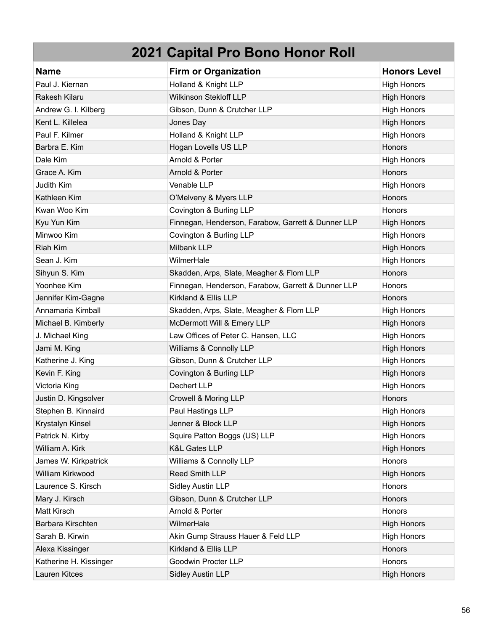| <b>Name</b>            | <b>Firm or Organization</b>                        | <b>Honors Level</b> |
|------------------------|----------------------------------------------------|---------------------|
| Paul J. Kiernan        | Holland & Knight LLP                               | <b>High Honors</b>  |
| Rakesh Kilaru          | <b>Wilkinson Stekloff LLP</b>                      | <b>High Honors</b>  |
| Andrew G. I. Kilberg   | Gibson, Dunn & Crutcher LLP                        | <b>High Honors</b>  |
| Kent L. Killelea       | Jones Day                                          | <b>High Honors</b>  |
| Paul F. Kilmer         | Holland & Knight LLP                               | <b>High Honors</b>  |
| Barbra E. Kim          | Hogan Lovells US LLP                               | Honors              |
| Dale Kim               | Arnold & Porter                                    | <b>High Honors</b>  |
| Grace A. Kim           | Arnold & Porter                                    | Honors              |
| Judith Kim             | Venable LLP                                        | <b>High Honors</b>  |
| Kathleen Kim           | O'Melveny & Myers LLP                              | Honors              |
| Kwan Woo Kim           | Covington & Burling LLP                            | <b>Honors</b>       |
| Kyu Yun Kim            | Finnegan, Henderson, Farabow, Garrett & Dunner LLP | <b>High Honors</b>  |
| Minwoo Kim             | Covington & Burling LLP                            | <b>High Honors</b>  |
| <b>Riah Kim</b>        | Milbank LLP                                        | <b>High Honors</b>  |
| Sean J. Kim            | WilmerHale                                         | <b>High Honors</b>  |
| Sihyun S. Kim          | Skadden, Arps, Slate, Meagher & Flom LLP           | Honors              |
| Yoonhee Kim            | Finnegan, Henderson, Farabow, Garrett & Dunner LLP | Honors              |
| Jennifer Kim-Gagne     | Kirkland & Ellis LLP                               | Honors              |
| Annamaria Kimball      | Skadden, Arps, Slate, Meagher & Flom LLP           | <b>High Honors</b>  |
| Michael B. Kimberly    | McDermott Will & Emery LLP                         | <b>High Honors</b>  |
| J. Michael King        | Law Offices of Peter C. Hansen, LLC                | <b>High Honors</b>  |
| Jami M. King           | Williams & Connolly LLP                            | <b>High Honors</b>  |
| Katherine J. King      | Gibson, Dunn & Crutcher LLP                        | <b>High Honors</b>  |
| Kevin F. King          | Covington & Burling LLP                            | <b>High Honors</b>  |
| Victoria King          | Dechert LLP                                        | <b>High Honors</b>  |
| Justin D. Kingsolver   | Crowell & Moring LLP                               | Honors              |
| Stephen B. Kinnaird    | Paul Hastings LLP                                  | <b>High Honors</b>  |
| Krystalyn Kinsel       | Jenner & Block LLP                                 | <b>High Honors</b>  |
| Patrick N. Kirby       | Squire Patton Boggs (US) LLP                       | <b>High Honors</b>  |
| William A. Kirk        | K&L Gates LLP                                      | <b>High Honors</b>  |
| James W. Kirkpatrick   | Williams & Connolly LLP                            | Honors              |
| William Kirkwood       | Reed Smith LLP                                     | <b>High Honors</b>  |
| Laurence S. Kirsch     | Sidley Austin LLP                                  | Honors              |
| Mary J. Kirsch         | Gibson, Dunn & Crutcher LLP                        | Honors              |
| Matt Kirsch            | Arnold & Porter                                    | Honors              |
| Barbara Kirschten      | WilmerHale                                         | <b>High Honors</b>  |
| Sarah B. Kirwin        | Akin Gump Strauss Hauer & Feld LLP                 | <b>High Honors</b>  |
| Alexa Kissinger        | Kirkland & Ellis LLP                               | Honors              |
| Katherine H. Kissinger | Goodwin Procter LLP                                | Honors              |
| Lauren Kitces          | <b>Sidley Austin LLP</b>                           | <b>High Honors</b>  |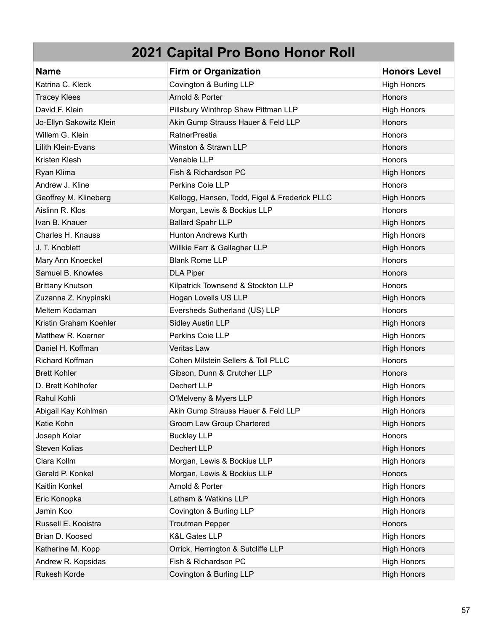| <b>Name</b>               | <b>Firm or Organization</b>                   | <b>Honors Level</b> |
|---------------------------|-----------------------------------------------|---------------------|
| Katrina C. Kleck          | Covington & Burling LLP                       | <b>High Honors</b>  |
| <b>Tracey Klees</b>       | Arnold & Porter                               | Honors              |
| David F. Klein            | Pillsbury Winthrop Shaw Pittman LLP           | <b>High Honors</b>  |
| Jo-Ellyn Sakowitz Klein   | Akin Gump Strauss Hauer & Feld LLP            | Honors              |
| Willem G. Klein           | <b>RatnerPrestia</b>                          | Honors              |
| <b>Lilith Klein-Evans</b> | Winston & Strawn LLP                          | Honors              |
| Kristen Klesh             | Venable LLP                                   | Honors              |
| Ryan Klima                | Fish & Richardson PC                          | <b>High Honors</b>  |
| Andrew J. Kline           | Perkins Coie LLP                              | Honors              |
| Geoffrey M. Klineberg     | Kellogg, Hansen, Todd, Figel & Frederick PLLC | <b>High Honors</b>  |
| Aislinn R. Klos           | Morgan, Lewis & Bockius LLP                   | Honors              |
| Ivan B. Knauer            | <b>Ballard Spahr LLP</b>                      | <b>High Honors</b>  |
| Charles H. Knauss         | <b>Hunton Andrews Kurth</b>                   | <b>High Honors</b>  |
| J. T. Knoblett            | Willkie Farr & Gallagher LLP                  | <b>High Honors</b>  |
| Mary Ann Knoeckel         | <b>Blank Rome LLP</b>                         | Honors              |
| Samuel B. Knowles         | <b>DLA Piper</b>                              | Honors              |
| <b>Brittany Knutson</b>   | Kilpatrick Townsend & Stockton LLP            | Honors              |
| Zuzanna Z. Knypinski      | Hogan Lovells US LLP                          | <b>High Honors</b>  |
| Meltem Kodaman            | Eversheds Sutherland (US) LLP                 | Honors              |
| Kristin Graham Koehler    | <b>Sidley Austin LLP</b>                      | <b>High Honors</b>  |
| Matthew R. Koerner        | Perkins Coie LLP                              | <b>High Honors</b>  |
| Daniel H. Koffman         | Veritas Law                                   | <b>High Honors</b>  |
| Richard Koffman           | Cohen Milstein Sellers & Toll PLLC            | Honors              |
| <b>Brett Kohler</b>       | Gibson, Dunn & Crutcher LLP                   | Honors              |
| D. Brett Kohlhofer        | Dechert LLP                                   | High Honors         |
| Rahul Kohli               | O'Melveny & Myers LLP                         | <b>High Honors</b>  |
| Abigail Kay Kohlman       | Akin Gump Strauss Hauer & Feld LLP            | <b>High Honors</b>  |
| Katie Kohn                | Groom Law Group Chartered                     | <b>High Honors</b>  |
| Joseph Kolar              | <b>Buckley LLP</b>                            | Honors              |
| <b>Steven Kolias</b>      | Dechert LLP                                   | <b>High Honors</b>  |
| Clara Kollm               | Morgan, Lewis & Bockius LLP                   | <b>High Honors</b>  |
| Gerald P. Konkel          | Morgan, Lewis & Bockius LLP                   | Honors              |
| Kaitlin Konkel            | Arnold & Porter                               | <b>High Honors</b>  |
| Eric Konopka              | Latham & Watkins LLP                          | <b>High Honors</b>  |
| Jamin Koo                 | Covington & Burling LLP                       | <b>High Honors</b>  |
| Russell E. Kooistra       | <b>Troutman Pepper</b>                        | Honors              |
| Brian D. Koosed           | <b>K&amp;L Gates LLP</b>                      | <b>High Honors</b>  |
| Katherine M. Kopp         | Orrick, Herrington & Sutcliffe LLP            | <b>High Honors</b>  |
| Andrew R. Kopsidas        | Fish & Richardson PC                          | <b>High Honors</b>  |
| Rukesh Korde              | Covington & Burling LLP                       | <b>High Honors</b>  |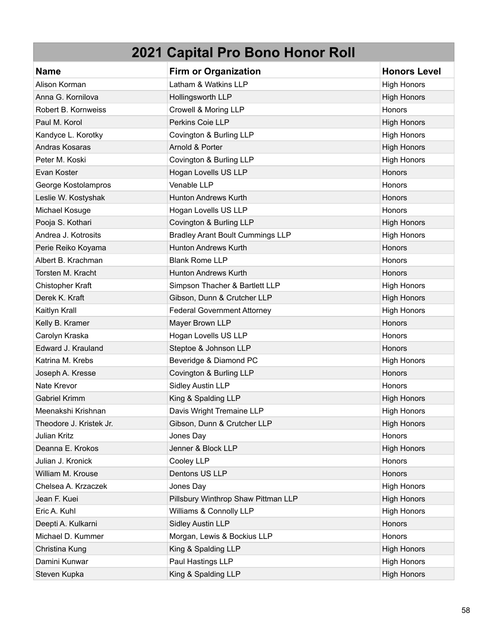| <b>Name</b>             | <b>Firm or Organization</b>             | <b>Honors Level</b> |
|-------------------------|-----------------------------------------|---------------------|
| Alison Korman           | Latham & Watkins LLP                    | <b>High Honors</b>  |
| Anna G. Kornilova       | Hollingsworth LLP                       | <b>High Honors</b>  |
| Robert B. Kornweiss     | Crowell & Moring LLP                    | Honors              |
| Paul M. Korol           | Perkins Coie LLP                        | <b>High Honors</b>  |
| Kandyce L. Korotky      | Covington & Burling LLP                 | <b>High Honors</b>  |
| Andras Kosaras          | Arnold & Porter                         | <b>High Honors</b>  |
| Peter M. Koski          | Covington & Burling LLP                 | <b>High Honors</b>  |
| Evan Koster             | Hogan Lovells US LLP                    | Honors              |
| George Kostolampros     | Venable LLP                             | Honors              |
| Leslie W. Kostyshak     | <b>Hunton Andrews Kurth</b>             | Honors              |
| Michael Kosuge          | Hogan Lovells US LLP                    | Honors              |
| Pooja S. Kothari        | Covington & Burling LLP                 | <b>High Honors</b>  |
| Andrea J. Kotrosits     | <b>Bradley Arant Boult Cummings LLP</b> | <b>High Honors</b>  |
| Perie Reiko Koyama      | <b>Hunton Andrews Kurth</b>             | Honors              |
| Albert B. Krachman      | <b>Blank Rome LLP</b>                   | Honors              |
| Torsten M. Kracht       | <b>Hunton Andrews Kurth</b>             | Honors              |
| Chistopher Kraft        | Simpson Thacher & Bartlett LLP          | <b>High Honors</b>  |
| Derek K. Kraft          | Gibson, Dunn & Crutcher LLP             | <b>High Honors</b>  |
| Kaitlyn Krall           | <b>Federal Government Attorney</b>      | <b>High Honors</b>  |
| Kelly B. Kramer         | Mayer Brown LLP                         | Honors              |
| Carolyn Kraska          | Hogan Lovells US LLP                    | Honors              |
| Edward J. Krauland      | Steptoe & Johnson LLP                   | Honors              |
| Katrina M. Krebs        | Beveridge & Diamond PC                  | <b>High Honors</b>  |
| Joseph A. Kresse        | Covington & Burling LLP                 | Honors              |
| Nate Krevor             | <b>Sidley Austin LLP</b>                | Honors              |
| <b>Gabriel Krimm</b>    | King & Spalding LLP                     | <b>High Honors</b>  |
| Meenakshi Krishnan      | Davis Wright Tremaine LLP               | <b>High Honors</b>  |
| Theodore J. Kristek Jr. | Gibson, Dunn & Crutcher LLP             | <b>High Honors</b>  |
| <b>Julian Kritz</b>     | Jones Day                               | Honors              |
| Deanna E. Krokos        | Jenner & Block LLP                      | <b>High Honors</b>  |
| Julian J. Kronick       | Cooley LLP                              | Honors              |
| William M. Krouse       | Dentons US LLP                          | Honors              |
| Chelsea A. Krzaczek     | Jones Day                               | <b>High Honors</b>  |
| Jean F. Kuei            | Pillsbury Winthrop Shaw Pittman LLP     | <b>High Honors</b>  |
| Eric A. Kuhl            | Williams & Connolly LLP                 | <b>High Honors</b>  |
| Deepti A. Kulkarni      | <b>Sidley Austin LLP</b>                | Honors              |
| Michael D. Kummer       | Morgan, Lewis & Bockius LLP             | Honors              |
| Christina Kung          | King & Spalding LLP                     | <b>High Honors</b>  |
| Damini Kunwar           | Paul Hastings LLP                       | <b>High Honors</b>  |
| Steven Kupka            | King & Spalding LLP                     | <b>High Honors</b>  |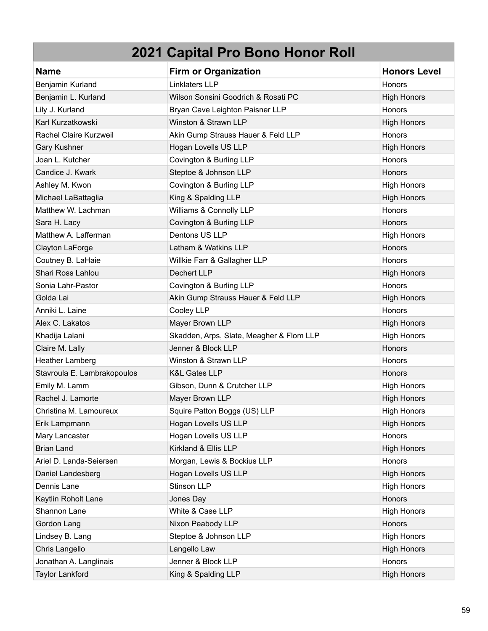| <b>Name</b>                 | <b>Firm or Organization</b>              | <b>Honors Level</b> |
|-----------------------------|------------------------------------------|---------------------|
| Benjamin Kurland            | Linklaters LLP                           | <b>Honors</b>       |
| Benjamin L. Kurland         | Wilson Sonsini Goodrich & Rosati PC      | <b>High Honors</b>  |
| Lily J. Kurland             | Bryan Cave Leighton Paisner LLP          | Honors              |
| Karl Kurzatkowski           | Winston & Strawn LLP                     | <b>High Honors</b>  |
| Rachel Claire Kurzweil      | Akin Gump Strauss Hauer & Feld LLP       | Honors              |
| Gary Kushner                | Hogan Lovells US LLP                     | <b>High Honors</b>  |
| Joan L. Kutcher             | Covington & Burling LLP                  | Honors              |
| Candice J. Kwark            | Steptoe & Johnson LLP                    | <b>Honors</b>       |
| Ashley M. Kwon              | Covington & Burling LLP                  | <b>High Honors</b>  |
| Michael LaBattaglia         | King & Spalding LLP                      | <b>High Honors</b>  |
| Matthew W. Lachman          | Williams & Connolly LLP                  | Honors              |
| Sara H. Lacy                | Covington & Burling LLP                  | Honors              |
| Matthew A. Lafferman        | Dentons US LLP                           | <b>High Honors</b>  |
| Clayton LaForge             | Latham & Watkins LLP                     | Honors              |
| Coutney B. LaHaie           | Willkie Farr & Gallagher LLP             | Honors              |
| Shari Ross Lahlou           | Dechert LLP                              | <b>High Honors</b>  |
| Sonia Lahr-Pastor           | Covington & Burling LLP                  | Honors              |
| Golda Lai                   | Akin Gump Strauss Hauer & Feld LLP       | <b>High Honors</b>  |
| Anniki L. Laine             | Cooley LLP                               | Honors              |
| Alex C. Lakatos             | Mayer Brown LLP                          | <b>High Honors</b>  |
| Khadija Lalani              | Skadden, Arps, Slate, Meagher & Flom LLP | <b>High Honors</b>  |
| Claire M. Lally             | Jenner & Block LLP                       | Honors              |
| <b>Heather Lamberg</b>      | Winston & Strawn LLP                     | <b>Honors</b>       |
| Stavroula E. Lambrakopoulos | <b>K&amp;L Gates LLP</b>                 | <b>Honors</b>       |
| Emily M. Lamm               | Gibson, Dunn & Crutcher LLP              | <b>High Honors</b>  |
| Rachel J. Lamorte           | Mayer Brown LLP                          | <b>High Honors</b>  |
| Christina M. Lamoureux      | Squire Patton Boggs (US) LLP             | <b>High Honors</b>  |
| Erik Lampmann               | Hogan Lovells US LLP                     | <b>High Honors</b>  |
| Mary Lancaster              | Hogan Lovells US LLP                     | Honors              |
| <b>Brian Land</b>           | Kirkland & Ellis LLP                     | <b>High Honors</b>  |
| Ariel D. Landa-Seiersen     | Morgan, Lewis & Bockius LLP              | Honors              |
| Daniel Landesberg           | Hogan Lovells US LLP                     | <b>High Honors</b>  |
| Dennis Lane                 | Stinson LLP                              | <b>High Honors</b>  |
| Kaytlin Roholt Lane         | Jones Day                                | Honors              |
| Shannon Lane                | White & Case LLP                         | <b>High Honors</b>  |
| Gordon Lang                 | Nixon Peabody LLP                        | Honors              |
| Lindsey B. Lang             | Steptoe & Johnson LLP                    | <b>High Honors</b>  |
| Chris Langello              | Langello Law                             | <b>High Honors</b>  |
| Jonathan A. Langlinais      | Jenner & Block LLP                       | Honors              |
| <b>Taylor Lankford</b>      | King & Spalding LLP                      | <b>High Honors</b>  |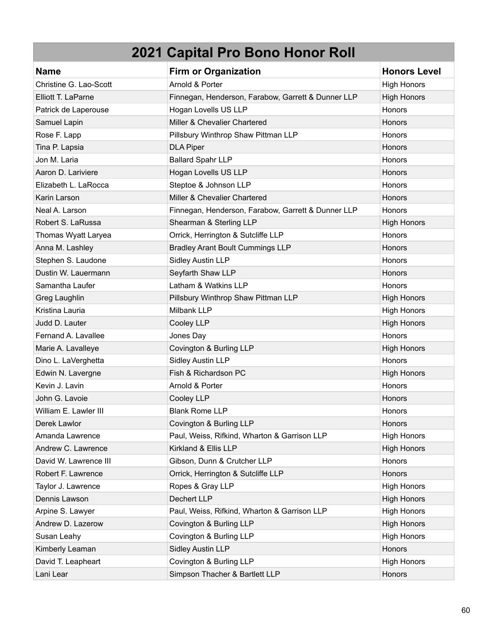| <b>Name</b>            | <b>Firm or Organization</b>                        | <b>Honors Level</b> |
|------------------------|----------------------------------------------------|---------------------|
| Christine G. Lao-Scott | Arnold & Porter                                    | <b>High Honors</b>  |
| Elliott T. LaParne     | Finnegan, Henderson, Farabow, Garrett & Dunner LLP | <b>High Honors</b>  |
| Patrick de Laperouse   | Hogan Lovells US LLP                               | Honors              |
| Samuel Lapin           | Miller & Chevalier Chartered                       | Honors              |
| Rose F. Lapp           | Pillsbury Winthrop Shaw Pittman LLP                | <b>Honors</b>       |
| Tina P. Lapsia         | <b>DLA Piper</b>                                   | Honors              |
| Jon M. Laria           | <b>Ballard Spahr LLP</b>                           | Honors              |
| Aaron D. Lariviere     | Hogan Lovells US LLP                               | Honors              |
| Elizabeth L. LaRocca   | Steptoe & Johnson LLP                              | Honors              |
| Karin Larson           | Miller & Chevalier Chartered                       | Honors              |
| Neal A. Larson         | Finnegan, Henderson, Farabow, Garrett & Dunner LLP | <b>Honors</b>       |
| Robert S. LaRussa      | Shearman & Sterling LLP                            | <b>High Honors</b>  |
| Thomas Wyatt Laryea    | Orrick, Herrington & Sutcliffe LLP                 | Honors              |
| Anna M. Lashley        | <b>Bradley Arant Boult Cummings LLP</b>            | <b>Honors</b>       |
| Stephen S. Laudone     | <b>Sidley Austin LLP</b>                           | Honors              |
| Dustin W. Lauermann    | Seyfarth Shaw LLP                                  | Honors              |
| Samantha Laufer        | Latham & Watkins LLP                               | Honors              |
| Greg Laughlin          | Pillsbury Winthrop Shaw Pittman LLP                | <b>High Honors</b>  |
| Kristina Lauria        | Milbank LLP                                        | <b>High Honors</b>  |
| Judd D. Lauter         | Cooley LLP                                         | <b>High Honors</b>  |
| Fernand A. Lavallee    | Jones Day                                          | Honors              |
| Marie A. Lavalleye     | Covington & Burling LLP                            | <b>High Honors</b>  |
| Dino L. LaVerghetta    | <b>Sidley Austin LLP</b>                           | Honors              |
| Edwin N. Lavergne      | Fish & Richardson PC                               | <b>High Honors</b>  |
| Kevin J. Lavin         | Arnold & Porter                                    | Honors              |
| John G. Lavoie         | Cooley LLP                                         | Honors              |
| William E. Lawler III  | <b>Blank Rome LLP</b>                              | Honors              |
| Derek Lawlor           | Covington & Burling LLP                            | <b>Honors</b>       |
| Amanda Lawrence        | Paul, Weiss, Rifkind, Wharton & Garrison LLP       | <b>High Honors</b>  |
| Andrew C. Lawrence     | Kirkland & Ellis LLP                               | <b>High Honors</b>  |
| David W. Lawrence III  | Gibson, Dunn & Crutcher LLP                        | Honors              |
| Robert F. Lawrence     | Orrick, Herrington & Sutcliffe LLP                 | Honors              |
| Taylor J. Lawrence     | Ropes & Gray LLP                                   | <b>High Honors</b>  |
| Dennis Lawson          | Dechert LLP                                        | <b>High Honors</b>  |
| Arpine S. Lawyer       | Paul, Weiss, Rifkind, Wharton & Garrison LLP       | <b>High Honors</b>  |
| Andrew D. Lazerow      | Covington & Burling LLP                            | <b>High Honors</b>  |
| Susan Leahy            | Covington & Burling LLP                            | High Honors         |
| Kimberly Leaman        | <b>Sidley Austin LLP</b>                           | Honors              |
| David T. Leapheart     | Covington & Burling LLP                            | High Honors         |
| Lani Lear              | Simpson Thacher & Bartlett LLP                     | Honors              |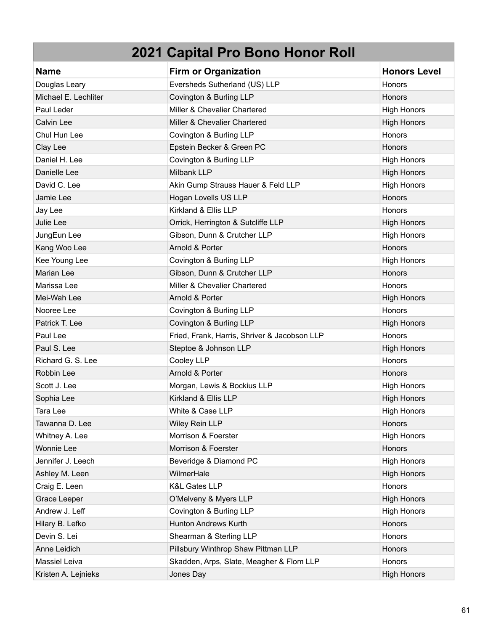| <b>Name</b>          | <b>Firm or Organization</b>                  | <b>Honors Level</b> |
|----------------------|----------------------------------------------|---------------------|
| Douglas Leary        | Eversheds Sutherland (US) LLP                | <b>Honors</b>       |
| Michael E. Lechliter | Covington & Burling LLP                      | <b>Honors</b>       |
| Paul Leder           | Miller & Chevalier Chartered                 | <b>High Honors</b>  |
| <b>Calvin Lee</b>    | Miller & Chevalier Chartered                 | <b>High Honors</b>  |
| Chul Hun Lee         | Covington & Burling LLP                      | Honors              |
| Clay Lee             | Epstein Becker & Green PC                    | Honors              |
| Daniel H. Lee        | Covington & Burling LLP                      | <b>High Honors</b>  |
| Danielle Lee         | Milbank LLP                                  | <b>High Honors</b>  |
| David C. Lee         | Akin Gump Strauss Hauer & Feld LLP           | <b>High Honors</b>  |
| Jamie Lee            | Hogan Lovells US LLP                         | <b>Honors</b>       |
| Jay Lee              | Kirkland & Ellis LLP                         | <b>Honors</b>       |
| Julie Lee            | Orrick, Herrington & Sutcliffe LLP           | <b>High Honors</b>  |
| JungEun Lee          | Gibson, Dunn & Crutcher LLP                  | <b>High Honors</b>  |
| Kang Woo Lee         | Arnold & Porter                              | Honors              |
| Kee Young Lee        | Covington & Burling LLP                      | <b>High Honors</b>  |
| Marian Lee           | Gibson, Dunn & Crutcher LLP                  | Honors              |
| Marissa Lee          | Miller & Chevalier Chartered                 | <b>Honors</b>       |
| Mei-Wah Lee          | Arnold & Porter                              | <b>High Honors</b>  |
| Nooree Lee           | Covington & Burling LLP                      | Honors              |
| Patrick T. Lee       | Covington & Burling LLP                      | <b>High Honors</b>  |
| Paul Lee             | Fried, Frank, Harris, Shriver & Jacobson LLP | Honors              |
| Paul S. Lee          | Steptoe & Johnson LLP                        | <b>High Honors</b>  |
| Richard G. S. Lee    | Cooley LLP                                   | <b>Honors</b>       |
| Robbin Lee           | Arnold & Porter                              | Honors              |
| Scott J. Lee         | Morgan, Lewis & Bockius LLP                  | <b>High Honors</b>  |
| Sophia Lee           | Kirkland & Ellis LLP                         | <b>High Honors</b>  |
| Tara Lee             | White & Case LLP                             | <b>High Honors</b>  |
| Tawanna D. Lee       | Wiley Rein LLP                               | Honors              |
| Whitney A. Lee       | Morrison & Foerster                          | <b>High Honors</b>  |
| <b>Wonnie Lee</b>    | Morrison & Foerster                          | Honors              |
| Jennifer J. Leech    | Beveridge & Diamond PC                       | <b>High Honors</b>  |
| Ashley M. Leen       | WilmerHale                                   | <b>High Honors</b>  |
| Craig E. Leen        | <b>K&amp;L Gates LLP</b>                     | Honors              |
| Grace Leeper         | O'Melveny & Myers LLP                        | <b>High Honors</b>  |
| Andrew J. Leff       | Covington & Burling LLP                      | <b>High Honors</b>  |
| Hilary B. Lefko      | <b>Hunton Andrews Kurth</b>                  | Honors              |
| Devin S. Lei         | Shearman & Sterling LLP                      | Honors              |
| Anne Leidich         | Pillsbury Winthrop Shaw Pittman LLP          | Honors              |
| Massiel Leiva        | Skadden, Arps, Slate, Meagher & Flom LLP     | Honors              |
| Kristen A. Lejnieks  | Jones Day                                    | <b>High Honors</b>  |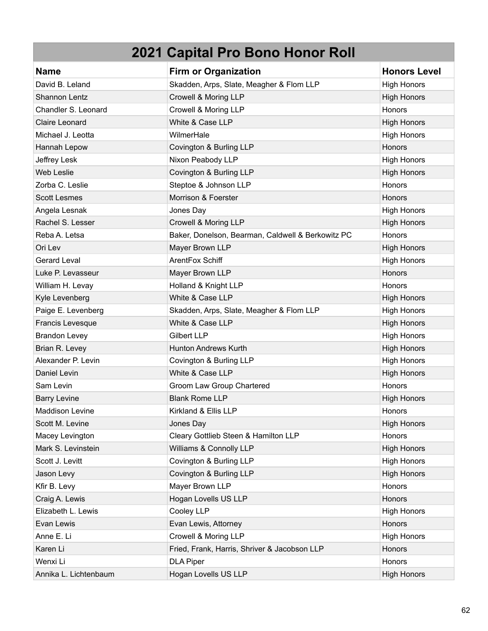| <b>Name</b>            | <b>Firm or Organization</b>                       | <b>Honors Level</b> |
|------------------------|---------------------------------------------------|---------------------|
| David B. Leland        | Skadden, Arps, Slate, Meagher & Flom LLP          | <b>High Honors</b>  |
| Shannon Lentz          | Crowell & Moring LLP                              | <b>High Honors</b>  |
| Chandler S. Leonard    | Crowell & Moring LLP                              | Honors              |
| Claire Leonard         | White & Case LLP                                  | <b>High Honors</b>  |
| Michael J. Leotta      | WilmerHale                                        | <b>High Honors</b>  |
| Hannah Lepow           | Covington & Burling LLP                           | Honors              |
| Jeffrey Lesk           | Nixon Peabody LLP                                 | <b>High Honors</b>  |
| <b>Web Leslie</b>      | Covington & Burling LLP                           | <b>High Honors</b>  |
| Zorba C. Leslie        | Steptoe & Johnson LLP                             | Honors              |
| <b>Scott Lesmes</b>    | Morrison & Foerster                               | Honors              |
| Angela Lesnak          | Jones Day                                         | <b>High Honors</b>  |
| Rachel S. Lesser       | Crowell & Moring LLP                              | <b>High Honors</b>  |
| Reba A. Letsa          | Baker, Donelson, Bearman, Caldwell & Berkowitz PC | Honors              |
| Ori Lev                | Mayer Brown LLP                                   | <b>High Honors</b>  |
| <b>Gerard Leval</b>    | ArentFox Schiff                                   | <b>High Honors</b>  |
| Luke P. Levasseur      | Mayer Brown LLP                                   | Honors              |
| William H. Levay       | Holland & Knight LLP                              | <b>Honors</b>       |
| Kyle Levenberg         | White & Case LLP                                  | <b>High Honors</b>  |
| Paige E. Levenberg     | Skadden, Arps, Slate, Meagher & Flom LLP          | <b>High Honors</b>  |
| Francis Levesque       | White & Case LLP                                  | <b>High Honors</b>  |
| <b>Brandon Levey</b>   | <b>Gilbert LLP</b>                                | <b>High Honors</b>  |
| Brian R. Levey         | <b>Hunton Andrews Kurth</b>                       | <b>High Honors</b>  |
| Alexander P. Levin     | Covington & Burling LLP                           | <b>High Honors</b>  |
| Daniel Levin           | White & Case LLP                                  | <b>High Honors</b>  |
| Sam Levin              | Groom Law Group Chartered                         | Honors              |
| <b>Barry Levine</b>    | <b>Blank Rome LLP</b>                             | <b>High Honors</b>  |
| <b>Maddison Levine</b> | Kirkland & Ellis LLP                              | Honors              |
| Scott M. Levine        | Jones Day                                         | <b>High Honors</b>  |
| Macey Levington        | Cleary Gottlieb Steen & Hamilton LLP              | Honors              |
| Mark S. Levinstein     | Williams & Connolly LLP                           | <b>High Honors</b>  |
| Scott J. Levitt        | Covington & Burling LLP                           | <b>High Honors</b>  |
| Jason Levy             | Covington & Burling LLP                           | <b>High Honors</b>  |
| Kfir B. Levy           | Mayer Brown LLP                                   | Honors              |
| Craig A. Lewis         | Hogan Lovells US LLP                              | Honors              |
| Elizabeth L. Lewis     | Cooley LLP                                        | <b>High Honors</b>  |
| Evan Lewis             | Evan Lewis, Attorney                              | Honors              |
| Anne E. Li             | Crowell & Moring LLP                              | <b>High Honors</b>  |
| Karen Li               | Fried, Frank, Harris, Shriver & Jacobson LLP      | Honors              |
| Wenxi Li               | <b>DLA Piper</b>                                  | Honors              |
| Annika L. Lichtenbaum  | Hogan Lovells US LLP                              | <b>High Honors</b>  |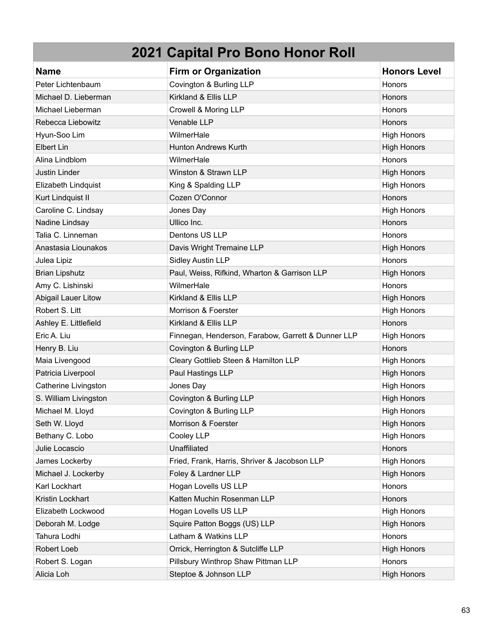| <b>Name</b>           | <b>Firm or Organization</b>                        | <b>Honors Level</b> |
|-----------------------|----------------------------------------------------|---------------------|
| Peter Lichtenbaum     | Covington & Burling LLP                            | Honors              |
| Michael D. Lieberman  | Kirkland & Ellis LLP                               | Honors              |
| Michael Lieberman     | Crowell & Moring LLP                               | <b>Honors</b>       |
| Rebecca Liebowitz     | Venable LLP                                        | Honors              |
| Hyun-Soo Lim          | WilmerHale                                         | <b>High Honors</b>  |
| Elbert Lin            | <b>Hunton Andrews Kurth</b>                        | <b>High Honors</b>  |
| Alina Lindblom        | WilmerHale                                         | Honors              |
| Justin Linder         | Winston & Strawn LLP                               | <b>High Honors</b>  |
| Elizabeth Lindquist   | King & Spalding LLP                                | <b>High Honors</b>  |
| Kurt Lindquist II     | Cozen O'Connor                                     | <b>Honors</b>       |
| Caroline C. Lindsay   | Jones Day                                          | <b>High Honors</b>  |
| Nadine Lindsay        | Ullico Inc.                                        | <b>Honors</b>       |
| Talia C. Linneman     | Dentons US LLP                                     | Honors              |
| Anastasia Liounakos   | Davis Wright Tremaine LLP                          | <b>High Honors</b>  |
| Julea Lipiz           | Sidley Austin LLP                                  | <b>Honors</b>       |
| <b>Brian Lipshutz</b> | Paul, Weiss, Rifkind, Wharton & Garrison LLP       | <b>High Honors</b>  |
| Amy C. Lishinski      | WilmerHale                                         | Honors              |
| Abigail Lauer Litow   | Kirkland & Ellis LLP                               | <b>High Honors</b>  |
| Robert S. Litt        | Morrison & Foerster                                | <b>High Honors</b>  |
| Ashley E. Littlefield | Kirkland & Ellis LLP                               | <b>Honors</b>       |
| Eric A. Liu           | Finnegan, Henderson, Farabow, Garrett & Dunner LLP | <b>High Honors</b>  |
| Henry B. Liu          | Covington & Burling LLP                            | Honors              |
| Maia Livengood        | Cleary Gottlieb Steen & Hamilton LLP               | <b>High Honors</b>  |
| Patricia Liverpool    | Paul Hastings LLP                                  | <b>High Honors</b>  |
| Catherine Livingston  | Jones Day                                          | <b>High Honors</b>  |
| S. William Livingston | Covington & Burling LLP                            | <b>High Honors</b>  |
| Michael M. Lloyd      | Covington & Burling LLP                            | <b>High Honors</b>  |
| Seth W. Lloyd         | Morrison & Foerster                                | <b>High Honors</b>  |
| Bethany C. Lobo       | Cooley LLP                                         | <b>High Honors</b>  |
| Julie Locascio        | Unaffiliated                                       | Honors              |
| James Lockerby        | Fried, Frank, Harris, Shriver & Jacobson LLP       | <b>High Honors</b>  |
| Michael J. Lockerby   | Foley & Lardner LLP                                | <b>High Honors</b>  |
| Karl Lockhart         | Hogan Lovells US LLP                               | Honors              |
| Kristin Lockhart      | Katten Muchin Rosenman LLP                         | Honors              |
| Elizabeth Lockwood    | Hogan Lovells US LLP                               | <b>High Honors</b>  |
| Deborah M. Lodge      | Squire Patton Boggs (US) LLP                       | <b>High Honors</b>  |
| Tahura Lodhi          | Latham & Watkins LLP                               | Honors              |
| Robert Loeb           | Orrick, Herrington & Sutcliffe LLP                 | <b>High Honors</b>  |
| Robert S. Logan       | Pillsbury Winthrop Shaw Pittman LLP                | Honors              |
| Alicia Loh            | Steptoe & Johnson LLP                              | <b>High Honors</b>  |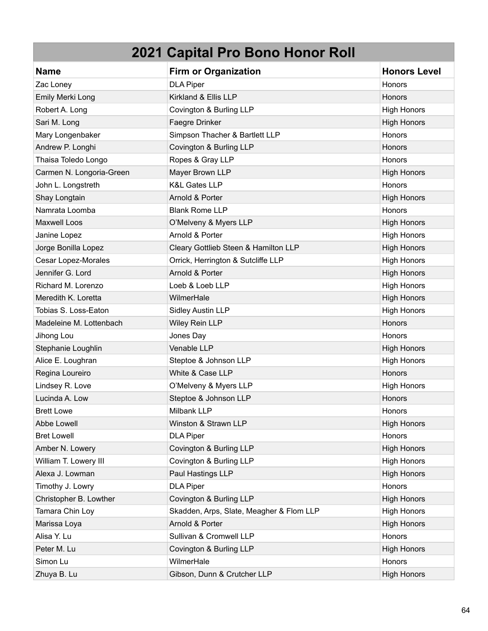| <b>Name</b>                | <b>Firm or Organization</b>              | <b>Honors Level</b> |
|----------------------------|------------------------------------------|---------------------|
| Zac Loney                  | <b>DLA Piper</b>                         | Honors              |
| Emily Merki Long           | Kirkland & Ellis LLP                     | <b>Honors</b>       |
| Robert A. Long             | Covington & Burling LLP                  | <b>High Honors</b>  |
| Sari M. Long               | Faegre Drinker                           | <b>High Honors</b>  |
| Mary Longenbaker           | Simpson Thacher & Bartlett LLP           | Honors              |
| Andrew P. Longhi           | Covington & Burling LLP                  | Honors              |
| Thaisa Toledo Longo        | Ropes & Gray LLP                         | Honors              |
| Carmen N. Longoria-Green   | Mayer Brown LLP                          | <b>High Honors</b>  |
| John L. Longstreth         | <b>K&amp;L Gates LLP</b>                 | Honors              |
| Shay Longtain              | Arnold & Porter                          | <b>High Honors</b>  |
| Namrata Loomba             | <b>Blank Rome LLP</b>                    | Honors              |
| <b>Maxwell Loos</b>        | O'Melveny & Myers LLP                    | <b>High Honors</b>  |
| Janine Lopez               | Arnold & Porter                          | <b>High Honors</b>  |
| Jorge Bonilla Lopez        | Cleary Gottlieb Steen & Hamilton LLP     | <b>High Honors</b>  |
| <b>Cesar Lopez-Morales</b> | Orrick, Herrington & Sutcliffe LLP       | <b>High Honors</b>  |
| Jennifer G. Lord           | Arnold & Porter                          | <b>High Honors</b>  |
| Richard M. Lorenzo         | Loeb & Loeb LLP                          | <b>High Honors</b>  |
| Meredith K. Loretta        | WilmerHale                               | <b>High Honors</b>  |
| Tobias S. Loss-Eaton       | <b>Sidley Austin LLP</b>                 | <b>High Honors</b>  |
| Madeleine M. Lottenbach    | Wiley Rein LLP                           | Honors              |
| Jihong Lou                 | Jones Day                                | Honors              |
| Stephanie Loughlin         | Venable LLP                              | <b>High Honors</b>  |
| Alice E. Loughran          | Steptoe & Johnson LLP                    | <b>High Honors</b>  |
| Regina Loureiro            | White & Case LLP                         | Honors              |
| Lindsey R. Love            | O'Melveny & Myers LLP                    | <b>High Honors</b>  |
| Lucinda A. Low             | Steptoe & Johnson LLP                    | Honors              |
| <b>Brett Lowe</b>          | Milbank LLP                              | Honors              |
| Abbe Lowell                | Winston & Strawn LLP                     | <b>High Honors</b>  |
| <b>Bret Lowell</b>         | <b>DLA Piper</b>                         | Honors              |
| Amber N. Lowery            | Covington & Burling LLP                  | <b>High Honors</b>  |
| William T. Lowery III      | Covington & Burling LLP                  | <b>High Honors</b>  |
| Alexa J. Lowman            | Paul Hastings LLP                        | <b>High Honors</b>  |
| Timothy J. Lowry           | <b>DLA Piper</b>                         | Honors              |
| Christopher B. Lowther     | Covington & Burling LLP                  | <b>High Honors</b>  |
| Tamara Chin Loy            | Skadden, Arps, Slate, Meagher & Flom LLP | <b>High Honors</b>  |
| Marissa Loya               | Arnold & Porter                          | <b>High Honors</b>  |
| Alisa Y. Lu                | Sullivan & Cromwell LLP                  | Honors              |
| Peter M. Lu                | Covington & Burling LLP                  | <b>High Honors</b>  |
| Simon Lu                   | WilmerHale                               | Honors              |
| Zhuya B. Lu                | Gibson, Dunn & Crutcher LLP              | <b>High Honors</b>  |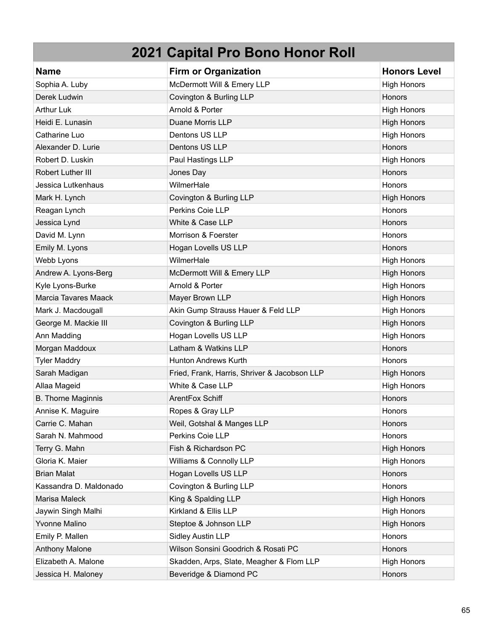| <b>Name</b>               | <b>Firm or Organization</b>                  | <b>Honors Level</b> |
|---------------------------|----------------------------------------------|---------------------|
| Sophia A. Luby            | McDermott Will & Emery LLP                   | <b>High Honors</b>  |
| Derek Ludwin              | Covington & Burling LLP                      | Honors              |
| <b>Arthur Luk</b>         | Arnold & Porter                              | <b>High Honors</b>  |
| Heidi E. Lunasin          | Duane Morris LLP                             | <b>High Honors</b>  |
| Catharine Luo             | Dentons US LLP                               | <b>High Honors</b>  |
| Alexander D. Lurie        | Dentons US LLP                               | Honors              |
| Robert D. Luskin          | Paul Hastings LLP                            | <b>High Honors</b>  |
| Robert Luther III         | Jones Day                                    | Honors              |
| Jessica Lutkenhaus        | WilmerHale                                   | Honors              |
| Mark H. Lynch             | Covington & Burling LLP                      | <b>High Honors</b>  |
| Reagan Lynch              | Perkins Coie LLP                             | Honors              |
| Jessica Lynd              | White & Case LLP                             | <b>Honors</b>       |
| David M. Lynn             | Morrison & Foerster                          | Honors              |
| Emily M. Lyons            | Hogan Lovells US LLP                         | <b>Honors</b>       |
| Webb Lyons                | WilmerHale                                   | <b>High Honors</b>  |
| Andrew A. Lyons-Berg      | McDermott Will & Emery LLP                   | <b>High Honors</b>  |
| Kyle Lyons-Burke          | Arnold & Porter                              | <b>High Honors</b>  |
| Marcia Tavares Maack      | Mayer Brown LLP                              | <b>High Honors</b>  |
| Mark J. Macdougall        | Akin Gump Strauss Hauer & Feld LLP           | <b>High Honors</b>  |
| George M. Mackie III      | Covington & Burling LLP                      | <b>High Honors</b>  |
| Ann Madding               | Hogan Lovells US LLP                         | <b>High Honors</b>  |
| Morgan Maddoux            | Latham & Watkins LLP                         | Honors              |
| <b>Tyler Maddry</b>       | Hunton Andrews Kurth                         | <b>Honors</b>       |
| Sarah Madigan             | Fried, Frank, Harris, Shriver & Jacobson LLP | <b>High Honors</b>  |
| Allaa Mageid              | White & Case LLP                             | <b>High Honors</b>  |
| <b>B. Thorne Maginnis</b> | ArentFox Schiff                              | Honors              |
| Annise K. Maguire         | Ropes & Gray LLP                             | <b>Honors</b>       |
| Carrie C. Mahan           | Weil, Gotshal & Manges LLP                   | Honors              |
| Sarah N. Mahmood          | Perkins Coie LLP                             | Honors              |
| Terry G. Mahn             | Fish & Richardson PC                         | <b>High Honors</b>  |
| Gloria K. Maier           | Williams & Connolly LLP                      | <b>High Honors</b>  |
| <b>Brian Malat</b>        | Hogan Lovells US LLP                         | Honors              |
| Kassandra D. Maldonado    | Covington & Burling LLP                      | Honors              |
| Marisa Maleck             | King & Spalding LLP                          | <b>High Honors</b>  |
| Jaywin Singh Malhi        | Kirkland & Ellis LLP                         | <b>High Honors</b>  |
| Yvonne Malino             | Steptoe & Johnson LLP                        | <b>High Honors</b>  |
| Emily P. Mallen           | <b>Sidley Austin LLP</b>                     | Honors              |
| <b>Anthony Malone</b>     | Wilson Sonsini Goodrich & Rosati PC          | Honors              |
| Elizabeth A. Malone       | Skadden, Arps, Slate, Meagher & Flom LLP     | <b>High Honors</b>  |
| Jessica H. Maloney        | Beveridge & Diamond PC                       | Honors              |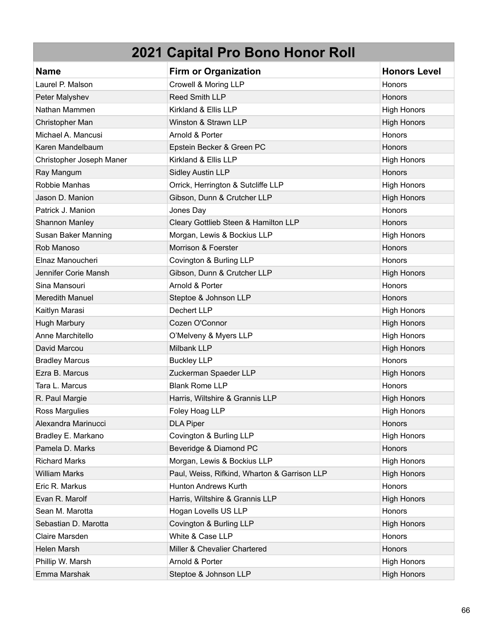| <b>Name</b>              | <b>Firm or Organization</b>                  | <b>Honors Level</b> |
|--------------------------|----------------------------------------------|---------------------|
| Laurel P. Malson         | Crowell & Moring LLP                         | Honors              |
| Peter Malyshev           | Reed Smith LLP                               | Honors              |
| Nathan Mammen            | Kirkland & Ellis LLP                         | <b>High Honors</b>  |
| Christopher Man          | Winston & Strawn LLP                         | <b>High Honors</b>  |
| Michael A. Mancusi       | Arnold & Porter                              | Honors              |
| Karen Mandelbaum         | Epstein Becker & Green PC                    | Honors              |
| Christopher Joseph Maner | Kirkland & Ellis LLP                         | <b>High Honors</b>  |
| Ray Mangum               | <b>Sidley Austin LLP</b>                     | Honors              |
| Robbie Manhas            | Orrick, Herrington & Sutcliffe LLP           | <b>High Honors</b>  |
| Jason D. Manion          | Gibson, Dunn & Crutcher LLP                  | <b>High Honors</b>  |
| Patrick J. Manion        | Jones Day                                    | Honors              |
| Shannon Manley           | Cleary Gottlieb Steen & Hamilton LLP         | Honors              |
| Susan Baker Manning      | Morgan, Lewis & Bockius LLP                  | <b>High Honors</b>  |
| Rob Manoso               | Morrison & Foerster                          | Honors              |
| Elnaz Manoucheri         | Covington & Burling LLP                      | Honors              |
| Jennifer Corie Mansh     | Gibson, Dunn & Crutcher LLP                  | <b>High Honors</b>  |
| Sina Mansouri            | Arnold & Porter                              | Honors              |
| <b>Meredith Manuel</b>   | Steptoe & Johnson LLP                        | Honors              |
| Kaitlyn Marasi           | Dechert LLP                                  | <b>High Honors</b>  |
| <b>Hugh Marbury</b>      | Cozen O'Connor                               | <b>High Honors</b>  |
| Anne Marchitello         | O'Melveny & Myers LLP                        | <b>High Honors</b>  |
| David Marcou             | Milbank LLP                                  | <b>High Honors</b>  |
| <b>Bradley Marcus</b>    | <b>Buckley LLP</b>                           | Honors              |
| Ezra B. Marcus           | Zuckerman Spaeder LLP                        | <b>High Honors</b>  |
| Tara L. Marcus           | <b>Blank Rome LLP</b>                        | Honors              |
| R. Paul Margie           | Harris, Wiltshire & Grannis LLP              | <b>High Honors</b>  |
| Ross Margulies           | Foley Hoag LLP                               | <b>High Honors</b>  |
| Alexandra Marinucci      | <b>DLA Piper</b>                             | <b>Honors</b>       |
| Bradley E. Markano       | Covington & Burling LLP                      | <b>High Honors</b>  |
| Pamela D. Marks          | Beveridge & Diamond PC                       | Honors              |
| <b>Richard Marks</b>     | Morgan, Lewis & Bockius LLP                  | <b>High Honors</b>  |
| <b>William Marks</b>     | Paul, Weiss, Rifkind, Wharton & Garrison LLP | <b>High Honors</b>  |
| Eric R. Markus           | Hunton Andrews Kurth                         | Honors              |
| Evan R. Marolf           | Harris, Wiltshire & Grannis LLP              | <b>High Honors</b>  |
| Sean M. Marotta          | Hogan Lovells US LLP                         | Honors              |
| Sebastian D. Marotta     | Covington & Burling LLP                      | <b>High Honors</b>  |
| Claire Marsden           | White & Case LLP                             | Honors              |
| Helen Marsh              | Miller & Chevalier Chartered                 | Honors              |
| Phillip W. Marsh         | Arnold & Porter                              | <b>High Honors</b>  |
| Emma Marshak             | Steptoe & Johnson LLP                        | <b>High Honors</b>  |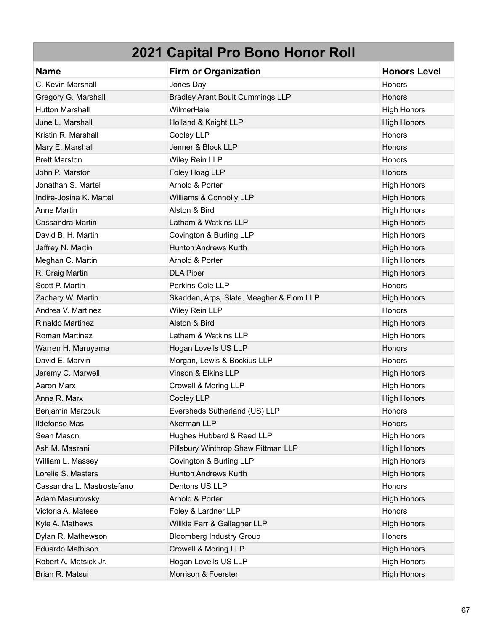| <b>Name</b>                | <b>Firm or Organization</b>              | <b>Honors Level</b> |
|----------------------------|------------------------------------------|---------------------|
| C. Kevin Marshall          | Jones Day                                | Honors              |
| Gregory G. Marshall        | <b>Bradley Arant Boult Cummings LLP</b>  | <b>Honors</b>       |
| <b>Hutton Marshall</b>     | WilmerHale                               | <b>High Honors</b>  |
| June L. Marshall           | Holland & Knight LLP                     | <b>High Honors</b>  |
| Kristin R. Marshall        | Cooley LLP                               | Honors              |
| Mary E. Marshall           | Jenner & Block LLP                       | Honors              |
| <b>Brett Marston</b>       | Wiley Rein LLP                           | <b>Honors</b>       |
| John P. Marston            | Foley Hoag LLP                           | Honors              |
| Jonathan S. Martel         | Arnold & Porter                          | <b>High Honors</b>  |
| Indira-Josina K. Martell   | Williams & Connolly LLP                  | <b>High Honors</b>  |
| Anne Martin                | Alston & Bird                            | <b>High Honors</b>  |
| Cassandra Martin           | Latham & Watkins LLP                     | <b>High Honors</b>  |
| David B. H. Martin         | Covington & Burling LLP                  | <b>High Honors</b>  |
| Jeffrey N. Martin          | <b>Hunton Andrews Kurth</b>              | <b>High Honors</b>  |
| Meghan C. Martin           | Arnold & Porter                          | <b>High Honors</b>  |
| R. Craig Martin            | <b>DLA Piper</b>                         | <b>High Honors</b>  |
| Scott P. Martin            | Perkins Coie LLP                         | Honors              |
| Zachary W. Martin          | Skadden, Arps, Slate, Meagher & Flom LLP | <b>High Honors</b>  |
| Andrea V. Martinez         | Wiley Rein LLP                           | Honors              |
| <b>Rinaldo Martinez</b>    | Alston & Bird                            | <b>High Honors</b>  |
| Roman Martinez             | Latham & Watkins LLP                     | <b>High Honors</b>  |
| Warren H. Maruyama         | Hogan Lovells US LLP                     | Honors              |
| David E. Marvin            | Morgan, Lewis & Bockius LLP              | <b>Honors</b>       |
| Jeremy C. Marwell          | Vinson & Elkins LLP                      | <b>High Honors</b>  |
| Aaron Marx                 | Crowell & Moring LLP                     | <b>High Honors</b>  |
| Anna R. Marx               | Cooley LLP                               | <b>High Honors</b>  |
| Benjamin Marzouk           | Eversheds Sutherland (US) LLP            | Honors              |
| <b>Ildefonso Mas</b>       | Akerman LLP                              | Honors              |
| Sean Mason                 | Hughes Hubbard & Reed LLP                | <b>High Honors</b>  |
| Ash M. Masrani             | Pillsbury Winthrop Shaw Pittman LLP      | <b>High Honors</b>  |
| William L. Massey          | Covington & Burling LLP                  | <b>High Honors</b>  |
| Lorelie S. Masters         | <b>Hunton Andrews Kurth</b>              | <b>High Honors</b>  |
| Cassandra L. Mastrostefano | Dentons US LLP                           | Honors              |
| Adam Masurovsky            | Arnold & Porter                          | <b>High Honors</b>  |
| Victoria A. Matese         | Foley & Lardner LLP                      | Honors              |
| Kyle A. Mathews            | Willkie Farr & Gallagher LLP             | <b>High Honors</b>  |
| Dylan R. Mathewson         | <b>Bloomberg Industry Group</b>          | Honors              |
| <b>Eduardo Mathison</b>    | Crowell & Moring LLP                     | <b>High Honors</b>  |
| Robert A. Matsick Jr.      | Hogan Lovells US LLP                     | <b>High Honors</b>  |
| Brian R. Matsui            | Morrison & Foerster                      | <b>High Honors</b>  |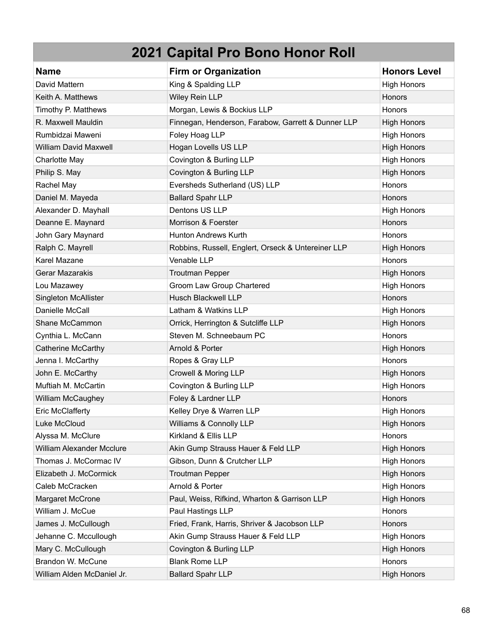| <b>Name</b>                      | <b>Firm or Organization</b>                        | <b>Honors Level</b> |
|----------------------------------|----------------------------------------------------|---------------------|
| David Mattern                    | King & Spalding LLP                                | <b>High Honors</b>  |
| Keith A. Matthews                | Wiley Rein LLP                                     | Honors              |
| Timothy P. Matthews              | Morgan, Lewis & Bockius LLP                        | Honors              |
| R. Maxwell Mauldin               | Finnegan, Henderson, Farabow, Garrett & Dunner LLP | <b>High Honors</b>  |
| Rumbidzai Maweni                 | Foley Hoag LLP                                     | <b>High Honors</b>  |
| <b>William David Maxwell</b>     | Hogan Lovells US LLP                               | <b>High Honors</b>  |
| Charlotte May                    | Covington & Burling LLP                            | <b>High Honors</b>  |
| Philip S. May                    | Covington & Burling LLP                            | <b>High Honors</b>  |
| Rachel May                       | Eversheds Sutherland (US) LLP                      | Honors              |
| Daniel M. Mayeda                 | <b>Ballard Spahr LLP</b>                           | Honors              |
| Alexander D. Mayhall             | Dentons US LLP                                     | <b>High Honors</b>  |
| Deanne E. Maynard                | Morrison & Foerster                                | Honors              |
| John Gary Maynard                | <b>Hunton Andrews Kurth</b>                        | Honors              |
| Ralph C. Mayrell                 | Robbins, Russell, Englert, Orseck & Untereiner LLP | <b>High Honors</b>  |
| Karel Mazane                     | Venable LLP                                        | Honors              |
| Gerar Mazarakis                  | <b>Troutman Pepper</b>                             | <b>High Honors</b>  |
| Lou Mazawey                      | Groom Law Group Chartered                          | <b>High Honors</b>  |
| Singleton McAllister             | <b>Husch Blackwell LLP</b>                         | Honors              |
| Danielle McCall                  | Latham & Watkins LLP                               | <b>High Honors</b>  |
| Shane McCammon                   | Orrick, Herrington & Sutcliffe LLP                 | <b>High Honors</b>  |
| Cynthia L. McCann                | Steven M. Schneebaum PC                            | Honors              |
| <b>Catherine McCarthy</b>        | Arnold & Porter                                    | <b>High Honors</b>  |
| Jenna I. McCarthy                | Ropes & Gray LLP                                   | Honors              |
| John E. McCarthy                 | Crowell & Moring LLP                               | <b>High Honors</b>  |
| Muftiah M. McCartin              | Covington & Burling LLP                            | <b>High Honors</b>  |
| William McCaughey                | Foley & Lardner LLP                                | Honors              |
| <b>Eric McClafferty</b>          | Kelley Drye & Warren LLP                           | <b>High Honors</b>  |
| Luke McCloud                     | Williams & Connolly LLP                            | <b>High Honors</b>  |
| Alyssa M. McClure                | Kirkland & Ellis LLP                               | Honors              |
| <b>William Alexander Mcclure</b> | Akin Gump Strauss Hauer & Feld LLP                 | <b>High Honors</b>  |
| Thomas J. McCormac IV            | Gibson, Dunn & Crutcher LLP                        | <b>High Honors</b>  |
| Elizabeth J. McCormick           | <b>Troutman Pepper</b>                             | <b>High Honors</b>  |
| Caleb McCracken                  | Arnold & Porter                                    | <b>High Honors</b>  |
| Margaret McCrone                 | Paul, Weiss, Rifkind, Wharton & Garrison LLP       | <b>High Honors</b>  |
| William J. McCue                 | Paul Hastings LLP                                  | <b>Honors</b>       |
| James J. McCullough              | Fried, Frank, Harris, Shriver & Jacobson LLP       | Honors              |
| Jehanne C. Mccullough            | Akin Gump Strauss Hauer & Feld LLP                 | <b>High Honors</b>  |
| Mary C. McCullough               | Covington & Burling LLP                            | <b>High Honors</b>  |
| Brandon W. McCune                | <b>Blank Rome LLP</b>                              | Honors              |
| William Alden McDaniel Jr.       | <b>Ballard Spahr LLP</b>                           | <b>High Honors</b>  |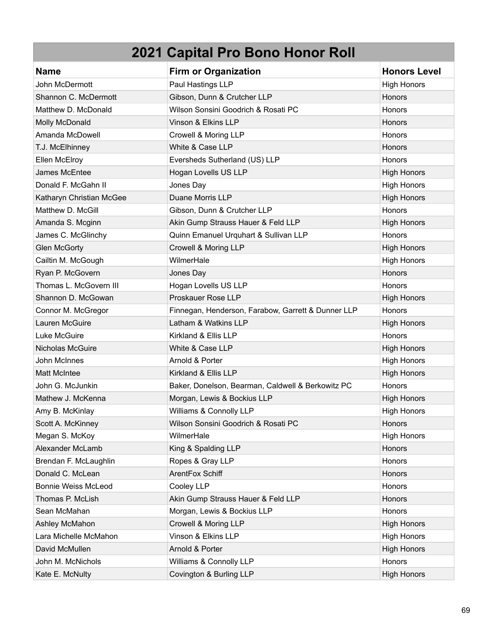| <b>Name</b>                | <b>Firm or Organization</b>                        | <b>Honors Level</b> |
|----------------------------|----------------------------------------------------|---------------------|
| John McDermott             | Paul Hastings LLP                                  | <b>High Honors</b>  |
| Shannon C. McDermott       | Gibson, Dunn & Crutcher LLP                        | Honors              |
| Matthew D. McDonald        | Wilson Sonsini Goodrich & Rosati PC                | <b>Honors</b>       |
| Molly McDonald             | Vinson & Elkins LLP                                | Honors              |
| Amanda McDowell            | Crowell & Moring LLP                               | Honors              |
| T.J. McElhinney            | White & Case LLP                                   | Honors              |
| Ellen McElroy              | Eversheds Sutherland (US) LLP                      | <b>Honors</b>       |
| James McEntee              | Hogan Lovells US LLP                               | <b>High Honors</b>  |
| Donald F. McGahn II        | Jones Day                                          | <b>High Honors</b>  |
| Katharyn Christian McGee   | Duane Morris LLP                                   | <b>High Honors</b>  |
| Matthew D. McGill          | Gibson, Dunn & Crutcher LLP                        | Honors              |
| Amanda S. Mcginn           | Akin Gump Strauss Hauer & Feld LLP                 | <b>High Honors</b>  |
| James C. McGlinchy         | Quinn Emanuel Urquhart & Sullivan LLP              | Honors              |
| <b>Glen McGorty</b>        | Crowell & Moring LLP                               | <b>High Honors</b>  |
| Cailtin M. McGough         | WilmerHale                                         | <b>High Honors</b>  |
| Ryan P. McGovern           | Jones Day                                          | Honors              |
| Thomas L. McGovern III     | Hogan Lovells US LLP                               | <b>Honors</b>       |
| Shannon D. McGowan         | Proskauer Rose LLP                                 | <b>High Honors</b>  |
| Connor M. McGregor         | Finnegan, Henderson, Farabow, Garrett & Dunner LLP | Honors              |
| Lauren McGuire             | Latham & Watkins LLP                               | <b>High Honors</b>  |
| Luke McGuire               | Kirkland & Ellis LLP                               | Honors              |
| Nicholas McGuire           | White & Case LLP                                   | <b>High Honors</b>  |
| John McInnes               | Arnold & Porter                                    | <b>High Honors</b>  |
| <b>Matt McIntee</b>        | Kirkland & Ellis LLP                               | <b>High Honors</b>  |
| John G. McJunkin           | Baker, Donelson, Bearman, Caldwell & Berkowitz PC  | Honors              |
| Mathew J. McKenna          | Morgan, Lewis & Bockius LLP                        | <b>High Honors</b>  |
| Amy B. McKinlay            | Williams & Connolly LLP                            | <b>High Honors</b>  |
| Scott A. McKinney          | Wilson Sonsini Goodrich & Rosati PC                | Honors              |
| Megan S. McKoy             | WilmerHale                                         | <b>High Honors</b>  |
| Alexander McLamb           | King & Spalding LLP                                | Honors              |
| Brendan F. McLaughlin      | Ropes & Gray LLP                                   | Honors              |
| Donald C. McLean           | ArentFox Schiff                                    | Honors              |
| <b>Bonnie Weiss McLeod</b> | Cooley LLP                                         | Honors              |
| Thomas P. McLish           | Akin Gump Strauss Hauer & Feld LLP                 | Honors              |
| Sean McMahan               | Morgan, Lewis & Bockius LLP                        | Honors              |
| Ashley McMahon             | Crowell & Moring LLP                               | <b>High Honors</b>  |
| Lara Michelle McMahon      | Vinson & Elkins LLP                                | <b>High Honors</b>  |
| David McMullen             | Arnold & Porter                                    | <b>High Honors</b>  |
| John M. McNichols          | Williams & Connolly LLP                            | Honors              |
| Kate E. McNulty            | Covington & Burling LLP                            | <b>High Honors</b>  |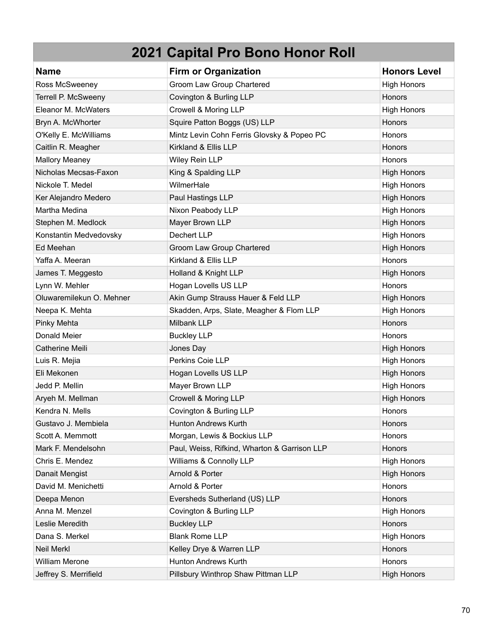| <b>Name</b>              | <b>Firm or Organization</b>                  | <b>Honors Level</b> |
|--------------------------|----------------------------------------------|---------------------|
| Ross McSweeney           | Groom Law Group Chartered                    | <b>High Honors</b>  |
| Terrell P. McSweeny      | Covington & Burling LLP                      | Honors              |
| Eleanor M. McWaters      | Crowell & Moring LLP                         | <b>High Honors</b>  |
| Bryn A. McWhorter        | Squire Patton Boggs (US) LLP                 | Honors              |
| O'Kelly E. McWilliams    | Mintz Levin Cohn Ferris Glovsky & Popeo PC   | Honors              |
| Caitlin R. Meagher       | Kirkland & Ellis LLP                         | Honors              |
| <b>Mallory Meaney</b>    | Wiley Rein LLP                               | <b>Honors</b>       |
| Nicholas Mecsas-Faxon    | King & Spalding LLP                          | <b>High Honors</b>  |
| Nickole T. Medel         | WilmerHale                                   | <b>High Honors</b>  |
| Ker Alejandro Medero     | Paul Hastings LLP                            | <b>High Honors</b>  |
| Martha Medina            | Nixon Peabody LLP                            | <b>High Honors</b>  |
| Stephen M. Medlock       | Mayer Brown LLP                              | <b>High Honors</b>  |
| Konstantin Medvedovsky   | Dechert LLP                                  | <b>High Honors</b>  |
| Ed Meehan                | Groom Law Group Chartered                    | <b>High Honors</b>  |
| Yaffa A. Meeran          | Kirkland & Ellis LLP                         | Honors              |
| James T. Meggesto        | Holland & Knight LLP                         | <b>High Honors</b>  |
| Lynn W. Mehler           | Hogan Lovells US LLP                         | Honors              |
| Oluwaremilekun O. Mehner | Akin Gump Strauss Hauer & Feld LLP           | <b>High Honors</b>  |
| Neepa K. Mehta           | Skadden, Arps, Slate, Meagher & Flom LLP     | <b>High Honors</b>  |
| Pinky Mehta              | Milbank LLP                                  | Honors              |
| Donald Meier             | <b>Buckley LLP</b>                           | Honors              |
| Catherine Meili          | Jones Day                                    | <b>High Honors</b>  |
| Luis R. Mejia            | Perkins Coie LLP                             | <b>High Honors</b>  |
| Eli Mekonen              | Hogan Lovells US LLP                         | <b>High Honors</b>  |
| Jedd P. Mellin           | Mayer Brown LLP                              | <b>High Honors</b>  |
| Aryeh M. Mellman         | Crowell & Moring LLP                         | <b>High Honors</b>  |
| Kendra N. Mells          | Covington & Burling LLP                      | <b>Honors</b>       |
| Gustavo J. Membiela      | <b>Hunton Andrews Kurth</b>                  | Honors              |
| Scott A. Memmott         | Morgan, Lewis & Bockius LLP                  | Honors              |
| Mark F. Mendelsohn       | Paul, Weiss, Rifkind, Wharton & Garrison LLP | Honors              |
| Chris E. Mendez          | Williams & Connolly LLP                      | <b>High Honors</b>  |
| Danait Mengist           | Arnold & Porter                              | <b>High Honors</b>  |
| David M. Menichetti      | Arnold & Porter                              | Honors              |
| Deepa Menon              | Eversheds Sutherland (US) LLP                | Honors              |
| Anna M. Menzel           | Covington & Burling LLP                      | <b>High Honors</b>  |
| Leslie Meredith          | <b>Buckley LLP</b>                           | Honors              |
| Dana S. Merkel           | <b>Blank Rome LLP</b>                        | <b>High Honors</b>  |
| <b>Neil Merkl</b>        | Kelley Drye & Warren LLP                     | Honors              |
| <b>William Merone</b>    | Hunton Andrews Kurth                         | Honors              |
| Jeffrey S. Merrifield    | Pillsbury Winthrop Shaw Pittman LLP          | <b>High Honors</b>  |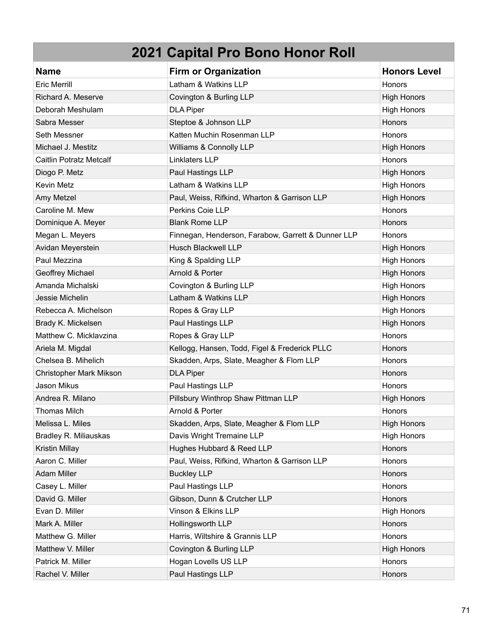| <b>Name</b>                    | <b>Firm or Organization</b>                        | <b>Honors Level</b> |
|--------------------------------|----------------------------------------------------|---------------------|
| <b>Eric Merrill</b>            | Latham & Watkins LLP                               | Honors              |
| Richard A. Meserve             | Covington & Burling LLP                            | <b>High Honors</b>  |
| Deborah Meshulam               | <b>DLA Piper</b>                                   | <b>High Honors</b>  |
| Sabra Messer                   | Steptoe & Johnson LLP                              | Honors              |
| Seth Messner                   | Katten Muchin Rosenman LLP                         | Honors              |
| Michael J. Mestitz             | Williams & Connolly LLP                            | <b>High Honors</b>  |
| <b>Caitlin Potratz Metcalf</b> | Linklaters LLP                                     | Honors              |
| Diogo P. Metz                  | Paul Hastings LLP                                  | <b>High Honors</b>  |
| Kevin Metz                     | Latham & Watkins LLP                               | <b>High Honors</b>  |
| Amy Metzel                     | Paul, Weiss, Rifkind, Wharton & Garrison LLP       | <b>High Honors</b>  |
| Caroline M. Mew                | Perkins Coie LLP                                   | Honors              |
| Dominique A. Meyer             | <b>Blank Rome LLP</b>                              | Honors              |
| Megan L. Meyers                | Finnegan, Henderson, Farabow, Garrett & Dunner LLP | <b>Honors</b>       |
| Avidan Meyerstein              | <b>Husch Blackwell LLP</b>                         | <b>High Honors</b>  |
| Paul Mezzina                   | King & Spalding LLP                                | <b>High Honors</b>  |
| Geoffrey Michael               | Arnold & Porter                                    | <b>High Honors</b>  |
| Amanda Michalski               | Covington & Burling LLP                            | <b>High Honors</b>  |
| Jessie Michelin                | Latham & Watkins LLP                               | <b>High Honors</b>  |
| Rebecca A. Michelson           | Ropes & Gray LLP                                   | <b>High Honors</b>  |
| Brady K. Mickelsen             | Paul Hastings LLP                                  | <b>High Honors</b>  |
| Matthew C. Micklavzina         | Ropes & Gray LLP                                   | Honors              |
| Ariela M. Migdal               | Kellogg, Hansen, Todd, Figel & Frederick PLLC      | Honors              |
| Chelsea B. Mihelich            | Skadden, Arps, Slate, Meagher & Flom LLP           | Honors              |
| Christopher Mark Mikson        | <b>DLA Piper</b>                                   | <b>Honors</b>       |
| Jason Mikus                    | Paul Hastings LLP                                  | Honors              |
| Andrea R. Milano               | Pillsbury Winthrop Shaw Pittman LLP                | <b>High Honors</b>  |
| <b>Thomas Milch</b>            | Arnold & Porter                                    | Honors              |
| Melissa L. Miles               | Skadden, Arps, Slate, Meagher & Flom LLP           | <b>High Honors</b>  |
| Bradley R. Miliauskas          | Davis Wright Tremaine LLP                          | <b>High Honors</b>  |
| Kristin Millay                 | Hughes Hubbard & Reed LLP                          | Honors              |
| Aaron C. Miller                | Paul, Weiss, Rifkind, Wharton & Garrison LLP       | Honors              |
| <b>Adam Miller</b>             | <b>Buckley LLP</b>                                 | Honors              |
| Casey L. Miller                | Paul Hastings LLP                                  | Honors              |
| David G. Miller                | Gibson, Dunn & Crutcher LLP                        | Honors              |
| Evan D. Miller                 | Vinson & Elkins LLP                                | <b>High Honors</b>  |
| Mark A. Miller                 | Hollingsworth LLP                                  | Honors              |
| Matthew G. Miller              | Harris, Wiltshire & Grannis LLP                    | Honors              |
| Matthew V. Miller              | Covington & Burling LLP                            | <b>High Honors</b>  |
| Patrick M. Miller              | Hogan Lovells US LLP                               | Honors              |
| Rachel V. Miller               | Paul Hastings LLP                                  | Honors              |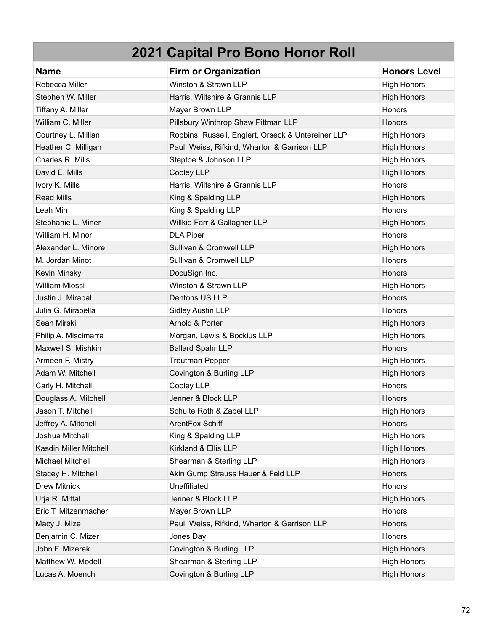| <b>Name</b>             | <b>Firm or Organization</b>                        | <b>Honors Level</b> |
|-------------------------|----------------------------------------------------|---------------------|
| Rebecca Miller          | Winston & Strawn LLP                               | <b>High Honors</b>  |
| Stephen W. Miller       | Harris, Wiltshire & Grannis LLP                    | <b>High Honors</b>  |
| Tiffany A. Miller       | Mayer Brown LLP                                    | Honors              |
| William C. Miller       | Pillsbury Winthrop Shaw Pittman LLP                | <b>Honors</b>       |
| Courtney L. Millian     | Robbins, Russell, Englert, Orseck & Untereiner LLP | <b>High Honors</b>  |
| Heather C. Milligan     | Paul, Weiss, Rifkind, Wharton & Garrison LLP       | <b>High Honors</b>  |
| Charles R. Mills        | Steptoe & Johnson LLP                              | <b>High Honors</b>  |
| David E. Mills          | Cooley LLP                                         | <b>High Honors</b>  |
| Ivory K. Mills          | Harris, Wiltshire & Grannis LLP                    | Honors              |
| <b>Read Mills</b>       | King & Spalding LLP                                | <b>High Honors</b>  |
| Leah Min                | King & Spalding LLP                                | Honors              |
| Stephanie L. Miner      | Willkie Farr & Gallagher LLP                       | <b>High Honors</b>  |
| William H. Minor        | <b>DLA Piper</b>                                   | Honors              |
| Alexander L. Minore     | Sullivan & Cromwell LLP                            | <b>High Honors</b>  |
| M. Jordan Minot         | Sullivan & Cromwell LLP                            | Honors              |
| Kevin Minsky            | DocuSign Inc.                                      | Honors              |
| <b>William Miossi</b>   | Winston & Strawn LLP                               | <b>High Honors</b>  |
| Justin J. Mirabal       | Dentons US LLP                                     | Honors              |
| Julia G. Mirabella      | <b>Sidley Austin LLP</b>                           | Honors              |
| Sean Mirski             | Arnold & Porter                                    | <b>High Honors</b>  |
| Philip A. Miscimarra    | Morgan, Lewis & Bockius LLP                        | <b>High Honors</b>  |
| Maxwell S. Mishkin      | <b>Ballard Spahr LLP</b>                           | Honors              |
| Armeen F. Mistry        | <b>Troutman Pepper</b>                             | <b>High Honors</b>  |
| Adam W. Mitchell        | Covington & Burling LLP                            | <b>High Honors</b>  |
| Carly H. Mitchell       | Cooley LLP                                         | Honors              |
| Douglass A. Mitchell    | Jenner & Block LLP                                 | <b>Honors</b>       |
| Jason T. Mitchell       | Schulte Roth & Zabel LLP                           | <b>High Honors</b>  |
| Jeffrey A. Mitchell     | ArentFox Schiff                                    | <b>Honors</b>       |
| Joshua Mitchell         | King & Spalding LLP                                | <b>High Honors</b>  |
| Kasdin Miller Mitchell  | Kirkland & Ellis LLP                               | <b>High Honors</b>  |
| <b>Michael Mitchell</b> | Shearman & Sterling LLP                            | <b>High Honors</b>  |
| Stacey H. Mitchell      | Akin Gump Strauss Hauer & Feld LLP                 | Honors              |
| <b>Drew Mitnick</b>     | Unaffiliated                                       | Honors              |
| Urja R. Mittal          | Jenner & Block LLP                                 | <b>High Honors</b>  |
| Eric T. Mitzenmacher    | Mayer Brown LLP                                    | Honors              |
| Macy J. Mize            | Paul, Weiss, Rifkind, Wharton & Garrison LLP       | Honors              |
| Benjamin C. Mizer       | Jones Day                                          | Honors              |
| John F. Mizerak         | Covington & Burling LLP                            | <b>High Honors</b>  |
| Matthew W. Modell       | Shearman & Sterling LLP                            | <b>High Honors</b>  |
| Lucas A. Moench         | Covington & Burling LLP                            | <b>High Honors</b>  |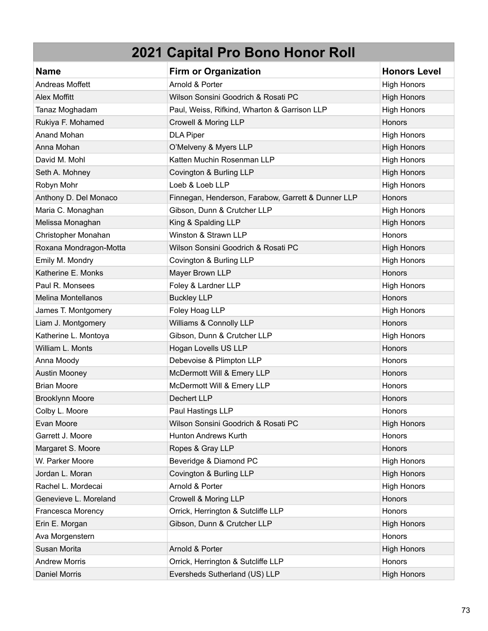| <b>Name</b>               | <b>Firm or Organization</b>                        | <b>Honors Level</b> |
|---------------------------|----------------------------------------------------|---------------------|
| <b>Andreas Moffett</b>    | Arnold & Porter                                    | <b>High Honors</b>  |
| <b>Alex Moffitt</b>       | Wilson Sonsini Goodrich & Rosati PC                | <b>High Honors</b>  |
| Tanaz Moghadam            | Paul, Weiss, Rifkind, Wharton & Garrison LLP       | <b>High Honors</b>  |
| Rukiya F. Mohamed         | Crowell & Moring LLP                               | Honors              |
| Anand Mohan               | <b>DLA Piper</b>                                   | <b>High Honors</b>  |
| Anna Mohan                | O'Melveny & Myers LLP                              | <b>High Honors</b>  |
| David M. Mohl             | Katten Muchin Rosenman LLP                         | <b>High Honors</b>  |
| Seth A. Mohney            | Covington & Burling LLP                            | <b>High Honors</b>  |
| Robyn Mohr                | Loeb & Loeb LLP                                    | <b>High Honors</b>  |
| Anthony D. Del Monaco     | Finnegan, Henderson, Farabow, Garrett & Dunner LLP | Honors              |
| Maria C. Monaghan         | Gibson, Dunn & Crutcher LLP                        | <b>High Honors</b>  |
| Melissa Monaghan          | King & Spalding LLP                                | <b>High Honors</b>  |
| Christopher Monahan       | Winston & Strawn LLP                               | Honors              |
| Roxana Mondragon-Motta    | Wilson Sonsini Goodrich & Rosati PC                | <b>High Honors</b>  |
| Emily M. Mondry           | Covington & Burling LLP                            | <b>High Honors</b>  |
| Katherine E. Monks        | Mayer Brown LLP                                    | Honors              |
| Paul R. Monsees           | Foley & Lardner LLP                                | <b>High Honors</b>  |
| <b>Melina Montellanos</b> | <b>Buckley LLP</b>                                 | Honors              |
| James T. Montgomery       | Foley Hoag LLP                                     | <b>High Honors</b>  |
| Liam J. Montgomery        | Williams & Connolly LLP                            | Honors              |
| Katherine L. Montoya      | Gibson, Dunn & Crutcher LLP                        | <b>High Honors</b>  |
| William L. Monts          | Hogan Lovells US LLP                               | <b>Honors</b>       |
| Anna Moody                | Debevoise & Plimpton LLP                           | Honors              |
| <b>Austin Mooney</b>      | McDermott Will & Emery LLP                         | Honors              |
| <b>Brian Moore</b>        | McDermott Will & Emery LLP                         | Honors              |
| Brooklynn Moore           | Dechert LLP                                        | Honors              |
| Colby L. Moore            | Paul Hastings LLP                                  | Honors              |
| Evan Moore                | Wilson Sonsini Goodrich & Rosati PC                | <b>High Honors</b>  |
| Garrett J. Moore          | Hunton Andrews Kurth                               | Honors              |
| Margaret S. Moore         | Ropes & Gray LLP                                   | Honors              |
| W. Parker Moore           | Beveridge & Diamond PC                             | <b>High Honors</b>  |
| Jordan L. Moran           | Covington & Burling LLP                            | <b>High Honors</b>  |
| Rachel L. Mordecai        | Arnold & Porter                                    | <b>High Honors</b>  |
| Genevieve L. Moreland     | Crowell & Moring LLP                               | Honors              |
| Francesca Morency         | Orrick, Herrington & Sutcliffe LLP                 | Honors              |
| Erin E. Morgan            | Gibson, Dunn & Crutcher LLP                        | <b>High Honors</b>  |
| Ava Morgenstern           |                                                    | Honors              |
| Susan Morita              | Arnold & Porter                                    | <b>High Honors</b>  |
| <b>Andrew Morris</b>      | Orrick, Herrington & Sutcliffe LLP                 | Honors              |
| <b>Daniel Morris</b>      | Eversheds Sutherland (US) LLP                      | <b>High Honors</b>  |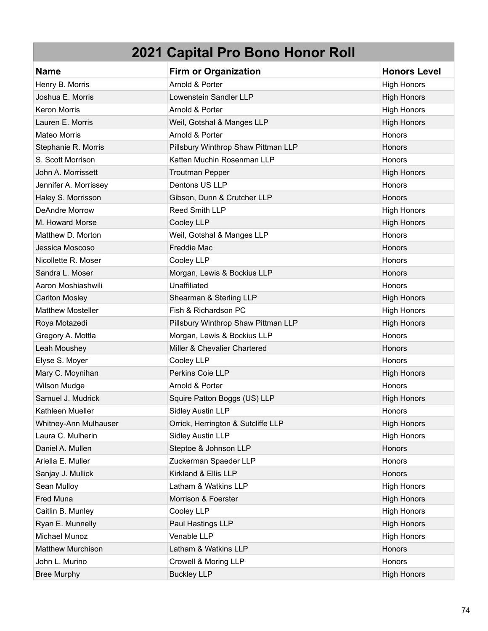| <b>Name</b>              | <b>Firm or Organization</b>         | <b>Honors Level</b> |
|--------------------------|-------------------------------------|---------------------|
| Henry B. Morris          | Arnold & Porter                     | <b>High Honors</b>  |
| Joshua E. Morris         | Lowenstein Sandler LLP              | <b>High Honors</b>  |
| <b>Keron Morris</b>      | Arnold & Porter                     | <b>High Honors</b>  |
| Lauren E. Morris         | Weil, Gotshal & Manges LLP          | <b>High Honors</b>  |
| <b>Mateo Morris</b>      | Arnold & Porter                     | Honors              |
| Stephanie R. Morris      | Pillsbury Winthrop Shaw Pittman LLP | Honors              |
| S. Scott Morrison        | Katten Muchin Rosenman LLP          | Honors              |
| John A. Morrissett       | <b>Troutman Pepper</b>              | <b>High Honors</b>  |
| Jennifer A. Morrissey    | Dentons US LLP                      | Honors              |
| Haley S. Morrisson       | Gibson, Dunn & Crutcher LLP         | Honors              |
| <b>DeAndre Morrow</b>    | <b>Reed Smith LLP</b>               | <b>High Honors</b>  |
| M. Howard Morse          | Cooley LLP                          | <b>High Honors</b>  |
| Matthew D. Morton        | Weil, Gotshal & Manges LLP          | Honors              |
| Jessica Moscoso          | <b>Freddie Mac</b>                  | Honors              |
| Nicollette R. Moser      | Cooley LLP                          | Honors              |
| Sandra L. Moser          | Morgan, Lewis & Bockius LLP         | Honors              |
| Aaron Moshiashwili       | Unaffiliated                        | <b>Honors</b>       |
| <b>Carlton Mosley</b>    | Shearman & Sterling LLP             | <b>High Honors</b>  |
| <b>Matthew Mosteller</b> | Fish & Richardson PC                | <b>High Honors</b>  |
| Roya Motazedi            | Pillsbury Winthrop Shaw Pittman LLP | <b>High Honors</b>  |
| Gregory A. Mottla        | Morgan, Lewis & Bockius LLP         | Honors              |
| Leah Moushey             | Miller & Chevalier Chartered        | Honors              |
| Elyse S. Moyer           | Cooley LLP                          | Honors              |
| Mary C. Moynihan         | Perkins Coie LLP                    | <b>High Honors</b>  |
| <b>Wilson Mudge</b>      | Arnold & Porter                     | Honors              |
| Samuel J. Mudrick        | Squire Patton Boggs (US) LLP        | <b>High Honors</b>  |
| Kathleen Mueller         | <b>Sidley Austin LLP</b>            | Honors              |
| Whitney-Ann Mulhauser    | Orrick, Herrington & Sutcliffe LLP  | <b>High Honors</b>  |
| Laura C. Mulherin        | <b>Sidley Austin LLP</b>            | <b>High Honors</b>  |
| Daniel A. Mullen         | Steptoe & Johnson LLP               | Honors              |
| Ariella E. Muller        | Zuckerman Spaeder LLP               | Honors              |
| Sanjay J. Mullick        | Kirkland & Ellis LLP                | Honors              |
| Sean Mulloy              | Latham & Watkins LLP                | <b>High Honors</b>  |
| Fred Muna                | Morrison & Foerster                 | <b>High Honors</b>  |
| Caitlin B. Munley        | Cooley LLP                          | <b>High Honors</b>  |
| Ryan E. Munnelly         | Paul Hastings LLP                   | <b>High Honors</b>  |
| Michael Munoz            | Venable LLP                         | <b>High Honors</b>  |
| <b>Matthew Murchison</b> | Latham & Watkins LLP                | Honors              |
| John L. Murino           | Crowell & Moring LLP                | Honors              |
| <b>Bree Murphy</b>       | <b>Buckley LLP</b>                  | <b>High Honors</b>  |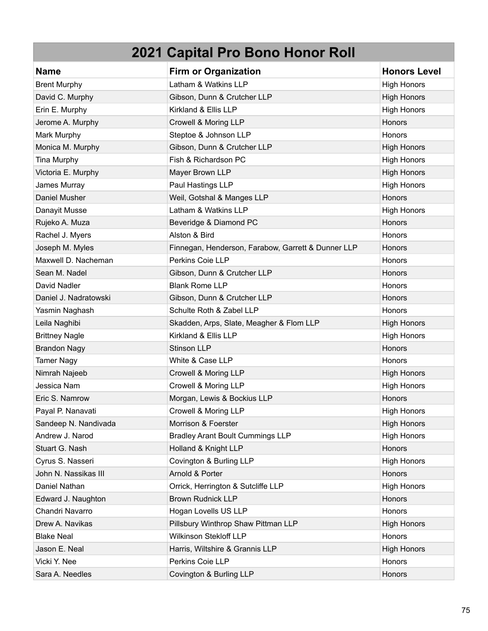| <b>Name</b>           | <b>Firm or Organization</b>                        | <b>Honors Level</b> |
|-----------------------|----------------------------------------------------|---------------------|
| <b>Brent Murphy</b>   | Latham & Watkins LLP                               | <b>High Honors</b>  |
| David C. Murphy       | Gibson, Dunn & Crutcher LLP                        | <b>High Honors</b>  |
| Erin E. Murphy        | Kirkland & Ellis LLP                               | <b>High Honors</b>  |
| Jerome A. Murphy      | Crowell & Moring LLP                               | Honors              |
| Mark Murphy           | Steptoe & Johnson LLP                              | Honors              |
| Monica M. Murphy      | Gibson, Dunn & Crutcher LLP                        | <b>High Honors</b>  |
| Tina Murphy           | Fish & Richardson PC                               | <b>High Honors</b>  |
| Victoria E. Murphy    | Mayer Brown LLP                                    | <b>High Honors</b>  |
| James Murray          | Paul Hastings LLP                                  | <b>High Honors</b>  |
| Daniel Musher         | Weil, Gotshal & Manges LLP                         | Honors              |
| Danayit Musse         | Latham & Watkins LLP                               | <b>High Honors</b>  |
| Rujeko A. Muza        | Beveridge & Diamond PC                             | Honors              |
| Rachel J. Myers       | Alston & Bird                                      | Honors              |
| Joseph M. Myles       | Finnegan, Henderson, Farabow, Garrett & Dunner LLP | <b>Honors</b>       |
| Maxwell D. Nacheman   | Perkins Coie LLP                                   | Honors              |
| Sean M. Nadel         | Gibson, Dunn & Crutcher LLP                        | Honors              |
| David Nadler          | <b>Blank Rome LLP</b>                              | Honors              |
| Daniel J. Nadratowski | Gibson, Dunn & Crutcher LLP                        | Honors              |
| Yasmin Naghash        | Schulte Roth & Zabel LLP                           | Honors              |
| Leila Naghibi         | Skadden, Arps, Slate, Meagher & Flom LLP           | <b>High Honors</b>  |
| <b>Brittney Nagle</b> | Kirkland & Ellis LLP                               | <b>High Honors</b>  |
| <b>Brandon Nagy</b>   | <b>Stinson LLP</b>                                 | Honors              |
| <b>Tamer Nagy</b>     | White & Case LLP                                   | Honors              |
| Nimrah Najeeb         | Crowell & Moring LLP                               | <b>High Honors</b>  |
| Jessica Nam           | Crowell & Moring LLP                               | <b>High Honors</b>  |
| Eric S. Namrow        | Morgan, Lewis & Bockius LLP                        | Honors              |
| Payal P. Nanavati     | Crowell & Moring LLP                               | <b>High Honors</b>  |
| Sandeep N. Nandivada  | Morrison & Foerster                                | <b>High Honors</b>  |
| Andrew J. Narod       | <b>Bradley Arant Boult Cummings LLP</b>            | <b>High Honors</b>  |
| Stuart G. Nash        | Holland & Knight LLP                               | Honors              |
| Cyrus S. Nasseri      | Covington & Burling LLP                            | <b>High Honors</b>  |
| John N. Nassikas III  | Arnold & Porter                                    | Honors              |
| Daniel Nathan         | Orrick, Herrington & Sutcliffe LLP                 | <b>High Honors</b>  |
| Edward J. Naughton    | <b>Brown Rudnick LLP</b>                           | Honors              |
| Chandri Navarro       | Hogan Lovells US LLP                               | Honors              |
| Drew A. Navikas       | Pillsbury Winthrop Shaw Pittman LLP                | <b>High Honors</b>  |
| <b>Blake Neal</b>     | Wilkinson Stekloff LLP                             | Honors              |
| Jason E. Neal         | Harris, Wiltshire & Grannis LLP                    | <b>High Honors</b>  |
| Vicki Y. Nee          | Perkins Coie LLP                                   | Honors              |
| Sara A. Needles       | Covington & Burling LLP                            | Honors              |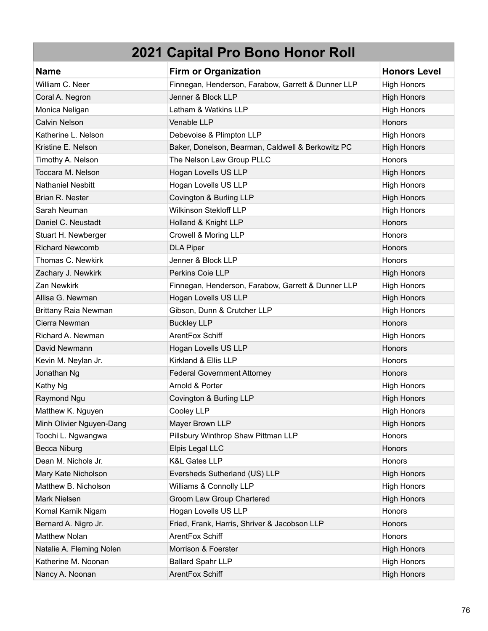| <b>Name</b>                 | <b>Firm or Organization</b>                        | <b>Honors Level</b> |
|-----------------------------|----------------------------------------------------|---------------------|
| William C. Neer             | Finnegan, Henderson, Farabow, Garrett & Dunner LLP | <b>High Honors</b>  |
| Coral A. Negron             | Jenner & Block LLP                                 | <b>High Honors</b>  |
| Monica Neligan              | Latham & Watkins LLP                               | <b>High Honors</b>  |
| <b>Calvin Nelson</b>        | Venable LLP                                        | Honors              |
| Katherine L. Nelson         | Debevoise & Plimpton LLP                           | <b>High Honors</b>  |
| Kristine E. Nelson          | Baker, Donelson, Bearman, Caldwell & Berkowitz PC  | <b>High Honors</b>  |
| Timothy A. Nelson           | The Nelson Law Group PLLC                          | Honors              |
| Toccara M. Nelson           | Hogan Lovells US LLP                               | <b>High Honors</b>  |
| <b>Nathaniel Nesbitt</b>    | Hogan Lovells US LLP                               | <b>High Honors</b>  |
| Brian R. Nester             | Covington & Burling LLP                            | <b>High Honors</b>  |
| Sarah Neuman                | <b>Wilkinson Stekloff LLP</b>                      | <b>High Honors</b>  |
| Daniel C. Neustadt          | Holland & Knight LLP                               | <b>Honors</b>       |
| Stuart H. Newberger         | Crowell & Moring LLP                               | Honors              |
| <b>Richard Newcomb</b>      | <b>DLA Piper</b>                                   | <b>Honors</b>       |
| Thomas C. Newkirk           | Jenner & Block LLP                                 | Honors              |
| Zachary J. Newkirk          | Perkins Coie LLP                                   | <b>High Honors</b>  |
| Zan Newkirk                 | Finnegan, Henderson, Farabow, Garrett & Dunner LLP | <b>High Honors</b>  |
| Allisa G. Newman            | Hogan Lovells US LLP                               | <b>High Honors</b>  |
| <b>Brittany Raia Newman</b> | Gibson, Dunn & Crutcher LLP                        | <b>High Honors</b>  |
| Cierra Newman               | <b>Buckley LLP</b>                                 | Honors              |
| Richard A. Newman           | ArentFox Schiff                                    | <b>High Honors</b>  |
| David Newmann               | Hogan Lovells US LLP                               | <b>Honors</b>       |
| Kevin M. Neylan Jr.         | Kirkland & Ellis LLP                               | Honors              |
| Jonathan Ng                 | <b>Federal Government Attorney</b>                 | <b>Honors</b>       |
| Kathy Ng                    | Arnold & Porter                                    | <b>High Honors</b>  |
| Raymond Ngu                 | Covington & Burling LLP                            | <b>High Honors</b>  |
| Matthew K. Nguyen           | Cooley LLP                                         | <b>High Honors</b>  |
| Minh Olivier Nguyen-Dang    | Mayer Brown LLP                                    | <b>High Honors</b>  |
| Toochi L. Ngwangwa          | Pillsbury Winthrop Shaw Pittman LLP                | Honors              |
| <b>Becca Niburg</b>         | Elpis Legal LLC                                    | Honors              |
| Dean M. Nichols Jr.         | <b>K&amp;L Gates LLP</b>                           | Honors              |
| Mary Kate Nicholson         | Eversheds Sutherland (US) LLP                      | <b>High Honors</b>  |
| Matthew B. Nicholson        | Williams & Connolly LLP                            | <b>High Honors</b>  |
| Mark Nielsen                | Groom Law Group Chartered                          | <b>High Honors</b>  |
| Komal Karnik Nigam          | Hogan Lovells US LLP                               | Honors              |
| Bernard A. Nigro Jr.        | Fried, Frank, Harris, Shriver & Jacobson LLP       | Honors              |
| <b>Matthew Nolan</b>        | ArentFox Schiff                                    | Honors              |
| Natalie A. Fleming Nolen    | Morrison & Foerster                                | <b>High Honors</b>  |
| Katherine M. Noonan         | <b>Ballard Spahr LLP</b>                           | <b>High Honors</b>  |
| Nancy A. Noonan             | ArentFox Schiff                                    | <b>High Honors</b>  |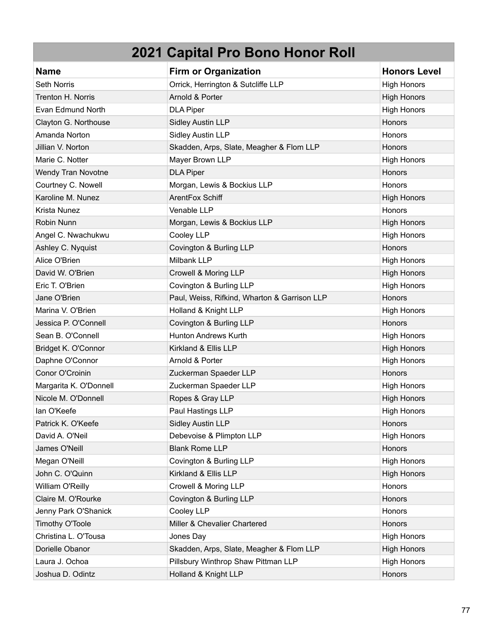| <b>Name</b>               | <b>Firm or Organization</b>                  | <b>Honors Level</b> |
|---------------------------|----------------------------------------------|---------------------|
| <b>Seth Norris</b>        | Orrick, Herrington & Sutcliffe LLP           | <b>High Honors</b>  |
| Trenton H. Norris         | Arnold & Porter                              | <b>High Honors</b>  |
| Evan Edmund North         | <b>DLA Piper</b>                             | <b>High Honors</b>  |
| Clayton G. Northouse      | <b>Sidley Austin LLP</b>                     | Honors              |
| Amanda Norton             | <b>Sidley Austin LLP</b>                     | Honors              |
| Jillian V. Norton         | Skadden, Arps, Slate, Meagher & Flom LLP     | Honors              |
| Marie C. Notter           | Mayer Brown LLP                              | <b>High Honors</b>  |
| <b>Wendy Tran Novotne</b> | <b>DLA Piper</b>                             | Honors              |
| Courtney C. Nowell        | Morgan, Lewis & Bockius LLP                  | Honors              |
| Karoline M. Nunez         | ArentFox Schiff                              | <b>High Honors</b>  |
| Krista Nunez              | Venable LLP                                  | Honors              |
| Robin Nunn                | Morgan, Lewis & Bockius LLP                  | <b>High Honors</b>  |
| Angel C. Nwachukwu        | Cooley LLP                                   | <b>High Honors</b>  |
| Ashley C. Nyquist         | Covington & Burling LLP                      | Honors              |
| Alice O'Brien             | Milbank LLP                                  | <b>High Honors</b>  |
| David W. O'Brien          | Crowell & Moring LLP                         | <b>High Honors</b>  |
| Eric T. O'Brien           | Covington & Burling LLP                      | <b>High Honors</b>  |
| Jane O'Brien              | Paul, Weiss, Rifkind, Wharton & Garrison LLP | Honors              |
| Marina V. O'Brien         | Holland & Knight LLP                         | <b>High Honors</b>  |
| Jessica P. O'Connell      | Covington & Burling LLP                      | Honors              |
| Sean B. O'Connell         | <b>Hunton Andrews Kurth</b>                  | <b>High Honors</b>  |
| Bridget K. O'Connor       | Kirkland & Ellis LLP                         | <b>High Honors</b>  |
| Daphne O'Connor           | Arnold & Porter                              | <b>High Honors</b>  |
| Conor O'Croinin           | Zuckerman Spaeder LLP                        | <b>Honors</b>       |
| Margarita K. O'Donnell    | Zuckerman Spaeder LLP                        | <b>High Honors</b>  |
| Nicole M. O'Donnell       | Ropes & Gray LLP                             | <b>High Honors</b>  |
| lan O'Keefe               | Paul Hastings LLP                            | <b>High Honors</b>  |
| Patrick K. O'Keefe        | <b>Sidley Austin LLP</b>                     | <b>Honors</b>       |
| David A. O'Neil           | Debevoise & Plimpton LLP                     | <b>High Honors</b>  |
| James O'Neill             | <b>Blank Rome LLP</b>                        | Honors              |
| Megan O'Neill             | Covington & Burling LLP                      | <b>High Honors</b>  |
| John C. O'Quinn           | Kirkland & Ellis LLP                         | <b>High Honors</b>  |
| William O'Reilly          | Crowell & Moring LLP                         | Honors              |
| Claire M. O'Rourke        | Covington & Burling LLP                      | Honors              |
| Jenny Park O'Shanick      | Cooley LLP                                   | <b>Honors</b>       |
| Timothy O'Toole           | Miller & Chevalier Chartered                 | Honors              |
| Christina L. O'Tousa      | Jones Day                                    | <b>High Honors</b>  |
| Dorielle Obanor           | Skadden, Arps, Slate, Meagher & Flom LLP     | <b>High Honors</b>  |
| Laura J. Ochoa            | Pillsbury Winthrop Shaw Pittman LLP          | <b>High Honors</b>  |
| Joshua D. Odintz          | Holland & Knight LLP                         | Honors              |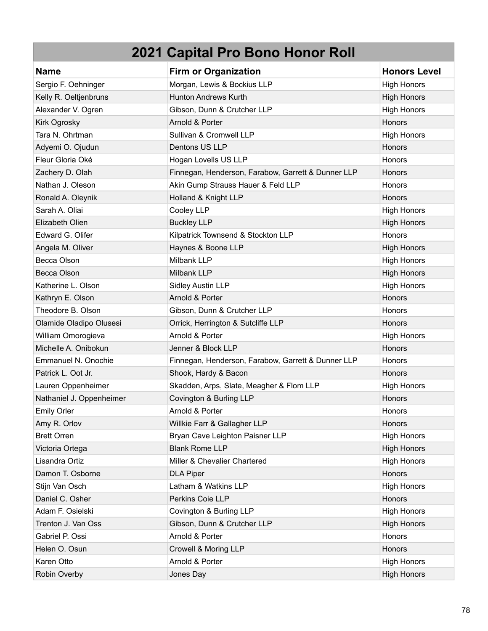| <b>Name</b>              | <b>Firm or Organization</b>                        | <b>Honors Level</b> |
|--------------------------|----------------------------------------------------|---------------------|
| Sergio F. Oehninger      | Morgan, Lewis & Bockius LLP                        | <b>High Honors</b>  |
| Kelly R. Oeltjenbruns    | <b>Hunton Andrews Kurth</b>                        | <b>High Honors</b>  |
| Alexander V. Ogren       | Gibson, Dunn & Crutcher LLP                        | <b>High Honors</b>  |
| Kirk Ogrosky             | Arnold & Porter                                    | Honors              |
| Tara N. Ohrtman          | Sullivan & Cromwell LLP                            | <b>High Honors</b>  |
| Adyemi O. Ojudun         | Dentons US LLP                                     | Honors              |
| Fleur Gloria Oké         | Hogan Lovells US LLP                               | <b>Honors</b>       |
| Zachery D. Olah          | Finnegan, Henderson, Farabow, Garrett & Dunner LLP | Honors              |
| Nathan J. Oleson         | Akin Gump Strauss Hauer & Feld LLP                 | Honors              |
| Ronald A. Oleynik        | Holland & Knight LLP                               | Honors              |
| Sarah A. Oliai           | Cooley LLP                                         | <b>High Honors</b>  |
| Elizabeth Olien          | <b>Buckley LLP</b>                                 | <b>High Honors</b>  |
| Edward G. Olifer         | Kilpatrick Townsend & Stockton LLP                 | Honors              |
| Angela M. Oliver         | Haynes & Boone LLP                                 | <b>High Honors</b>  |
| Becca Olson              | Milbank LLP                                        | <b>High Honors</b>  |
| Becca Olson              | Milbank LLP                                        | <b>High Honors</b>  |
| Katherine L. Olson       | <b>Sidley Austin LLP</b>                           | <b>High Honors</b>  |
| Kathryn E. Olson         | Arnold & Porter                                    | Honors              |
| Theodore B. Olson        | Gibson, Dunn & Crutcher LLP                        | <b>Honors</b>       |
| Olamide Oladipo Olusesi  | Orrick, Herrington & Sutcliffe LLP                 | Honors              |
| William Omorogieva       | Arnold & Porter                                    | <b>High Honors</b>  |
| Michelle A. Onibokun     | Jenner & Block LLP                                 | Honors              |
| Emmanuel N. Onochie      | Finnegan, Henderson, Farabow, Garrett & Dunner LLP | <b>Honors</b>       |
| Patrick L. Oot Jr.       | Shook, Hardy & Bacon                               | Honors              |
| Lauren Oppenheimer       | Skadden, Arps, Slate, Meagher & Flom LLP           | <b>High Honors</b>  |
| Nathaniel J. Oppenheimer | Covington & Burling LLP                            | Honors              |
| <b>Emily Orler</b>       | Arnold & Porter                                    | <b>Honors</b>       |
| Amy R. Orlov             | Willkie Farr & Gallagher LLP                       | <b>Honors</b>       |
| <b>Brett Orren</b>       | Bryan Cave Leighton Paisner LLP                    | <b>High Honors</b>  |
| Victoria Ortega          | <b>Blank Rome LLP</b>                              | <b>High Honors</b>  |
| Lisandra Ortiz           | Miller & Chevalier Chartered                       | <b>High Honors</b>  |
| Damon T. Osborne         | <b>DLA Piper</b>                                   | Honors              |
| Stijn Van Osch           | Latham & Watkins LLP                               | <b>High Honors</b>  |
| Daniel C. Osher          | Perkins Coie LLP                                   | Honors              |
| Adam F. Osielski         | Covington & Burling LLP                            | <b>High Honors</b>  |
| Trenton J. Van Oss       | Gibson, Dunn & Crutcher LLP                        | <b>High Honors</b>  |
| Gabriel P. Ossi          | Arnold & Porter                                    | Honors              |
| Helen O. Osun            | Crowell & Moring LLP                               | Honors              |
| Karen Otto               | Arnold & Porter                                    | <b>High Honors</b>  |
| Robin Overby             | Jones Day                                          | <b>High Honors</b>  |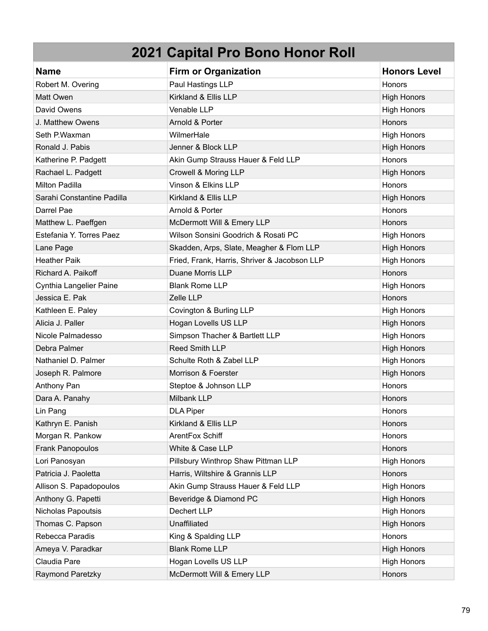| <b>Name</b>                    | <b>Firm or Organization</b>                  | <b>Honors Level</b> |
|--------------------------------|----------------------------------------------|---------------------|
| Robert M. Overing              | Paul Hastings LLP                            | Honors              |
| Matt Owen                      | Kirkland & Ellis LLP                         | <b>High Honors</b>  |
| David Owens                    | Venable LLP                                  | <b>High Honors</b>  |
| J. Matthew Owens               | Arnold & Porter                              | Honors              |
| Seth P.Waxman                  | WilmerHale                                   | <b>High Honors</b>  |
| Ronald J. Pabis                | Jenner & Block LLP                           | <b>High Honors</b>  |
| Katherine P. Padgett           | Akin Gump Strauss Hauer & Feld LLP           | Honors              |
| Rachael L. Padgett             | Crowell & Moring LLP                         | <b>High Honors</b>  |
| Milton Padilla                 | Vinson & Elkins LLP                          | Honors              |
| Sarahi Constantine Padilla     | Kirkland & Ellis LLP                         | <b>High Honors</b>  |
| Darrel Pae                     | Arnold & Porter                              | Honors              |
| Matthew L. Paeffgen            | McDermott Will & Emery LLP                   | Honors              |
| Estefania Y. Torres Paez       | Wilson Sonsini Goodrich & Rosati PC          | <b>High Honors</b>  |
| Lane Page                      | Skadden, Arps, Slate, Meagher & Flom LLP     | <b>High Honors</b>  |
| <b>Heather Paik</b>            | Fried, Frank, Harris, Shriver & Jacobson LLP | <b>High Honors</b>  |
| Richard A. Paikoff             | Duane Morris LLP                             | Honors              |
| <b>Cynthia Langelier Paine</b> | <b>Blank Rome LLP</b>                        | <b>High Honors</b>  |
| Jessica E. Pak                 | Zelle LLP                                    | Honors              |
| Kathleen E. Paley              | Covington & Burling LLP                      | <b>High Honors</b>  |
| Alicia J. Paller               | Hogan Lovells US LLP                         | <b>High Honors</b>  |
| Nicole Palmadesso              | Simpson Thacher & Bartlett LLP               | <b>High Honors</b>  |
| Debra Palmer                   | Reed Smith LLP                               | <b>High Honors</b>  |
| Nathaniel D. Palmer            | Schulte Roth & Zabel LLP                     | <b>High Honors</b>  |
| Joseph R. Palmore              | Morrison & Foerster                          | <b>High Honors</b>  |
| Anthony Pan                    | Steptoe & Johnson LLP                        | Honors              |
| Dara A. Panahy                 | Milbank LLP                                  | Honors              |
| Lin Pang                       | <b>DLA Piper</b>                             | Honors              |
| Kathryn E. Panish              | Kirkland & Ellis LLP                         | <b>Honors</b>       |
| Morgan R. Pankow               | ArentFox Schiff                              | Honors              |
| Frank Panopoulos               | White & Case LLP                             | Honors              |
| Lori Panosyan                  | Pillsbury Winthrop Shaw Pittman LLP          | <b>High Honors</b>  |
| Patricia J. Paoletta           | Harris, Wiltshire & Grannis LLP              | Honors              |
| Allison S. Papadopoulos        | Akin Gump Strauss Hauer & Feld LLP           | <b>High Honors</b>  |
| Anthony G. Papetti             | Beveridge & Diamond PC                       | <b>High Honors</b>  |
| Nicholas Papoutsis             | Dechert LLP                                  | <b>High Honors</b>  |
| Thomas C. Papson               | Unaffiliated                                 | <b>High Honors</b>  |
| Rebecca Paradis                | King & Spalding LLP                          | Honors              |
| Ameya V. Paradkar              | <b>Blank Rome LLP</b>                        | <b>High Honors</b>  |
| Claudia Pare                   | Hogan Lovells US LLP                         | <b>High Honors</b>  |
| Raymond Paretzky               | McDermott Will & Emery LLP                   | Honors              |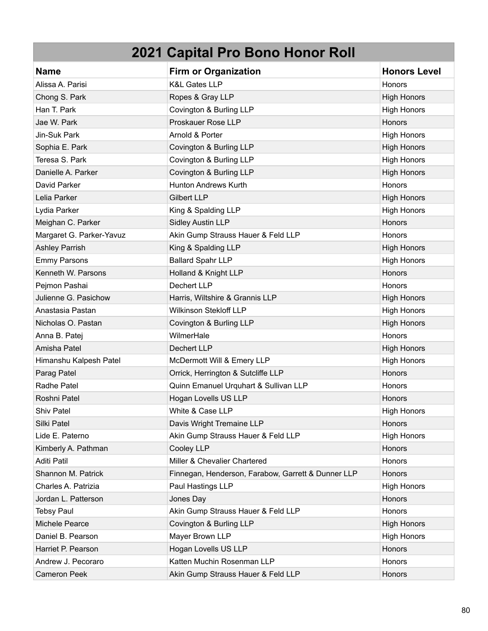| <b>Name</b>              | <b>Firm or Organization</b>                        | <b>Honors Level</b> |
|--------------------------|----------------------------------------------------|---------------------|
| Alissa A. Parisi         | <b>K&amp;L Gates LLP</b>                           | Honors              |
| Chong S. Park            | Ropes & Gray LLP                                   | <b>High Honors</b>  |
| Han T. Park              | Covington & Burling LLP                            | <b>High Honors</b>  |
| Jae W. Park              | Proskauer Rose LLP                                 | Honors              |
| Jin-Suk Park             | Arnold & Porter                                    | <b>High Honors</b>  |
| Sophia E. Park           | Covington & Burling LLP                            | <b>High Honors</b>  |
| Teresa S. Park           | Covington & Burling LLP                            | <b>High Honors</b>  |
| Danielle A. Parker       | Covington & Burling LLP                            | <b>High Honors</b>  |
| David Parker             | <b>Hunton Andrews Kurth</b>                        | Honors              |
| Lelia Parker             | <b>Gilbert LLP</b>                                 | <b>High Honors</b>  |
| Lydia Parker             | King & Spalding LLP                                | <b>High Honors</b>  |
| Meighan C. Parker        | <b>Sidley Austin LLP</b>                           | Honors              |
| Margaret G. Parker-Yavuz | Akin Gump Strauss Hauer & Feld LLP                 | Honors              |
| <b>Ashley Parrish</b>    | King & Spalding LLP                                | <b>High Honors</b>  |
| <b>Emmy Parsons</b>      | <b>Ballard Spahr LLP</b>                           | <b>High Honors</b>  |
| Kenneth W. Parsons       | Holland & Knight LLP                               | Honors              |
| Pejmon Pashai            | <b>Dechert LLP</b>                                 | Honors              |
| Julienne G. Pasichow     | Harris, Wiltshire & Grannis LLP                    | <b>High Honors</b>  |
| Anastasia Pastan         | <b>Wilkinson Stekloff LLP</b>                      | <b>High Honors</b>  |
| Nicholas O. Pastan       | Covington & Burling LLP                            | <b>High Honors</b>  |
| Anna B. Patej            | WilmerHale                                         | Honors              |
| Amisha Patel             | Dechert LLP                                        | <b>High Honors</b>  |
| Himanshu Kalpesh Patel   | McDermott Will & Emery LLP                         | <b>High Honors</b>  |
| Parag Patel              | Orrick, Herrington & Sutcliffe LLP                 | <b>Honors</b>       |
| Radhe Patel              | Quinn Emanuel Urquhart & Sullivan LLP              | Honors              |
| Roshni Patel             | Hogan Lovells US LLP                               | Honors              |
| <b>Shiv Patel</b>        | White & Case LLP                                   | <b>High Honors</b>  |
| Silki Patel              | Davis Wright Tremaine LLP                          | <b>Honors</b>       |
| Lide E. Paterno          | Akin Gump Strauss Hauer & Feld LLP                 | <b>High Honors</b>  |
| Kimberly A. Pathman      | Cooley LLP                                         | Honors              |
| <b>Aditi Patil</b>       | Miller & Chevalier Chartered                       | Honors              |
| Shannon M. Patrick       | Finnegan, Henderson, Farabow, Garrett & Dunner LLP | Honors              |
| Charles A. Patrizia      | Paul Hastings LLP                                  | <b>High Honors</b>  |
| Jordan L. Patterson      | Jones Day                                          | Honors              |
| <b>Tebsy Paul</b>        | Akin Gump Strauss Hauer & Feld LLP                 | Honors              |
| Michele Pearce           | Covington & Burling LLP                            | <b>High Honors</b>  |
| Daniel B. Pearson        | Mayer Brown LLP                                    | <b>High Honors</b>  |
| Harriet P. Pearson       | Hogan Lovells US LLP                               | Honors              |
| Andrew J. Pecoraro       | Katten Muchin Rosenman LLP                         | Honors              |
| <b>Cameron Peek</b>      | Akin Gump Strauss Hauer & Feld LLP                 | Honors              |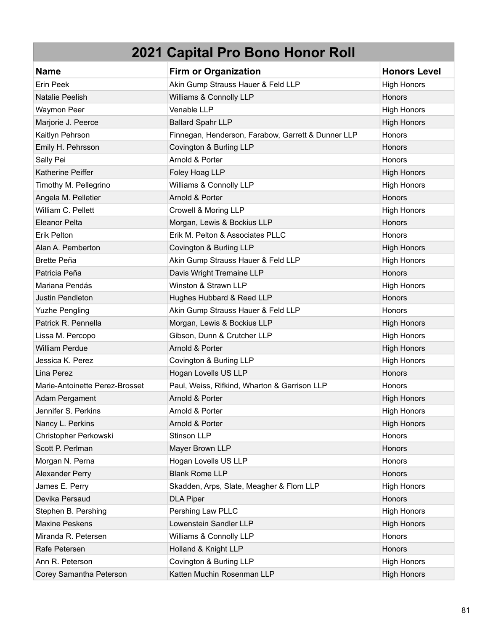| <b>Name</b>                    | <b>Firm or Organization</b>                        | <b>Honors Level</b> |
|--------------------------------|----------------------------------------------------|---------------------|
| Erin Peek                      | Akin Gump Strauss Hauer & Feld LLP                 | <b>High Honors</b>  |
| <b>Natalie Peelish</b>         | Williams & Connolly LLP                            | Honors              |
| Waymon Peer                    | Venable LLP                                        | <b>High Honors</b>  |
| Marjorie J. Peerce             | <b>Ballard Spahr LLP</b>                           | <b>High Honors</b>  |
| Kaitlyn Pehrson                | Finnegan, Henderson, Farabow, Garrett & Dunner LLP | Honors              |
| Emily H. Pehrsson              | Covington & Burling LLP                            | Honors              |
| Sally Pei                      | Arnold & Porter                                    | Honors              |
| Katherine Peiffer              | Foley Hoag LLP                                     | <b>High Honors</b>  |
| Timothy M. Pellegrino          | Williams & Connolly LLP                            | <b>High Honors</b>  |
| Angela M. Pelletier            | Arnold & Porter                                    | Honors              |
| William C. Pellett             | Crowell & Moring LLP                               | <b>High Honors</b>  |
| <b>Eleanor Pelta</b>           | Morgan, Lewis & Bockius LLP                        | <b>Honors</b>       |
| <b>Erik Pelton</b>             | Erik M. Pelton & Associates PLLC                   | Honors              |
| Alan A. Pemberton              | Covington & Burling LLP                            | <b>High Honors</b>  |
| <b>Brette Peña</b>             | Akin Gump Strauss Hauer & Feld LLP                 | <b>High Honors</b>  |
| Patricia Peña                  | Davis Wright Tremaine LLP                          | Honors              |
| Mariana Pendás                 | Winston & Strawn LLP                               | <b>High Honors</b>  |
| Justin Pendleton               | Hughes Hubbard & Reed LLP                          | Honors              |
| <b>Yuzhe Pengling</b>          | Akin Gump Strauss Hauer & Feld LLP                 | Honors              |
| Patrick R. Pennella            | Morgan, Lewis & Bockius LLP                        | <b>High Honors</b>  |
| Lissa M. Percopo               | Gibson, Dunn & Crutcher LLP                        | <b>High Honors</b>  |
| <b>William Perdue</b>          | Arnold & Porter                                    | <b>High Honors</b>  |
| Jessica K. Perez               | Covington & Burling LLP                            | <b>High Honors</b>  |
| Lina Perez                     | Hogan Lovells US LLP                               | Honors              |
| Marie-Antoinette Perez-Brosset | Paul, Weiss, Rifkind, Wharton & Garrison LLP       | Honors              |
| Adam Pergament                 | Arnold & Porter                                    | <b>High Honors</b>  |
| Jennifer S. Perkins            | Arnold & Porter                                    | <b>High Honors</b>  |
| Nancy L. Perkins               | Arnold & Porter                                    | <b>High Honors</b>  |
| Christopher Perkowski          | Stinson LLP                                        | Honors              |
| Scott P. Perlman               | Mayer Brown LLP                                    | Honors              |
| Morgan N. Perna                | Hogan Lovells US LLP                               | Honors              |
| Alexander Perry                | <b>Blank Rome LLP</b>                              | Honors              |
| James E. Perry                 | Skadden, Arps, Slate, Meagher & Flom LLP           | <b>High Honors</b>  |
| Devika Persaud                 | <b>DLA Piper</b>                                   | Honors              |
| Stephen B. Pershing            | Pershing Law PLLC                                  | <b>High Honors</b>  |
| <b>Maxine Peskens</b>          | Lowenstein Sandler LLP                             | <b>High Honors</b>  |
| Miranda R. Petersen            | Williams & Connolly LLP                            | Honors              |
| Rafe Petersen                  | Holland & Knight LLP                               | Honors              |
| Ann R. Peterson                | Covington & Burling LLP                            | <b>High Honors</b>  |
| Corey Samantha Peterson        | Katten Muchin Rosenman LLP                         | <b>High Honors</b>  |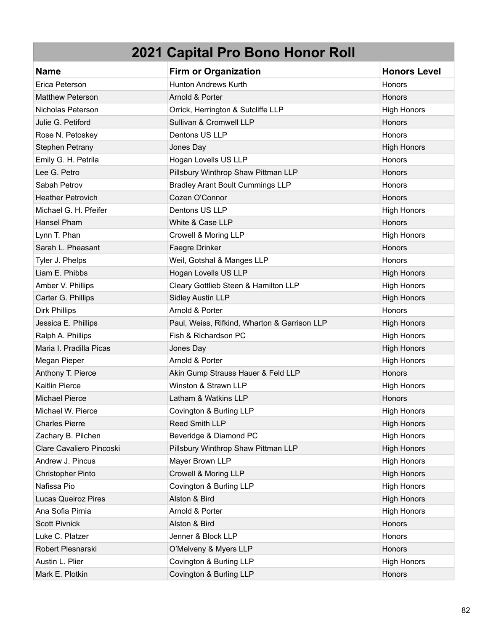| <b>Name</b>              | <b>Firm or Organization</b>                  | <b>Honors Level</b> |
|--------------------------|----------------------------------------------|---------------------|
| Erica Peterson           | <b>Hunton Andrews Kurth</b>                  | <b>Honors</b>       |
| <b>Matthew Peterson</b>  | Arnold & Porter                              | Honors              |
| Nicholas Peterson        | Orrick, Herrington & Sutcliffe LLP           | <b>High Honors</b>  |
| Julie G. Petiford        | Sullivan & Cromwell LLP                      | Honors              |
| Rose N. Petoskey         | Dentons US LLP                               | Honors              |
| <b>Stephen Petrany</b>   | Jones Day                                    | <b>High Honors</b>  |
| Emily G. H. Petrila      | Hogan Lovells US LLP                         | Honors              |
| Lee G. Petro             | Pillsbury Winthrop Shaw Pittman LLP          | Honors              |
| Sabah Petrov             | <b>Bradley Arant Boult Cummings LLP</b>      | Honors              |
| <b>Heather Petrovich</b> | Cozen O'Connor                               | Honors              |
| Michael G. H. Pfeifer    | Dentons US LLP                               | <b>High Honors</b>  |
| Hansel Pham              | White & Case LLP                             | Honors              |
| Lynn T. Phan             | Crowell & Moring LLP                         | <b>High Honors</b>  |
| Sarah L. Pheasant        | Faegre Drinker                               | Honors              |
| Tyler J. Phelps          | Weil, Gotshal & Manges LLP                   | Honors              |
| Liam E. Phibbs           | Hogan Lovells US LLP                         | <b>High Honors</b>  |
| Amber V. Phillips        | Cleary Gottlieb Steen & Hamilton LLP         | <b>High Honors</b>  |
| Carter G. Phillips       | <b>Sidley Austin LLP</b>                     | <b>High Honors</b>  |
| <b>Dirk Phillips</b>     | Arnold & Porter                              | Honors              |
| Jessica E. Phillips      | Paul, Weiss, Rifkind, Wharton & Garrison LLP | <b>High Honors</b>  |
| Ralph A. Phillips        | Fish & Richardson PC                         | <b>High Honors</b>  |
| Maria I. Pradilla Picas  | Jones Day                                    | <b>High Honors</b>  |
| Megan Pieper             | Arnold & Porter                              | <b>High Honors</b>  |
| Anthony T. Pierce        | Akin Gump Strauss Hauer & Feld LLP           | Honors              |
| <b>Kaitlin Pierce</b>    | Winston & Strawn LLP                         | <b>High Honors</b>  |
| <b>Michael Pierce</b>    | Latham & Watkins LLP                         | Honors              |
| Michael W. Pierce        | Covington & Burling LLP                      | <b>High Honors</b>  |
| <b>Charles Pierre</b>    | Reed Smith LLP                               | <b>High Honors</b>  |
| Zachary B. Pilchen       | Beveridge & Diamond PC                       | <b>High Honors</b>  |
| Clare Cavaliero Pincoski | Pillsbury Winthrop Shaw Pittman LLP          | <b>High Honors</b>  |
| Andrew J. Pincus         | Mayer Brown LLP                              | <b>High Honors</b>  |
| <b>Christopher Pinto</b> | Crowell & Moring LLP                         | <b>High Honors</b>  |
| Nafissa Pio              | Covington & Burling LLP                      | <b>High Honors</b>  |
| Lucas Queiroz Pires      | Alston & Bird                                | <b>High Honors</b>  |
| Ana Sofia Pirnia         | Arnold & Porter                              | <b>High Honors</b>  |
| <b>Scott Pivnick</b>     | Alston & Bird                                | Honors              |
| Luke C. Platzer          | Jenner & Block LLP                           | Honors              |
| Robert Plesnarski        | O'Melveny & Myers LLP                        | Honors              |
| Austin L. Plier          | Covington & Burling LLP                      | <b>High Honors</b>  |
| Mark E. Plotkin          | Covington & Burling LLP                      | Honors              |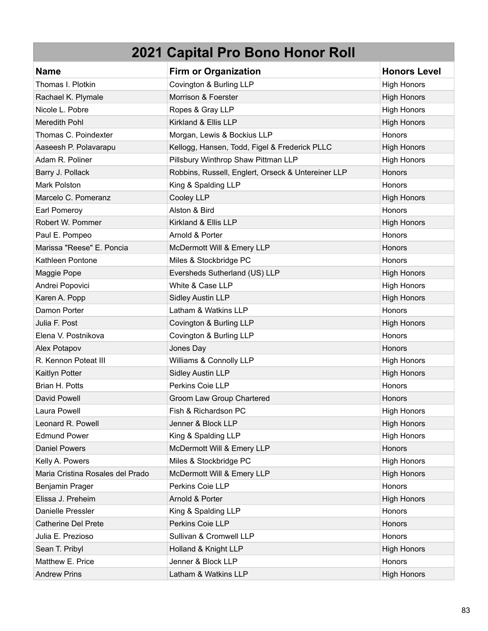| <b>Name</b>                      | <b>Firm or Organization</b>                        | <b>Honors Level</b> |
|----------------------------------|----------------------------------------------------|---------------------|
| Thomas I. Plotkin                | Covington & Burling LLP                            | <b>High Honors</b>  |
| Rachael K. Plymale               | Morrison & Foerster                                | <b>High Honors</b>  |
| Nicole L. Pobre                  | Ropes & Gray LLP                                   | <b>High Honors</b>  |
| Meredith Pohl                    | Kirkland & Ellis LLP                               | <b>High Honors</b>  |
| Thomas C. Poindexter             | Morgan, Lewis & Bockius LLP                        | Honors              |
| Aaseesh P. Polavarapu            | Kellogg, Hansen, Todd, Figel & Frederick PLLC      | <b>High Honors</b>  |
| Adam R. Poliner                  | Pillsbury Winthrop Shaw Pittman LLP                | <b>High Honors</b>  |
| Barry J. Pollack                 | Robbins, Russell, Englert, Orseck & Untereiner LLP | Honors              |
| <b>Mark Polston</b>              | King & Spalding LLP                                | Honors              |
| Marcelo C. Pomeranz              | Cooley LLP                                         | <b>High Honors</b>  |
| Earl Pomeroy                     | Alston & Bird                                      | Honors              |
| Robert W. Pommer                 | Kirkland & Ellis LLP                               | <b>High Honors</b>  |
| Paul E. Pompeo                   | Arnold & Porter                                    | Honors              |
| Marissa "Reese" E. Poncia        | McDermott Will & Emery LLP                         | Honors              |
| Kathleen Pontone                 | Miles & Stockbridge PC                             | Honors              |
| Maggie Pope                      | Eversheds Sutherland (US) LLP                      | <b>High Honors</b>  |
| Andrei Popovici                  | White & Case LLP                                   | <b>High Honors</b>  |
| Karen A. Popp                    | <b>Sidley Austin LLP</b>                           | <b>High Honors</b>  |
| Damon Porter                     | Latham & Watkins LLP                               | Honors              |
| Julia F. Post                    | Covington & Burling LLP                            | <b>High Honors</b>  |
| Elena V. Postnikova              | Covington & Burling LLP                            | Honors              |
| Alex Potapov                     | Jones Day                                          | Honors              |
| R. Kennon Poteat III             | Williams & Connolly LLP                            | <b>High Honors</b>  |
| Kaitlyn Potter                   | <b>Sidley Austin LLP</b>                           | <b>High Honors</b>  |
| Brian H. Potts                   | Perkins Coie LLP                                   | Honors              |
| David Powell                     | Groom Law Group Chartered                          | Honors              |
| Laura Powell                     | Fish & Richardson PC                               | <b>High Honors</b>  |
| Leonard R. Powell                | Jenner & Block LLP                                 | <b>High Honors</b>  |
| <b>Edmund Power</b>              | King & Spalding LLP                                | <b>High Honors</b>  |
| <b>Daniel Powers</b>             | McDermott Will & Emery LLP                         | Honors              |
| Kelly A. Powers                  | Miles & Stockbridge PC                             | <b>High Honors</b>  |
| Maria Cristina Rosales del Prado | McDermott Will & Emery LLP                         | <b>High Honors</b>  |
| Benjamin Prager                  | Perkins Coie LLP                                   | Honors              |
| Elissa J. Preheim                | Arnold & Porter                                    | <b>High Honors</b>  |
| Danielle Pressler                | King & Spalding LLP                                | Honors              |
| <b>Catherine Del Prete</b>       | Perkins Coie LLP                                   | Honors              |
| Julia E. Prezioso                | Sullivan & Cromwell LLP                            | Honors              |
| Sean T. Pribyl                   | Holland & Knight LLP                               | <b>High Honors</b>  |
| Matthew E. Price                 | Jenner & Block LLP                                 | Honors              |
| <b>Andrew Prins</b>              | Latham & Watkins LLP                               | <b>High Honors</b>  |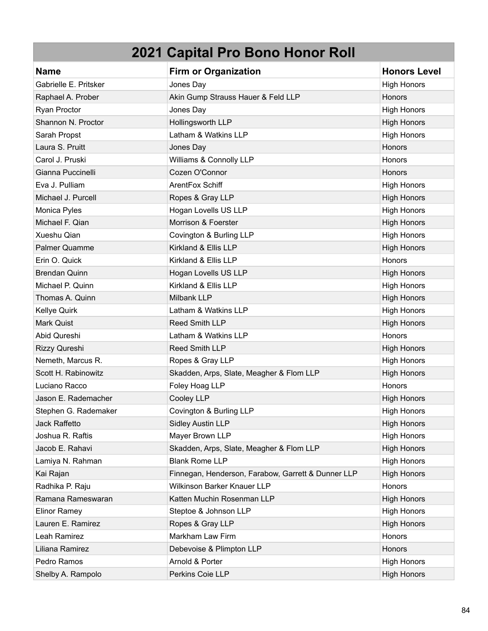| <b>Name</b>           | <b>Firm or Organization</b>                        | <b>Honors Level</b> |
|-----------------------|----------------------------------------------------|---------------------|
| Gabrielle E. Pritsker | Jones Day                                          | <b>High Honors</b>  |
| Raphael A. Prober     | Akin Gump Strauss Hauer & Feld LLP                 | Honors              |
| Ryan Proctor          | Jones Day                                          | <b>High Honors</b>  |
| Shannon N. Proctor    | Hollingsworth LLP                                  | <b>High Honors</b>  |
| Sarah Propst          | Latham & Watkins LLP                               | <b>High Honors</b>  |
| Laura S. Pruitt       | Jones Day                                          | Honors              |
| Carol J. Pruski       | Williams & Connolly LLP                            | Honors              |
| Gianna Puccinelli     | Cozen O'Connor                                     | <b>Honors</b>       |
| Eva J. Pulliam        | ArentFox Schiff                                    | <b>High Honors</b>  |
| Michael J. Purcell    | Ropes & Gray LLP                                   | <b>High Honors</b>  |
| Monica Pyles          | Hogan Lovells US LLP                               | <b>High Honors</b>  |
| Michael F. Qian       | Morrison & Foerster                                | <b>High Honors</b>  |
| Xueshu Qian           | Covington & Burling LLP                            | <b>High Honors</b>  |
| <b>Palmer Quamme</b>  | Kirkland & Ellis LLP                               | <b>High Honors</b>  |
| Erin O. Quick         | Kirkland & Ellis LLP                               | Honors              |
| <b>Brendan Quinn</b>  | Hogan Lovells US LLP                               | <b>High Honors</b>  |
| Michael P. Quinn      | Kirkland & Ellis LLP                               | <b>High Honors</b>  |
| Thomas A. Quinn       | Milbank LLP                                        | <b>High Honors</b>  |
| Kellye Quirk          | Latham & Watkins LLP                               | <b>High Honors</b>  |
| <b>Mark Quist</b>     | Reed Smith LLP                                     | <b>High Honors</b>  |
| Abid Qureshi          | Latham & Watkins LLP                               | Honors              |
| Rizzy Qureshi         | Reed Smith LLP                                     | <b>High Honors</b>  |
| Nemeth, Marcus R.     | Ropes & Gray LLP                                   | <b>High Honors</b>  |
| Scott H. Rabinowitz   | Skadden, Arps, Slate, Meagher & Flom LLP           | <b>High Honors</b>  |
| Luciano Racco         | Foley Hoag LLP                                     | Honors              |
| Jason E. Rademacher   | Cooley LLP                                         | <b>High Honors</b>  |
| Stephen G. Rademaker  | Covington & Burling LLP                            | <b>High Honors</b>  |
| Jack Raffetto         | <b>Sidley Austin LLP</b>                           | <b>High Honors</b>  |
| Joshua R. Raftis      | Mayer Brown LLP                                    | <b>High Honors</b>  |
| Jacob E. Rahavi       | Skadden, Arps, Slate, Meagher & Flom LLP           | <b>High Honors</b>  |
| Lamiya N. Rahman      | <b>Blank Rome LLP</b>                              | <b>High Honors</b>  |
| Kai Rajan             | Finnegan, Henderson, Farabow, Garrett & Dunner LLP | <b>High Honors</b>  |
| Radhika P. Raju       | Wilkinson Barker Knauer LLP                        | Honors              |
| Ramana Rameswaran     | Katten Muchin Rosenman LLP                         | <b>High Honors</b>  |
| <b>Elinor Ramey</b>   | Steptoe & Johnson LLP                              | <b>High Honors</b>  |
| Lauren E. Ramirez     | Ropes & Gray LLP                                   | <b>High Honors</b>  |
| Leah Ramirez          | Markham Law Firm                                   | Honors              |
| Liliana Ramirez       | Debevoise & Plimpton LLP                           | Honors              |
| Pedro Ramos           | Arnold & Porter                                    | <b>High Honors</b>  |
| Shelby A. Rampolo     | Perkins Coie LLP                                   | <b>High Honors</b>  |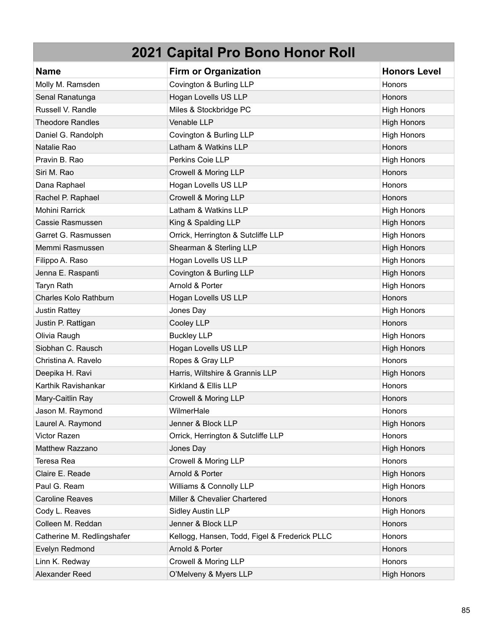| <b>Name</b>                | <b>Firm or Organization</b>                   | <b>Honors Level</b> |
|----------------------------|-----------------------------------------------|---------------------|
| Molly M. Ramsden           | Covington & Burling LLP                       | Honors              |
| Senal Ranatunga            | Hogan Lovells US LLP                          | Honors              |
| Russell V. Randle          | Miles & Stockbridge PC                        | <b>High Honors</b>  |
| <b>Theodore Randles</b>    | Venable LLP                                   | <b>High Honors</b>  |
| Daniel G. Randolph         | Covington & Burling LLP                       | <b>High Honors</b>  |
| Natalie Rao                | Latham & Watkins LLP                          | Honors              |
| Pravin B. Rao              | Perkins Coie LLP                              | <b>High Honors</b>  |
| Siri M. Rao                | Crowell & Moring LLP                          | <b>Honors</b>       |
| Dana Raphael               | Hogan Lovells US LLP                          | Honors              |
| Rachel P. Raphael          | Crowell & Moring LLP                          | Honors              |
| Mohini Rarrick             | Latham & Watkins LLP                          | <b>High Honors</b>  |
| Cassie Rasmussen           | King & Spalding LLP                           | <b>High Honors</b>  |
| Garret G. Rasmussen        | Orrick, Herrington & Sutcliffe LLP            | <b>High Honors</b>  |
| Memmi Rasmussen            | Shearman & Sterling LLP                       | <b>High Honors</b>  |
| Filippo A. Raso            | Hogan Lovells US LLP                          | <b>High Honors</b>  |
| Jenna E. Raspanti          | Covington & Burling LLP                       | <b>High Honors</b>  |
| Taryn Rath                 | Arnold & Porter                               | <b>High Honors</b>  |
| Charles Kolo Rathburn      | Hogan Lovells US LLP                          | Honors              |
| Justin Rattey              | Jones Day                                     | <b>High Honors</b>  |
| Justin P. Rattigan         | Cooley LLP                                    | <b>Honors</b>       |
| Olivia Raugh               | <b>Buckley LLP</b>                            | <b>High Honors</b>  |
| Siobhan C. Rausch          | Hogan Lovells US LLP                          | <b>High Honors</b>  |
| Christina A. Ravelo        | Ropes & Gray LLP                              | Honors              |
| Deepika H. Ravi            | Harris, Wiltshire & Grannis LLP               | <b>High Honors</b>  |
| Karthik Ravishankar        | Kirkland & Ellis LLP                          | Honors              |
| Mary-Caitlin Ray           | Crowell & Moring LLP                          | Honors              |
| Jason M. Raymond           | WilmerHale                                    | Honors              |
| Laurel A. Raymond          | Jenner & Block LLP                            | <b>High Honors</b>  |
| Victor Razen               | Orrick, Herrington & Sutcliffe LLP            | Honors              |
| Matthew Razzano            | Jones Day                                     | <b>High Honors</b>  |
| Teresa Rea                 | Crowell & Moring LLP                          | Honors              |
| Claire E. Reade            | Arnold & Porter                               | <b>High Honors</b>  |
| Paul G. Ream               | Williams & Connolly LLP                       | <b>High Honors</b>  |
| <b>Caroline Reaves</b>     | Miller & Chevalier Chartered                  | Honors              |
| Cody L. Reaves             | <b>Sidley Austin LLP</b>                      | <b>High Honors</b>  |
| Colleen M. Reddan          | Jenner & Block LLP                            | Honors              |
| Catherine M. Redlingshafer | Kellogg, Hansen, Todd, Figel & Frederick PLLC | Honors              |
| Evelyn Redmond             | Arnold & Porter                               | <b>Honors</b>       |
| Linn K. Redway             | Crowell & Moring LLP                          | Honors              |
| Alexander Reed             | O'Melveny & Myers LLP                         | <b>High Honors</b>  |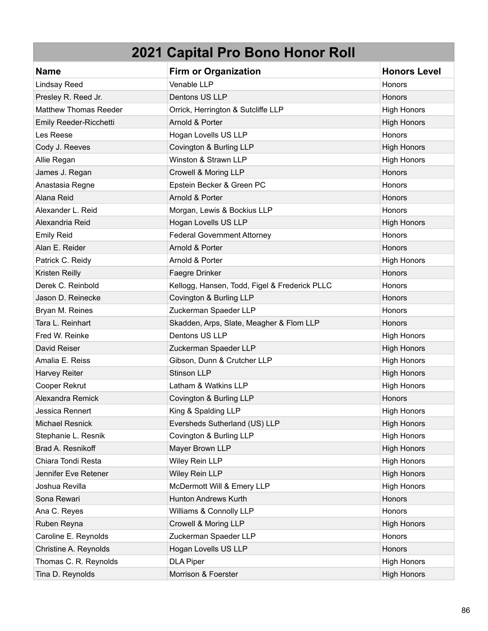| <b>Name</b>                  | <b>Firm or Organization</b>                   | <b>Honors Level</b> |
|------------------------------|-----------------------------------------------|---------------------|
| <b>Lindsay Reed</b>          | Venable LLP                                   | Honors              |
| Presley R. Reed Jr.          | Dentons US LLP                                | <b>Honors</b>       |
| <b>Matthew Thomas Reeder</b> | Orrick, Herrington & Sutcliffe LLP            | <b>High Honors</b>  |
| Emily Reeder-Ricchetti       | Arnold & Porter                               | <b>High Honors</b>  |
| Les Reese                    | Hogan Lovells US LLP                          | Honors              |
| Cody J. Reeves               | Covington & Burling LLP                       | <b>High Honors</b>  |
| Allie Regan                  | Winston & Strawn LLP                          | <b>High Honors</b>  |
| James J. Regan               | Crowell & Moring LLP                          | Honors              |
| Anastasia Regne              | Epstein Becker & Green PC                     | Honors              |
| Alana Reid                   | Arnold & Porter                               | <b>Honors</b>       |
| Alexander L. Reid            | Morgan, Lewis & Bockius LLP                   | Honors              |
| Alexandria Reid              | Hogan Lovells US LLP                          | <b>High Honors</b>  |
| <b>Emily Reid</b>            | <b>Federal Government Attorney</b>            | Honors              |
| Alan E. Reider               | Arnold & Porter                               | Honors              |
| Patrick C. Reidy             | Arnold & Porter                               | <b>High Honors</b>  |
| Kristen Reilly               | Faegre Drinker                                | Honors              |
| Derek C. Reinbold            | Kellogg, Hansen, Todd, Figel & Frederick PLLC | Honors              |
| Jason D. Reinecke            | Covington & Burling LLP                       | Honors              |
| Bryan M. Reines              | Zuckerman Spaeder LLP                         | <b>Honors</b>       |
| Tara L. Reinhart             | Skadden, Arps, Slate, Meagher & Flom LLP      | Honors              |
| Fred W. Reinke               | Dentons US LLP                                | <b>High Honors</b>  |
| David Reiser                 | Zuckerman Spaeder LLP                         | <b>High Honors</b>  |
| Amalia E. Reiss              | Gibson, Dunn & Crutcher LLP                   | <b>High Honors</b>  |
| <b>Harvey Reiter</b>         | <b>Stinson LLP</b>                            | <b>High Honors</b>  |
| Cooper Rekrut                | Latham & Watkins LLP                          | <b>High Honors</b>  |
| Alexandra Remick             | Covington & Burling LLP                       | Honors              |
| Jessica Rennert              | King & Spalding LLP                           | <b>High Honors</b>  |
| <b>Michael Resnick</b>       | Eversheds Sutherland (US) LLP                 | <b>High Honors</b>  |
| Stephanie L. Resnik          | Covington & Burling LLP                       | <b>High Honors</b>  |
| Brad A. Resnikoff            | Mayer Brown LLP                               | <b>High Honors</b>  |
| Chiara Tondi Resta           | Wiley Rein LLP                                | <b>High Honors</b>  |
| Jennifer Eve Retener         | <b>Wiley Rein LLP</b>                         | <b>High Honors</b>  |
| Joshua Revilla               | McDermott Will & Emery LLP                    | <b>High Honors</b>  |
| Sona Rewari                  | Hunton Andrews Kurth                          | Honors              |
| Ana C. Reyes                 | Williams & Connolly LLP                       | Honors              |
| Ruben Reyna                  | Crowell & Moring LLP                          | <b>High Honors</b>  |
| Caroline E. Reynolds         | Zuckerman Spaeder LLP                         | Honors              |
| Christine A. Reynolds        | Hogan Lovells US LLP                          | Honors              |
| Thomas C. R. Reynolds        | <b>DLA Piper</b>                              | <b>High Honors</b>  |
| Tina D. Reynolds             | Morrison & Foerster                           | <b>High Honors</b>  |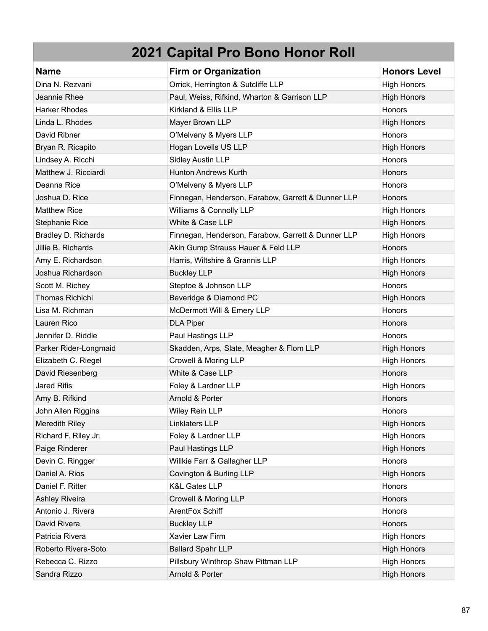| <b>Name</b>            | <b>Firm or Organization</b>                        | <b>Honors Level</b> |
|------------------------|----------------------------------------------------|---------------------|
| Dina N. Rezvani        | Orrick, Herrington & Sutcliffe LLP                 | <b>High Honors</b>  |
| Jeannie Rhee           | Paul, Weiss, Rifkind, Wharton & Garrison LLP       | <b>High Honors</b>  |
| <b>Harker Rhodes</b>   | Kirkland & Ellis LLP                               | Honors              |
| Linda L. Rhodes        | Mayer Brown LLP                                    | <b>High Honors</b>  |
| David Ribner           | O'Melveny & Myers LLP                              | Honors              |
| Bryan R. Ricapito      | Hogan Lovells US LLP                               | <b>High Honors</b>  |
| Lindsey A. Ricchi      | <b>Sidley Austin LLP</b>                           | Honors              |
| Matthew J. Ricciardi   | <b>Hunton Andrews Kurth</b>                        | Honors              |
| Deanna Rice            | O'Melveny & Myers LLP                              | <b>Honors</b>       |
| Joshua D. Rice         | Finnegan, Henderson, Farabow, Garrett & Dunner LLP | <b>Honors</b>       |
| <b>Matthew Rice</b>    | Williams & Connolly LLP                            | <b>High Honors</b>  |
| Stephanie Rice         | White & Case LLP                                   | <b>High Honors</b>  |
| Bradley D. Richards    | Finnegan, Henderson, Farabow, Garrett & Dunner LLP | <b>High Honors</b>  |
| Jillie B. Richards     | Akin Gump Strauss Hauer & Feld LLP                 | Honors              |
| Amy E. Richardson      | Harris, Wiltshire & Grannis LLP                    | <b>High Honors</b>  |
| Joshua Richardson      | <b>Buckley LLP</b>                                 | <b>High Honors</b>  |
| Scott M. Richey        | Steptoe & Johnson LLP                              | Honors              |
| <b>Thomas Richichi</b> | Beveridge & Diamond PC                             | <b>High Honors</b>  |
| Lisa M. Richman        | McDermott Will & Emery LLP                         | Honors              |
| Lauren Rico            | <b>DLA Piper</b>                                   | <b>Honors</b>       |
| Jennifer D. Riddle     | Paul Hastings LLP                                  | Honors              |
| Parker Rider-Longmaid  | Skadden, Arps, Slate, Meagher & Flom LLP           | <b>High Honors</b>  |
| Elizabeth C. Riegel    | Crowell & Moring LLP                               | <b>High Honors</b>  |
| David Riesenberg       | White & Case LLP                                   | <b>Honors</b>       |
| <b>Jared Rifis</b>     | Foley & Lardner LLP                                | <b>High Honors</b>  |
| Amy B. Rifkind         | Arnold & Porter                                    | Honors              |
| John Allen Riggins     | Wiley Rein LLP                                     | Honors              |
| <b>Meredith Riley</b>  | Linklaters LLP                                     | <b>High Honors</b>  |
| Richard F. Riley Jr.   | Foley & Lardner LLP                                | <b>High Honors</b>  |
| Paige Rinderer         | Paul Hastings LLP                                  | <b>High Honors</b>  |
| Devin C. Ringger       | Willkie Farr & Gallagher LLP                       | Honors              |
| Daniel A. Rios         | Covington & Burling LLP                            | <b>High Honors</b>  |
| Daniel F. Ritter       | <b>K&amp;L Gates LLP</b>                           | Honors              |
| Ashley Riveira         | Crowell & Moring LLP                               | Honors              |
| Antonio J. Rivera      | ArentFox Schiff                                    | <b>Honors</b>       |
| David Rivera           | <b>Buckley LLP</b>                                 | Honors              |
| Patricia Rivera        | Xavier Law Firm                                    | <b>High Honors</b>  |
| Roberto Rivera-Soto    | <b>Ballard Spahr LLP</b>                           | <b>High Honors</b>  |
| Rebecca C. Rizzo       | Pillsbury Winthrop Shaw Pittman LLP                | <b>High Honors</b>  |
| Sandra Rizzo           | Arnold & Porter                                    | <b>High Honors</b>  |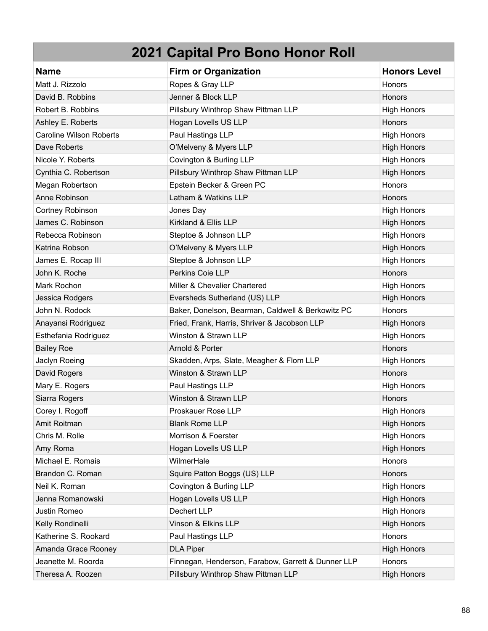| <b>Name</b>                    | <b>Firm or Organization</b>                        | <b>Honors Level</b> |
|--------------------------------|----------------------------------------------------|---------------------|
| Matt J. Rizzolo                | Ropes & Gray LLP                                   | Honors              |
| David B. Robbins               | Jenner & Block LLP                                 | Honors              |
| Robert B. Robbins              | Pillsbury Winthrop Shaw Pittman LLP                | <b>High Honors</b>  |
| Ashley E. Roberts              | Hogan Lovells US LLP                               | Honors              |
| <b>Caroline Wilson Roberts</b> | Paul Hastings LLP                                  | <b>High Honors</b>  |
| Dave Roberts                   | O'Melveny & Myers LLP                              | <b>High Honors</b>  |
| Nicole Y. Roberts              | Covington & Burling LLP                            | <b>High Honors</b>  |
| Cynthia C. Robertson           | Pillsbury Winthrop Shaw Pittman LLP                | <b>High Honors</b>  |
| Megan Robertson                | Epstein Becker & Green PC                          | Honors              |
| Anne Robinson                  | Latham & Watkins LLP                               | Honors              |
| Cortney Robinson               | Jones Day                                          | <b>High Honors</b>  |
| James C. Robinson              | Kirkland & Ellis LLP                               | <b>High Honors</b>  |
| Rebecca Robinson               | Steptoe & Johnson LLP                              | <b>High Honors</b>  |
| Katrina Robson                 | O'Melveny & Myers LLP                              | <b>High Honors</b>  |
| James E. Rocap III             | Steptoe & Johnson LLP                              | <b>High Honors</b>  |
| John K. Roche                  | Perkins Coie LLP                                   | Honors              |
| Mark Rochon                    | Miller & Chevalier Chartered                       | <b>High Honors</b>  |
| Jessica Rodgers                | Eversheds Sutherland (US) LLP                      | <b>High Honors</b>  |
| John N. Rodock                 | Baker, Donelson, Bearman, Caldwell & Berkowitz PC  | Honors              |
| Anayansi Rodriguez             | Fried, Frank, Harris, Shriver & Jacobson LLP       | <b>High Honors</b>  |
| Esthefania Rodriguez           | Winston & Strawn LLP                               | <b>High Honors</b>  |
| <b>Bailey Roe</b>              | Arnold & Porter                                    | Honors              |
| Jaclyn Roeing                  | Skadden, Arps, Slate, Meagher & Flom LLP           | <b>High Honors</b>  |
| David Rogers                   | Winston & Strawn LLP                               | Honors              |
| Mary E. Rogers                 | Paul Hastings LLP                                  | <b>High Honors</b>  |
| Siarra Rogers                  | Winston & Strawn LLP                               | Honors              |
| Corey I. Rogoff                | Proskauer Rose LLP                                 | <b>High Honors</b>  |
| Amit Roitman                   | <b>Blank Rome LLP</b>                              | <b>High Honors</b>  |
| Chris M. Rolle                 | Morrison & Foerster                                | <b>High Honors</b>  |
| Amy Roma                       | Hogan Lovells US LLP                               | <b>High Honors</b>  |
| Michael E. Romais              | WilmerHale                                         | Honors              |
| Brandon C. Roman               | Squire Patton Boggs (US) LLP                       | Honors              |
| Neil K. Roman                  | Covington & Burling LLP                            | <b>High Honors</b>  |
| Jenna Romanowski               | Hogan Lovells US LLP                               | <b>High Honors</b>  |
| Justin Romeo                   | Dechert LLP                                        | <b>High Honors</b>  |
| Kelly Rondinelli               | Vinson & Elkins LLP                                | <b>High Honors</b>  |
| Katherine S. Rookard           | Paul Hastings LLP                                  | Honors              |
| Amanda Grace Rooney            | <b>DLA Piper</b>                                   | <b>High Honors</b>  |
| Jeanette M. Roorda             | Finnegan, Henderson, Farabow, Garrett & Dunner LLP | Honors              |
| Theresa A. Roozen              | Pillsbury Winthrop Shaw Pittman LLP                | <b>High Honors</b>  |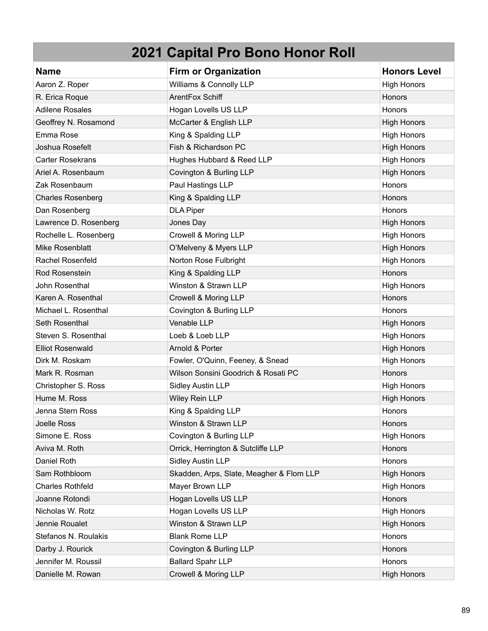| <b>Name</b>              | <b>Firm or Organization</b>              | <b>Honors Level</b> |
|--------------------------|------------------------------------------|---------------------|
| Aaron Z. Roper           | Williams & Connolly LLP                  | <b>High Honors</b>  |
| R. Erica Roque           | ArentFox Schiff                          | Honors              |
| <b>Adilene Rosales</b>   | Hogan Lovells US LLP                     | Honors              |
| Geoffrey N. Rosamond     | McCarter & English LLP                   | <b>High Honors</b>  |
| Emma Rose                | King & Spalding LLP                      | <b>High Honors</b>  |
| Joshua Rosefelt          | Fish & Richardson PC                     | <b>High Honors</b>  |
| <b>Carter Rosekrans</b>  | Hughes Hubbard & Reed LLP                | <b>High Honors</b>  |
| Ariel A. Rosenbaum       | Covington & Burling LLP                  | <b>High Honors</b>  |
| Zak Rosenbaum            | Paul Hastings LLP                        | Honors              |
| <b>Charles Rosenberg</b> | King & Spalding LLP                      | Honors              |
| Dan Rosenberg            | <b>DLA Piper</b>                         | Honors              |
| Lawrence D. Rosenberg    | Jones Day                                | <b>High Honors</b>  |
| Rochelle L. Rosenberg    | Crowell & Moring LLP                     | <b>High Honors</b>  |
| Mike Rosenblatt          | O'Melveny & Myers LLP                    | <b>High Honors</b>  |
| Rachel Rosenfeld         | Norton Rose Fulbright                    | <b>High Honors</b>  |
| Rod Rosenstein           | King & Spalding LLP                      | Honors              |
| John Rosenthal           | Winston & Strawn LLP                     | <b>High Honors</b>  |
| Karen A. Rosenthal       | Crowell & Moring LLP                     | Honors              |
| Michael L. Rosenthal     | Covington & Burling LLP                  | Honors              |
| Seth Rosenthal           | Venable LLP                              | <b>High Honors</b>  |
| Steven S. Rosenthal      | Loeb & Loeb LLP                          | <b>High Honors</b>  |
| <b>Elliot Rosenwald</b>  | Arnold & Porter                          | <b>High Honors</b>  |
| Dirk M. Roskam           | Fowler, O'Quinn, Feeney, & Snead         | <b>High Honors</b>  |
| Mark R. Rosman           | Wilson Sonsini Goodrich & Rosati PC      | Honors              |
| Christopher S. Ross      | Sidley Austin LLP                        | <b>High Honors</b>  |
| Hume M. Ross             | Wiley Rein LLP                           | <b>High Honors</b>  |
| Jenna Stern Ross         | King & Spalding LLP                      | Honors              |
| Joelle Ross              | Winston & Strawn LLP                     | Honors              |
| Simone E. Ross           | Covington & Burling LLP                  | <b>High Honors</b>  |
| Aviva M. Roth            | Orrick, Herrington & Sutcliffe LLP       | Honors              |
| Daniel Roth              | <b>Sidley Austin LLP</b>                 | Honors              |
| Sam Rothbloom            | Skadden, Arps, Slate, Meagher & Flom LLP | <b>High Honors</b>  |
| <b>Charles Rothfeld</b>  | Mayer Brown LLP                          | <b>High Honors</b>  |
| Joanne Rotondi           | Hogan Lovells US LLP                     | Honors              |
| Nicholas W. Rotz         | Hogan Lovells US LLP                     | <b>High Honors</b>  |
| Jennie Roualet           | Winston & Strawn LLP                     | <b>High Honors</b>  |
| Stefanos N. Roulakis     | <b>Blank Rome LLP</b>                    | Honors              |
| Darby J. Rourick         | Covington & Burling LLP                  | Honors              |
| Jennifer M. Roussil      | <b>Ballard Spahr LLP</b>                 | Honors              |
| Danielle M. Rowan        | Crowell & Moring LLP                     | <b>High Honors</b>  |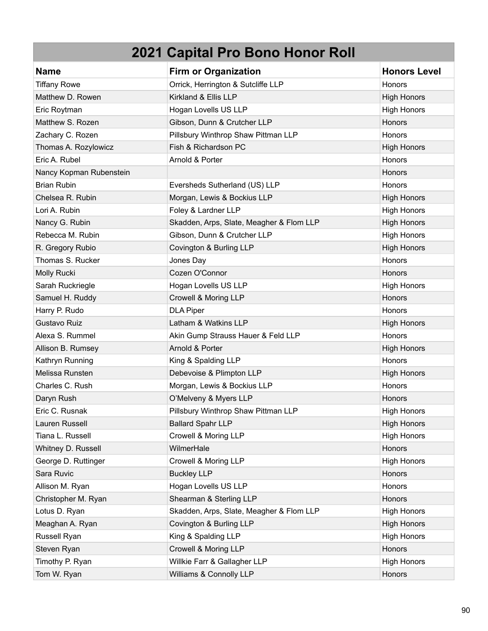| <b>Name</b>             | <b>Firm or Organization</b>              | <b>Honors Level</b> |
|-------------------------|------------------------------------------|---------------------|
| <b>Tiffany Rowe</b>     | Orrick, Herrington & Sutcliffe LLP       | <b>Honors</b>       |
| Matthew D. Rowen        | Kirkland & Ellis LLP                     | <b>High Honors</b>  |
| Eric Roytman            | Hogan Lovells US LLP                     | <b>High Honors</b>  |
| Matthew S. Rozen        | Gibson, Dunn & Crutcher LLP              | Honors              |
| Zachary C. Rozen        | Pillsbury Winthrop Shaw Pittman LLP      | Honors              |
| Thomas A. Rozylowicz    | Fish & Richardson PC                     | <b>High Honors</b>  |
| Eric A. Rubel           | Arnold & Porter                          | Honors              |
| Nancy Kopman Rubenstein |                                          | Honors              |
| <b>Brian Rubin</b>      | Eversheds Sutherland (US) LLP            | Honors              |
| Chelsea R. Rubin        | Morgan, Lewis & Bockius LLP              | <b>High Honors</b>  |
| Lori A. Rubin           | Foley & Lardner LLP                      | <b>High Honors</b>  |
| Nancy G. Rubin          | Skadden, Arps, Slate, Meagher & Flom LLP | <b>High Honors</b>  |
| Rebecca M. Rubin        | Gibson, Dunn & Crutcher LLP              | <b>High Honors</b>  |
| R. Gregory Rubio        | Covington & Burling LLP                  | <b>High Honors</b>  |
| Thomas S. Rucker        | Jones Day                                | Honors              |
| Molly Rucki             | Cozen O'Connor                           | Honors              |
| Sarah Ruckriegle        | Hogan Lovells US LLP                     | <b>High Honors</b>  |
| Samuel H. Ruddy         | Crowell & Moring LLP                     | <b>Honors</b>       |
| Harry P. Rudo           | <b>DLA Piper</b>                         | Honors              |
| Gustavo Ruiz            | Latham & Watkins LLP                     | <b>High Honors</b>  |
| Alexa S. Rummel         | Akin Gump Strauss Hauer & Feld LLP       | Honors              |
| Allison B. Rumsey       | Arnold & Porter                          | <b>High Honors</b>  |
| Kathryn Running         | King & Spalding LLP                      | Honors              |
| Melissa Runsten         | Debevoise & Plimpton LLP                 | <b>High Honors</b>  |
| Charles C. Rush         | Morgan, Lewis & Bockius LLP              | Honors              |
| Daryn Rush              | O'Melveny & Myers LLP                    | <b>Honors</b>       |
| Eric C. Rusnak          | Pillsbury Winthrop Shaw Pittman LLP      | <b>High Honors</b>  |
| Lauren Russell          | <b>Ballard Spahr LLP</b>                 | <b>High Honors</b>  |
| Tiana L. Russell        | Crowell & Moring LLP                     | <b>High Honors</b>  |
| Whitney D. Russell      | WilmerHale                               | Honors              |
| George D. Ruttinger     | Crowell & Moring LLP                     | <b>High Honors</b>  |
| Sara Ruvic              | <b>Buckley LLP</b>                       | Honors              |
| Allison M. Ryan         | Hogan Lovells US LLP                     | Honors              |
| Christopher M. Ryan     | Shearman & Sterling LLP                  | Honors              |
| Lotus D. Ryan           | Skadden, Arps, Slate, Meagher & Flom LLP | <b>High Honors</b>  |
| Meaghan A. Ryan         | Covington & Burling LLP                  | <b>High Honors</b>  |
| Russell Ryan            | King & Spalding LLP                      | <b>High Honors</b>  |
| Steven Ryan             | Crowell & Moring LLP                     | Honors              |
| Timothy P. Ryan         | Willkie Farr & Gallagher LLP             | <b>High Honors</b>  |
| Tom W. Ryan             | Williams & Connolly LLP                  | Honors              |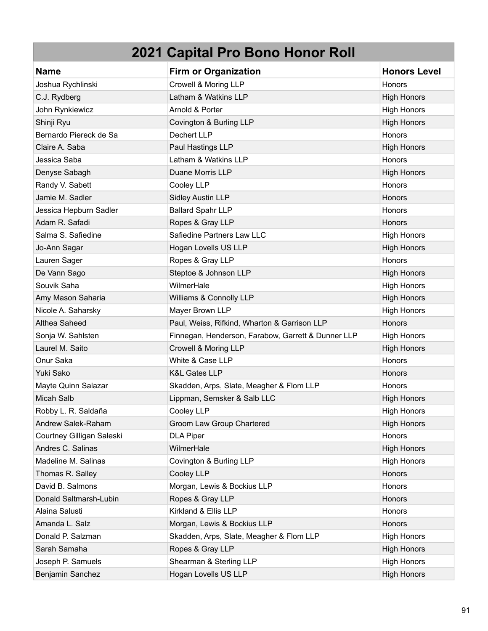| <b>Name</b>               | <b>Firm or Organization</b>                        | <b>Honors Level</b> |
|---------------------------|----------------------------------------------------|---------------------|
| Joshua Rychlinski         | Crowell & Moring LLP                               | <b>Honors</b>       |
| C.J. Rydberg              | Latham & Watkins LLP                               | <b>High Honors</b>  |
| John Rynkiewicz           | Arnold & Porter                                    | <b>High Honors</b>  |
| Shinji Ryu                | Covington & Burling LLP                            | <b>High Honors</b>  |
| Bernardo Piereck de Sa    | Dechert LLP                                        | Honors              |
| Claire A. Saba            | Paul Hastings LLP                                  | <b>High Honors</b>  |
| Jessica Saba              | Latham & Watkins LLP                               | Honors              |
| Denyse Sabagh             | Duane Morris LLP                                   | <b>High Honors</b>  |
| Randy V. Sabett           | Cooley LLP                                         | <b>Honors</b>       |
| Jamie M. Sadler           | <b>Sidley Austin LLP</b>                           | Honors              |
| Jessica Hepburn Sadler    | <b>Ballard Spahr LLP</b>                           | <b>Honors</b>       |
| Adam R. Safadi            | Ropes & Gray LLP                                   | Honors              |
| Salma S. Safiedine        | Safiedine Partners Law LLC                         | <b>High Honors</b>  |
| Jo-Ann Sagar              | Hogan Lovells US LLP                               | <b>High Honors</b>  |
| Lauren Sager              | Ropes & Gray LLP                                   | Honors              |
| De Vann Sago              | Steptoe & Johnson LLP                              | <b>High Honors</b>  |
| Souvik Saha               | WilmerHale                                         | <b>High Honors</b>  |
| Amy Mason Saharia         | Williams & Connolly LLP                            | <b>High Honors</b>  |
| Nicole A. Saharsky        | Mayer Brown LLP                                    | <b>High Honors</b>  |
| Althea Saheed             | Paul, Weiss, Rifkind, Wharton & Garrison LLP       | Honors              |
| Sonja W. Sahlsten         | Finnegan, Henderson, Farabow, Garrett & Dunner LLP | <b>High Honors</b>  |
| Laurel M. Saito           | Crowell & Moring LLP                               | <b>High Honors</b>  |
| Onur Saka                 | White & Case LLP                                   | <b>Honors</b>       |
| Yuki Sako                 | <b>K&amp;L Gates LLP</b>                           | Honors              |
| Mayte Quinn Salazar       | Skadden, Arps, Slate, Meagher & Flom LLP           | Honors              |
| Micah Salb                | Lippman, Semsker & Salb LLC                        | <b>High Honors</b>  |
| Robby L. R. Saldaña       | Cooley LLP                                         | <b>High Honors</b>  |
| Andrew Salek-Raham        | Groom Law Group Chartered                          | <b>High Honors</b>  |
| Courtney Gilligan Saleski | <b>DLA Piper</b>                                   | Honors              |
| Andres C. Salinas         | WilmerHale                                         | <b>High Honors</b>  |
| Madeline M. Salinas       | Covington & Burling LLP                            | <b>High Honors</b>  |
| Thomas R. Salley          | Cooley LLP                                         | Honors              |
| David B. Salmons          | Morgan, Lewis & Bockius LLP                        | Honors              |
| Donald Saltmarsh-Lubin    | Ropes & Gray LLP                                   | <b>Honors</b>       |
| Alaina Salusti            | Kirkland & Ellis LLP                               | Honors              |
| Amanda L. Salz            | Morgan, Lewis & Bockius LLP                        | Honors              |
| Donald P. Salzman         | Skadden, Arps, Slate, Meagher & Flom LLP           | <b>High Honors</b>  |
| Sarah Samaha              | Ropes & Gray LLP                                   | <b>High Honors</b>  |
| Joseph P. Samuels         | Shearman & Sterling LLP                            | <b>High Honors</b>  |
| Benjamin Sanchez          | Hogan Lovells US LLP                               | <b>High Honors</b>  |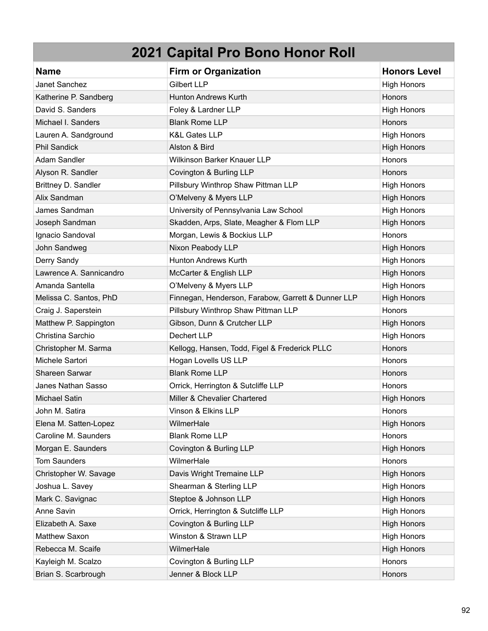| <b>Name</b>             | <b>Firm or Organization</b>                        | <b>Honors Level</b> |
|-------------------------|----------------------------------------------------|---------------------|
| Janet Sanchez           | <b>Gilbert LLP</b>                                 | <b>High Honors</b>  |
| Katherine P. Sandberg   | <b>Hunton Andrews Kurth</b>                        | Honors              |
| David S. Sanders        | Foley & Lardner LLP                                | <b>High Honors</b>  |
| Michael I. Sanders      | <b>Blank Rome LLP</b>                              | Honors              |
| Lauren A. Sandground    | <b>K&amp;L Gates LLP</b>                           | <b>High Honors</b>  |
| <b>Phil Sandick</b>     | Alston & Bird                                      | <b>High Honors</b>  |
| Adam Sandler            | Wilkinson Barker Knauer LLP                        | Honors              |
| Alyson R. Sandler       | Covington & Burling LLP                            | <b>Honors</b>       |
| Brittney D. Sandler     | Pillsbury Winthrop Shaw Pittman LLP                | <b>High Honors</b>  |
| Alix Sandman            | O'Melveny & Myers LLP                              | <b>High Honors</b>  |
| James Sandman           | University of Pennsylvania Law School              | <b>High Honors</b>  |
| Joseph Sandman          | Skadden, Arps, Slate, Meagher & Flom LLP           | <b>High Honors</b>  |
| Ignacio Sandoval        | Morgan, Lewis & Bockius LLP                        | Honors              |
| John Sandweg            | Nixon Peabody LLP                                  | <b>High Honors</b>  |
| Derry Sandy             | <b>Hunton Andrews Kurth</b>                        | <b>High Honors</b>  |
| Lawrence A. Sannicandro | McCarter & English LLP                             | <b>High Honors</b>  |
| Amanda Santella         | O'Melveny & Myers LLP                              | <b>High Honors</b>  |
| Melissa C. Santos, PhD  | Finnegan, Henderson, Farabow, Garrett & Dunner LLP | <b>High Honors</b>  |
| Craig J. Saperstein     | Pillsbury Winthrop Shaw Pittman LLP                | Honors              |
| Matthew P. Sappington   | Gibson, Dunn & Crutcher LLP                        | <b>High Honors</b>  |
| Christina Sarchio       | Dechert LLP                                        | <b>High Honors</b>  |
| Christopher M. Sarma    | Kellogg, Hansen, Todd, Figel & Frederick PLLC      | Honors              |
| Michele Sartori         | Hogan Lovells US LLP                               | Honors              |
| <b>Shareen Sarwar</b>   | <b>Blank Rome LLP</b>                              | Honors              |
| Janes Nathan Sasso      | Orrick, Herrington & Sutcliffe LLP                 | Honors              |
| <b>Michael Satin</b>    | Miller & Chevalier Chartered                       | <b>High Honors</b>  |
| John M. Satira          | Vinson & Elkins LLP                                | Honors              |
| Elena M. Satten-Lopez   | WilmerHale                                         | <b>High Honors</b>  |
| Caroline M. Saunders    | <b>Blank Rome LLP</b>                              | Honors              |
| Morgan E. Saunders      | Covington & Burling LLP                            | <b>High Honors</b>  |
| <b>Tom Saunders</b>     | WilmerHale                                         | Honors              |
| Christopher W. Savage   | Davis Wright Tremaine LLP                          | <b>High Honors</b>  |
| Joshua L. Savey         | Shearman & Sterling LLP                            | <b>High Honors</b>  |
| Mark C. Savignac        | Steptoe & Johnson LLP                              | <b>High Honors</b>  |
| Anne Savin              | Orrick, Herrington & Sutcliffe LLP                 | <b>High Honors</b>  |
| Elizabeth A. Saxe       | Covington & Burling LLP                            | <b>High Honors</b>  |
| Matthew Saxon           | Winston & Strawn LLP                               | <b>High Honors</b>  |
| Rebecca M. Scaife       | WilmerHale                                         | <b>High Honors</b>  |
| Kayleigh M. Scalzo      | Covington & Burling LLP                            | Honors              |
| Brian S. Scarbrough     | Jenner & Block LLP                                 | Honors              |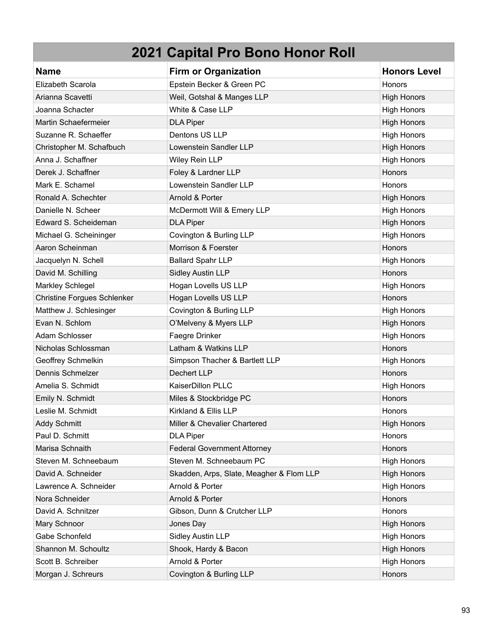| <b>Name</b>                        | <b>Firm or Organization</b>              | <b>Honors Level</b> |
|------------------------------------|------------------------------------------|---------------------|
| Elizabeth Scarola                  | Epstein Becker & Green PC                | Honors              |
| Arianna Scavetti                   | Weil, Gotshal & Manges LLP               | <b>High Honors</b>  |
| Joanna Schacter                    | White & Case LLP                         | <b>High Honors</b>  |
| Martin Schaefermeier               | <b>DLA Piper</b>                         | <b>High Honors</b>  |
| Suzanne R. Schaeffer               | Dentons US LLP                           | <b>High Honors</b>  |
| Christopher M. Schafbuch           | Lowenstein Sandler LLP                   | <b>High Honors</b>  |
| Anna J. Schaffner                  | Wiley Rein LLP                           | <b>High Honors</b>  |
| Derek J. Schaffner                 | Foley & Lardner LLP                      | Honors              |
| Mark E. Schamel                    | Lowenstein Sandler LLP                   | Honors              |
| Ronald A. Schechter                | Arnold & Porter                          | <b>High Honors</b>  |
| Danielle N. Scheer                 | McDermott Will & Emery LLP               | <b>High Honors</b>  |
| Edward S. Scheideman               | <b>DLA Piper</b>                         | <b>High Honors</b>  |
| Michael G. Scheininger             | Covington & Burling LLP                  | <b>High Honors</b>  |
| Aaron Scheinman                    | Morrison & Foerster                      | <b>Honors</b>       |
| Jacquelyn N. Schell                | <b>Ballard Spahr LLP</b>                 | <b>High Honors</b>  |
| David M. Schilling                 | <b>Sidley Austin LLP</b>                 | Honors              |
| Markley Schlegel                   | Hogan Lovells US LLP                     | <b>High Honors</b>  |
| <b>Christine Forgues Schlenker</b> | Hogan Lovells US LLP                     | Honors              |
| Matthew J. Schlesinger             | Covington & Burling LLP                  | <b>High Honors</b>  |
| Evan N. Schlom                     | O'Melveny & Myers LLP                    | <b>High Honors</b>  |
| Adam Schlosser                     | Faegre Drinker                           | <b>High Honors</b>  |
| Nicholas Schlossman                | Latham & Watkins LLP                     | Honors              |
| Geoffrey Schmelkin                 | Simpson Thacher & Bartlett LLP           | <b>High Honors</b>  |
| Dennis Schmelzer                   | Dechert LLP                              | Honors              |
| Amelia S. Schmidt                  | KaiserDillon PLLC                        | <b>High Honors</b>  |
| Emily N. Schmidt                   | Miles & Stockbridge PC                   | Honors              |
| Leslie M. Schmidt                  | Kirkland & Ellis LLP                     | Honors              |
| <b>Addy Schmitt</b>                | Miller & Chevalier Chartered             | <b>High Honors</b>  |
| Paul D. Schmitt                    | <b>DLA Piper</b>                         | Honors              |
| Marisa Schnaith                    | <b>Federal Government Attorney</b>       | Honors              |
| Steven M. Schneebaum               | Steven M. Schneebaum PC                  | <b>High Honors</b>  |
| David A. Schneider                 | Skadden, Arps, Slate, Meagher & Flom LLP | <b>High Honors</b>  |
| Lawrence A. Schneider              | Arnold & Porter                          | <b>High Honors</b>  |
| Nora Schneider                     | Arnold & Porter                          | Honors              |
| David A. Schnitzer                 | Gibson, Dunn & Crutcher LLP              | Honors              |
| Mary Schnoor                       | Jones Day                                | <b>High Honors</b>  |
| Gabe Schonfeld                     | Sidley Austin LLP                        | <b>High Honors</b>  |
| Shannon M. Schoultz                | Shook, Hardy & Bacon                     | <b>High Honors</b>  |
| Scott B. Schreiber                 | Arnold & Porter                          | <b>High Honors</b>  |
| Morgan J. Schreurs                 | Covington & Burling LLP                  | Honors              |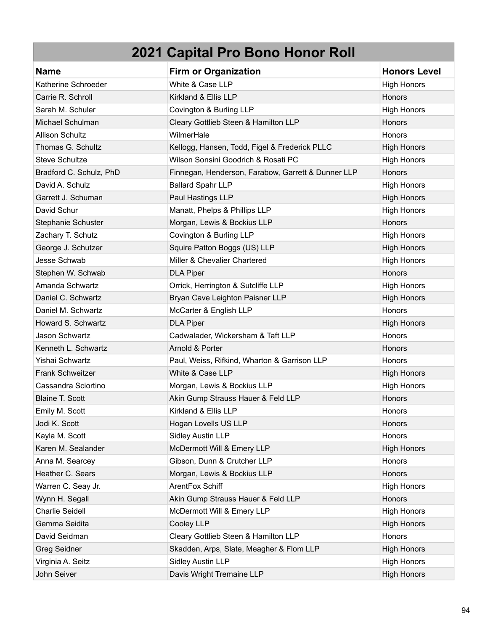| <b>Name</b>             | <b>Firm or Organization</b>                        | <b>Honors Level</b> |
|-------------------------|----------------------------------------------------|---------------------|
| Katherine Schroeder     | White & Case LLP                                   | <b>High Honors</b>  |
| Carrie R. Schroll       | Kirkland & Ellis LLP                               | Honors              |
| Sarah M. Schuler        | Covington & Burling LLP                            | <b>High Honors</b>  |
| Michael Schulman        | Cleary Gottlieb Steen & Hamilton LLP               | Honors              |
| <b>Allison Schultz</b>  | WilmerHale                                         | Honors              |
| Thomas G. Schultz       | Kellogg, Hansen, Todd, Figel & Frederick PLLC      | <b>High Honors</b>  |
| <b>Steve Schultze</b>   | Wilson Sonsini Goodrich & Rosati PC                | <b>High Honors</b>  |
| Bradford C. Schulz, PhD | Finnegan, Henderson, Farabow, Garrett & Dunner LLP | <b>Honors</b>       |
| David A. Schulz         | <b>Ballard Spahr LLP</b>                           | <b>High Honors</b>  |
| Garrett J. Schuman      | Paul Hastings LLP                                  | <b>High Honors</b>  |
| David Schur             | Manatt, Phelps & Phillips LLP                      | <b>High Honors</b>  |
| Stephanie Schuster      | Morgan, Lewis & Bockius LLP                        | Honors              |
| Zachary T. Schutz       | Covington & Burling LLP                            | <b>High Honors</b>  |
| George J. Schutzer      | Squire Patton Boggs (US) LLP                       | <b>High Honors</b>  |
| Jesse Schwab            | Miller & Chevalier Chartered                       | <b>High Honors</b>  |
| Stephen W. Schwab       | <b>DLA Piper</b>                                   | Honors              |
| Amanda Schwartz         | Orrick, Herrington & Sutcliffe LLP                 | <b>High Honors</b>  |
| Daniel C. Schwartz      | Bryan Cave Leighton Paisner LLP                    | <b>High Honors</b>  |
| Daniel M. Schwartz      | McCarter & English LLP                             | Honors              |
| Howard S. Schwartz      | <b>DLA Piper</b>                                   | <b>High Honors</b>  |
| Jason Schwartz          | Cadwalader, Wickersham & Taft LLP                  | Honors              |
| Kenneth L. Schwartz     | Arnold & Porter                                    | <b>Honors</b>       |
| Yishai Schwartz         | Paul, Weiss, Rifkind, Wharton & Garrison LLP       | Honors              |
| Frank Schweitzer        | White & Case LLP                                   | <b>High Honors</b>  |
| Cassandra Sciortino     | Morgan, Lewis & Bockius LLP                        | <b>High Honors</b>  |
| <b>Blaine T. Scott</b>  | Akin Gump Strauss Hauer & Feld LLP                 | Honors              |
| Emily M. Scott          | Kirkland & Ellis LLP                               | Honors              |
| Jodi K. Scott           | Hogan Lovells US LLP                               | Honors              |
| Kayla M. Scott          | <b>Sidley Austin LLP</b>                           | Honors              |
| Karen M. Sealander      | McDermott Will & Emery LLP                         | <b>High Honors</b>  |
| Anna M. Searcey         | Gibson, Dunn & Crutcher LLP                        | Honors              |
| Heather C. Sears        | Morgan, Lewis & Bockius LLP                        | Honors              |
| Warren C. Seay Jr.      | ArentFox Schiff                                    | <b>High Honors</b>  |
| Wynn H. Segall          | Akin Gump Strauss Hauer & Feld LLP                 | Honors              |
| <b>Charlie Seidell</b>  | McDermott Will & Emery LLP                         | <b>High Honors</b>  |
| Gemma Seidita           | Cooley LLP                                         | <b>High Honors</b>  |
| David Seidman           | Cleary Gottlieb Steen & Hamilton LLP               | Honors              |
| Greg Seidner            | Skadden, Arps, Slate, Meagher & Flom LLP           | <b>High Honors</b>  |
| Virginia A. Seitz       | <b>Sidley Austin LLP</b>                           | <b>High Honors</b>  |
| John Seiver             | Davis Wright Tremaine LLP                          | <b>High Honors</b>  |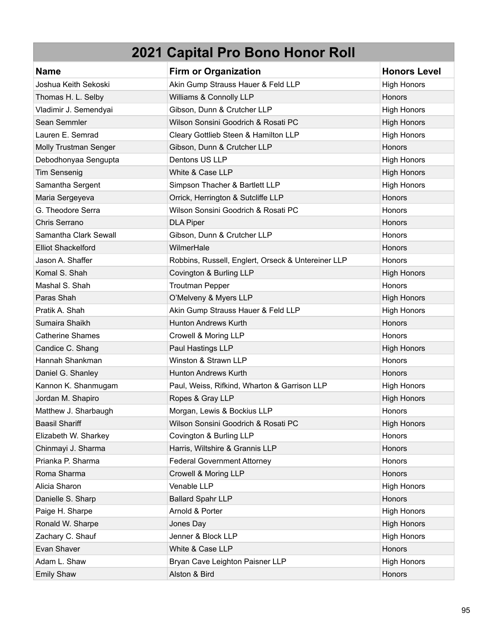| <b>Name</b>               | <b>Firm or Organization</b>                        | <b>Honors Level</b> |
|---------------------------|----------------------------------------------------|---------------------|
| Joshua Keith Sekoski      | Akin Gump Strauss Hauer & Feld LLP                 | <b>High Honors</b>  |
| Thomas H. L. Selby        | Williams & Connolly LLP                            | Honors              |
| Vladimir J. Semendyai     | Gibson, Dunn & Crutcher LLP                        | <b>High Honors</b>  |
| Sean Semmler              | Wilson Sonsini Goodrich & Rosati PC                | <b>High Honors</b>  |
| Lauren E. Semrad          | Cleary Gottlieb Steen & Hamilton LLP               | <b>High Honors</b>  |
| Molly Trustman Senger     | Gibson, Dunn & Crutcher LLP                        | Honors              |
| Debodhonyaa Sengupta      | Dentons US LLP                                     | <b>High Honors</b>  |
| <b>Tim Sensenig</b>       | White & Case LLP                                   | <b>High Honors</b>  |
| Samantha Sergent          | Simpson Thacher & Bartlett LLP                     | <b>High Honors</b>  |
| Maria Sergeyeva           | Orrick, Herrington & Sutcliffe LLP                 | <b>Honors</b>       |
| G. Theodore Serra         | Wilson Sonsini Goodrich & Rosati PC                | <b>Honors</b>       |
| Chris Serrano             | <b>DLA Piper</b>                                   | Honors              |
| Samantha Clark Sewall     | Gibson, Dunn & Crutcher LLP                        | Honors              |
| <b>Elliot Shackelford</b> | WilmerHale                                         | Honors              |
| Jason A. Shaffer          | Robbins, Russell, Englert, Orseck & Untereiner LLP | Honors              |
| Komal S. Shah             | Covington & Burling LLP                            | <b>High Honors</b>  |
| Mashal S. Shah            | <b>Troutman Pepper</b>                             | Honors              |
| Paras Shah                | O'Melveny & Myers LLP                              | <b>High Honors</b>  |
| Pratik A. Shah            | Akin Gump Strauss Hauer & Feld LLP                 | <b>High Honors</b>  |
| Sumaira Shaikh            | <b>Hunton Andrews Kurth</b>                        | Honors              |
| <b>Catherine Shames</b>   | Crowell & Moring LLP                               | Honors              |
| Candice C. Shang          | Paul Hastings LLP                                  | <b>High Honors</b>  |
| Hannah Shankman           | Winston & Strawn LLP                               | <b>Honors</b>       |
| Daniel G. Shanley         | <b>Hunton Andrews Kurth</b>                        | Honors              |
| Kannon K. Shanmugam       | Paul, Weiss, Rifkind, Wharton & Garrison LLP       | <b>High Honors</b>  |
| Jordan M. Shapiro         | Ropes & Gray LLP                                   | <b>High Honors</b>  |
| Matthew J. Sharbaugh      | Morgan, Lewis & Bockius LLP                        | Honors              |
| <b>Baasil Shariff</b>     | Wilson Sonsini Goodrich & Rosati PC                | <b>High Honors</b>  |
| Elizabeth W. Sharkey      | Covington & Burling LLP                            | Honors              |
| Chinmayi J. Sharma        | Harris, Wiltshire & Grannis LLP                    | Honors              |
| Prianka P. Sharma         | <b>Federal Government Attorney</b>                 | <b>Honors</b>       |
| Roma Sharma               | Crowell & Moring LLP                               | Honors              |
| Alicia Sharon             | Venable LLP                                        | <b>High Honors</b>  |
| Danielle S. Sharp         | <b>Ballard Spahr LLP</b>                           | Honors              |
| Paige H. Sharpe           | Arnold & Porter                                    | <b>High Honors</b>  |
| Ronald W. Sharpe          | Jones Day                                          | <b>High Honors</b>  |
| Zachary C. Shauf          | Jenner & Block LLP                                 | <b>High Honors</b>  |
| Evan Shaver               | White & Case LLP                                   | Honors              |
| Adam L. Shaw              | Bryan Cave Leighton Paisner LLP                    | <b>High Honors</b>  |
| <b>Emily Shaw</b>         | Alston & Bird                                      | Honors              |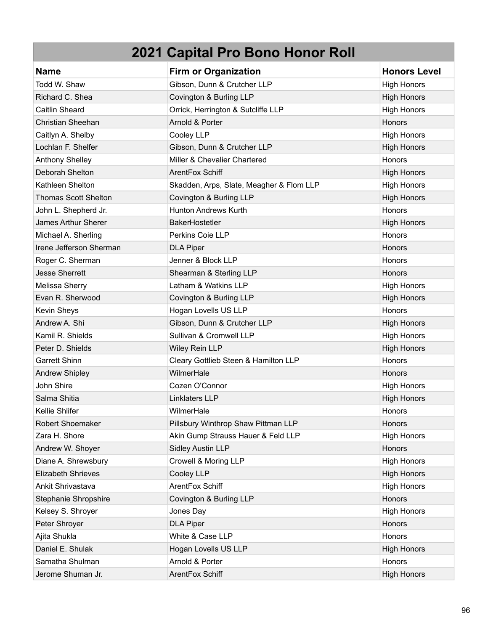| <b>Name</b>                 | <b>Firm or Organization</b>              | <b>Honors Level</b> |
|-----------------------------|------------------------------------------|---------------------|
| Todd W. Shaw                | Gibson, Dunn & Crutcher LLP              | <b>High Honors</b>  |
| Richard C. Shea             | Covington & Burling LLP                  | <b>High Honors</b>  |
| <b>Caitlin Sheard</b>       | Orrick, Herrington & Sutcliffe LLP       | <b>High Honors</b>  |
| Christian Sheehan           | Arnold & Porter                          | Honors              |
| Caitlyn A. Shelby           | Cooley LLP                               | <b>High Honors</b>  |
| Lochlan F. Shelfer          | Gibson, Dunn & Crutcher LLP              | <b>High Honors</b>  |
| Anthony Shelley             | Miller & Chevalier Chartered             | Honors              |
| Deborah Shelton             | ArentFox Schiff                          | <b>High Honors</b>  |
| Kathleen Shelton            | Skadden, Arps, Slate, Meagher & Flom LLP | <b>High Honors</b>  |
| <b>Thomas Scott Shelton</b> | Covington & Burling LLP                  | <b>High Honors</b>  |
| John L. Shepherd Jr.        | <b>Hunton Andrews Kurth</b>              | Honors              |
| James Arthur Sherer         | <b>BakerHostetler</b>                    | <b>High Honors</b>  |
| Michael A. Sherling         | Perkins Coie LLP                         | Honors              |
| Irene Jefferson Sherman     | <b>DLA Piper</b>                         | Honors              |
| Roger C. Sherman            | Jenner & Block LLP                       | Honors              |
| <b>Jesse Sherrett</b>       | Shearman & Sterling LLP                  | Honors              |
| Melissa Sherry              | Latham & Watkins LLP                     | <b>High Honors</b>  |
| Evan R. Sherwood            | Covington & Burling LLP                  | <b>High Honors</b>  |
| Kevin Sheys                 | Hogan Lovells US LLP                     | Honors              |
| Andrew A. Shi               | Gibson, Dunn & Crutcher LLP              | <b>High Honors</b>  |
| Kamil R. Shields            | Sullivan & Cromwell LLP                  | <b>High Honors</b>  |
| Peter D. Shields            | Wiley Rein LLP                           | <b>High Honors</b>  |
| <b>Garrett Shinn</b>        | Cleary Gottlieb Steen & Hamilton LLP     | Honors              |
| <b>Andrew Shipley</b>       | WilmerHale                               | Honors              |
| John Shire                  | Cozen O'Connor                           | <b>High Honors</b>  |
| Salma Shitia                | Linklaters LLP                           | <b>High Honors</b>  |
| Kellie Shlifer              | WilmerHale                               | Honors              |
| <b>Robert Shoemaker</b>     | Pillsbury Winthrop Shaw Pittman LLP      | Honors              |
| Zara H. Shore               | Akin Gump Strauss Hauer & Feld LLP       | <b>High Honors</b>  |
| Andrew W. Shoyer            | <b>Sidley Austin LLP</b>                 | Honors              |
| Diane A. Shrewsbury         | Crowell & Moring LLP                     | <b>High Honors</b>  |
| <b>Elizabeth Shrieves</b>   | Cooley LLP                               | <b>High Honors</b>  |
| Ankit Shrivastava           | ArentFox Schiff                          | <b>High Honors</b>  |
| Stephanie Shropshire        | Covington & Burling LLP                  | Honors              |
| Kelsey S. Shroyer           | Jones Day                                | <b>High Honors</b>  |
| Peter Shroyer               | <b>DLA Piper</b>                         | Honors              |
| Ajita Shukla                | White & Case LLP                         | Honors              |
| Daniel E. Shulak            | Hogan Lovells US LLP                     | <b>High Honors</b>  |
| Samatha Shulman             | Arnold & Porter                          | Honors              |
| Jerome Shuman Jr.           | ArentFox Schiff                          | <b>High Honors</b>  |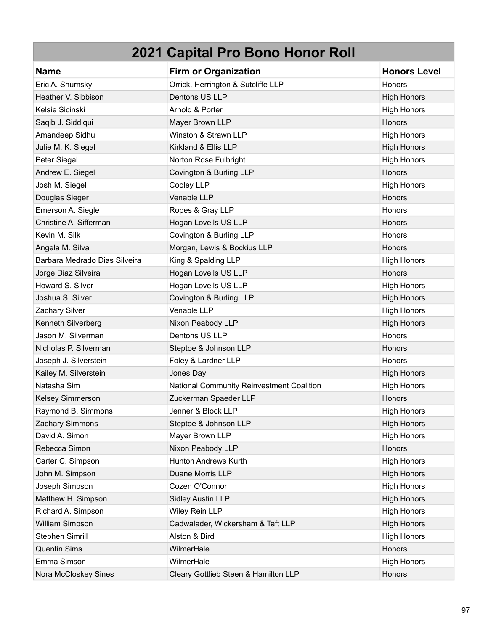| <b>Name</b>                   | <b>Firm or Organization</b>               | <b>Honors Level</b> |
|-------------------------------|-------------------------------------------|---------------------|
| Eric A. Shumsky               | Orrick, Herrington & Sutcliffe LLP        | Honors              |
| Heather V. Sibbison           | Dentons US LLP                            | <b>High Honors</b>  |
| Kelsie Sicinski               | Arnold & Porter                           | <b>High Honors</b>  |
| Saqib J. Siddiqui             | Mayer Brown LLP                           | Honors              |
| Amandeep Sidhu                | Winston & Strawn LLP                      | <b>High Honors</b>  |
| Julie M. K. Siegal            | Kirkland & Ellis LLP                      | <b>High Honors</b>  |
| Peter Siegal                  | Norton Rose Fulbright                     | <b>High Honors</b>  |
| Andrew E. Siegel              | Covington & Burling LLP                   | Honors              |
| Josh M. Siegel                | Cooley LLP                                | <b>High Honors</b>  |
| Douglas Sieger                | Venable LLP                               | Honors              |
| Emerson A. Siegle             | Ropes & Gray LLP                          | Honors              |
| Christine A. Sifferman        | Hogan Lovells US LLP                      | Honors              |
| Kevin M. Silk                 | Covington & Burling LLP                   | <b>Honors</b>       |
| Angela M. Silva               | Morgan, Lewis & Bockius LLP               | Honors              |
| Barbara Medrado Dias Silveira | King & Spalding LLP                       | <b>High Honors</b>  |
| Jorge Diaz Silveira           | Hogan Lovells US LLP                      | Honors              |
| Howard S. Silver              | Hogan Lovells US LLP                      | <b>High Honors</b>  |
| Joshua S. Silver              | Covington & Burling LLP                   | <b>High Honors</b>  |
| Zachary Silver                | Venable LLP                               | <b>High Honors</b>  |
| Kenneth Silverberg            | Nixon Peabody LLP                         | <b>High Honors</b>  |
| Jason M. Silverman            | Dentons US LLP                            | Honors              |
| Nicholas P. Silverman         | Steptoe & Johnson LLP                     | Honors              |
| Joseph J. Silverstein         | Foley & Lardner LLP                       | Honors              |
| Kailey M. Silverstein         | Jones Day                                 | <b>High Honors</b>  |
| Natasha Sim                   | National Community Reinvestment Coalition | <b>High Honors</b>  |
| Kelsey Simmerson              | Zuckerman Spaeder LLP                     | Honors              |
| Raymond B. Simmons            | Jenner & Block LLP                        | <b>High Honors</b>  |
| Zachary Simmons               | Steptoe & Johnson LLP                     | <b>High Honors</b>  |
| David A. Simon                | Mayer Brown LLP                           | <b>High Honors</b>  |
| Rebecca Simon                 | Nixon Peabody LLP                         | Honors              |
| Carter C. Simpson             | Hunton Andrews Kurth                      | <b>High Honors</b>  |
| John M. Simpson               | Duane Morris LLP                          | <b>High Honors</b>  |
| Joseph Simpson                | Cozen O'Connor                            | <b>High Honors</b>  |
| Matthew H. Simpson            | <b>Sidley Austin LLP</b>                  | <b>High Honors</b>  |
| Richard A. Simpson            | Wiley Rein LLP                            | <b>High Honors</b>  |
| William Simpson               | Cadwalader, Wickersham & Taft LLP         | <b>High Honors</b>  |
| Stephen Simrill               | Alston & Bird                             | <b>High Honors</b>  |
| <b>Quentin Sims</b>           | WilmerHale                                | Honors              |
| Emma Simson                   | WilmerHale                                | <b>High Honors</b>  |
| Nora McCloskey Sines          | Cleary Gottlieb Steen & Hamilton LLP      | Honors              |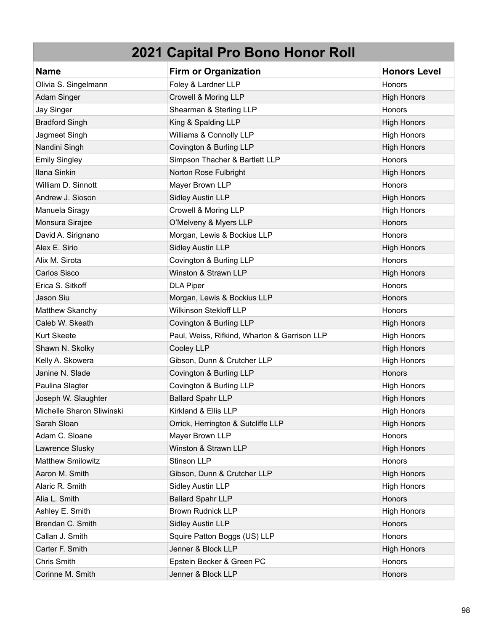| <b>Name</b>               | <b>Firm or Organization</b>                  | <b>Honors Level</b> |
|---------------------------|----------------------------------------------|---------------------|
| Olivia S. Singelmann      | Foley & Lardner LLP                          | Honors              |
| Adam Singer               | Crowell & Moring LLP                         | <b>High Honors</b>  |
| Jay Singer                | Shearman & Sterling LLP                      | Honors              |
| <b>Bradford Singh</b>     | King & Spalding LLP                          | <b>High Honors</b>  |
| Jagmeet Singh             | Williams & Connolly LLP                      | <b>High Honors</b>  |
| Nandini Singh             | Covington & Burling LLP                      | <b>High Honors</b>  |
| <b>Emily Singley</b>      | Simpson Thacher & Bartlett LLP               | Honors              |
| Ilana Sinkin              | Norton Rose Fulbright                        | <b>High Honors</b>  |
| William D. Sinnott        | Mayer Brown LLP                              | Honors              |
| Andrew J. Sioson          | <b>Sidley Austin LLP</b>                     | <b>High Honors</b>  |
| Manuela Siragy            | Crowell & Moring LLP                         | <b>High Honors</b>  |
| Monsura Sirajee           | O'Melveny & Myers LLP                        | Honors              |
| David A. Sirignano        | Morgan, Lewis & Bockius LLP                  | Honors              |
| Alex E. Sirio             | <b>Sidley Austin LLP</b>                     | <b>High Honors</b>  |
| Alix M. Sirota            | Covington & Burling LLP                      | Honors              |
| Carlos Sisco              | Winston & Strawn LLP                         | <b>High Honors</b>  |
| Erica S. Sitkoff          | <b>DLA Piper</b>                             | Honors              |
| Jason Siu                 | Morgan, Lewis & Bockius LLP                  | Honors              |
| Matthew Skanchy           | Wilkinson Stekloff LLP                       | Honors              |
| Caleb W. Skeath           | Covington & Burling LLP                      | <b>High Honors</b>  |
| <b>Kurt Skeete</b>        | Paul, Weiss, Rifkind, Wharton & Garrison LLP | <b>High Honors</b>  |
| Shawn N. Skolky           | Cooley LLP                                   | <b>High Honors</b>  |
| Kelly A. Skowera          | Gibson, Dunn & Crutcher LLP                  | <b>High Honors</b>  |
| Janine N. Slade           | Covington & Burling LLP                      | <b>Honors</b>       |
| Paulina Slagter           | Covington & Burling LLP                      | <b>High Honors</b>  |
| Joseph W. Slaughter       | <b>Ballard Spahr LLP</b>                     | <b>High Honors</b>  |
| Michelle Sharon Sliwinski | Kirkland & Ellis LLP                         | <b>High Honors</b>  |
| Sarah Sloan               | Orrick, Herrington & Sutcliffe LLP           | <b>High Honors</b>  |
| Adam C. Sloane            | Mayer Brown LLP                              | Honors              |
| Lawrence Slusky           | Winston & Strawn LLP                         | <b>High Honors</b>  |
| Matthew Smilowitz         | Stinson LLP                                  | Honors              |
| Aaron M. Smith            | Gibson, Dunn & Crutcher LLP                  | <b>High Honors</b>  |
| Alaric R. Smith           | <b>Sidley Austin LLP</b>                     | <b>High Honors</b>  |
| Alia L. Smith             | <b>Ballard Spahr LLP</b>                     | Honors              |
| Ashley E. Smith           | <b>Brown Rudnick LLP</b>                     | <b>High Honors</b>  |
| Brendan C. Smith          | <b>Sidley Austin LLP</b>                     | Honors              |
| Callan J. Smith           | Squire Patton Boggs (US) LLP                 | Honors              |
| Carter F. Smith           | Jenner & Block LLP                           | <b>High Honors</b>  |
| Chris Smith               | Epstein Becker & Green PC                    | Honors              |
| Corinne M. Smith          | Jenner & Block LLP                           | Honors              |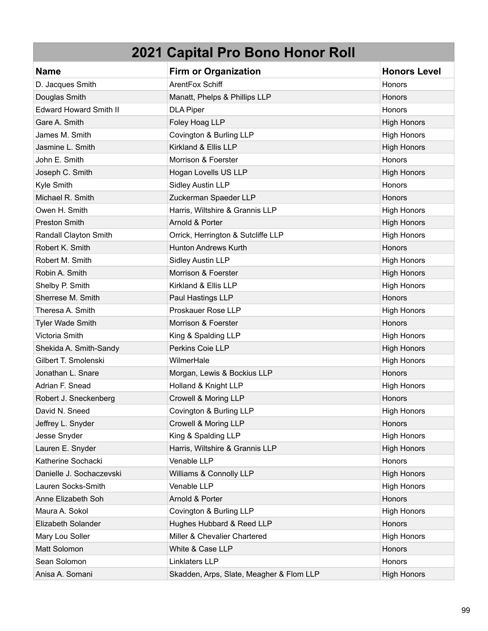| <b>Name</b>                   | <b>Firm or Organization</b>              | <b>Honors Level</b> |
|-------------------------------|------------------------------------------|---------------------|
| D. Jacques Smith              | ArentFox Schiff                          | Honors              |
| Douglas Smith                 | Manatt, Phelps & Phillips LLP            | Honors              |
| <b>Edward Howard Smith II</b> | <b>DLA Piper</b>                         | Honors              |
| Gare A. Smith                 | Foley Hoag LLP                           | <b>High Honors</b>  |
| James M. Smith                | Covington & Burling LLP                  | <b>High Honors</b>  |
| Jasmine L. Smith              | Kirkland & Ellis LLP                     | <b>High Honors</b>  |
| John E. Smith                 | Morrison & Foerster                      | Honors              |
| Joseph C. Smith               | Hogan Lovells US LLP                     | <b>High Honors</b>  |
| Kyle Smith                    | <b>Sidley Austin LLP</b>                 | <b>Honors</b>       |
| Michael R. Smith              | Zuckerman Spaeder LLP                    | Honors              |
| Owen H. Smith                 | Harris, Wiltshire & Grannis LLP          | <b>High Honors</b>  |
| <b>Preston Smith</b>          | Arnold & Porter                          | <b>High Honors</b>  |
| Randall Clayton Smith         | Orrick, Herrington & Sutcliffe LLP       | <b>High Honors</b>  |
| Robert K. Smith               | <b>Hunton Andrews Kurth</b>              | Honors              |
| Robert M. Smith               | Sidley Austin LLP                        | <b>High Honors</b>  |
| Robin A. Smith                | Morrison & Foerster                      | <b>High Honors</b>  |
| Shelby P. Smith               | Kirkland & Ellis LLP                     | <b>High Honors</b>  |
| Sherrese M. Smith             | Paul Hastings LLP                        | Honors              |
| Theresa A. Smith              | Proskauer Rose LLP                       | <b>High Honors</b>  |
| <b>Tyler Wade Smith</b>       | Morrison & Foerster                      | Honors              |
| Victoria Smith                | King & Spalding LLP                      | <b>High Honors</b>  |
| Shekida A. Smith-Sandy        | Perkins Coie LLP                         | <b>High Honors</b>  |
| Gilbert T. Smolenski          | WilmerHale                               | <b>High Honors</b>  |
| Jonathan L. Snare             | Morgan, Lewis & Bockius LLP              | Honors              |
| Adrian F. Snead               | Holland & Knight LLP                     | <b>High Honors</b>  |
| Robert J. Sneckenberg         | Crowell & Moring LLP                     | Honors              |
| David N. Sneed                | Covington & Burling LLP                  | <b>High Honors</b>  |
| Jeffrey L. Snyder             | Crowell & Moring LLP                     | <b>Honors</b>       |
| Jesse Snyder                  | King & Spalding LLP                      | <b>High Honors</b>  |
| Lauren E. Snyder              | Harris, Wiltshire & Grannis LLP          | <b>High Honors</b>  |
| Katherine Sochacki            | Venable LLP                              | Honors              |
| Danielle J. Sochaczevski      | Williams & Connolly LLP                  | <b>High Honors</b>  |
| Lauren Socks-Smith            | Venable LLP                              | <b>High Honors</b>  |
| Anne Elizabeth Soh            | Arnold & Porter                          | Honors              |
| Maura A. Sokol                | Covington & Burling LLP                  | <b>High Honors</b>  |
| Elizabeth Solander            | Hughes Hubbard & Reed LLP                | Honors              |
| Mary Lou Soller               | Miller & Chevalier Chartered             | <b>High Honors</b>  |
| Matt Solomon                  | White & Case LLP                         | Honors              |
| Sean Solomon                  | Linklaters LLP                           | Honors              |
| Anisa A. Somani               | Skadden, Arps, Slate, Meagher & Flom LLP | <b>High Honors</b>  |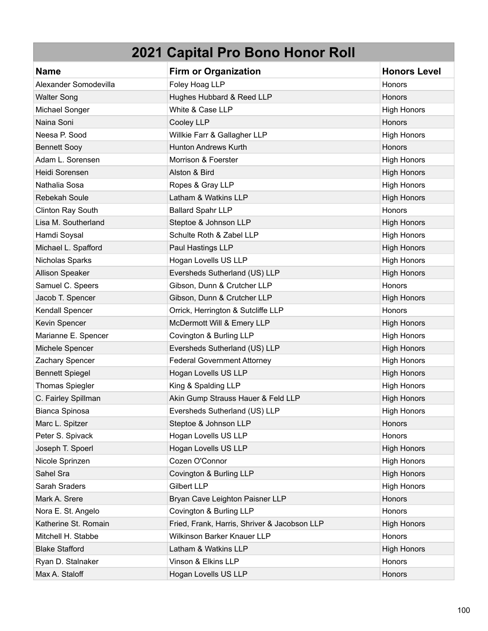| <b>Name</b>            | <b>Firm or Organization</b>                  | <b>Honors Level</b> |
|------------------------|----------------------------------------------|---------------------|
| Alexander Somodevilla  | Foley Hoag LLP                               | Honors              |
| <b>Walter Song</b>     | Hughes Hubbard & Reed LLP                    | Honors              |
| Michael Songer         | White & Case LLP                             | <b>High Honors</b>  |
| Naina Soni             | Cooley LLP                                   | Honors              |
| Neesa P. Sood          | Willkie Farr & Gallagher LLP                 | <b>High Honors</b>  |
| <b>Bennett Sooy</b>    | <b>Hunton Andrews Kurth</b>                  | Honors              |
| Adam L. Sorensen       | Morrison & Foerster                          | <b>High Honors</b>  |
| Heidi Sorensen         | Alston & Bird                                | <b>High Honors</b>  |
| Nathalia Sosa          | Ropes & Gray LLP                             | <b>High Honors</b>  |
| Rebekah Soule          | Latham & Watkins LLP                         | <b>High Honors</b>  |
| Clinton Ray South      | <b>Ballard Spahr LLP</b>                     | Honors              |
| Lisa M. Southerland    | Steptoe & Johnson LLP                        | <b>High Honors</b>  |
| Hamdi Soysal           | Schulte Roth & Zabel LLP                     | <b>High Honors</b>  |
| Michael L. Spafford    | Paul Hastings LLP                            | <b>High Honors</b>  |
| Nicholas Sparks        | Hogan Lovells US LLP                         | <b>High Honors</b>  |
| Allison Speaker        | Eversheds Sutherland (US) LLP                | <b>High Honors</b>  |
| Samuel C. Speers       | Gibson, Dunn & Crutcher LLP                  | Honors              |
| Jacob T. Spencer       | Gibson, Dunn & Crutcher LLP                  | <b>High Honors</b>  |
| Kendall Spencer        | Orrick, Herrington & Sutcliffe LLP           | Honors              |
| Kevin Spencer          | McDermott Will & Emery LLP                   | <b>High Honors</b>  |
| Marianne E. Spencer    | Covington & Burling LLP                      | <b>High Honors</b>  |
| Michele Spencer        | Eversheds Sutherland (US) LLP                | <b>High Honors</b>  |
| Zachary Spencer        | <b>Federal Government Attorney</b>           | <b>High Honors</b>  |
| <b>Bennett Spiegel</b> | Hogan Lovells US LLP                         | <b>High Honors</b>  |
| <b>Thomas Spiegler</b> | King & Spalding LLP                          | <b>High Honors</b>  |
| C. Fairley Spillman    | Akin Gump Strauss Hauer & Feld LLP           | <b>High Honors</b>  |
| Bianca Spinosa         | Eversheds Sutherland (US) LLP                | <b>High Honors</b>  |
| Marc L. Spitzer        | Steptoe & Johnson LLP                        | <b>Honors</b>       |
| Peter S. Spivack       | Hogan Lovells US LLP                         | Honors              |
| Joseph T. Spoerl       | Hogan Lovells US LLP                         | <b>High Honors</b>  |
| Nicole Sprinzen        | Cozen O'Connor                               | <b>High Honors</b>  |
| Sahel Sra              | Covington & Burling LLP                      | <b>High Honors</b>  |
| Sarah Sraders          | <b>Gilbert LLP</b>                           | <b>High Honors</b>  |
| Mark A. Srere          | Bryan Cave Leighton Paisner LLP              | Honors              |
| Nora E. St. Angelo     | Covington & Burling LLP                      | Honors              |
| Katherine St. Romain   | Fried, Frank, Harris, Shriver & Jacobson LLP | <b>High Honors</b>  |
| Mitchell H. Stabbe     | Wilkinson Barker Knauer LLP                  | Honors              |
| <b>Blake Stafford</b>  | Latham & Watkins LLP                         | <b>High Honors</b>  |
| Ryan D. Stalnaker      | Vinson & Elkins LLP                          | Honors              |
| Max A. Staloff         | Hogan Lovells US LLP                         | Honors              |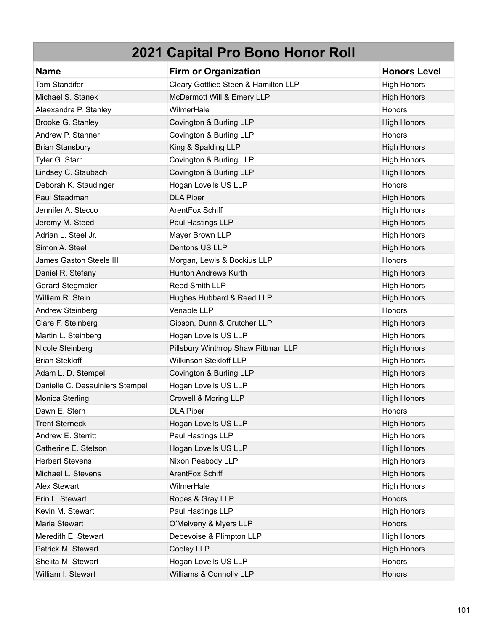| <b>Name</b>                     | <b>Firm or Organization</b>          | <b>Honors Level</b> |
|---------------------------------|--------------------------------------|---------------------|
| <b>Tom Standifer</b>            | Cleary Gottlieb Steen & Hamilton LLP | <b>High Honors</b>  |
| Michael S. Stanek               | McDermott Will & Emery LLP           | <b>High Honors</b>  |
| Alaexandra P. Stanley           | WilmerHale                           | Honors              |
| Brooke G. Stanley               | Covington & Burling LLP              | <b>High Honors</b>  |
| Andrew P. Stanner               | Covington & Burling LLP              | Honors              |
| <b>Brian Stansbury</b>          | King & Spalding LLP                  | <b>High Honors</b>  |
| Tyler G. Starr                  | Covington & Burling LLP              | <b>High Honors</b>  |
| Lindsey C. Staubach             | Covington & Burling LLP              | <b>High Honors</b>  |
| Deborah K. Staudinger           | Hogan Lovells US LLP                 | Honors              |
| Paul Steadman                   | <b>DLA Piper</b>                     | <b>High Honors</b>  |
| Jennifer A. Stecco              | ArentFox Schiff                      | <b>High Honors</b>  |
| Jeremy M. Steed                 | Paul Hastings LLP                    | <b>High Honors</b>  |
| Adrian L. Steel Jr.             | Mayer Brown LLP                      | <b>High Honors</b>  |
| Simon A. Steel                  | Dentons US LLP                       | <b>High Honors</b>  |
| James Gaston Steele III         | Morgan, Lewis & Bockius LLP          | Honors              |
| Daniel R. Stefany               | <b>Hunton Andrews Kurth</b>          | <b>High Honors</b>  |
| <b>Gerard Stegmaier</b>         | <b>Reed Smith LLP</b>                | <b>High Honors</b>  |
| William R. Stein                | Hughes Hubbard & Reed LLP            | <b>High Honors</b>  |
| Andrew Steinberg                | Venable LLP                          | Honors              |
| Clare F. Steinberg              | Gibson, Dunn & Crutcher LLP          | <b>High Honors</b>  |
| Martin L. Steinberg             | Hogan Lovells US LLP                 | <b>High Honors</b>  |
| Nicole Steinberg                | Pillsbury Winthrop Shaw Pittman LLP  | <b>High Honors</b>  |
| <b>Brian Stekloff</b>           | <b>Wilkinson Stekloff LLP</b>        | <b>High Honors</b>  |
| Adam L. D. Stempel              | Covington & Burling LLP              | <b>High Honors</b>  |
| Danielle C. Desaulniers Stempel | Hogan Lovells US LLP                 | <b>High Honors</b>  |
| Monica Sterling                 | Crowell & Moring LLP                 | <b>High Honors</b>  |
| Dawn E. Stern                   | <b>DLA Piper</b>                     | Honors              |
| <b>Trent Sterneck</b>           | Hogan Lovells US LLP                 | <b>High Honors</b>  |
| Andrew E. Sterritt              | Paul Hastings LLP                    | <b>High Honors</b>  |
| Catherine E. Stetson            | Hogan Lovells US LLP                 | <b>High Honors</b>  |
| <b>Herbert Stevens</b>          | Nixon Peabody LLP                    | <b>High Honors</b>  |
| Michael L. Stevens              | ArentFox Schiff                      | <b>High Honors</b>  |
| <b>Alex Stewart</b>             | WilmerHale                           | <b>High Honors</b>  |
| Erin L. Stewart                 | Ropes & Gray LLP                     | Honors              |
| Kevin M. Stewart                | Paul Hastings LLP                    | <b>High Honors</b>  |
| Maria Stewart                   | O'Melveny & Myers LLP                | Honors              |
| Meredith E. Stewart             | Debevoise & Plimpton LLP             | <b>High Honors</b>  |
| Patrick M. Stewart              | Cooley LLP                           | <b>High Honors</b>  |
| Shelita M. Stewart              | Hogan Lovells US LLP                 | Honors              |
| William I. Stewart              | Williams & Connolly LLP              | Honors              |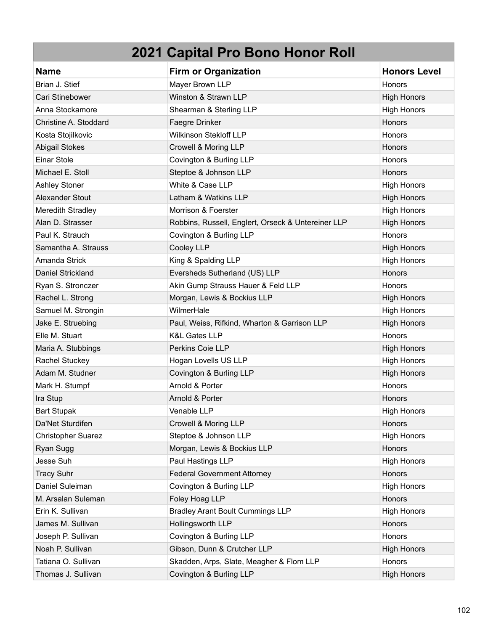| <b>Name</b>               | <b>Firm or Organization</b>                        | <b>Honors Level</b> |
|---------------------------|----------------------------------------------------|---------------------|
| Brian J. Stief            | Mayer Brown LLP                                    | Honors              |
| Cari Stinebower           | Winston & Strawn LLP                               | <b>High Honors</b>  |
| Anna Stockamore           | Shearman & Sterling LLP                            | <b>High Honors</b>  |
| Christine A. Stoddard     | Faegre Drinker                                     | Honors              |
| Kosta Stojilkovic         | Wilkinson Stekloff LLP                             | Honors              |
| <b>Abigail Stokes</b>     | Crowell & Moring LLP                               | Honors              |
| <b>Einar Stole</b>        | Covington & Burling LLP                            | Honors              |
| Michael E. Stoll          | Steptoe & Johnson LLP                              | Honors              |
| <b>Ashley Stoner</b>      | White & Case LLP                                   | <b>High Honors</b>  |
| Alexander Stout           | Latham & Watkins LLP                               | <b>High Honors</b>  |
| Meredith Stradley         | Morrison & Foerster                                | <b>High Honors</b>  |
| Alan D. Strasser          | Robbins, Russell, Englert, Orseck & Untereiner LLP | <b>High Honors</b>  |
| Paul K. Strauch           | Covington & Burling LLP                            | Honors              |
| Samantha A. Strauss       | Cooley LLP                                         | <b>High Honors</b>  |
| Amanda Strick             | King & Spalding LLP                                | <b>High Honors</b>  |
| Daniel Strickland         | Eversheds Sutherland (US) LLP                      | Honors              |
| Ryan S. Stronczer         | Akin Gump Strauss Hauer & Feld LLP                 | Honors              |
| Rachel L. Strong          | Morgan, Lewis & Bockius LLP                        | <b>High Honors</b>  |
| Samuel M. Strongin        | WilmerHale                                         | <b>High Honors</b>  |
| Jake E. Struebing         | Paul, Weiss, Rifkind, Wharton & Garrison LLP       | <b>High Honors</b>  |
| Elle M. Stuart            | <b>K&amp;L Gates LLP</b>                           | Honors              |
| Maria A. Stubbings        | Perkins Coie LLP                                   | <b>High Honors</b>  |
| Rachel Stuckey            | Hogan Lovells US LLP                               | <b>High Honors</b>  |
| Adam M. Studner           | Covington & Burling LLP                            | <b>High Honors</b>  |
| Mark H. Stumpf            | Arnold & Porter                                    | Honors              |
| Ira Stup                  | Arnold & Porter                                    | Honors              |
| <b>Bart Stupak</b>        | Venable LLP                                        | <b>High Honors</b>  |
| Da'Net Sturdifen          | Crowell & Moring LLP                               | Honors              |
| <b>Christopher Suarez</b> | Steptoe & Johnson LLP                              | <b>High Honors</b>  |
| Ryan Sugg                 | Morgan, Lewis & Bockius LLP                        | Honors              |
| Jesse Suh                 | Paul Hastings LLP                                  | <b>High Honors</b>  |
| <b>Tracy Suhr</b>         | <b>Federal Government Attorney</b>                 | Honors              |
| Daniel Suleiman           | Covington & Burling LLP                            | <b>High Honors</b>  |
| M. Arsalan Suleman        | Foley Hoag LLP                                     | Honors              |
| Erin K. Sullivan          | <b>Bradley Arant Boult Cummings LLP</b>            | <b>High Honors</b>  |
| James M. Sullivan         | Hollingsworth LLP                                  | Honors              |
| Joseph P. Sullivan        | Covington & Burling LLP                            | Honors              |
| Noah P. Sullivan          | Gibson, Dunn & Crutcher LLP                        | <b>High Honors</b>  |
| Tatiana O. Sullivan       | Skadden, Arps, Slate, Meagher & Flom LLP           | Honors              |
| Thomas J. Sullivan        | Covington & Burling LLP                            | <b>High Honors</b>  |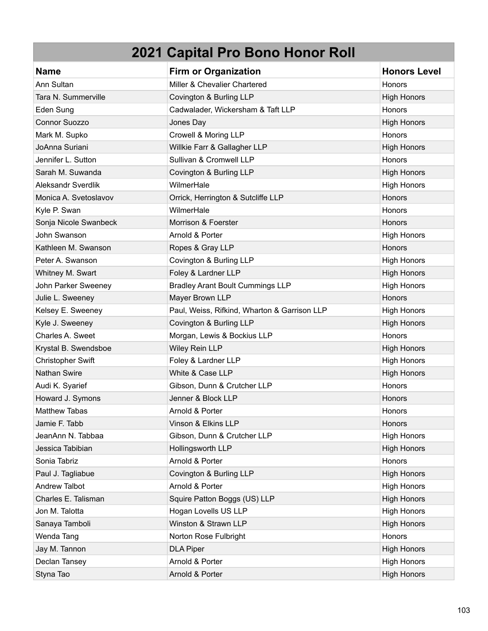| <b>Name</b>               | <b>Firm or Organization</b>                  | <b>Honors Level</b> |
|---------------------------|----------------------------------------------|---------------------|
| Ann Sultan                | Miller & Chevalier Chartered                 | Honors              |
| Tara N. Summerville       | Covington & Burling LLP                      | <b>High Honors</b>  |
| Eden Sung                 | Cadwalader, Wickersham & Taft LLP            | Honors              |
| <b>Connor Suozzo</b>      | Jones Day                                    | <b>High Honors</b>  |
| Mark M. Supko             | Crowell & Moring LLP                         | Honors              |
| JoAnna Suriani            | Willkie Farr & Gallagher LLP                 | <b>High Honors</b>  |
| Jennifer L. Sutton        | Sullivan & Cromwell LLP                      | Honors              |
| Sarah M. Suwanda          | Covington & Burling LLP                      | <b>High Honors</b>  |
| <b>Aleksandr Sverdlik</b> | WilmerHale                                   | <b>High Honors</b>  |
| Monica A. Svetoslavov     | Orrick, Herrington & Sutcliffe LLP           | Honors              |
| Kyle P. Swan              | WilmerHale                                   | Honors              |
| Sonja Nicole Swanbeck     | Morrison & Foerster                          | Honors              |
| John Swanson              | Arnold & Porter                              | <b>High Honors</b>  |
| Kathleen M. Swanson       | Ropes & Gray LLP                             | Honors              |
| Peter A. Swanson          | Covington & Burling LLP                      | <b>High Honors</b>  |
| Whitney M. Swart          | Foley & Lardner LLP                          | <b>High Honors</b>  |
| John Parker Sweeney       | <b>Bradley Arant Boult Cummings LLP</b>      | <b>High Honors</b>  |
| Julie L. Sweeney          | Mayer Brown LLP                              | Honors              |
| Kelsey E. Sweeney         | Paul, Weiss, Rifkind, Wharton & Garrison LLP | <b>High Honors</b>  |
| Kyle J. Sweeney           | Covington & Burling LLP                      | <b>High Honors</b>  |
| Charles A. Sweet          | Morgan, Lewis & Bockius LLP                  | Honors              |
| Krystal B. Swendsboe      | Wiley Rein LLP                               | <b>High Honors</b>  |
| <b>Christopher Swift</b>  | Foley & Lardner LLP                          | <b>High Honors</b>  |
| <b>Nathan Swire</b>       | White & Case LLP                             | <b>High Honors</b>  |
| Audi K. Syarief           | Gibson, Dunn & Crutcher LLP                  | Honors              |
| Howard J. Symons          | Jenner & Block LLP                           | Honors              |
| <b>Matthew Tabas</b>      | Arnold & Porter                              | Honors              |
| Jamie F. Tabb             | Vinson & Elkins LLP                          | Honors              |
| JeanAnn N. Tabbaa         | Gibson, Dunn & Crutcher LLP                  | <b>High Honors</b>  |
| Jessica Tabibian          | Hollingsworth LLP                            | <b>High Honors</b>  |
| Sonia Tabriz              | Arnold & Porter                              | Honors              |
| Paul J. Tagliabue         | Covington & Burling LLP                      | <b>High Honors</b>  |
| <b>Andrew Talbot</b>      | Arnold & Porter                              | <b>High Honors</b>  |
| Charles E. Talisman       | Squire Patton Boggs (US) LLP                 | <b>High Honors</b>  |
| Jon M. Talotta            | Hogan Lovells US LLP                         | <b>High Honors</b>  |
| Sanaya Tamboli            | Winston & Strawn LLP                         | <b>High Honors</b>  |
| Wenda Tang                | Norton Rose Fulbright                        | Honors              |
| Jay M. Tannon             | <b>DLA Piper</b>                             | <b>High Honors</b>  |
| Declan Tansey             | Arnold & Porter                              | <b>High Honors</b>  |
| Styna Tao                 | Arnold & Porter                              | <b>High Honors</b>  |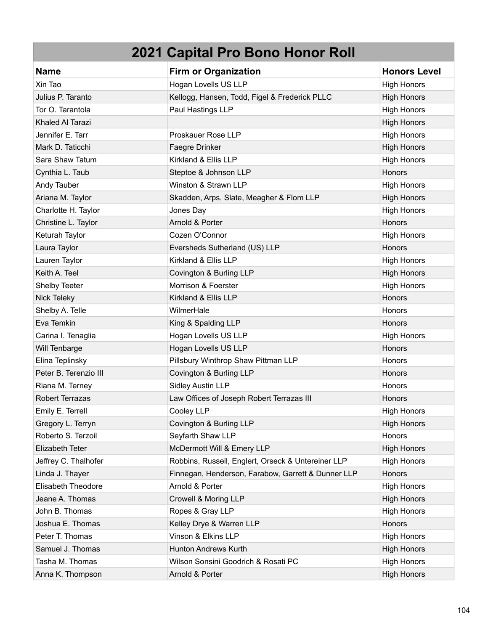| <b>Name</b>               | <b>Firm or Organization</b>                        | <b>Honors Level</b> |
|---------------------------|----------------------------------------------------|---------------------|
| Xin Tao                   | Hogan Lovells US LLP                               | <b>High Honors</b>  |
| Julius P. Taranto         | Kellogg, Hansen, Todd, Figel & Frederick PLLC      | <b>High Honors</b>  |
| Tor O. Tarantola          | Paul Hastings LLP                                  | <b>High Honors</b>  |
| Khaled Al Tarazi          |                                                    | <b>High Honors</b>  |
| Jennifer E. Tarr          | Proskauer Rose LLP                                 | <b>High Honors</b>  |
| Mark D. Taticchi          | Faegre Drinker                                     | <b>High Honors</b>  |
| Sara Shaw Tatum           | Kirkland & Ellis LLP                               | <b>High Honors</b>  |
| Cynthia L. Taub           | Steptoe & Johnson LLP                              | Honors              |
| Andy Tauber               | Winston & Strawn LLP                               | <b>High Honors</b>  |
| Ariana M. Taylor          | Skadden, Arps, Slate, Meagher & Flom LLP           | <b>High Honors</b>  |
| Charlotte H. Taylor       | Jones Day                                          | <b>High Honors</b>  |
| Christine L. Taylor       | Arnold & Porter                                    | <b>Honors</b>       |
| Keturah Taylor            | Cozen O'Connor                                     | <b>High Honors</b>  |
| Laura Taylor              | Eversheds Sutherland (US) LLP                      | Honors              |
| Lauren Taylor             | Kirkland & Ellis LLP                               | <b>High Honors</b>  |
| Keith A. Teel             | Covington & Burling LLP                            | <b>High Honors</b>  |
| Shelby Teeter             | Morrison & Foerster                                | <b>High Honors</b>  |
| <b>Nick Teleky</b>        | Kirkland & Ellis LLP                               | Honors              |
| Shelby A. Telle           | WilmerHale                                         | Honors              |
| Eva Temkin                | King & Spalding LLP                                | Honors              |
| Carina I. Tenaglia        | Hogan Lovells US LLP                               | <b>High Honors</b>  |
| Will Tenbarge             | Hogan Lovells US LLP                               | Honors              |
| Elina Teplinsky           | Pillsbury Winthrop Shaw Pittman LLP                | <b>Honors</b>       |
| Peter B. Terenzio III     | Covington & Burling LLP                            | Honors              |
| Riana M. Terney           | <b>Sidley Austin LLP</b>                           | Honors              |
| Robert Terrazas           | Law Offices of Joseph Robert Terrazas III          | Honors              |
| Emily E. Terrell          | Cooley LLP                                         | <b>High Honors</b>  |
| Gregory L. Terryn         | Covington & Burling LLP                            | <b>High Honors</b>  |
| Roberto S. Terzoil        | Seyfarth Shaw LLP                                  | Honors              |
| Elizabeth Teter           | McDermott Will & Emery LLP                         | <b>High Honors</b>  |
| Jeffrey C. Thalhofer      | Robbins, Russell, Englert, Orseck & Untereiner LLP | <b>High Honors</b>  |
| Linda J. Thayer           | Finnegan, Henderson, Farabow, Garrett & Dunner LLP | <b>Honors</b>       |
| <b>Elisabeth Theodore</b> | Arnold & Porter                                    | <b>High Honors</b>  |
| Jeane A. Thomas           | Crowell & Moring LLP                               | <b>High Honors</b>  |
| John B. Thomas            | Ropes & Gray LLP                                   | <b>High Honors</b>  |
| Joshua E. Thomas          | Kelley Drye & Warren LLP                           | Honors              |
| Peter T. Thomas           | Vinson & Elkins LLP                                | <b>High Honors</b>  |
| Samuel J. Thomas          | <b>Hunton Andrews Kurth</b>                        | <b>High Honors</b>  |
| Tasha M. Thomas           | Wilson Sonsini Goodrich & Rosati PC                | <b>High Honors</b>  |
| Anna K. Thompson          | Arnold & Porter                                    | <b>High Honors</b>  |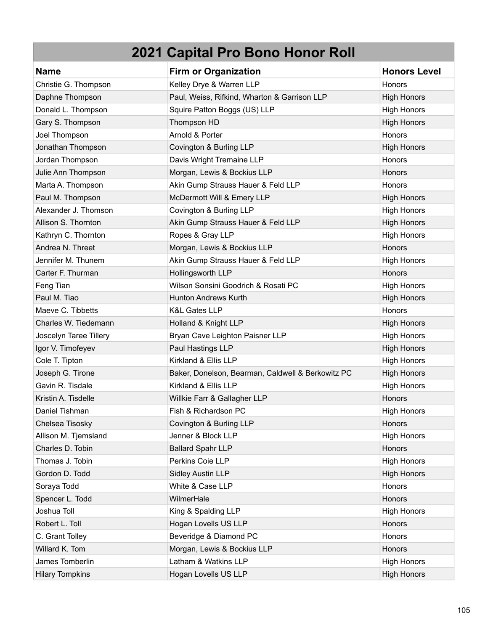| <b>Name</b>            | <b>Firm or Organization</b>                       | <b>Honors Level</b> |
|------------------------|---------------------------------------------------|---------------------|
| Christie G. Thompson   | Kelley Drye & Warren LLP                          | Honors              |
| Daphne Thompson        | Paul, Weiss, Rifkind, Wharton & Garrison LLP      | <b>High Honors</b>  |
| Donald L. Thompson     | Squire Patton Boggs (US) LLP                      | <b>High Honors</b>  |
| Gary S. Thompson       | Thompson HD                                       | <b>High Honors</b>  |
| Joel Thompson          | Arnold & Porter                                   | Honors              |
| Jonathan Thompson      | Covington & Burling LLP                           | <b>High Honors</b>  |
| Jordan Thompson        | Davis Wright Tremaine LLP                         | Honors              |
| Julie Ann Thompson     | Morgan, Lewis & Bockius LLP                       | Honors              |
| Marta A. Thompson      | Akin Gump Strauss Hauer & Feld LLP                | Honors              |
| Paul M. Thompson       | McDermott Will & Emery LLP                        | <b>High Honors</b>  |
| Alexander J. Thomson   | Covington & Burling LLP                           | <b>High Honors</b>  |
| Allison S. Thornton    | Akin Gump Strauss Hauer & Feld LLP                | <b>High Honors</b>  |
| Kathryn C. Thornton    | Ropes & Gray LLP                                  | <b>High Honors</b>  |
| Andrea N. Threet       | Morgan, Lewis & Bockius LLP                       | Honors              |
| Jennifer M. Thunem     | Akin Gump Strauss Hauer & Feld LLP                | <b>High Honors</b>  |
| Carter F. Thurman      | Hollingsworth LLP                                 | Honors              |
| Feng Tian              | Wilson Sonsini Goodrich & Rosati PC               | <b>High Honors</b>  |
| Paul M. Tiao           | <b>Hunton Andrews Kurth</b>                       | <b>High Honors</b>  |
| Maeve C. Tibbetts      | <b>K&amp;L Gates LLP</b>                          | Honors              |
| Charles W. Tiedemann   | Holland & Knight LLP                              | <b>High Honors</b>  |
| Joscelyn Taree Tillery | Bryan Cave Leighton Paisner LLP                   | <b>High Honors</b>  |
| Igor V. Timofeyev      | Paul Hastings LLP                                 | <b>High Honors</b>  |
| Cole T. Tipton         | Kirkland & Ellis LLP                              | <b>High Honors</b>  |
| Joseph G. Tirone       | Baker, Donelson, Bearman, Caldwell & Berkowitz PC | <b>High Honors</b>  |
| Gavin R. Tisdale       | Kirkland & Ellis LLP                              | <b>High Honors</b>  |
| Kristin A. Tisdelle    | Willkie Farr & Gallagher LLP                      | Honors              |
| Daniel Tishman         | Fish & Richardson PC                              | <b>High Honors</b>  |
| Chelsea Tisosky        | Covington & Burling LLP                           | Honors              |
| Allison M. Tjemsland   | Jenner & Block LLP                                | <b>High Honors</b>  |
| Charles D. Tobin       | <b>Ballard Spahr LLP</b>                          | Honors              |
| Thomas J. Tobin        | Perkins Coie LLP                                  | <b>High Honors</b>  |
| Gordon D. Todd         | <b>Sidley Austin LLP</b>                          | <b>High Honors</b>  |
| Soraya Todd            | White & Case LLP                                  | Honors              |
| Spencer L. Todd        | WilmerHale                                        | Honors              |
| Joshua Toll            | King & Spalding LLP                               | <b>High Honors</b>  |
| Robert L. Toll         | Hogan Lovells US LLP                              | Honors              |
| C. Grant Tolley        | Beveridge & Diamond PC                            | Honors              |
| Willard K. Tom         | Morgan, Lewis & Bockius LLP                       | Honors              |
| James Tomberlin        | Latham & Watkins LLP                              | <b>High Honors</b>  |
| <b>Hilary Tompkins</b> | Hogan Lovells US LLP                              | <b>High Honors</b>  |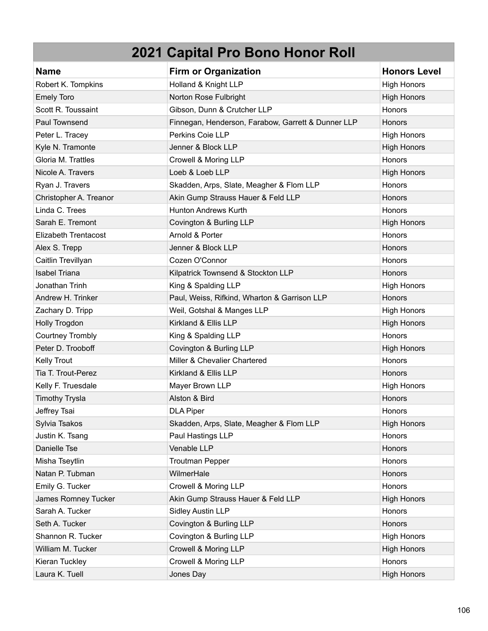| <b>Name</b>               | <b>Firm or Organization</b>                        | <b>Honors Level</b> |
|---------------------------|----------------------------------------------------|---------------------|
| Robert K. Tompkins        | Holland & Knight LLP                               | <b>High Honors</b>  |
| <b>Emely Toro</b>         | Norton Rose Fulbright                              | <b>High Honors</b>  |
| Scott R. Toussaint        | Gibson, Dunn & Crutcher LLP                        | <b>Honors</b>       |
| Paul Townsend             | Finnegan, Henderson, Farabow, Garrett & Dunner LLP | Honors              |
| Peter L. Tracey           | Perkins Coie LLP                                   | <b>High Honors</b>  |
| Kyle N. Tramonte          | Jenner & Block LLP                                 | <b>High Honors</b>  |
| Gloria M. Trattles        | Crowell & Moring LLP                               | Honors              |
| Nicole A. Travers         | Loeb & Loeb LLP                                    | <b>High Honors</b>  |
| Ryan J. Travers           | Skadden, Arps, Slate, Meagher & Flom LLP           | <b>Honors</b>       |
| Christopher A. Treanor    | Akin Gump Strauss Hauer & Feld LLP                 | Honors              |
| Linda C. Trees            | <b>Hunton Andrews Kurth</b>                        | <b>Honors</b>       |
| Sarah E. Tremont          | Covington & Burling LLP                            | <b>High Honors</b>  |
| Elizabeth Trentacost      | Arnold & Porter                                    | Honors              |
| Alex S. Trepp             | Jenner & Block LLP                                 | Honors              |
| Caitlin Trevillyan        | Cozen O'Connor                                     | Honors              |
| <b>Isabel Triana</b>      | Kilpatrick Townsend & Stockton LLP                 | Honors              |
| Jonathan Trinh            | King & Spalding LLP                                | <b>High Honors</b>  |
| Andrew H. Trinker         | Paul, Weiss, Rifkind, Wharton & Garrison LLP       | Honors              |
| Zachary D. Tripp          | Weil, Gotshal & Manges LLP                         | <b>High Honors</b>  |
| Holly Trogdon             | Kirkland & Ellis LLP                               | <b>High Honors</b>  |
| <b>Courtney Trombly</b>   | King & Spalding LLP                                | Honors              |
| Peter D. Trooboff         | Covington & Burling LLP                            | <b>High Honors</b>  |
| Kelly Trout               | Miller & Chevalier Chartered                       | Honors              |
| <b>Tia T. Trout-Perez</b> | Kirkland & Ellis LLP                               | Honors              |
| Kelly F. Truesdale        | Mayer Brown LLP                                    | <b>High Honors</b>  |
| <b>Timothy Trysla</b>     | Alston & Bird                                      | Honors              |
| Jeffrey Tsai              | <b>DLA Piper</b>                                   | Honors              |
| Sylvia Tsakos             | Skadden, Arps, Slate, Meagher & Flom LLP           | <b>High Honors</b>  |
| Justin K. Tsang           | Paul Hastings LLP                                  | Honors              |
| Danielle Tse              | Venable LLP                                        | Honors              |
| Misha Tseytlin            | <b>Troutman Pepper</b>                             | Honors              |
| Natan P. Tubman           | WilmerHale                                         | Honors              |
| Emily G. Tucker           | Crowell & Moring LLP                               | Honors              |
| James Romney Tucker       | Akin Gump Strauss Hauer & Feld LLP                 | <b>High Honors</b>  |
| Sarah A. Tucker           | <b>Sidley Austin LLP</b>                           | Honors              |
| Seth A. Tucker            | Covington & Burling LLP                            | Honors              |
| Shannon R. Tucker         | Covington & Burling LLP                            | <b>High Honors</b>  |
| William M. Tucker         | Crowell & Moring LLP                               | <b>High Honors</b>  |
| Kieran Tuckley            | Crowell & Moring LLP                               | Honors              |
| Laura K. Tuell            | Jones Day                                          | <b>High Honors</b>  |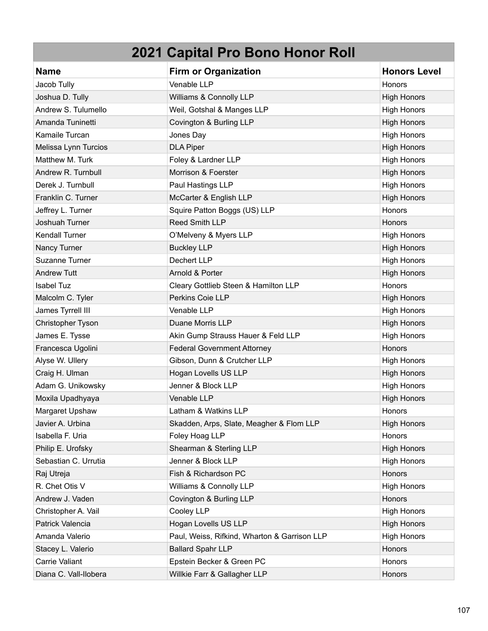| <b>Name</b>           | <b>Firm or Organization</b>                  | <b>Honors Level</b> |
|-----------------------|----------------------------------------------|---------------------|
| Jacob Tully           | Venable LLP                                  | Honors              |
| Joshua D. Tully       | Williams & Connolly LLP                      | <b>High Honors</b>  |
| Andrew S. Tulumello   | Weil, Gotshal & Manges LLP                   | <b>High Honors</b>  |
| Amanda Tuninetti      | Covington & Burling LLP                      | <b>High Honors</b>  |
| Kamaile Turcan        | Jones Day                                    | <b>High Honors</b>  |
| Melissa Lynn Turcios  | <b>DLA Piper</b>                             | <b>High Honors</b>  |
| Matthew M. Turk       | Foley & Lardner LLP                          | <b>High Honors</b>  |
| Andrew R. Turnbull    | Morrison & Foerster                          | <b>High Honors</b>  |
| Derek J. Turnbull     | Paul Hastings LLP                            | <b>High Honors</b>  |
| Franklin C. Turner    | McCarter & English LLP                       | <b>High Honors</b>  |
| Jeffrey L. Turner     | Squire Patton Boggs (US) LLP                 | Honors              |
| Joshuah Turner        | Reed Smith LLP                               | Honors              |
| <b>Kendall Turner</b> | O'Melveny & Myers LLP                        | <b>High Honors</b>  |
| Nancy Turner          | <b>Buckley LLP</b>                           | <b>High Honors</b>  |
| Suzanne Turner        | Dechert LLP                                  | <b>High Honors</b>  |
| <b>Andrew Tutt</b>    | Arnold & Porter                              | <b>High Honors</b>  |
| <b>Isabel Tuz</b>     | Cleary Gottlieb Steen & Hamilton LLP         | Honors              |
| Malcolm C. Tyler      | Perkins Coie LLP                             | <b>High Honors</b>  |
| James Tyrrell III     | Venable LLP                                  | <b>High Honors</b>  |
| Christopher Tyson     | Duane Morris LLP                             | <b>High Honors</b>  |
| James E. Tysse        | Akin Gump Strauss Hauer & Feld LLP           | <b>High Honors</b>  |
| Francesca Ugolini     | <b>Federal Government Attorney</b>           | Honors              |
| Alyse W. Ullery       | Gibson, Dunn & Crutcher LLP                  | <b>High Honors</b>  |
| Craig H. Ulman        | Hogan Lovells US LLP                         | <b>High Honors</b>  |
| Adam G. Unikowsky     | Jenner & Block LLP                           | <b>High Honors</b>  |
| Moxila Upadhyaya      | Venable LLP                                  | <b>High Honors</b>  |
| Margaret Upshaw       | Latham & Watkins LLP                         | Honors              |
| Javier A. Urbina      | Skadden, Arps, Slate, Meagher & Flom LLP     | <b>High Honors</b>  |
| Isabella F. Uria      | Foley Hoag LLP                               | Honors              |
| Philip E. Urofsky     | Shearman & Sterling LLP                      | <b>High Honors</b>  |
| Sebastian C. Urrutia  | Jenner & Block LLP                           | <b>High Honors</b>  |
| Raj Utreja            | Fish & Richardson PC                         | Honors              |
| R. Chet Otis V        | Williams & Connolly LLP                      | <b>High Honors</b>  |
| Andrew J. Vaden       | Covington & Burling LLP                      | Honors              |
| Christopher A. Vail   | Cooley LLP                                   | <b>High Honors</b>  |
| Patrick Valencia      | Hogan Lovells US LLP                         | <b>High Honors</b>  |
| Amanda Valerio        | Paul, Weiss, Rifkind, Wharton & Garrison LLP | <b>High Honors</b>  |
| Stacey L. Valerio     | <b>Ballard Spahr LLP</b>                     | Honors              |
| Carrie Valiant        | Epstein Becker & Green PC                    | Honors              |
| Diana C. Vall-Ilobera | Willkie Farr & Gallagher LLP                 | Honors              |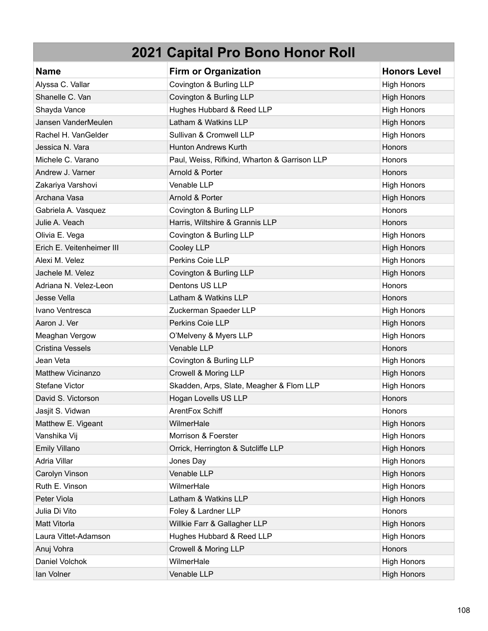| <b>Name</b>               | <b>Firm or Organization</b>                  | <b>Honors Level</b> |
|---------------------------|----------------------------------------------|---------------------|
| Alyssa C. Vallar          | Covington & Burling LLP                      | <b>High Honors</b>  |
| Shanelle C. Van           | Covington & Burling LLP                      | <b>High Honors</b>  |
| Shayda Vance              | Hughes Hubbard & Reed LLP                    | <b>High Honors</b>  |
| Jansen VanderMeulen       | Latham & Watkins LLP                         | <b>High Honors</b>  |
| Rachel H. VanGelder       | Sullivan & Cromwell LLP                      | <b>High Honors</b>  |
| Jessica N. Vara           | <b>Hunton Andrews Kurth</b>                  | <b>Honors</b>       |
| Michele C. Varano         | Paul, Weiss, Rifkind, Wharton & Garrison LLP | Honors              |
| Andrew J. Varner          | Arnold & Porter                              | <b>Honors</b>       |
| Zakariya Varshovi         | Venable LLP                                  | <b>High Honors</b>  |
| Archana Vasa              | Arnold & Porter                              | <b>High Honors</b>  |
| Gabriela A. Vasquez       | Covington & Burling LLP                      | Honors              |
| Julie A. Veach            | Harris, Wiltshire & Grannis LLP              | Honors              |
| Olivia E. Vega            | Covington & Burling LLP                      | <b>High Honors</b>  |
| Erich E. Veitenheimer III | Cooley LLP                                   | <b>High Honors</b>  |
| Alexi M. Velez            | Perkins Coie LLP                             | <b>High Honors</b>  |
| Jachele M. Velez          | Covington & Burling LLP                      | <b>High Honors</b>  |
| Adriana N. Velez-Leon     | Dentons US LLP                               | Honors              |
| Jesse Vella               | Latham & Watkins LLP                         | Honors              |
| Ivano Ventresca           | Zuckerman Spaeder LLP                        | <b>High Honors</b>  |
| Aaron J. Ver              | Perkins Coie LLP                             | <b>High Honors</b>  |
| Meaghan Vergow            | O'Melveny & Myers LLP                        | <b>High Honors</b>  |
| <b>Cristina Vessels</b>   | Venable LLP                                  | Honors              |
| Jean Veta                 | Covington & Burling LLP                      | <b>High Honors</b>  |
| Matthew Vicinanzo         | Crowell & Moring LLP                         | <b>High Honors</b>  |
| Stefane Victor            | Skadden, Arps, Slate, Meagher & Flom LLP     | <b>High Honors</b>  |
| David S. Victorson        | Hogan Lovells US LLP                         | <b>Honors</b>       |
| Jasjit S. Vidwan          | ArentFox Schiff                              | Honors              |
| Matthew E. Vigeant        | WilmerHale                                   | <b>High Honors</b>  |
| Vanshika Vij              | Morrison & Foerster                          | <b>High Honors</b>  |
| Emily Villano             | Orrick, Herrington & Sutcliffe LLP           | <b>High Honors</b>  |
| Adria Villar              | Jones Day                                    | <b>High Honors</b>  |
| Carolyn Vinson            | Venable LLP                                  | <b>High Honors</b>  |
| Ruth E. Vinson            | WilmerHale                                   | <b>High Honors</b>  |
| Peter Viola               | Latham & Watkins LLP                         | <b>High Honors</b>  |
| Julia Di Vito             | Foley & Lardner LLP                          | Honors              |
| Matt Vitorla              | Willkie Farr & Gallagher LLP                 | <b>High Honors</b>  |
| Laura Vittet-Adamson      | Hughes Hubbard & Reed LLP                    | <b>High Honors</b>  |
| Anuj Vohra                | Crowell & Moring LLP                         | Honors              |
| Daniel Volchok            | WilmerHale                                   | <b>High Honors</b>  |
| lan Volner                | Venable LLP                                  | <b>High Honors</b>  |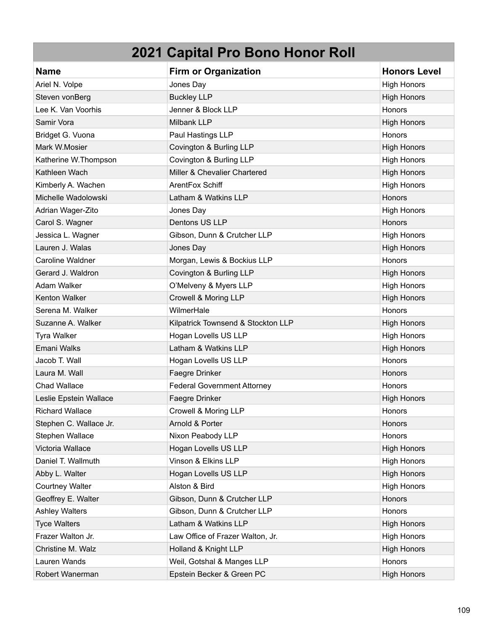| <b>Name</b>             | <b>Firm or Organization</b>        | <b>Honors Level</b> |
|-------------------------|------------------------------------|---------------------|
| Ariel N. Volpe          | Jones Day                          | <b>High Honors</b>  |
| Steven vonBerg          | <b>Buckley LLP</b>                 | <b>High Honors</b>  |
| Lee K. Van Voorhis      | Jenner & Block LLP                 | Honors              |
| Samir Vora              | Milbank LLP                        | <b>High Honors</b>  |
| Bridget G. Vuona        | Paul Hastings LLP                  | Honors              |
| Mark W.Mosier           | Covington & Burling LLP            | <b>High Honors</b>  |
| Katherine W.Thompson    | Covington & Burling LLP            | <b>High Honors</b>  |
| Kathleen Wach           | Miller & Chevalier Chartered       | <b>High Honors</b>  |
| Kimberly A. Wachen      | ArentFox Schiff                    | <b>High Honors</b>  |
| Michelle Wadolowski     | Latham & Watkins LLP               | Honors              |
| Adrian Wager-Zito       | Jones Day                          | <b>High Honors</b>  |
| Carol S. Wagner         | Dentons US LLP                     | Honors              |
| Jessica L. Wagner       | Gibson, Dunn & Crutcher LLP        | <b>High Honors</b>  |
| Lauren J. Walas         | Jones Day                          | <b>High Honors</b>  |
| <b>Caroline Waldner</b> | Morgan, Lewis & Bockius LLP        | Honors              |
| Gerard J. Waldron       | Covington & Burling LLP            | <b>High Honors</b>  |
| Adam Walker             | O'Melveny & Myers LLP              | <b>High Honors</b>  |
| Kenton Walker           | Crowell & Moring LLP               | <b>High Honors</b>  |
| Serena M. Walker        | WilmerHale                         | Honors              |
| Suzanne A. Walker       | Kilpatrick Townsend & Stockton LLP | <b>High Honors</b>  |
| Tyra Walker             | Hogan Lovells US LLP               | <b>High Honors</b>  |
| Emani Walks             | Latham & Watkins LLP               | <b>High Honors</b>  |
| Jacob T. Wall           | Hogan Lovells US LLP               | Honors              |
| Laura M. Wall           | Faegre Drinker                     | Honors              |
| <b>Chad Wallace</b>     | <b>Federal Government Attorney</b> | Honors              |
| Leslie Epstein Wallace  | Faegre Drinker                     | <b>High Honors</b>  |
| <b>Richard Wallace</b>  | Crowell & Moring LLP               | Honors              |
| Stephen C. Wallace Jr.  | Arnold & Porter                    | <b>Honors</b>       |
| Stephen Wallace         | Nixon Peabody LLP                  | Honors              |
| Victoria Wallace        | Hogan Lovells US LLP               | <b>High Honors</b>  |
| Daniel T. Wallmuth      | Vinson & Elkins LLP                | <b>High Honors</b>  |
| Abby L. Walter          | Hogan Lovells US LLP               | <b>High Honors</b>  |
| Courtney Walter         | Alston & Bird                      | <b>High Honors</b>  |
| Geoffrey E. Walter      | Gibson, Dunn & Crutcher LLP        | Honors              |
| <b>Ashley Walters</b>   | Gibson, Dunn & Crutcher LLP        | Honors              |
| <b>Tyce Walters</b>     | Latham & Watkins LLP               | <b>High Honors</b>  |
| Frazer Walton Jr.       | Law Office of Frazer Walton, Jr.   | <b>High Honors</b>  |
| Christine M. Walz       | Holland & Knight LLP               | <b>High Honors</b>  |
| Lauren Wands            | Weil, Gotshal & Manges LLP         | Honors              |
| Robert Wanerman         | Epstein Becker & Green PC          | <b>High Honors</b>  |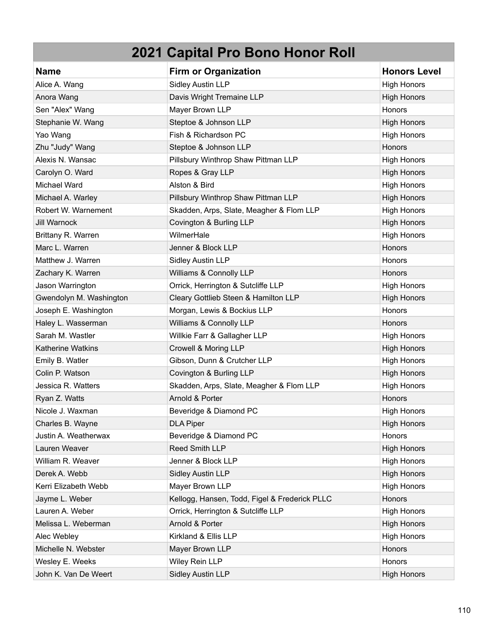| <b>Name</b>             | <b>Firm or Organization</b>                   | <b>Honors Level</b> |
|-------------------------|-----------------------------------------------|---------------------|
| Alice A. Wang           | <b>Sidley Austin LLP</b>                      | <b>High Honors</b>  |
| Anora Wang              | Davis Wright Tremaine LLP                     | <b>High Honors</b>  |
| Sen "Alex" Wang         | Mayer Brown LLP                               | Honors              |
| Stephanie W. Wang       | Steptoe & Johnson LLP                         | <b>High Honors</b>  |
| Yao Wang                | Fish & Richardson PC                          | <b>High Honors</b>  |
| Zhu "Judy" Wang         | Steptoe & Johnson LLP                         | Honors              |
| Alexis N. Wansac        | Pillsbury Winthrop Shaw Pittman LLP           | <b>High Honors</b>  |
| Carolyn O. Ward         | Ropes & Gray LLP                              | <b>High Honors</b>  |
| Michael Ward            | Alston & Bird                                 | <b>High Honors</b>  |
| Michael A. Warley       | Pillsbury Winthrop Shaw Pittman LLP           | <b>High Honors</b>  |
| Robert W. Warnement     | Skadden, Arps, Slate, Meagher & Flom LLP      | <b>High Honors</b>  |
| <b>Jill Warnock</b>     | Covington & Burling LLP                       | <b>High Honors</b>  |
| Brittany R. Warren      | WilmerHale                                    | <b>High Honors</b>  |
| Marc L. Warren          | Jenner & Block LLP                            | Honors              |
| Matthew J. Warren       | <b>Sidley Austin LLP</b>                      | Honors              |
| Zachary K. Warren       | Williams & Connolly LLP                       | Honors              |
| Jason Warrington        | Orrick, Herrington & Sutcliffe LLP            | <b>High Honors</b>  |
| Gwendolyn M. Washington | Cleary Gottlieb Steen & Hamilton LLP          | <b>High Honors</b>  |
| Joseph E. Washington    | Morgan, Lewis & Bockius LLP                   | <b>Honors</b>       |
| Haley L. Wasserman      | Williams & Connolly LLP                       | Honors              |
| Sarah M. Wastler        | Willkie Farr & Gallagher LLP                  | <b>High Honors</b>  |
| Katherine Watkins       | Crowell & Moring LLP                          | <b>High Honors</b>  |
| Emily B. Watler         | Gibson, Dunn & Crutcher LLP                   | <b>High Honors</b>  |
| Colin P. Watson         | Covington & Burling LLP                       | <b>High Honors</b>  |
| Jessica R. Watters      | Skadden, Arps, Slate, Meagher & Flom LLP      | <b>High Honors</b>  |
| Ryan Z. Watts           | Arnold & Porter                               | Honors              |
| Nicole J. Waxman        | Beveridge & Diamond PC                        | <b>High Honors</b>  |
| Charles B. Wayne        | <b>DLA Piper</b>                              | <b>High Honors</b>  |
| Justin A. Weatherwax    | Beveridge & Diamond PC                        | Honors              |
| Lauren Weaver           | Reed Smith LLP                                | <b>High Honors</b>  |
| William R. Weaver       | Jenner & Block LLP                            | <b>High Honors</b>  |
| Derek A. Webb           | <b>Sidley Austin LLP</b>                      | <b>High Honors</b>  |
| Kerri Elizabeth Webb    | Mayer Brown LLP                               | <b>High Honors</b>  |
| Jayme L. Weber          | Kellogg, Hansen, Todd, Figel & Frederick PLLC | Honors              |
| Lauren A. Weber         | Orrick, Herrington & Sutcliffe LLP            | <b>High Honors</b>  |
| Melissa L. Weberman     | Arnold & Porter                               | <b>High Honors</b>  |
| Alec Webley             | Kirkland & Ellis LLP                          | <b>High Honors</b>  |
| Michelle N. Webster     | Mayer Brown LLP                               | Honors              |
| Wesley E. Weeks         | Wiley Rein LLP                                | Honors              |
| John K. Van De Weert    | <b>Sidley Austin LLP</b>                      | <b>High Honors</b>  |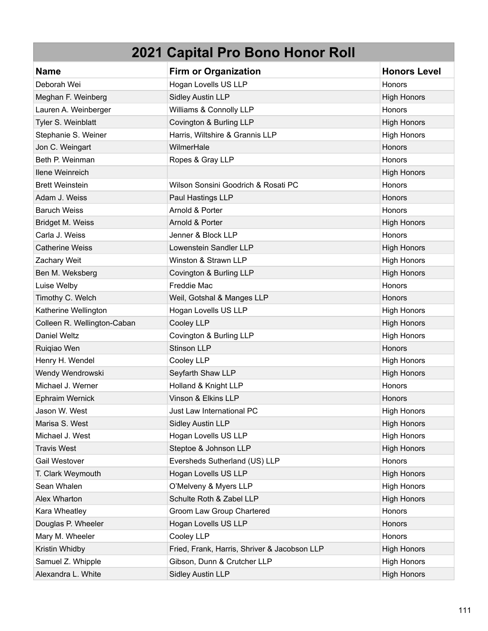| <b>Name</b>                 | <b>Firm or Organization</b>                  | <b>Honors Level</b> |
|-----------------------------|----------------------------------------------|---------------------|
| Deborah Wei                 | Hogan Lovells US LLP                         | <b>Honors</b>       |
| Meghan F. Weinberg          | <b>Sidley Austin LLP</b>                     | <b>High Honors</b>  |
| Lauren A. Weinberger        | Williams & Connolly LLP                      | Honors              |
| Tyler S. Weinblatt          | Covington & Burling LLP                      | <b>High Honors</b>  |
| Stephanie S. Weiner         | Harris, Wiltshire & Grannis LLP              | <b>High Honors</b>  |
| Jon C. Weingart             | WilmerHale                                   | Honors              |
| Beth P. Weinman             | Ropes & Gray LLP                             | Honors              |
| <b>Ilene Weinreich</b>      |                                              | <b>High Honors</b>  |
| <b>Brett Weinstein</b>      | Wilson Sonsini Goodrich & Rosati PC          | Honors              |
| Adam J. Weiss               | Paul Hastings LLP                            | <b>Honors</b>       |
| <b>Baruch Weiss</b>         | Arnold & Porter                              | Honors              |
| Bridget M. Weiss            | Arnold & Porter                              | <b>High Honors</b>  |
| Carla J. Weiss              | Jenner & Block LLP                           | Honors              |
| <b>Catherine Weiss</b>      | Lowenstein Sandler LLP                       | <b>High Honors</b>  |
| Zachary Weit                | Winston & Strawn LLP                         | <b>High Honors</b>  |
| Ben M. Weksberg             | Covington & Burling LLP                      | <b>High Honors</b>  |
| Luise Welby                 | Freddie Mac                                  | Honors              |
| Timothy C. Welch            | Weil, Gotshal & Manges LLP                   | Honors              |
| Katherine Wellington        | Hogan Lovells US LLP                         | <b>High Honors</b>  |
| Colleen R. Wellington-Caban | Cooley LLP                                   | <b>High Honors</b>  |
| Daniel Weltz                | Covington & Burling LLP                      | <b>High Honors</b>  |
| Ruiqiao Wen                 | <b>Stinson LLP</b>                           | Honors              |
| Henry H. Wendel             | Cooley LLP                                   | <b>High Honors</b>  |
| Wendy Wendrowski            | Seyfarth Shaw LLP                            | <b>High Honors</b>  |
| Michael J. Werner           | Holland & Knight LLP                         | Honors              |
| Ephraim Wernick             | Vinson & Elkins LLP                          | <b>Honors</b>       |
| Jason W. West               | Just Law International PC                    | <b>High Honors</b>  |
| Marisa S. West              | <b>Sidley Austin LLP</b>                     | <b>High Honors</b>  |
| Michael J. West             | Hogan Lovells US LLP                         | <b>High Honors</b>  |
| <b>Travis West</b>          | Steptoe & Johnson LLP                        | <b>High Honors</b>  |
| Gail Westover               | Eversheds Sutherland (US) LLP                | Honors              |
| T. Clark Weymouth           | Hogan Lovells US LLP                         | <b>High Honors</b>  |
| Sean Whalen                 | O'Melveny & Myers LLP                        | <b>High Honors</b>  |
| Alex Wharton                | Schulte Roth & Zabel LLP                     | <b>High Honors</b>  |
| Kara Wheatley               | Groom Law Group Chartered                    | Honors              |
| Douglas P. Wheeler          | Hogan Lovells US LLP                         | Honors              |
| Mary M. Wheeler             | Cooley LLP                                   | Honors              |
| Kristin Whidby              | Fried, Frank, Harris, Shriver & Jacobson LLP | <b>High Honors</b>  |
| Samuel Z. Whipple           | Gibson, Dunn & Crutcher LLP                  | <b>High Honors</b>  |
| Alexandra L. White          | <b>Sidley Austin LLP</b>                     | <b>High Honors</b>  |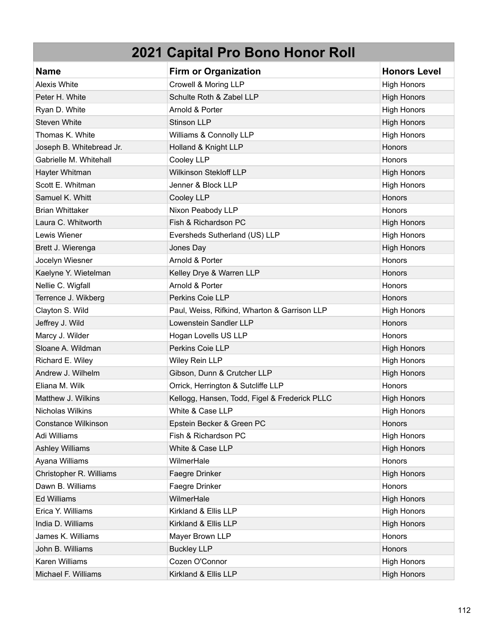| <b>Name</b>              | <b>Firm or Organization</b>                   | <b>Honors Level</b> |
|--------------------------|-----------------------------------------------|---------------------|
| <b>Alexis White</b>      | Crowell & Moring LLP                          | <b>High Honors</b>  |
| Peter H. White           | Schulte Roth & Zabel LLP                      | <b>High Honors</b>  |
| Ryan D. White            | Arnold & Porter                               | <b>High Honors</b>  |
| <b>Steven White</b>      | <b>Stinson LLP</b>                            | <b>High Honors</b>  |
| Thomas K. White          | Williams & Connolly LLP                       | <b>High Honors</b>  |
| Joseph B. Whitebread Jr. | Holland & Knight LLP                          | Honors              |
| Gabrielle M. Whitehall   | Cooley LLP                                    | Honors              |
| Hayter Whitman           | <b>Wilkinson Stekloff LLP</b>                 | <b>High Honors</b>  |
| Scott E. Whitman         | Jenner & Block LLP                            | <b>High Honors</b>  |
| Samuel K. Whitt          | Cooley LLP                                    | Honors              |
| <b>Brian Whittaker</b>   | Nixon Peabody LLP                             | Honors              |
| Laura C. Whitworth       | Fish & Richardson PC                          | <b>High Honors</b>  |
| Lewis Wiener             | Eversheds Sutherland (US) LLP                 | <b>High Honors</b>  |
| Brett J. Wierenga        | Jones Day                                     | <b>High Honors</b>  |
| Jocelyn Wiesner          | Arnold & Porter                               | Honors              |
| Kaelyne Y. Wietelman     | Kelley Drye & Warren LLP                      | Honors              |
| Nellie C. Wigfall        | Arnold & Porter                               | Honors              |
| Terrence J. Wikberg      | Perkins Coie LLP                              | Honors              |
| Clayton S. Wild          | Paul, Weiss, Rifkind, Wharton & Garrison LLP  | <b>High Honors</b>  |
| Jeffrey J. Wild          | Lowenstein Sandler LLP                        | <b>Honors</b>       |
| Marcy J. Wilder          | Hogan Lovells US LLP                          | Honors              |
| Sloane A. Wildman        | Perkins Coie LLP                              | <b>High Honors</b>  |
| Richard E. Wiley         | Wiley Rein LLP                                | <b>High Honors</b>  |
| Andrew J. Wilhelm        | Gibson, Dunn & Crutcher LLP                   | <b>High Honors</b>  |
| Eliana M. Wilk           | Orrick, Herrington & Sutcliffe LLP            | Honors              |
| Matthew J. Wilkins       | Kellogg, Hansen, Todd, Figel & Frederick PLLC | <b>High Honors</b>  |
| Nicholas Wilkins         | White & Case LLP                              | <b>High Honors</b>  |
| Constance Wilkinson      | Epstein Becker & Green PC                     | Honors              |
| Adi Williams             | Fish & Richardson PC                          | <b>High Honors</b>  |
| <b>Ashley Williams</b>   | White & Case LLP                              | <b>High Honors</b>  |
| Ayana Williams           | WilmerHale                                    | Honors              |
| Christopher R. Williams  | Faegre Drinker                                | <b>High Honors</b>  |
| Dawn B. Williams         | Faegre Drinker                                | Honors              |
| <b>Ed Williams</b>       | WilmerHale                                    | <b>High Honors</b>  |
| Erica Y. Williams        | Kirkland & Ellis LLP                          | <b>High Honors</b>  |
| India D. Williams        | Kirkland & Ellis LLP                          | <b>High Honors</b>  |
| James K. Williams        | Mayer Brown LLP                               | Honors              |
| John B. Williams         | <b>Buckley LLP</b>                            | Honors              |
| Karen Williams           | Cozen O'Connor                                | <b>High Honors</b>  |
| Michael F. Williams      | Kirkland & Ellis LLP                          | <b>High Honors</b>  |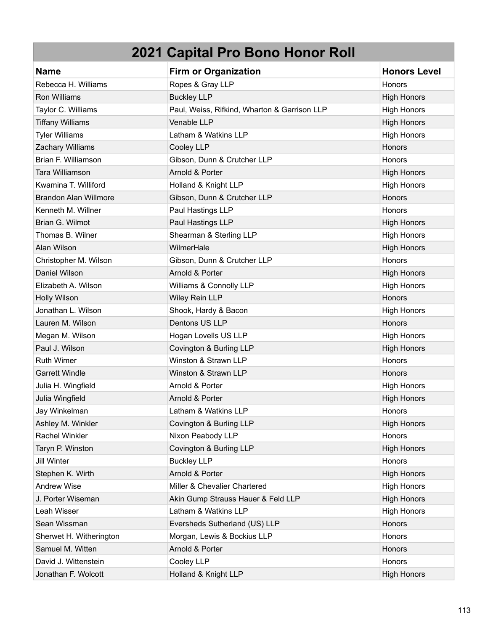| <b>Name</b>                  | <b>Firm or Organization</b>                  | <b>Honors Level</b> |
|------------------------------|----------------------------------------------|---------------------|
| Rebecca H. Williams          | Ropes & Gray LLP                             | Honors              |
| <b>Ron Williams</b>          | <b>Buckley LLP</b>                           | <b>High Honors</b>  |
| Taylor C. Williams           | Paul, Weiss, Rifkind, Wharton & Garrison LLP | <b>High Honors</b>  |
| <b>Tiffany Williams</b>      | Venable LLP                                  | <b>High Honors</b>  |
| <b>Tyler Williams</b>        | Latham & Watkins LLP                         | <b>High Honors</b>  |
| Zachary Williams             | Cooley LLP                                   | Honors              |
| Brian F. Williamson          | Gibson, Dunn & Crutcher LLP                  | Honors              |
| Tara Williamson              | Arnold & Porter                              | <b>High Honors</b>  |
| Kwamina T. Williford         | Holland & Knight LLP                         | <b>High Honors</b>  |
| <b>Brandon Alan Willmore</b> | Gibson, Dunn & Crutcher LLP                  | Honors              |
| Kenneth M. Willner           | Paul Hastings LLP                            | Honors              |
| Brian G. Wilmot              | Paul Hastings LLP                            | <b>High Honors</b>  |
| Thomas B. Wilner             | Shearman & Sterling LLP                      | <b>High Honors</b>  |
| Alan Wilson                  | WilmerHale                                   | <b>High Honors</b>  |
| Christopher M. Wilson        | Gibson, Dunn & Crutcher LLP                  | Honors              |
| Daniel Wilson                | Arnold & Porter                              | <b>High Honors</b>  |
| Elizabeth A. Wilson          | Williams & Connolly LLP                      | <b>High Honors</b>  |
| <b>Holly Wilson</b>          | Wiley Rein LLP                               | Honors              |
| Jonathan L. Wilson           | Shook, Hardy & Bacon                         | <b>High Honors</b>  |
| Lauren M. Wilson             | Dentons US LLP                               | <b>Honors</b>       |
| Megan M. Wilson              | Hogan Lovells US LLP                         | <b>High Honors</b>  |
| Paul J. Wilson               | Covington & Burling LLP                      | <b>High Honors</b>  |
| <b>Ruth Wimer</b>            | Winston & Strawn LLP                         | Honors              |
| <b>Garrett Windle</b>        | Winston & Strawn LLP                         | Honors              |
| Julia H. Wingfield           | Arnold & Porter                              | <b>High Honors</b>  |
| Julia Wingfield              | Arnold & Porter                              | <b>High Honors</b>  |
| Jay Winkelman                | Latham & Watkins LLP                         | Honors              |
| Ashley M. Winkler            | Covington & Burling LLP                      | <b>High Honors</b>  |
| <b>Rachel Winkler</b>        | Nixon Peabody LLP                            | Honors              |
| Taryn P. Winston             | Covington & Burling LLP                      | <b>High Honors</b>  |
| <b>Jill Winter</b>           | <b>Buckley LLP</b>                           | Honors              |
| Stephen K. Wirth             | Arnold & Porter                              | <b>High Honors</b>  |
| <b>Andrew Wise</b>           | Miller & Chevalier Chartered                 | <b>High Honors</b>  |
| J. Porter Wiseman            | Akin Gump Strauss Hauer & Feld LLP           | <b>High Honors</b>  |
| Leah Wisser                  | Latham & Watkins LLP                         | <b>High Honors</b>  |
| Sean Wissman                 | Eversheds Sutherland (US) LLP                | Honors              |
| Sherwet H. Witherington      | Morgan, Lewis & Bockius LLP                  | Honors              |
| Samuel M. Witten             | Arnold & Porter                              | Honors              |
| David J. Wittenstein         | Cooley LLP                                   | Honors              |
| Jonathan F. Wolcott          | Holland & Knight LLP                         | <b>High Honors</b>  |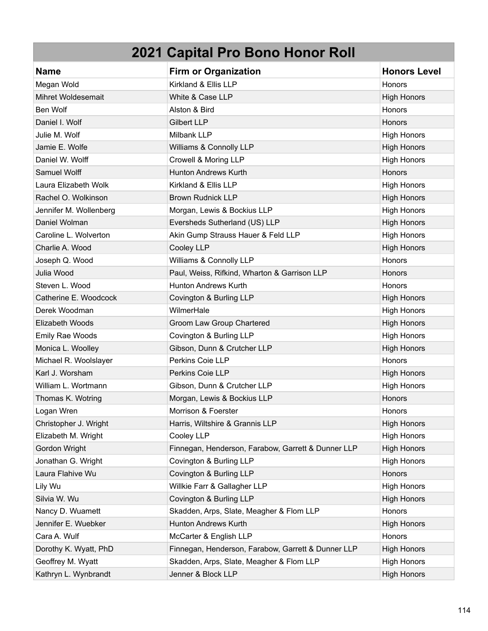| <b>Name</b>            | <b>Firm or Organization</b>                        | <b>Honors Level</b> |
|------------------------|----------------------------------------------------|---------------------|
| Megan Wold             | Kirkland & Ellis LLP                               | Honors              |
| Mihret Woldesemait     | White & Case LLP                                   | <b>High Honors</b>  |
| Ben Wolf               | Alston & Bird                                      | Honors              |
| Daniel I. Wolf         | <b>Gilbert LLP</b>                                 | Honors              |
| Julie M. Wolf          | Milbank LLP                                        | <b>High Honors</b>  |
| Jamie E. Wolfe         | Williams & Connolly LLP                            | <b>High Honors</b>  |
| Daniel W. Wolff        | <b>Crowell &amp; Moring LLP</b>                    | <b>High Honors</b>  |
| Samuel Wolff           | <b>Hunton Andrews Kurth</b>                        | Honors              |
| Laura Elizabeth Wolk   | Kirkland & Ellis LLP                               | <b>High Honors</b>  |
| Rachel O. Wolkinson    | <b>Brown Rudnick LLP</b>                           | <b>High Honors</b>  |
| Jennifer M. Wollenberg | Morgan, Lewis & Bockius LLP                        | <b>High Honors</b>  |
| Daniel Wolman          | Eversheds Sutherland (US) LLP                      | <b>High Honors</b>  |
| Caroline L. Wolverton  | Akin Gump Strauss Hauer & Feld LLP                 | <b>High Honors</b>  |
| Charlie A. Wood        | Cooley LLP                                         | <b>High Honors</b>  |
| Joseph Q. Wood         | Williams & Connolly LLP                            | Honors              |
| Julia Wood             | Paul, Weiss, Rifkind, Wharton & Garrison LLP       | <b>Honors</b>       |
| Steven L. Wood         | <b>Hunton Andrews Kurth</b>                        | Honors              |
| Catherine E. Woodcock  | Covington & Burling LLP                            | <b>High Honors</b>  |
| Derek Woodman          | WilmerHale                                         | <b>High Honors</b>  |
| Elizabeth Woods        | Groom Law Group Chartered                          | <b>High Honors</b>  |
| <b>Emily Rae Woods</b> | Covington & Burling LLP                            | <b>High Honors</b>  |
| Monica L. Woolley      | Gibson, Dunn & Crutcher LLP                        | <b>High Honors</b>  |
| Michael R. Woolslayer  | Perkins Coie LLP                                   | Honors              |
| Karl J. Worsham        | Perkins Coie LLP                                   | <b>High Honors</b>  |
| William L. Wortmann    | Gibson, Dunn & Crutcher LLP                        | <b>High Honors</b>  |
| Thomas K. Wotring      | Morgan, Lewis & Bockius LLP                        | Honors              |
| Logan Wren             | Morrison & Foerster                                | Honors              |
| Christopher J. Wright  | Harris, Wiltshire & Grannis LLP                    | <b>High Honors</b>  |
| Elizabeth M. Wright    | Cooley LLP                                         | <b>High Honors</b>  |
| Gordon Wright          | Finnegan, Henderson, Farabow, Garrett & Dunner LLP | <b>High Honors</b>  |
| Jonathan G. Wright     | Covington & Burling LLP                            | <b>High Honors</b>  |
| Laura Flahive Wu       | Covington & Burling LLP                            | Honors              |
| Lily Wu                | Willkie Farr & Gallagher LLP                       | <b>High Honors</b>  |
| Silvia W. Wu           | Covington & Burling LLP                            | <b>High Honors</b>  |
| Nancy D. Wuamett       | Skadden, Arps, Slate, Meagher & Flom LLP           | Honors              |
| Jennifer E. Wuebker    | <b>Hunton Andrews Kurth</b>                        | <b>High Honors</b>  |
| Cara A. Wulf           | McCarter & English LLP                             | Honors              |
| Dorothy K. Wyatt, PhD  | Finnegan, Henderson, Farabow, Garrett & Dunner LLP | <b>High Honors</b>  |
| Geoffrey M. Wyatt      | Skadden, Arps, Slate, Meagher & Flom LLP           | <b>High Honors</b>  |
| Kathryn L. Wynbrandt   | Jenner & Block LLP                                 | <b>High Honors</b>  |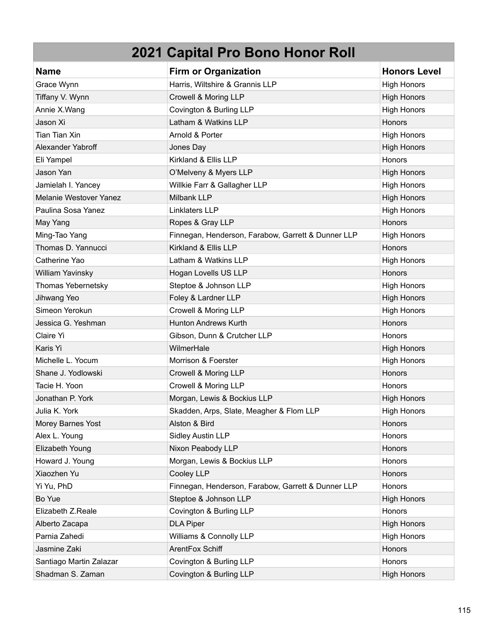| <b>Name</b>             | <b>Firm or Organization</b>                        | <b>Honors Level</b> |
|-------------------------|----------------------------------------------------|---------------------|
| Grace Wynn              | Harris, Wiltshire & Grannis LLP                    | <b>High Honors</b>  |
| Tiffany V. Wynn         | Crowell & Moring LLP                               | <b>High Honors</b>  |
| Annie X.Wang            | Covington & Burling LLP                            | <b>High Honors</b>  |
| Jason Xi                | Latham & Watkins LLP                               | Honors              |
| <b>Tian Tian Xin</b>    | Arnold & Porter                                    | <b>High Honors</b>  |
| Alexander Yabroff       | Jones Day                                          | <b>High Honors</b>  |
| Eli Yampel              | Kirkland & Ellis LLP                               | Honors              |
| Jason Yan               | O'Melveny & Myers LLP                              | <b>High Honors</b>  |
| Jamielah I. Yancey      | Willkie Farr & Gallagher LLP                       | <b>High Honors</b>  |
| Melanie Westover Yanez  | Milbank LLP                                        | <b>High Honors</b>  |
| Paulina Sosa Yanez      | Linklaters LLP                                     | <b>High Honors</b>  |
| May Yang                | Ropes & Gray LLP                                   | Honors              |
| Ming-Tao Yang           | Finnegan, Henderson, Farabow, Garrett & Dunner LLP | <b>High Honors</b>  |
| Thomas D. Yannucci      | Kirkland & Ellis LLP                               | <b>Honors</b>       |
| Catherine Yao           | Latham & Watkins LLP                               | <b>High Honors</b>  |
| William Yavinsky        | Hogan Lovells US LLP                               | Honors              |
| Thomas Yebernetsky      | Steptoe & Johnson LLP                              | <b>High Honors</b>  |
| Jihwang Yeo             | Foley & Lardner LLP                                | <b>High Honors</b>  |
| Simeon Yerokun          | Crowell & Moring LLP                               | <b>High Honors</b>  |
| Jessica G. Yeshman      | <b>Hunton Andrews Kurth</b>                        | <b>Honors</b>       |
| Claire Yi               | Gibson, Dunn & Crutcher LLP                        | Honors              |
| Karis Yi                | WilmerHale                                         | <b>High Honors</b>  |
| Michelle L. Yocum       | Morrison & Foerster                                | <b>High Honors</b>  |
| Shane J. Yodlowski      | Crowell & Moring LLP                               | Honors              |
| Tacie H. Yoon           | Crowell & Moring LLP                               | Honors              |
| Jonathan P. York        | Morgan, Lewis & Bockius LLP                        | <b>High Honors</b>  |
| Julia K. York           | Skadden, Arps, Slate, Meagher & Flom LLP           | <b>High Honors</b>  |
| Morey Barnes Yost       | Alston & Bird                                      | Honors              |
| Alex L. Young           | <b>Sidley Austin LLP</b>                           | Honors              |
| Elizabeth Young         | Nixon Peabody LLP                                  | Honors              |
| Howard J. Young         | Morgan, Lewis & Bockius LLP                        | Honors              |
| Xiaozhen Yu             | Cooley LLP                                         | Honors              |
| Yi Yu, PhD              | Finnegan, Henderson, Farabow, Garrett & Dunner LLP | Honors              |
| Bo Yue                  | Steptoe & Johnson LLP                              | <b>High Honors</b>  |
| Elizabeth Z.Reale       | Covington & Burling LLP                            | Honors              |
| Alberto Zacapa          | <b>DLA Piper</b>                                   | <b>High Honors</b>  |
| Parnia Zahedi           | Williams & Connolly LLP                            | <b>High Honors</b>  |
| Jasmine Zaki            | ArentFox Schiff                                    | Honors              |
| Santiago Martin Zalazar | Covington & Burling LLP                            | Honors              |
| Shadman S. Zaman        | Covington & Burling LLP                            | <b>High Honors</b>  |